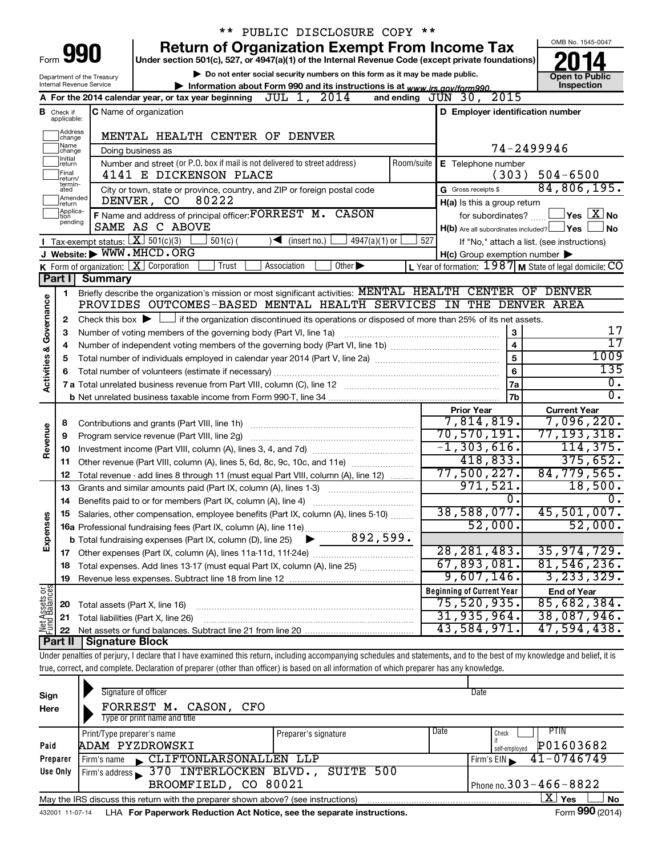|                                                                                                               |                                                                                                    |                                                                                                                                             | ** PUBLIC DISCLOSURE COPY **                                                                                                                                               |            |                                                     |                                                           |  |  |  |
|---------------------------------------------------------------------------------------------------------------|----------------------------------------------------------------------------------------------------|---------------------------------------------------------------------------------------------------------------------------------------------|----------------------------------------------------------------------------------------------------------------------------------------------------------------------------|------------|-----------------------------------------------------|-----------------------------------------------------------|--|--|--|
|                                                                                                               |                                                                                                    | 990                                                                                                                                         | <b>Return of Organization Exempt From Income Tax</b>                                                                                                                       |            |                                                     | OMB No. 1545-0047                                         |  |  |  |
| Form                                                                                                          | Under section 501(c), 527, or 4947(a)(1) of the Internal Revenue Code (except private foundations) |                                                                                                                                             |                                                                                                                                                                            |            |                                                     |                                                           |  |  |  |
| Department of the Treasury                                                                                    | <b>Open to Public</b><br>Inspection                                                                |                                                                                                                                             |                                                                                                                                                                            |            |                                                     |                                                           |  |  |  |
| <b>Internal Revenue Service</b><br>Information about Form 990 and its instructions is at www.irs.gov/form990. |                                                                                                    |                                                                                                                                             |                                                                                                                                                                            |            |                                                     |                                                           |  |  |  |
|                                                                                                               |                                                                                                    |                                                                                                                                             | JUL 1, 2014<br>A For the 2014 calendar year, or tax year beginning                                                                                                         |            | and ending $JUN$ 30, $2015$                         |                                                           |  |  |  |
|                                                                                                               | <b>B</b> Check if applicable:                                                                      |                                                                                                                                             | C Name of organization                                                                                                                                                     |            | D Employer identification number                    |                                                           |  |  |  |
|                                                                                                               | <b>Address</b>                                                                                     |                                                                                                                                             | MENTAL HEALTH CENTER OF DENVER                                                                                                                                             |            |                                                     |                                                           |  |  |  |
|                                                                                                               | change<br>Name                                                                                     |                                                                                                                                             |                                                                                                                                                                            |            |                                                     | 74-2499946                                                |  |  |  |
|                                                                                                               | change<br>Initial<br>return                                                                        |                                                                                                                                             | Doing business as<br>Number and street (or P.O. box if mail is not delivered to street address)                                                                            | Room/suite | E Telephone number                                  |                                                           |  |  |  |
|                                                                                                               | Final                                                                                              |                                                                                                                                             | 4141 E DICKENSON PLACE                                                                                                                                                     |            | (303)                                               | $504 - 6500$                                              |  |  |  |
|                                                                                                               | return/<br>termin-<br>ated                                                                         |                                                                                                                                             | City or town, state or province, country, and ZIP or foreign postal code                                                                                                   |            | G Gross receipts \$                                 | 84,806,195.                                               |  |  |  |
|                                                                                                               | Amended<br>return                                                                                  |                                                                                                                                             | 80222<br>DENVER, CO                                                                                                                                                        |            | H(a) Is this a group return                         |                                                           |  |  |  |
|                                                                                                               | Applica-<br>Ition                                                                                  |                                                                                                                                             | F Name and address of principal officer: FORREST M. CASON                                                                                                                  |            | for subordinates?                                   | $\exists$ Yes $\boxed{\text{X}}$ No                       |  |  |  |
|                                                                                                               | pending                                                                                            |                                                                                                                                             | SAME AS C ABOVE                                                                                                                                                            |            | $H(b)$ Are all subordinates included? $\Box$ Yes    | No                                                        |  |  |  |
|                                                                                                               |                                                                                                    | <b>I</b> Tax-exempt status: $X \ 501(c)(3)$                                                                                                 | $501(c)$ (<br>4947(a)(1) or<br>$\sqrt{\frac{1}{1}}$ (insert no.)                                                                                                           | 527        |                                                     | If "No," attach a list. (see instructions)                |  |  |  |
|                                                                                                               |                                                                                                    |                                                                                                                                             | J Website: WWW.MHCD.ORG                                                                                                                                                    |            | $H(c)$ Group exemption number $\blacktriangleright$ |                                                           |  |  |  |
|                                                                                                               |                                                                                                    |                                                                                                                                             | K Form of organization: $X$ Corporation<br>Trust<br>Association<br>Other $\blacktriangleright$                                                                             |            |                                                     | L Year of formation: $1987$ M State of legal domicile: CO |  |  |  |
|                                                                                                               | Part I                                                                                             | Summary                                                                                                                                     |                                                                                                                                                                            |            |                                                     |                                                           |  |  |  |
|                                                                                                               | 1                                                                                                  |                                                                                                                                             | Briefly describe the organization's mission or most significant activities: MENTAL HEALTH CENTER OF DENVER                                                                 |            |                                                     |                                                           |  |  |  |
|                                                                                                               |                                                                                                    |                                                                                                                                             | PROVIDES OUTCOMES-BASED MENTAL HEALTH SERVICES IN THE DENVER AREA                                                                                                          |            |                                                     |                                                           |  |  |  |
| Governance                                                                                                    | 2                                                                                                  | Check this box $\blacktriangleright$ $\Box$ if the organization discontinued its operations or disposed of more than 25% of its net assets. | 17                                                                                                                                                                         |            |                                                     |                                                           |  |  |  |
|                                                                                                               | з                                                                                                  | Number of voting members of the governing body (Part VI, line 1a)                                                                           | 17                                                                                                                                                                         |            |                                                     |                                                           |  |  |  |
|                                                                                                               | 4                                                                                                  |                                                                                                                                             | 1009                                                                                                                                                                       |            |                                                     |                                                           |  |  |  |
| <b>Activities &amp;</b>                                                                                       | 5                                                                                                  |                                                                                                                                             |                                                                                                                                                                            |            | 5<br>6                                              | 135                                                       |  |  |  |
|                                                                                                               |                                                                                                    |                                                                                                                                             |                                                                                                                                                                            |            | <b>7a</b>                                           | $\overline{0}$ .                                          |  |  |  |
|                                                                                                               |                                                                                                    |                                                                                                                                             |                                                                                                                                                                            |            | 7b                                                  | σ.                                                        |  |  |  |
|                                                                                                               |                                                                                                    |                                                                                                                                             |                                                                                                                                                                            |            | <b>Prior Year</b>                                   | <b>Current Year</b>                                       |  |  |  |
|                                                                                                               | 8                                                                                                  |                                                                                                                                             |                                                                                                                                                                            |            | 7,814,819.                                          | $7,096,220$ .                                             |  |  |  |
| Revenue                                                                                                       | 9                                                                                                  |                                                                                                                                             | Program service revenue (Part VIII, line 2g)                                                                                                                               |            | 70, 570, 191.                                       | 77,193,318 <b>.</b>                                       |  |  |  |
|                                                                                                               | 10                                                                                                 |                                                                                                                                             |                                                                                                                                                                            |            | $-1, 303, 616.$                                     | 114, 375.                                                 |  |  |  |
|                                                                                                               | 11                                                                                                 |                                                                                                                                             | Other revenue (Part VIII, column (A), lines 5, 6d, 8c, 9c, 10c, and 11e)                                                                                                   |            | 418,833.                                            | 375,652.                                                  |  |  |  |
|                                                                                                               | 12                                                                                                 |                                                                                                                                             | Total revenue - add lines 8 through 11 (must equal Part VIII, column (A), line 12)                                                                                         |            | 77,500,227.                                         | 84,779,565.                                               |  |  |  |
|                                                                                                               | 13                                                                                                 |                                                                                                                                             | Grants and similar amounts paid (Part IX, column (A), lines 1-3)                                                                                                           |            | 971,521.                                            | 18,500.                                                   |  |  |  |
|                                                                                                               | 14                                                                                                 |                                                                                                                                             |                                                                                                                                                                            |            | О.                                                  | 0.                                                        |  |  |  |
|                                                                                                               | 15                                                                                                 |                                                                                                                                             | Salaries, other compensation, employee benefits (Part IX, column (A), lines 5-10)                                                                                          |            | 38,588,077.                                         | 45,501,007.                                               |  |  |  |
| Expenses                                                                                                      |                                                                                                    |                                                                                                                                             |                                                                                                                                                                            |            | 52,000.                                             | 52,000.                                                   |  |  |  |
|                                                                                                               |                                                                                                    |                                                                                                                                             |                                                                                                                                                                            |            |                                                     |                                                           |  |  |  |
|                                                                                                               |                                                                                                    |                                                                                                                                             |                                                                                                                                                                            |            | 28, 281, 483.                                       | 35,974,729.                                               |  |  |  |
|                                                                                                               | 18                                                                                                 |                                                                                                                                             | Total expenses. Add lines 13-17 (must equal Part IX, column (A), line 25)                                                                                                  |            | 67,893,081.<br>9,607,146.                           | 81,546,236.<br>3, 233, 329.                               |  |  |  |
|                                                                                                               | 19                                                                                                 |                                                                                                                                             |                                                                                                                                                                            |            | <b>Beginning of Current Year</b>                    |                                                           |  |  |  |
|                                                                                                               |                                                                                                    |                                                                                                                                             |                                                                                                                                                                            |            | 75,520,935 <b>.</b>                                 | <b>End of Year</b><br>85,682,384.                         |  |  |  |
| Net Assets or                                                                                                 | 20<br>21                                                                                           | Total assets (Part X, line 16)                                                                                                              | Total liabilities (Part X, line 26)                                                                                                                                        |            | 31, 935, 964.                                       | 38,087,946.                                               |  |  |  |
|                                                                                                               | 22                                                                                                 |                                                                                                                                             |                                                                                                                                                                            |            | 43,584,971.                                         | 47,594,438.                                               |  |  |  |
|                                                                                                               | Part II                                                                                            | Signature Block                                                                                                                             |                                                                                                                                                                            |            |                                                     |                                                           |  |  |  |
|                                                                                                               |                                                                                                    |                                                                                                                                             | Under penalties of perjury, I declare that I have examined this return, including accompanying schedules and statements, and to the best of my knowledge and belief, it is |            |                                                     |                                                           |  |  |  |
|                                                                                                               |                                                                                                    |                                                                                                                                             | true, correct, and complete. Declaration of preparer (other than officer) is based on all information of which preparer has any knowledge.                                 |            |                                                     |                                                           |  |  |  |

| Sign<br>Here | Signature of officer<br>FORREST M. CASON, CFO<br>Type or print name and title     |                      |      | Date          |                |           |  |  |  |  |  |
|--------------|-----------------------------------------------------------------------------------|----------------------|------|---------------|----------------|-----------|--|--|--|--|--|
|              | Print/Type preparer's name                                                        | Preparer's signature | Date | Check         | PTIN           |           |  |  |  |  |  |
| Paid         | ADAM PYZDROWSKI                                                                   |                      |      | self-employed | P01603682      |           |  |  |  |  |  |
| Preparer     | CLIFTONLARSONALLEN LLP<br>Firm's name                                             |                      |      | Firm's EIN    | $41 - 0746749$ |           |  |  |  |  |  |
| Use Only     | Firm's address 370 INTERLOCKEN BLVD., SUITE 500                                   |                      |      |               |                |           |  |  |  |  |  |
|              | Phone no. $303 - 466 - 8822$<br>BROOMFIELD, CO 80021                              |                      |      |               |                |           |  |  |  |  |  |
|              | May the IRS discuss this return with the preparer shown above? (see instructions) |                      |      |               | X  <br>Yes     | <b>No</b> |  |  |  |  |  |
|              | $\mathbf{A}$                                                                      |                      |      |               |                |           |  |  |  |  |  |

432001 11-07-14 **For Paperwork Reduction Act Notice, see the separate instructions.** LHA Form (2014)

**990**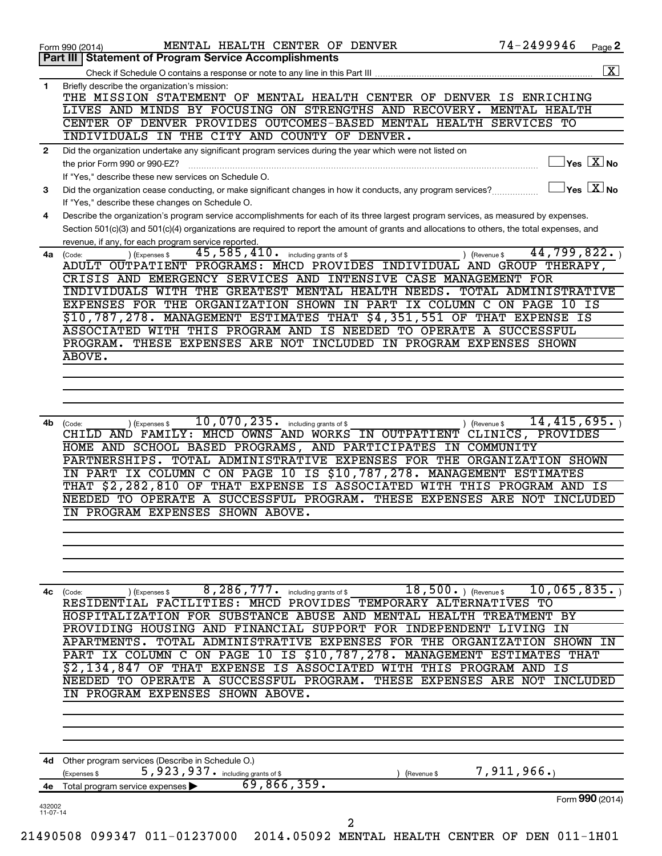| Briefly describe the organization's mission:<br>THE MISSION STATEMENT OF MENTAL HEALTH CENTER OF DENVER IS ENRICHING<br>LIVES AND MINDS BY FOCUSING ON STRENGTHS AND RECOVERY. MENTAL HEALTH<br>CENTER OF DENVER PROVIDES OUTCOMES-BASED MENTAL HEALTH SERVICES TO<br>INDIVIDUALS IN THE CITY AND COUNTY OF DENVER.<br>Did the organization undertake any significant program services during the year which were not listed on<br>$ {\mathsf Y}\mathsf{es}\ \boxed{{\mathsf X}}$ No<br>the prior Form 990 or 990-EZ?<br>If "Yes," describe these new services on Schedule O.<br>$\mathsf{Yes}\ \overline{\mathbf{X}}\mathsf{No}$<br>Did the organization cease conducting, or make significant changes in how it conducts, any program services?<br>If "Yes," describe these changes on Schedule O.<br>Describe the organization's program service accomplishments for each of its three largest program services, as measured by expenses.<br>Section 501(c)(3) and 501(c)(4) organizations are required to report the amount of grants and allocations to others, the total expenses, and<br>revenue, if any, for each program service reported.<br>44,799,822.<br>45,585,410.<br>including grants of \$<br>(Code:<br>(Expenses \$<br>) (Revenue \$<br>ADULT OUTPATIENT PROGRAMS: MHCD PROVIDES INDIVIDUAL AND GROUP THERAPY, |                                                                                                                                                                                                                                                                                                       |
|----------------------------------------------------------------------------------------------------------------------------------------------------------------------------------------------------------------------------------------------------------------------------------------------------------------------------------------------------------------------------------------------------------------------------------------------------------------------------------------------------------------------------------------------------------------------------------------------------------------------------------------------------------------------------------------------------------------------------------------------------------------------------------------------------------------------------------------------------------------------------------------------------------------------------------------------------------------------------------------------------------------------------------------------------------------------------------------------------------------------------------------------------------------------------------------------------------------------------------------------------------------------------------------------------------------------------------|-------------------------------------------------------------------------------------------------------------------------------------------------------------------------------------------------------------------------------------------------------------------------------------------------------|
|                                                                                                                                                                                                                                                                                                                                                                                                                                                                                                                                                                                                                                                                                                                                                                                                                                                                                                                                                                                                                                                                                                                                                                                                                                                                                                                                  |                                                                                                                                                                                                                                                                                                       |
|                                                                                                                                                                                                                                                                                                                                                                                                                                                                                                                                                                                                                                                                                                                                                                                                                                                                                                                                                                                                                                                                                                                                                                                                                                                                                                                                  |                                                                                                                                                                                                                                                                                                       |
|                                                                                                                                                                                                                                                                                                                                                                                                                                                                                                                                                                                                                                                                                                                                                                                                                                                                                                                                                                                                                                                                                                                                                                                                                                                                                                                                  |                                                                                                                                                                                                                                                                                                       |
|                                                                                                                                                                                                                                                                                                                                                                                                                                                                                                                                                                                                                                                                                                                                                                                                                                                                                                                                                                                                                                                                                                                                                                                                                                                                                                                                  |                                                                                                                                                                                                                                                                                                       |
|                                                                                                                                                                                                                                                                                                                                                                                                                                                                                                                                                                                                                                                                                                                                                                                                                                                                                                                                                                                                                                                                                                                                                                                                                                                                                                                                  |                                                                                                                                                                                                                                                                                                       |
|                                                                                                                                                                                                                                                                                                                                                                                                                                                                                                                                                                                                                                                                                                                                                                                                                                                                                                                                                                                                                                                                                                                                                                                                                                                                                                                                  |                                                                                                                                                                                                                                                                                                       |
|                                                                                                                                                                                                                                                                                                                                                                                                                                                                                                                                                                                                                                                                                                                                                                                                                                                                                                                                                                                                                                                                                                                                                                                                                                                                                                                                  |                                                                                                                                                                                                                                                                                                       |
|                                                                                                                                                                                                                                                                                                                                                                                                                                                                                                                                                                                                                                                                                                                                                                                                                                                                                                                                                                                                                                                                                                                                                                                                                                                                                                                                  |                                                                                                                                                                                                                                                                                                       |
| CRISIS AND EMERGENCY SERVICES AND INTENSIVE CASE MANAGEMENT FOR<br>INDIVIDUALS WITH THE GREATEST MENTAL HEALTH NEEDS. TOTAL ADMINISTRATIVE                                                                                                                                                                                                                                                                                                                                                                                                                                                                                                                                                                                                                                                                                                                                                                                                                                                                                                                                                                                                                                                                                                                                                                                       |                                                                                                                                                                                                                                                                                                       |
| EXPENSES FOR THE ORGANIZATION SHOWN IN PART IX COLUMN C ON PAGE 10 IS<br>\$10,787,278. MANAGEMENT ESTIMATES THAT \$4,351,551 OF THAT EXPENSE IS                                                                                                                                                                                                                                                                                                                                                                                                                                                                                                                                                                                                                                                                                                                                                                                                                                                                                                                                                                                                                                                                                                                                                                                  |                                                                                                                                                                                                                                                                                                       |
| ASSOCIATED WITH THIS PROGRAM AND IS NEEDED TO OPERATE A SUCCESSFUL                                                                                                                                                                                                                                                                                                                                                                                                                                                                                                                                                                                                                                                                                                                                                                                                                                                                                                                                                                                                                                                                                                                                                                                                                                                               |                                                                                                                                                                                                                                                                                                       |
| PROGRAM. THESE EXPENSES ARE NOT INCLUDED IN PROGRAM EXPENSES SHOWN<br>ABOVE.                                                                                                                                                                                                                                                                                                                                                                                                                                                                                                                                                                                                                                                                                                                                                                                                                                                                                                                                                                                                                                                                                                                                                                                                                                                     |                                                                                                                                                                                                                                                                                                       |
|                                                                                                                                                                                                                                                                                                                                                                                                                                                                                                                                                                                                                                                                                                                                                                                                                                                                                                                                                                                                                                                                                                                                                                                                                                                                                                                                  |                                                                                                                                                                                                                                                                                                       |
|                                                                                                                                                                                                                                                                                                                                                                                                                                                                                                                                                                                                                                                                                                                                                                                                                                                                                                                                                                                                                                                                                                                                                                                                                                                                                                                                  |                                                                                                                                                                                                                                                                                                       |
| ) (Revenue \$<br>(Code:<br>) (Expenses \$<br>CHILD AND FAMILY: MHCD OWNS AND WORKS IN OUTPATIENT CLINICS, PROVIDES<br>HOME AND SCHOOL BASED PROGRAMS, AND PARTICIPATES IN COMMUNITY<br>PARTNERSHIPS. TOTAL ADMINISTRATIVE EXPENSES FOR THE ORGANIZATION SHOWN<br>IN PART IX COLUMN C ON PAGE 10 IS \$10,787,278. MANAGEMENT ESTIMATES<br>THAT \$2,282,810 OF THAT EXPENSE IS ASSOCIATED WITH THIS PROGRAM AND IS<br>NEEDED TO OPERATE A SUCCESSFUL PROGRAM. THESE EXPENSES ARE NOT INCLUDED<br>IN PROGRAM EXPENSES SHOWN ABOVE.                                                                                                                                                                                                                                                                                                                                                                                                                                                                                                                                                                                                                                                                                                                                                                                                  |                                                                                                                                                                                                                                                                                                       |
|                                                                                                                                                                                                                                                                                                                                                                                                                                                                                                                                                                                                                                                                                                                                                                                                                                                                                                                                                                                                                                                                                                                                                                                                                                                                                                                                  |                                                                                                                                                                                                                                                                                                       |
| 10,065,835.<br>$18,500.$ (Revenue \$<br>8, 286, 777. including grants of \$<br>) (Expenses \$<br>4c (Code:<br>RESIDENTIAL FACILITIES: MHCD PROVIDES TEMPORARY ALTERNATIVES TO                                                                                                                                                                                                                                                                                                                                                                                                                                                                                                                                                                                                                                                                                                                                                                                                                                                                                                                                                                                                                                                                                                                                                    |                                                                                                                                                                                                                                                                                                       |
| PROVIDING HOUSING AND FINANCIAL SUPPORT FOR INDEPENDENT LIVING IN                                                                                                                                                                                                                                                                                                                                                                                                                                                                                                                                                                                                                                                                                                                                                                                                                                                                                                                                                                                                                                                                                                                                                                                                                                                                |                                                                                                                                                                                                                                                                                                       |
| PART IX COLUMN C ON PAGE 10 IS \$10,787,278. MANAGEMENT ESTIMATES THAT                                                                                                                                                                                                                                                                                                                                                                                                                                                                                                                                                                                                                                                                                                                                                                                                                                                                                                                                                                                                                                                                                                                                                                                                                                                           |                                                                                                                                                                                                                                                                                                       |
| NEEDED TO OPERATE A SUCCESSFUL PROGRAM. THESE EXPENSES ARE<br>NOT INCLUDED<br>IN PROGRAM EXPENSES SHOWN ABOVE.                                                                                                                                                                                                                                                                                                                                                                                                                                                                                                                                                                                                                                                                                                                                                                                                                                                                                                                                                                                                                                                                                                                                                                                                                   |                                                                                                                                                                                                                                                                                                       |
|                                                                                                                                                                                                                                                                                                                                                                                                                                                                                                                                                                                                                                                                                                                                                                                                                                                                                                                                                                                                                                                                                                                                                                                                                                                                                                                                  |                                                                                                                                                                                                                                                                                                       |
| Other program services (Describe in Schedule O.)                                                                                                                                                                                                                                                                                                                                                                                                                                                                                                                                                                                                                                                                                                                                                                                                                                                                                                                                                                                                                                                                                                                                                                                                                                                                                 |                                                                                                                                                                                                                                                                                                       |
| 7,911,966.<br>5,923,937. including grants of \$<br>(Expenses \$<br>(Revenue \$<br>69,866,359.<br>Total program service expenses >                                                                                                                                                                                                                                                                                                                                                                                                                                                                                                                                                                                                                                                                                                                                                                                                                                                                                                                                                                                                                                                                                                                                                                                                |                                                                                                                                                                                                                                                                                                       |
| Form 990 (2014)                                                                                                                                                                                                                                                                                                                                                                                                                                                                                                                                                                                                                                                                                                                                                                                                                                                                                                                                                                                                                                                                                                                                                                                                                                                                                                                  |                                                                                                                                                                                                                                                                                                       |
| 21490508 099347 011-01237000 2014.05092 MENTAL HEALTH CENTER OF DEN 011-1H01                                                                                                                                                                                                                                                                                                                                                                                                                                                                                                                                                                                                                                                                                                                                                                                                                                                                                                                                                                                                                                                                                                                                                                                                                                                     | 14, 415, 695.<br>$10,070,235$ $\cdot$ including grants of \$<br>HOSPITALIZATION FOR SUBSTANCE ABUSE AND MENTAL HEALTH TREATMENT BY<br>APARTMENTS. TOTAL ADMINISTRATIVE EXPENSES FOR THE ORGANIZATION SHOWN IN<br>\$2,134,847 OF THAT EXPENSE IS ASSOCIATED WITH THIS PROGRAM AND IS<br>$\overline{a}$ |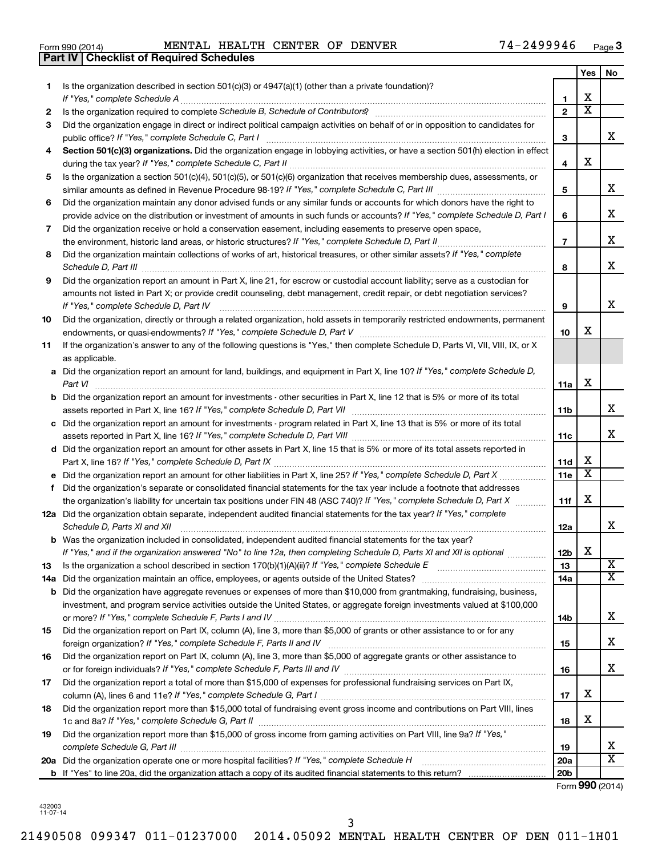| Form 990 (2014) |  |  |
|-----------------|--|--|
|                 |  |  |

Form 990 (2014) Page MENTAL HEALTH CENTER OF DENVER 74-2499946

|     | <b>Part IV   Checklist of Required Schedules</b>                                                                                                                                                                              |                       |                         |                         |  |
|-----|-------------------------------------------------------------------------------------------------------------------------------------------------------------------------------------------------------------------------------|-----------------------|-------------------------|-------------------------|--|
|     |                                                                                                                                                                                                                               |                       | <b>Yes</b>              | No                      |  |
| 1   | Is the organization described in section 501(c)(3) or 4947(a)(1) (other than a private foundation)?                                                                                                                           |                       |                         |                         |  |
|     |                                                                                                                                                                                                                               | 1                     | X                       |                         |  |
| 2   | Is the organization required to complete Schedule B, Schedule of Contributors? [11] the organization required to complete Schedule B, Schedule of Contributors?                                                               | $\mathbf{2}$          | $\overline{\mathbf{X}}$ |                         |  |
| З   | Did the organization engage in direct or indirect political campaign activities on behalf of or in opposition to candidates for                                                                                               |                       |                         |                         |  |
|     |                                                                                                                                                                                                                               | 3                     |                         | x                       |  |
| 4   | Section 501(c)(3) organizations. Did the organization engage in lobbying activities, or have a section 501(h) election in effect                                                                                              |                       |                         |                         |  |
|     |                                                                                                                                                                                                                               | 4                     | х                       |                         |  |
| 5   | Is the organization a section 501(c)(4), 501(c)(5), or 501(c)(6) organization that receives membership dues, assessments, or                                                                                                  |                       |                         |                         |  |
|     |                                                                                                                                                                                                                               | 5                     |                         | x                       |  |
|     |                                                                                                                                                                                                                               |                       |                         |                         |  |
| 6   | Did the organization maintain any donor advised funds or any similar funds or accounts for which donors have the right to                                                                                                     | 6                     |                         | х                       |  |
|     | provide advice on the distribution or investment of amounts in such funds or accounts? If "Yes," complete Schedule D, Part I                                                                                                  |                       |                         |                         |  |
| 7   | Did the organization receive or hold a conservation easement, including easements to preserve open space,                                                                                                                     |                       |                         | х                       |  |
|     |                                                                                                                                                                                                                               | $\overline{7}$        |                         |                         |  |
| 8   | Did the organization maintain collections of works of art, historical treasures, or other similar assets? If "Yes," complete<br>Schedule D, Part III <b>Marting Community</b> Construction of the United Schedule D, Part III | 8                     |                         | X                       |  |
| 9   | Did the organization report an amount in Part X, line 21, for escrow or custodial account liability; serve as a custodian for                                                                                                 |                       |                         |                         |  |
|     | amounts not listed in Part X; or provide credit counseling, debt management, credit repair, or debt negotiation services?                                                                                                     |                       |                         |                         |  |
|     | If "Yes," complete Schedule D, Part IV                                                                                                                                                                                        | 9                     |                         | x                       |  |
| 10  | Did the organization, directly or through a related organization, hold assets in temporarily restricted endowments, permanent                                                                                                 |                       |                         |                         |  |
|     |                                                                                                                                                                                                                               | 10                    | х                       |                         |  |
| 11  | If the organization's answer to any of the following questions is "Yes," then complete Schedule D, Parts VI, VII, VIII, IX, or X                                                                                              |                       |                         |                         |  |
|     | as applicable.                                                                                                                                                                                                                |                       |                         |                         |  |
|     | a Did the organization report an amount for land, buildings, and equipment in Part X, line 10? If "Yes," complete Schedule D,                                                                                                 |                       |                         |                         |  |
|     | Part VI                                                                                                                                                                                                                       | 11a                   | х                       |                         |  |
|     | <b>b</b> Did the organization report an amount for investments - other securities in Part X, line 12 that is 5% or more of its total                                                                                          |                       |                         |                         |  |
|     | assets reported in Part X, line 16? If "Yes," complete Schedule D, Part VII [11] [11] [12] [12] [12] [12] [12] [                                                                                                              | 11b                   |                         | х                       |  |
|     | c Did the organization report an amount for investments - program related in Part X, line 13 that is 5% or more of its total                                                                                                  |                       |                         |                         |  |
|     |                                                                                                                                                                                                                               | 11c                   |                         | X                       |  |
|     | d Did the organization report an amount for other assets in Part X, line 15 that is 5% or more of its total assets reported in                                                                                                |                       |                         |                         |  |
|     |                                                                                                                                                                                                                               | 11d                   | х                       |                         |  |
|     | e Did the organization report an amount for other liabilities in Part X, line 25? If "Yes," complete Schedule D, Part X                                                                                                       | 11e                   | $\overline{\mathbf{X}}$ |                         |  |
|     | f Did the organization's separate or consolidated financial statements for the tax year include a footnote that addresses                                                                                                     |                       |                         |                         |  |
|     | the organization's liability for uncertain tax positions under FIN 48 (ASC 740)? If "Yes," complete Schedule D, Part X                                                                                                        | 11f                   | х                       |                         |  |
|     | 12a Did the organization obtain separate, independent audited financial statements for the tax year? If "Yes," complete                                                                                                       |                       |                         |                         |  |
|     | Schedule D, Parts XI and XII                                                                                                                                                                                                  |                       |                         | х                       |  |
|     |                                                                                                                                                                                                                               | 12a                   |                         |                         |  |
|     | <b>b</b> Was the organization included in consolidated, independent audited financial statements for the tax year?                                                                                                            |                       | X                       |                         |  |
|     | If "Yes," and if the organization answered "No" to line 12a, then completing Schedule D, Parts XI and XII is optional <i>manum</i>                                                                                            | 12 <sub>b</sub><br>13 |                         | X                       |  |
| 13  |                                                                                                                                                                                                                               |                       |                         | $\overline{\texttt{x}}$ |  |
| 14a |                                                                                                                                                                                                                               | 14a                   |                         |                         |  |
|     | <b>b</b> Did the organization have aggregate revenues or expenses of more than \$10,000 from grantmaking, fundraising, business,                                                                                              |                       |                         |                         |  |
|     | investment, and program service activities outside the United States, or aggregate foreign investments valued at \$100,000                                                                                                    |                       |                         | х                       |  |
|     |                                                                                                                                                                                                                               | 14b                   |                         |                         |  |
| 15  | Did the organization report on Part IX, column (A), line 3, more than \$5,000 of grants or other assistance to or for any                                                                                                     |                       |                         |                         |  |
|     |                                                                                                                                                                                                                               | 15                    |                         | х                       |  |
| 16  | Did the organization report on Part IX, column (A), line 3, more than \$5,000 of aggregate grants or other assistance to                                                                                                      |                       |                         |                         |  |
|     |                                                                                                                                                                                                                               | 16                    |                         | х                       |  |
| 17  | Did the organization report a total of more than \$15,000 of expenses for professional fundraising services on Part IX,                                                                                                       |                       |                         |                         |  |
|     |                                                                                                                                                                                                                               | 17                    | х                       |                         |  |
| 18  | Did the organization report more than \$15,000 total of fundraising event gross income and contributions on Part VIII, lines                                                                                                  |                       |                         |                         |  |
|     |                                                                                                                                                                                                                               | 18                    | х                       |                         |  |
| 19  | Did the organization report more than \$15,000 of gross income from gaming activities on Part VIII, line 9a? If "Yes,"                                                                                                        |                       |                         |                         |  |
|     |                                                                                                                                                                                                                               | 19                    |                         | x                       |  |
|     |                                                                                                                                                                                                                               | <b>20a</b>            |                         | $\overline{\text{x}}$   |  |
|     |                                                                                                                                                                                                                               | 20 <sub>b</sub>       |                         |                         |  |

Form (2014) **990**

432003 11-07-14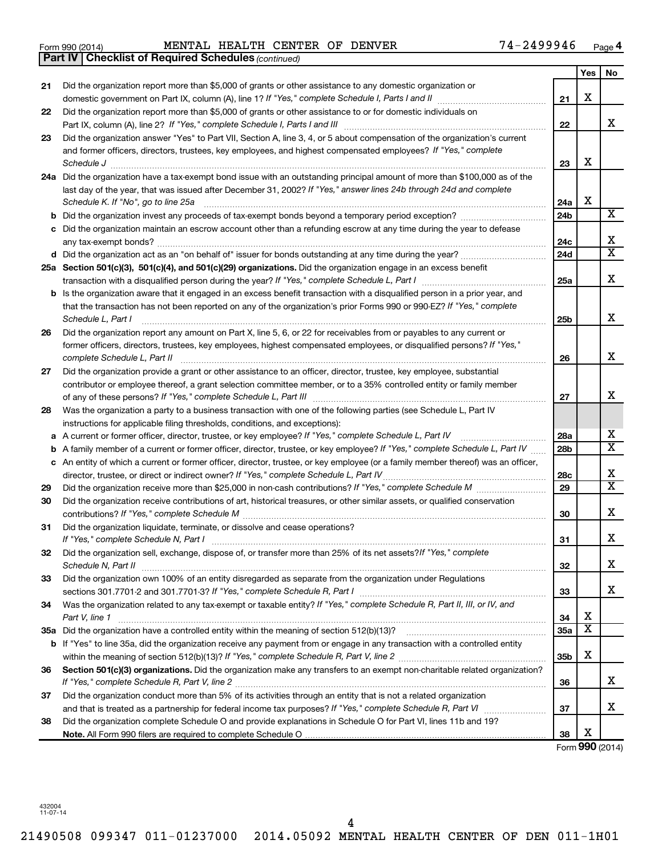|    | <b>Part IV   Checklist of Required Schedules (continued)</b>                                                                        |                 |                         |                         |
|----|-------------------------------------------------------------------------------------------------------------------------------------|-----------------|-------------------------|-------------------------|
|    |                                                                                                                                     |                 | Yes                     | No                      |
| 21 | Did the organization report more than \$5,000 of grants or other assistance to any domestic organization or                         |                 |                         |                         |
|    |                                                                                                                                     | 21              | х                       |                         |
| 22 | Did the organization report more than \$5,000 of grants or other assistance to or for domestic individuals on                       |                 |                         |                         |
|    |                                                                                                                                     | 22              |                         | x                       |
| 23 | Did the organization answer "Yes" to Part VII, Section A, line 3, 4, or 5 about compensation of the organization's current          |                 |                         |                         |
|    | and former officers, directors, trustees, key employees, and highest compensated employees? If "Yes," complete                      |                 |                         |                         |
|    |                                                                                                                                     | 23              | х                       |                         |
|    | 24a Did the organization have a tax-exempt bond issue with an outstanding principal amount of more than \$100,000 as of the         |                 |                         |                         |
|    | last day of the year, that was issued after December 31, 2002? If "Yes," answer lines 24b through 24d and complete                  |                 |                         |                         |
|    | Schedule K. If "No", go to line 25a                                                                                                 | 24a             | X                       |                         |
| b  |                                                                                                                                     | 24 <sub>b</sub> |                         | X                       |
|    | Did the organization maintain an escrow account other than a refunding escrow at any time during the year to defease                |                 |                         |                         |
|    |                                                                                                                                     | 24c             |                         | х                       |
|    | d Did the organization act as an "on behalf of" issuer for bonds outstanding at any time during the year?                           | 24d             |                         | $\overline{\texttt{x}}$ |
|    | 25a Section 501(c)(3), 501(c)(4), and 501(c)(29) organizations. Did the organization engage in an excess benefit                    |                 |                         |                         |
|    |                                                                                                                                     | 25a             |                         | x                       |
|    | <b>b</b> Is the organization aware that it engaged in an excess benefit transaction with a disqualified person in a prior year, and |                 |                         |                         |
|    | that the transaction has not been reported on any of the organization's prior Forms 990 or 990-EZ? If "Yes," complete               |                 |                         |                         |
|    | Schedule L, Part I                                                                                                                  | 25b             |                         | х                       |
| 26 | Did the organization report any amount on Part X, line 5, 6, or 22 for receivables from or payables to any current or               |                 |                         |                         |
|    | former officers, directors, trustees, key employees, highest compensated employees, or disqualified persons? If "Yes,"              |                 |                         |                         |
|    | complete Schedule L, Part II                                                                                                        | 26              |                         | X                       |
| 27 | Did the organization provide a grant or other assistance to an officer, director, trustee, key employee, substantial                |                 |                         |                         |
|    | contributor or employee thereof, a grant selection committee member, or to a 35% controlled entity or family member                 |                 |                         |                         |
|    |                                                                                                                                     | 27              |                         | х                       |
| 28 | Was the organization a party to a business transaction with one of the following parties (see Schedule L, Part IV                   |                 |                         |                         |
|    | instructions for applicable filing thresholds, conditions, and exceptions):                                                         |                 |                         |                         |
| а  | A current or former officer, director, trustee, or key employee? If "Yes," complete Schedule L, Part IV                             | 28a             |                         | х                       |
| b  | A family member of a current or former officer, director, trustee, or key employee? If "Yes," complete Schedule L, Part IV          | 28 <sub>b</sub> |                         | $\overline{\textbf{x}}$ |
|    | c An entity of which a current or former officer, director, trustee, or key employee (or a family member thereof) was an officer,   |                 |                         |                         |
|    | director, trustee, or direct or indirect owner? If "Yes," complete Schedule L, Part IV                                              | 28c             |                         | х                       |
| 29 |                                                                                                                                     | 29              |                         | $\overline{\texttt{x}}$ |
| 30 | Did the organization receive contributions of art, historical treasures, or other similar assets, or qualified conservation         |                 |                         |                         |
|    |                                                                                                                                     | 30              |                         | х                       |
| 31 | Did the organization liquidate, terminate, or dissolve and cease operations?                                                        |                 |                         |                         |
|    | If "Yes," complete Schedule N, Part I                                                                                               | 31              |                         | ▵                       |
| 32 | Did the organization sell, exchange, dispose of, or transfer more than 25% of its net assets? If "Yes," complete                    |                 |                         |                         |
|    | Schedule N, Part II                                                                                                                 | 32              |                         | x                       |
| 33 | Did the organization own 100% of an entity disregarded as separate from the organization under Regulations                          |                 |                         |                         |
|    |                                                                                                                                     | 33              |                         | x                       |
| 34 | Was the organization related to any tax-exempt or taxable entity? If "Yes," complete Schedule R, Part II, III, or IV, and           |                 |                         |                         |
|    | Part V, line 1                                                                                                                      | 34              | х                       |                         |
|    |                                                                                                                                     | 35a             | $\overline{\textbf{x}}$ |                         |
|    | b If "Yes" to line 35a, did the organization receive any payment from or engage in any transaction with a controlled entity         |                 |                         |                         |
|    |                                                                                                                                     | 35 <sub>b</sub> | х                       |                         |
| 36 | Section 501(c)(3) organizations. Did the organization make any transfers to an exempt non-charitable related organization?          |                 |                         |                         |
|    |                                                                                                                                     | 36              |                         | x                       |
| 37 | Did the organization conduct more than 5% of its activities through an entity that is not a related organization                    |                 |                         |                         |
|    |                                                                                                                                     | 37              |                         | х                       |
| 38 | Did the organization complete Schedule O and provide explanations in Schedule O for Part VI, lines 11b and 19?                      |                 |                         |                         |
|    |                                                                                                                                     | 38              | х                       |                         |

Form (2014) **990**

432004 11-07-14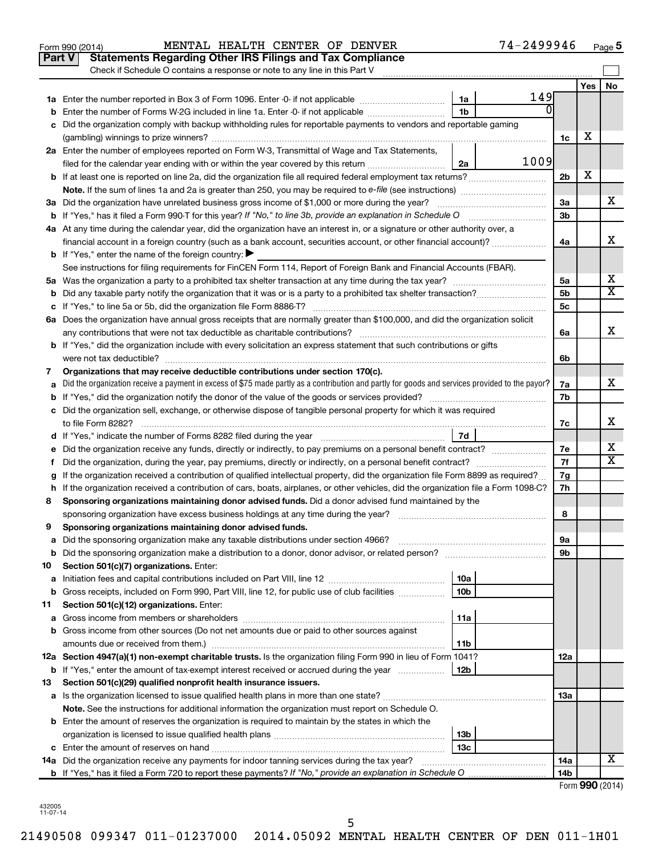|    | Part V<br><b>Statements Regarding Other IRS Filings and Tax Compliance</b><br>Check if Schedule O contains a response or note to any line in this Part V |                        |          |                 |     |                 |
|----|----------------------------------------------------------------------------------------------------------------------------------------------------------|------------------------|----------|-----------------|-----|-----------------|
|    |                                                                                                                                                          |                        |          |                 | Yes | No              |
|    |                                                                                                                                                          | 1a                     | 149      |                 |     |                 |
|    | Enter the number of Forms W-2G included in line 1a. Enter -0- if not applicable                                                                          | 1 <sub>b</sub>         | $\Omega$ |                 |     |                 |
|    | Did the organization comply with backup withholding rules for reportable payments to vendors and reportable gaming                                       |                        |          |                 |     |                 |
|    |                                                                                                                                                          |                        |          | 1c              | х   |                 |
|    | 2a Enter the number of employees reported on Form W-3, Transmittal of Wage and Tax Statements,                                                           |                        |          |                 |     |                 |
|    | filed for the calendar year ending with or within the year covered by this return <i>manumumumum</i>                                                     | 2a                     | 1009     |                 |     |                 |
|    |                                                                                                                                                          |                        |          | 2 <sub>b</sub>  | х   |                 |
|    |                                                                                                                                                          |                        |          |                 |     |                 |
|    | 3a Did the organization have unrelated business gross income of \$1,000 or more during the year?                                                         |                        |          | За              |     | х               |
|    |                                                                                                                                                          |                        |          | 3 <sub>b</sub>  |     |                 |
|    | 4a At any time during the calendar year, did the organization have an interest in, or a signature or other authority over, a                             |                        |          |                 |     |                 |
|    | financial account in a foreign country (such as a bank account, securities account, or other financial account)?                                         |                        |          | 4a              |     | x               |
|    | <b>b</b> If "Yes," enter the name of the foreign country: $\blacktriangleright$                                                                          |                        |          |                 |     |                 |
|    | See instructions for filing requirements for FinCEN Form 114, Report of Foreign Bank and Financial Accounts (FBAR).                                      |                        |          |                 |     |                 |
|    |                                                                                                                                                          |                        |          | 5a              |     | х               |
|    |                                                                                                                                                          |                        |          | 5 <sub>b</sub>  |     | х               |
|    |                                                                                                                                                          |                        |          | 5c              |     |                 |
|    | 6a Does the organization have annual gross receipts that are normally greater than \$100,000, and did the organization solicit                           |                        |          |                 |     |                 |
|    |                                                                                                                                                          |                        |          | 6a              |     | X               |
|    | <b>b</b> If "Yes," did the organization include with every solicitation an express statement that such contributions or gifts                            |                        |          |                 |     |                 |
|    |                                                                                                                                                          |                        |          | 6b              |     |                 |
| 7  | Organizations that may receive deductible contributions under section 170(c).                                                                            |                        |          |                 |     |                 |
|    | Did the organization receive a payment in excess of \$75 made partly as a contribution and partly for goods and services provided to the payor?          |                        |          | 7a              |     | х               |
|    |                                                                                                                                                          |                        |          | 7b              |     |                 |
|    | c Did the organization sell, exchange, or otherwise dispose of tangible personal property for which it was required                                      |                        |          |                 |     |                 |
|    |                                                                                                                                                          |                        |          | 7с              |     | х               |
|    |                                                                                                                                                          | 7d                     |          |                 |     |                 |
|    | Did the organization receive any funds, directly or indirectly, to pay premiums on a personal benefit contract?                                          |                        |          | 7е              |     | х<br>x          |
| Ť. |                                                                                                                                                          |                        |          | 7f              |     |                 |
|    | If the organization received a contribution of qualified intellectual property, did the organization file Form 8899 as required?                         |                        |          | 7g              |     |                 |
| h  | If the organization received a contribution of cars, boats, airplanes, or other vehicles, did the organization file a Form 1098-C?                       |                        |          | 7h              |     |                 |
| 8  | Sponsoring organizations maintaining donor advised funds. Did a donor advised fund maintained by the                                                     |                        |          |                 |     |                 |
|    |                                                                                                                                                          |                        |          | 8               |     |                 |
| 9  | Sponsoring organizations maintaining donor advised funds.                                                                                                |                        |          |                 |     |                 |
|    |                                                                                                                                                          |                        |          | эа              |     |                 |
| b  | Did the sponsoring organization make a distribution to a donor, donor advisor, or related person?                                                        |                        |          | 9b              |     |                 |
| 10 | Section 501(c)(7) organizations. Enter:                                                                                                                  |                        |          |                 |     |                 |
| а  |                                                                                                                                                          | 10a                    |          |                 |     |                 |
| b  | Gross receipts, included on Form 990, Part VIII, line 12, for public use of club facilities                                                              | 10b                    |          |                 |     |                 |
| 11 | Section 501(c)(12) organizations. Enter:                                                                                                                 |                        |          |                 |     |                 |
| а  |                                                                                                                                                          | 11a                    |          |                 |     |                 |
| b  | Gross income from other sources (Do not net amounts due or paid to other sources against                                                                 |                        |          |                 |     |                 |
|    | amounts due or received from them.)<br>12a Section 4947(a)(1) non-exempt charitable trusts. Is the organization filing Form 990 in lieu of Form 1041?    | 11b                    |          |                 |     |                 |
|    |                                                                                                                                                          | 12b                    |          | 12a             |     |                 |
|    | <b>b</b> If "Yes," enter the amount of tax-exempt interest received or accrued during the year                                                           |                        |          |                 |     |                 |
| 13 | Section 501(c)(29) qualified nonprofit health insurance issuers.                                                                                         |                        |          |                 |     |                 |
| а  | Is the organization licensed to issue qualified health plans in more than one state?                                                                     |                        |          | 13a             |     |                 |
|    | Note. See the instructions for additional information the organization must report on Schedule O.                                                        |                        |          |                 |     |                 |
|    | <b>b</b> Enter the amount of reserves the organization is required to maintain by the states in which the                                                |                        |          |                 |     |                 |
|    |                                                                                                                                                          | 13b<br>13 <sub>c</sub> |          |                 |     |                 |
|    | 14a Did the organization receive any payments for indoor tanning services during the tax year?                                                           |                        |          | 14a             |     | х               |
|    | <b>b</b> If "Yes," has it filed a Form 720 to report these payments? If "No," provide an explanation in Schedule O                                       |                        |          | 14 <sub>b</sub> |     |                 |
|    |                                                                                                                                                          |                        |          |                 |     | Form 990 (2014) |

Form 990 (2014) Page MENTAL HEALTH CENTER OF DENVER 74-2499946

74-2499946 Page 5

| 432005   |  |
|----------|--|
| 11-07-14 |  |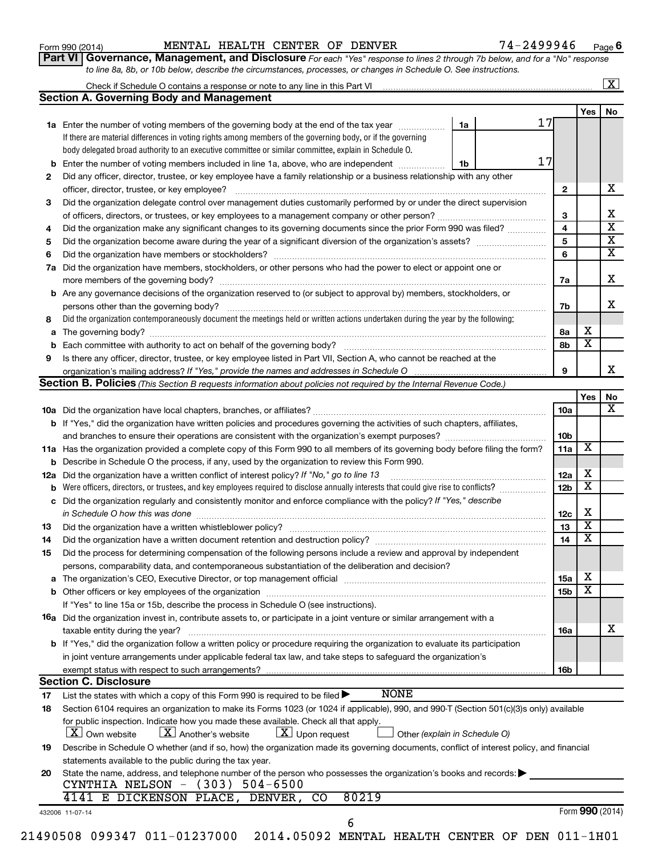| Form 990 (2014) |  |  |  |
|-----------------|--|--|--|
|-----------------|--|--|--|

# Form 990 (2014) Page MENTAL HEALTH CENTER OF DENVER 74-2499946

**Part VI** Governance, Management, and Disclosure For each "Yes" response to lines 2 through 7b below, and for a "No" response *to line 8a, 8b, or 10b below, describe the circumstances, processes, or changes in Schedule O. See instructions.*

|                                                         |                                                                                                                                                                                                                  |    |    |                        |                         | $\mathbf{X}$            |  |  |  |
|---------------------------------------------------------|------------------------------------------------------------------------------------------------------------------------------------------------------------------------------------------------------------------|----|----|------------------------|-------------------------|-------------------------|--|--|--|
|                                                         | <b>Section A. Governing Body and Management</b>                                                                                                                                                                  |    |    |                        |                         |                         |  |  |  |
|                                                         |                                                                                                                                                                                                                  |    |    |                        | <b>Yes</b>              | No                      |  |  |  |
|                                                         | <b>1a</b> Enter the number of voting members of the governing body at the end of the tax year                                                                                                                    | 1a | 17 |                        |                         |                         |  |  |  |
|                                                         | If there are material differences in voting rights among members of the governing body, or if the governing                                                                                                      |    |    |                        |                         |                         |  |  |  |
|                                                         | body delegated broad authority to an executive committee or similar committee, explain in Schedule O.                                                                                                            |    |    |                        |                         |                         |  |  |  |
| b                                                       | Enter the number of voting members included in line 1a, above, who are independent                                                                                                                               | 1b | 17 |                        |                         |                         |  |  |  |
| 2                                                       | Did any officer, director, trustee, or key employee have a family relationship or a business relationship with any other                                                                                         |    |    |                        |                         |                         |  |  |  |
|                                                         | officer, director, trustee, or key employee?                                                                                                                                                                     |    |    | 2                      |                         | х                       |  |  |  |
| 3                                                       | Did the organization delegate control over management duties customarily performed by or under the direct supervision                                                                                            |    |    |                        |                         |                         |  |  |  |
|                                                         |                                                                                                                                                                                                                  |    |    | 3                      |                         | x                       |  |  |  |
| 4                                                       | Did the organization make any significant changes to its governing documents since the prior Form 990 was filed?                                                                                                 |    |    | 4                      |                         | $\overline{\textbf{x}}$ |  |  |  |
| 5                                                       |                                                                                                                                                                                                                  |    |    |                        |                         |                         |  |  |  |
| 6                                                       |                                                                                                                                                                                                                  |    |    | 5<br>6                 |                         | $\overline{\textbf{X}}$ |  |  |  |
| 7a                                                      | Did the organization have members, stockholders, or other persons who had the power to elect or appoint one or                                                                                                   |    |    |                        |                         |                         |  |  |  |
|                                                         |                                                                                                                                                                                                                  |    |    | 7a                     |                         | х                       |  |  |  |
|                                                         | <b>b</b> Are any governance decisions of the organization reserved to (or subject to approval by) members, stockholders, or                                                                                      |    |    |                        |                         |                         |  |  |  |
|                                                         | persons other than the governing body?                                                                                                                                                                           |    |    | 7b                     |                         | x.                      |  |  |  |
| 8                                                       | Did the organization contemporaneously document the meetings held or written actions undertaken during the year by the following:                                                                                |    |    |                        |                         |                         |  |  |  |
|                                                         | The governing body?                                                                                                                                                                                              |    |    | 8а                     | х                       |                         |  |  |  |
| a                                                       |                                                                                                                                                                                                                  |    |    | 8b                     | $\overline{\mathbf{x}}$ |                         |  |  |  |
| b                                                       | Is there any officer, director, trustee, or key employee listed in Part VII, Section A, who cannot be reached at the                                                                                             |    |    |                        |                         |                         |  |  |  |
| 9                                                       |                                                                                                                                                                                                                  |    |    | 9                      |                         | x                       |  |  |  |
|                                                         |                                                                                                                                                                                                                  |    |    |                        |                         |                         |  |  |  |
|                                                         | <b>Section B. Policies</b> (This Section B requests information about policies not required by the Internal Revenue Code.)                                                                                       |    |    |                        |                         |                         |  |  |  |
|                                                         |                                                                                                                                                                                                                  |    |    |                        | Yes                     | No<br>x                 |  |  |  |
|                                                         |                                                                                                                                                                                                                  |    |    | 10a                    |                         |                         |  |  |  |
|                                                         | <b>b</b> If "Yes," did the organization have written policies and procedures governing the activities of such chapters, affiliates,                                                                              |    |    |                        |                         |                         |  |  |  |
|                                                         |                                                                                                                                                                                                                  |    |    | 10 <sub>b</sub><br>11a | X                       |                         |  |  |  |
|                                                         | 11a Has the organization provided a complete copy of this Form 990 to all members of its governing body before filing the form?                                                                                  |    |    |                        |                         |                         |  |  |  |
|                                                         | <b>b</b> Describe in Schedule O the process, if any, used by the organization to review this Form 990.                                                                                                           |    |    |                        |                         |                         |  |  |  |
| 12a                                                     | Did the organization have a written conflict of interest policy? If "No," go to line 13                                                                                                                          |    |    |                        |                         |                         |  |  |  |
|                                                         | Were officers, directors, or trustees, and key employees required to disclose annually interests that could give rise to conflicts?<br>b                                                                         |    |    |                        |                         |                         |  |  |  |
| с                                                       | Did the organization regularly and consistently monitor and enforce compliance with the policy? If "Yes," describe                                                                                               |    |    |                        |                         |                         |  |  |  |
|                                                         | in Schedule O how this was done                                                                                                                                                                                  |    |    | 12c                    | х                       |                         |  |  |  |
| 13                                                      | Did the organization have a written whistleblower policy?                                                                                                                                                        |    |    | 13                     | $\overline{\textbf{x}}$ |                         |  |  |  |
| 14                                                      |                                                                                                                                                                                                                  |    |    | 14                     | $\overline{\mathbf{X}}$ |                         |  |  |  |
| 15                                                      | Did the process for determining compensation of the following persons include a review and approval by independent                                                                                               |    |    |                        |                         |                         |  |  |  |
|                                                         | persons, comparability data, and contemporaneous substantiation of the deliberation and decision?                                                                                                                |    |    |                        |                         |                         |  |  |  |
|                                                         | The organization's CEO, Executive Director, or top management official manufactured content of the organization's CEO, Executive Director, or top management official manufactured content of the organization's |    |    | <b>15a</b>             | х                       |                         |  |  |  |
|                                                         |                                                                                                                                                                                                                  |    |    | 15b                    | X                       |                         |  |  |  |
|                                                         | If "Yes" to line 15a or 15b, describe the process in Schedule O (see instructions).                                                                                                                              |    |    |                        |                         |                         |  |  |  |
|                                                         | 16a Did the organization invest in, contribute assets to, or participate in a joint venture or similar arrangement with a                                                                                        |    |    |                        |                         |                         |  |  |  |
|                                                         | taxable entity during the year?                                                                                                                                                                                  |    |    | 16a                    |                         | х                       |  |  |  |
|                                                         | b If "Yes," did the organization follow a written policy or procedure requiring the organization to evaluate its participation                                                                                   |    |    |                        |                         |                         |  |  |  |
|                                                         | in joint venture arrangements under applicable federal tax law, and take steps to safequard the organization's                                                                                                   |    |    |                        |                         |                         |  |  |  |
|                                                         | exempt status with respect to such arrangements?                                                                                                                                                                 |    |    | 16b                    |                         |                         |  |  |  |
|                                                         | <b>Section C. Disclosure</b>                                                                                                                                                                                     |    |    |                        |                         |                         |  |  |  |
| 17                                                      | <b>NONE</b><br>List the states with which a copy of this Form 990 is required to be filed $\blacktriangleright$                                                                                                  |    |    |                        |                         |                         |  |  |  |
| 18                                                      | Section 6104 requires an organization to make its Forms 1023 (or 1024 if applicable), 990, and 990-T (Section 501(c)(3)s only) available                                                                         |    |    |                        |                         |                         |  |  |  |
|                                                         | for public inspection. Indicate how you made these available. Check all that apply.                                                                                                                              |    |    |                        |                         |                         |  |  |  |
|                                                         | $\lfloor x \rfloor$ Upon request<br>  X   Own website<br>$\lfloor X \rfloor$ Another's website<br>Other (explain in Schedule O)                                                                                  |    |    |                        |                         |                         |  |  |  |
| 19                                                      | Describe in Schedule O whether (and if so, how) the organization made its governing documents, conflict of interest policy, and financial                                                                        |    |    |                        |                         |                         |  |  |  |
| statements available to the public during the tax year. |                                                                                                                                                                                                                  |    |    |                        |                         |                         |  |  |  |
| 20                                                      | State the name, address, and telephone number of the person who possesses the organization's books and records:                                                                                                  |    |    |                        |                         |                         |  |  |  |
|                                                         | CYNTHIA NELSON - (303)<br>$504 - 6500$                                                                                                                                                                           |    |    |                        |                         |                         |  |  |  |
|                                                         | 80219<br>4141 E DICKENSON PLACE, DENVER,<br>CO                                                                                                                                                                   |    |    |                        |                         |                         |  |  |  |
|                                                         | 432006 11-07-14                                                                                                                                                                                                  |    |    |                        |                         | Form 990 (2014)         |  |  |  |
|                                                         | 6                                                                                                                                                                                                                |    |    |                        |                         |                         |  |  |  |
|                                                         |                                                                                                                                                                                                                  |    |    |                        |                         |                         |  |  |  |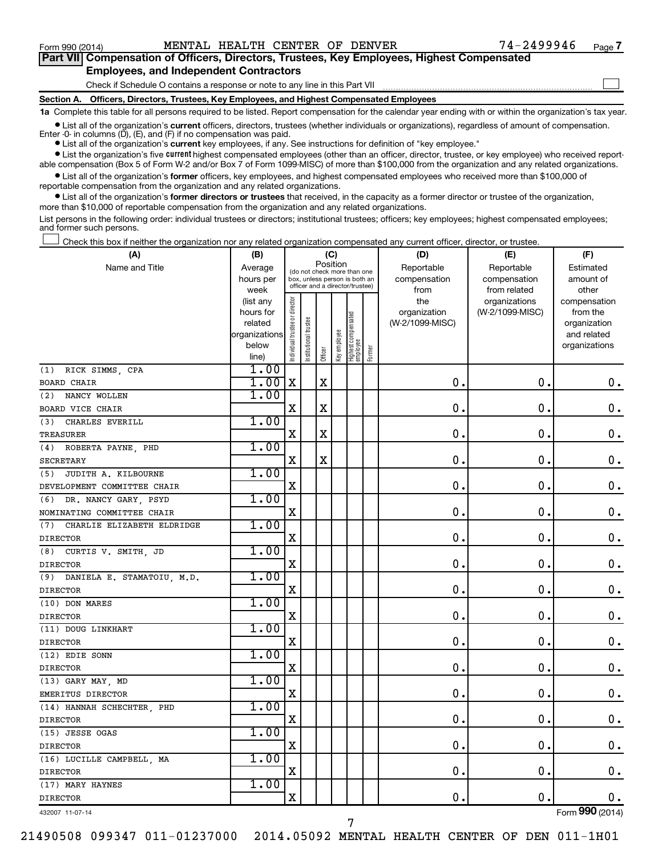$\Box$ 

| Part VII Compensation of Officers, Directors, Trustees, Key Employees, Highest Compensated |  |
|--------------------------------------------------------------------------------------------|--|
| <b>Employees, and Independent Contractors</b>                                              |  |

#### Check if Schedule O contains a response or note to any line in this Part VII

**Section A. Officers, Directors, Trustees, Key Employees, and Highest Compensated Employees**

**1a**  Complete this table for all persons required to be listed. Report compensation for the calendar year ending with or within the organization's tax year.

**•** List all of the organization's current officers, directors, trustees (whether individuals or organizations), regardless of amount of compensation. Enter -0- in columns  $(D)$ ,  $(E)$ , and  $(F)$  if no compensation was paid.

**•** List all of the organization's **current** key employees, if any. See instructions for definition of "key employee."

**•** List the organization's five current highest compensated employees (other than an officer, director, trustee, or key employee) who received reportable compensation (Box 5 of Form W-2 and/or Box 7 of Form 1099-MISC) of more than \$100,000 from the organization and any related organizations.

**•** List all of the organization's former officers, key employees, and highest compensated employees who received more than \$100,000 of reportable compensation from the organization and any related organizations.

**•** List all of the organization's former directors or trustees that received, in the capacity as a former director or trustee of the organization, more than \$10,000 of reportable compensation from the organization and any related organizations.

List persons in the following order: individual trustees or directors; institutional trustees; officers; key employees; highest compensated employees; and former such persons.

Check this box if neither the organization nor any related organization compensated any current officer, director, or trustee.  $\Box$ 

| (A)                            | (B)                    |                                         |                                                                  | (C)         |              |                                 |        | (D)                 | (E)                              | (F)                      |
|--------------------------------|------------------------|-----------------------------------------|------------------------------------------------------------------|-------------|--------------|---------------------------------|--------|---------------------|----------------------------------|--------------------------|
| Name and Title                 | Average                | Position<br>(do not check more than one |                                                                  |             |              |                                 |        | Reportable          | Reportable                       | Estimated                |
|                                | hours per              |                                         | box, unless person is both an<br>officer and a director/trustee) |             |              |                                 |        | compensation        | compensation                     | amount of                |
|                                | week                   |                                         |                                                                  |             |              |                                 |        | from                | from related                     | other                    |
|                                | (list any<br>hours for |                                         |                                                                  |             |              |                                 |        | the<br>organization | organizations<br>(W-2/1099-MISC) | compensation<br>from the |
|                                | related                |                                         |                                                                  |             |              |                                 |        | (W-2/1099-MISC)     |                                  | organization             |
|                                | organizations          |                                         |                                                                  |             |              |                                 |        |                     |                                  | and related              |
|                                | below                  | Individual trustee or director          | Institutional trustee                                            |             | Key employee | Highest compensated<br>employee |        |                     |                                  | organizations            |
|                                | line)                  |                                         |                                                                  | Officer     |              |                                 | Former |                     |                                  |                          |
| (1) RICK SIMMS, CPA            | 1.00                   |                                         |                                                                  |             |              |                                 |        |                     |                                  |                          |
| <b>BOARD CHAIR</b>             | 1.00                   | $\mathbf X$                             |                                                                  | $\mathbf x$ |              |                                 |        | $\mathbf 0$ .       | 0.                               | $\mathbf 0$ .            |
| NANCY WOLLEN<br>(2)            | 1.00                   |                                         |                                                                  |             |              |                                 |        |                     |                                  |                          |
| BOARD VICE CHAIR               |                        | $\mathbf X$                             |                                                                  | $\mathbf X$ |              |                                 |        | $\mathbf 0$ .       | $\mathbf 0$ .                    | $\mathbf 0$ .            |
| CHARLES EVERILL<br>(3)         | 1.00                   |                                         |                                                                  |             |              |                                 |        |                     |                                  |                          |
| TREASURER                      |                        | X                                       |                                                                  | $\mathbf X$ |              |                                 |        | $\mathbf 0$ .       | $\mathbf 0$ .                    | $\mathbf 0$ .            |
| (4) ROBERTA PAYNE, PHD         | 1.00                   |                                         |                                                                  |             |              |                                 |        |                     |                                  |                          |
| <b>SECRETARY</b>               |                        | $\mathbf X$                             |                                                                  | $\mathbf X$ |              |                                 |        | 0.                  | $\mathbf 0$ .                    | $\mathbf 0$ .            |
| (5) JUDITH A. KILBOURNE        | 1.00                   |                                         |                                                                  |             |              |                                 |        |                     |                                  |                          |
| DEVELOPMENT COMMITTEE CHAIR    |                        | X                                       |                                                                  |             |              |                                 |        | $\mathbf 0$ .       | $\mathbf 0$ .                    | $\mathbf 0$ .            |
| (6) DR. NANCY GARY, PSYD       | 1.00                   |                                         |                                                                  |             |              |                                 |        |                     |                                  |                          |
| NOMINATING COMMITTEE CHAIR     |                        | $\mathbf X$                             |                                                                  |             |              |                                 |        | $\mathbf 0$ .       | 0.                               | 0.                       |
| (7) CHARLIE ELIZABETH ELDRIDGE | 1.00                   |                                         |                                                                  |             |              |                                 |        |                     |                                  |                          |
| <b>DIRECTOR</b>                |                        | $\mathbf X$                             |                                                                  |             |              |                                 |        | $\mathbf 0$ .       | 0.                               | $\mathbf 0$ .            |
| (8) CURTIS V. SMITH, JD        | 1.00                   |                                         |                                                                  |             |              |                                 |        |                     |                                  |                          |
| <b>DIRECTOR</b>                |                        | $\mathbf X$                             |                                                                  |             |              |                                 |        | $\mathbf 0$ .       | $\mathbf 0$ .                    | $\mathbf 0$ .            |
| (9) DANIELA E. STAMATOIU, M.D. | 1.00                   |                                         |                                                                  |             |              |                                 |        |                     |                                  |                          |
| <b>DIRECTOR</b>                |                        | $\mathbf X$                             |                                                                  |             |              |                                 |        | $\mathbf 0$ .       | $\mathbf 0$ .                    | $\mathbf 0$ .            |
| (10) DON MARES                 | 1.00                   |                                         |                                                                  |             |              |                                 |        |                     |                                  |                          |
| <b>DIRECTOR</b>                |                        | X                                       |                                                                  |             |              |                                 |        | $\mathbf 0$         | $\mathbf 0$                      | $\mathbf 0$ .            |
| (11) DOUG LINKHART             | 1.00                   |                                         |                                                                  |             |              |                                 |        |                     |                                  |                          |
| <b>DIRECTOR</b>                |                        | X                                       |                                                                  |             |              |                                 |        | $\mathbf 0$ .       | $\mathbf 0$ .                    | 0.                       |
| (12) EDIE SONN                 | 1.00                   |                                         |                                                                  |             |              |                                 |        |                     |                                  |                          |
| <b>DIRECTOR</b>                |                        | $\mathbf X$                             |                                                                  |             |              |                                 |        | 0.                  | $\mathbf 0$ .                    | $\mathbf 0$ .            |
| (13) GARY MAY, MD              | 1.00                   |                                         |                                                                  |             |              |                                 |        |                     |                                  |                          |
| EMERITUS DIRECTOR              |                        | X                                       |                                                                  |             |              |                                 |        | $\mathbf 0$ .       | $\mathbf 0$ .                    | $\mathbf 0$ .            |
| (14) HANNAH SCHECHTER, PHD     | 1.00                   |                                         |                                                                  |             |              |                                 |        |                     |                                  |                          |
| <b>DIRECTOR</b>                |                        | X                                       |                                                                  |             |              |                                 |        | $\mathbf 0$ .       | $\mathbf 0$ .                    | $\mathbf 0$ .            |
| (15) JESSE OGAS                | 1.00                   |                                         |                                                                  |             |              |                                 |        |                     |                                  |                          |
| <b>DIRECTOR</b>                |                        | $\mathbf X$                             |                                                                  |             |              |                                 |        | $\mathbf 0$ .       | $\mathbf 0$ .                    | $\mathbf 0$ .            |
| (16) LUCILLE CAMPBELL, MA      | 1.00                   |                                         |                                                                  |             |              |                                 |        |                     |                                  |                          |
| <b>DIRECTOR</b>                |                        | $\mathbf X$                             |                                                                  |             |              |                                 |        | 0.                  | $\mathbf 0$ .                    | $0$ .                    |
| (17) MARY HAYNES               | 1.00                   |                                         |                                                                  |             |              |                                 |        |                     |                                  |                          |
| <b>DIRECTOR</b>                |                        | X                                       |                                                                  |             |              |                                 |        | $\mathbf 0$ .       | $\mathbf 0$ .                    | $\mathbf 0$ .            |

432007 11-07-14

Form (2014) **990**

21490508 099347 011-01237000 2014.05092 MENTAL HEALTH CENTER OF DEN 011-1H01

7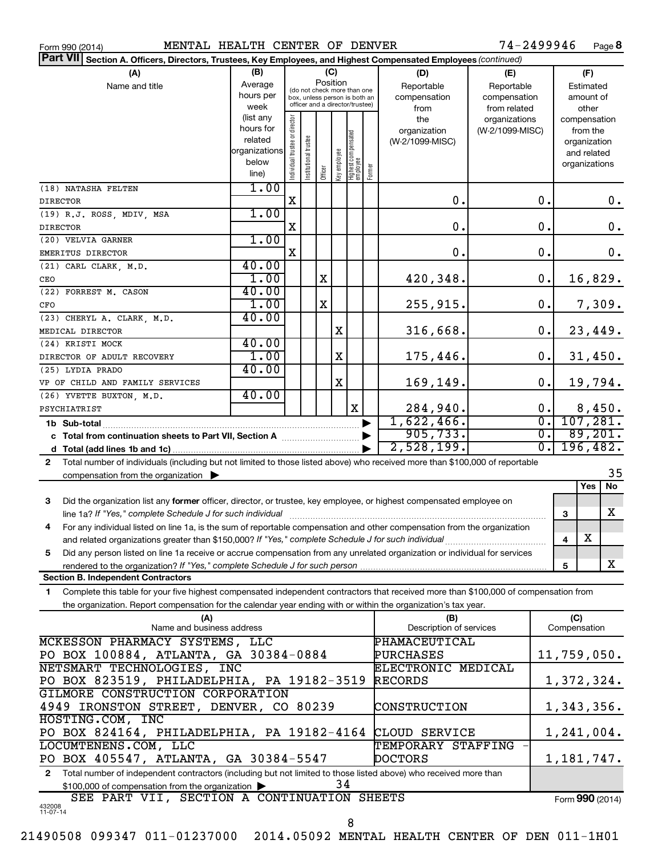| Form 990 (2014) |  |  |
|-----------------|--|--|
|                 |  |  |

Form 990 (2014) **MENTAL HEALTH CENTER OF DENVER** 74-2499946 Page

74-2499946 Page 8

| Part VII Section A. Officers, Directors, Trustees, Key Employees, and Highest Compensated Employees (continued)                           |                          |                                 |                                                              |             |              |                                                    |              |                                |                 |                  |                     |               |        |
|-------------------------------------------------------------------------------------------------------------------------------------------|--------------------------|---------------------------------|--------------------------------------------------------------|-------------|--------------|----------------------------------------------------|--------------|--------------------------------|-----------------|------------------|---------------------|---------------|--------|
| (A)                                                                                                                                       | (B)                      |                                 |                                                              |             | (C)          |                                                    |              | (D)<br>(E)                     |                 |                  |                     | (F)           |        |
| Name and title                                                                                                                            | Average                  |                                 |                                                              |             | Position     |                                                    |              | Reportable                     | Reportable      |                  |                     | Estimated     |        |
|                                                                                                                                           | hours per                |                                 | (do not check more than one<br>box, unless person is both an |             |              |                                                    |              | compensation                   | compensation    |                  |                     | amount of     |        |
|                                                                                                                                           | week                     | officer and a director/trustee) |                                                              |             |              | from                                               | from related |                                |                 | other            |                     |               |        |
|                                                                                                                                           | (list any                |                                 |                                                              |             |              |                                                    |              | the                            | organizations   |                  |                     | compensation  |        |
|                                                                                                                                           | hours for                |                                 |                                                              |             |              |                                                    |              | organization                   | (W-2/1099-MISC) |                  |                     | from the      |        |
|                                                                                                                                           | related<br>organizations |                                 |                                                              |             |              |                                                    |              | (W-2/1099-MISC)                |                 |                  |                     | organization  |        |
|                                                                                                                                           | below                    |                                 |                                                              |             |              |                                                    |              |                                |                 |                  |                     | and related   |        |
|                                                                                                                                           | line)                    | Individual trustee or director  | Institutional trustee                                        | Officer     | Key employee | Highest compensated<br>employee                    | Former       |                                |                 |                  |                     | organizations |        |
| (18) NATASHA FELTEN                                                                                                                       | 1.00                     |                                 |                                                              |             |              |                                                    |              |                                |                 |                  |                     |               |        |
| <b>DIRECTOR</b>                                                                                                                           |                          | $\mathbf X$                     |                                                              |             |              |                                                    |              | $\mathbf 0$ .                  |                 | $\mathbf 0$ .    |                     |               | 0.     |
| (19) R.J. ROSS, MDIV, MSA                                                                                                                 | 1.00                     |                                 |                                                              |             |              |                                                    |              |                                |                 |                  |                     |               |        |
| <b>DIRECTOR</b>                                                                                                                           |                          | X                               |                                                              |             |              |                                                    |              | $\mathbf 0$ .                  |                 | $\mathbf 0$ .    |                     |               | 0.     |
| (20) VELVIA GARNER                                                                                                                        | 1.00                     |                                 |                                                              |             |              |                                                    |              |                                |                 |                  |                     |               |        |
| EMERITUS DIRECTOR                                                                                                                         |                          | $\mathbf X$                     |                                                              |             |              |                                                    |              | $\mathbf 0$ .                  |                 | $\mathbf 0$ .    |                     |               | 0.     |
| (21) CARL CLARK, M.D.                                                                                                                     | 40.00                    |                                 |                                                              |             |              |                                                    |              |                                |                 |                  |                     |               |        |
| CEO                                                                                                                                       | 1.00                     |                                 |                                                              | X           |              |                                                    |              | 420,348.                       |                 | 0.               |                     | 16,829.       |        |
| (22) FORREST M. CASON                                                                                                                     | 40.00                    |                                 |                                                              |             |              |                                                    |              |                                |                 |                  |                     |               |        |
| CFO                                                                                                                                       | 1.00                     |                                 |                                                              | $\mathbf X$ |              |                                                    |              | 255,915.                       |                 | $0$ .            |                     |               | 7,309. |
| (23) CHERYL A. CLARK, M.D.                                                                                                                | 40.00                    |                                 |                                                              |             |              |                                                    |              |                                |                 |                  |                     |               |        |
| MEDICAL DIRECTOR                                                                                                                          |                          |                                 |                                                              |             | X            |                                                    |              | 316,668.                       |                 | 0.               |                     | 23,449.       |        |
| (24) KRISTI MOCK                                                                                                                          | 40.00                    |                                 |                                                              |             |              |                                                    |              |                                |                 |                  |                     |               |        |
| DIRECTOR OF ADULT RECOVERY                                                                                                                | 1.00                     |                                 |                                                              |             | $\mathbf X$  |                                                    |              | 175,446.                       |                 | $0$ .            |                     | 31,450.       |        |
| (25) LYDIA PRADO                                                                                                                          | 40.00                    |                                 |                                                              |             |              |                                                    |              |                                |                 |                  |                     |               |        |
| VP OF CHILD AND FAMILY SERVICES                                                                                                           |                          |                                 |                                                              |             | $\mathbf X$  |                                                    |              | 169,149.                       |                 | 0.               |                     | 19,794.       |        |
| (26) YVETTE BUXTON, M.D.                                                                                                                  | 40.00                    |                                 |                                                              |             |              |                                                    |              |                                |                 |                  |                     |               |        |
| PSYCHIATRIST                                                                                                                              |                          |                                 |                                                              |             |              | X                                                  |              | 284,940.                       |                 | 0.               |                     | 8,450.        |        |
|                                                                                                                                           |                          |                                 |                                                              |             |              |                                                    |              | 1,622,466.                     |                 | $\overline{0}$ . |                     | 107, 281.     |        |
|                                                                                                                                           |                          |                                 |                                                              |             |              |                                                    |              | 905, 733.                      |                 | $\overline{0}$ . |                     | 89,201.       |        |
|                                                                                                                                           |                          |                                 |                                                              |             |              |                                                    |              | 2,528,199.                     |                 | $\overline{0}$ . |                     | 196,482.      |        |
| Total number of individuals (including but not limited to those listed above) who received more than \$100,000 of reportable<br>2         |                          |                                 |                                                              |             |              |                                                    |              |                                |                 |                  |                     |               |        |
| compensation from the organization $\blacktriangleright$                                                                                  |                          |                                 |                                                              |             |              |                                                    |              |                                |                 |                  |                     |               | 35     |
|                                                                                                                                           |                          |                                 |                                                              |             |              |                                                    |              |                                |                 |                  |                     | Yes           | No     |
| Did the organization list any former officer, director, or trustee, key employee, or highest compensated employee on<br>3                 |                          |                                 |                                                              |             |              |                                                    |              |                                |                 |                  |                     |               |        |
| line 1a? If "Yes," complete Schedule J for such individual                                                                                |                          |                                 |                                                              |             |              |                                                    |              |                                |                 |                  | 3                   |               | x      |
| For any individual listed on line 1a, is the sum of reportable compensation and other compensation from the organization<br>4             |                          |                                 |                                                              |             |              |                                                    |              |                                |                 |                  |                     |               |        |
| and related organizations greater than \$150,000? If "Yes," complete Schedule J for such individual                                       |                          |                                 |                                                              |             |              |                                                    |              |                                |                 |                  | 4                   | X             |        |
| Did any person listed on line 1a receive or accrue compensation from any unrelated organization or individual for services<br>5           |                          |                                 |                                                              |             |              |                                                    |              |                                |                 |                  |                     |               |        |
| rendered to the organization? If "Yes," complete Schedule J for such person                                                               |                          |                                 |                                                              |             |              |                                                    |              |                                |                 |                  | 5                   |               | x      |
| <b>Section B. Independent Contractors</b>                                                                                                 |                          |                                 |                                                              |             |              |                                                    |              |                                |                 |                  |                     |               |        |
| Complete this table for your five highest compensated independent contractors that received more than \$100,000 of compensation from<br>1 |                          |                                 |                                                              |             |              |                                                    |              |                                |                 |                  |                     |               |        |
| the organization. Report compensation for the calendar year ending with or within the organization's tax year.                            |                          |                                 |                                                              |             |              |                                                    |              |                                |                 |                  |                     |               |        |
| (A)<br>Name and business address                                                                                                          |                          |                                 |                                                              |             |              |                                                    |              | (B)<br>Description of services |                 |                  | (C)<br>Compensation |               |        |
|                                                                                                                                           |                          |                                 |                                                              |             |              |                                                    |              | PHAMACEUTICAL                  |                 |                  |                     |               |        |
| MCKESSON PHARMACY SYSTEMS, LLC                                                                                                            |                          |                                 |                                                              |             |              | PURCHASES                                          |              |                                | 11,759,050.     |                  |                     |               |        |
| PO BOX 100884, ATLANTA, GA 30384-0884<br>NETSMART TECHNOLOGIES, INC                                                                       |                          |                                 |                                                              |             |              |                                                    |              |                                |                 |                  |                     |               |        |
| PO BOX 823519, PHILADELPHIA, PA 19182-3519                                                                                                |                          |                                 |                                                              |             |              | ELECTRONIC MEDICAL<br>1,372,324.<br><b>RECORDS</b> |              |                                |                 |                  |                     |               |        |
| GILMORE CONSTRUCTION CORPORATION                                                                                                          |                          |                                 |                                                              |             |              |                                                    |              |                                |                 |                  |                     |               |        |
| 4949 IRONSTON STREET, DENVER, CO 80239                                                                                                    |                          |                                 |                                                              |             |              | CONSTRUCTION                                       |              |                                | 1,343,356.      |                  |                     |               |        |
| HOSTING.COM, INC                                                                                                                          |                          |                                 |                                                              |             |              |                                                    |              |                                |                 |                  |                     |               |        |
| PO BOX 824164, PHILADELPHIA, PA 19182-4164                                                                                                |                          |                                 |                                                              |             |              |                                                    |              | CLOUD SERVICE                  |                 |                  | 1,241,004.          |               |        |
| LOCUMTENENS.COM, LLC                                                                                                                      |                          |                                 |                                                              |             |              |                                                    |              | TEMPORARY STAFFING             |                 |                  |                     |               |        |
| PO BOX 405547, ATLANTA, GA 30384-5547                                                                                                     |                          |                                 |                                                              |             |              |                                                    |              | <b>DOCTORS</b>                 |                 |                  | 1, 181, 747.        |               |        |
| Total number of independent contractors (including but not limited to those listed above) who received more than<br>2                     |                          |                                 |                                                              |             |              |                                                    |              |                                |                 |                  |                     |               |        |
| \$100,000 of compensation from the organization                                                                                           |                          |                                 |                                                              |             | 34           |                                                    |              |                                |                 |                  |                     |               |        |

432008 11-07-14 Form (2014) **990** SEE PART VII, SECTION A CONTINUATION SHEETS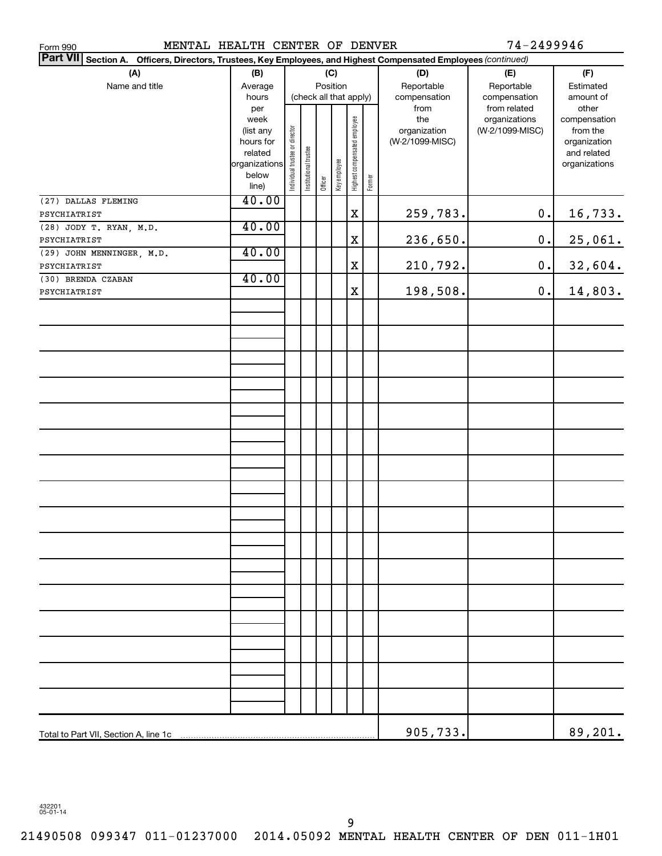| MENTAL HEALTH CENTER OF DENVER<br>Form 990                                                                                |                        |                                |                       |          |              |                              |        |                 | 74-2499946      |               |
|---------------------------------------------------------------------------------------------------------------------------|------------------------|--------------------------------|-----------------------|----------|--------------|------------------------------|--------|-----------------|-----------------|---------------|
| <b>Part VII</b><br>Section A. Officers, Directors, Trustees, Key Employees, and Highest Compensated Employees (continued) |                        |                                |                       |          |              |                              |        |                 |                 |               |
| (A)                                                                                                                       | (B)                    |                                |                       |          | (C)          |                              |        | (D)             | (E)             | (F)           |
| Name and title                                                                                                            | Average                |                                |                       | Position |              |                              |        | Reportable      | Reportable      | Estimated     |
|                                                                                                                           | hours                  |                                |                       |          |              | (check all that apply)       |        | compensation    | compensation    | amount of     |
|                                                                                                                           | per                    |                                |                       |          |              |                              |        | from            | from related    | other         |
|                                                                                                                           | week                   |                                |                       |          |              |                              |        | the             | organizations   | compensation  |
|                                                                                                                           | (list any              |                                |                       |          |              |                              |        | organization    | (W-2/1099-MISC) | from the      |
|                                                                                                                           | hours for              |                                |                       |          |              |                              |        | (W-2/1099-MISC) |                 | organization  |
|                                                                                                                           | related                |                                |                       |          |              |                              |        |                 |                 | and related   |
|                                                                                                                           | organizations<br>below |                                |                       |          |              |                              |        |                 |                 | organizations |
|                                                                                                                           | line)                  | Individual trustee or director | Institutional trustee | Officer  | Key employee | Highest compensated employee | Former |                 |                 |               |
|                                                                                                                           | 40.00                  |                                |                       |          |              |                              |        |                 |                 |               |
| (27) DALLAS FLEMING                                                                                                       |                        |                                |                       |          |              | X                            |        |                 | $\mathbf 0$ .   |               |
| PSYCHIATRIST                                                                                                              | 40.00                  |                                |                       |          |              |                              |        | 259,783.        |                 | 16,733.       |
| (28) JODY T. RYAN, M.D.                                                                                                   |                        |                                |                       |          |              |                              |        |                 |                 |               |
| PSYCHIATRIST                                                                                                              |                        |                                |                       |          |              | X                            |        | 236,650.        | $0$ .           | 25,061.       |
| (29) JOHN MENNINGER, M.D.                                                                                                 | 40.00                  |                                |                       |          |              |                              |        |                 |                 |               |
| PSYCHIATRIST                                                                                                              |                        |                                |                       |          |              | X                            |        | 210,792.        | $0$ .           | 32,604.       |
| (30) BRENDA CZABAN                                                                                                        | 40.00                  |                                |                       |          |              |                              |        |                 |                 |               |
| PSYCHIATRIST                                                                                                              |                        |                                |                       |          |              | X                            |        | 198,508.        | 0.              | 14,803.       |
|                                                                                                                           |                        |                                |                       |          |              |                              |        |                 |                 |               |
|                                                                                                                           |                        |                                |                       |          |              |                              |        |                 |                 |               |
|                                                                                                                           |                        |                                |                       |          |              |                              |        |                 |                 |               |
|                                                                                                                           |                        |                                |                       |          |              |                              |        |                 |                 |               |
|                                                                                                                           |                        |                                |                       |          |              |                              |        |                 |                 |               |
|                                                                                                                           |                        |                                |                       |          |              |                              |        |                 |                 |               |
|                                                                                                                           |                        |                                |                       |          |              |                              |        |                 |                 |               |
|                                                                                                                           |                        |                                |                       |          |              |                              |        |                 |                 |               |
|                                                                                                                           |                        |                                |                       |          |              |                              |        |                 |                 |               |
|                                                                                                                           |                        |                                |                       |          |              |                              |        |                 |                 |               |
|                                                                                                                           |                        |                                |                       |          |              |                              |        |                 |                 |               |
|                                                                                                                           |                        |                                |                       |          |              |                              |        |                 |                 |               |
|                                                                                                                           |                        |                                |                       |          |              |                              |        |                 |                 |               |
|                                                                                                                           |                        |                                |                       |          |              |                              |        |                 |                 |               |
|                                                                                                                           |                        |                                |                       |          |              |                              |        |                 |                 |               |
|                                                                                                                           |                        |                                |                       |          |              |                              |        |                 |                 |               |
|                                                                                                                           |                        |                                |                       |          |              |                              |        |                 |                 |               |
|                                                                                                                           |                        |                                |                       |          |              |                              |        |                 |                 |               |
|                                                                                                                           |                        |                                |                       |          |              |                              |        |                 |                 |               |
|                                                                                                                           |                        |                                |                       |          |              |                              |        |                 |                 |               |
|                                                                                                                           |                        |                                |                       |          |              |                              |        |                 |                 |               |
|                                                                                                                           |                        |                                |                       |          |              |                              |        |                 |                 |               |
|                                                                                                                           |                        |                                |                       |          |              |                              |        |                 |                 |               |
|                                                                                                                           |                        |                                |                       |          |              |                              |        |                 |                 |               |
|                                                                                                                           |                        |                                |                       |          |              |                              |        |                 |                 |               |
|                                                                                                                           |                        |                                |                       |          |              |                              |        |                 |                 |               |
|                                                                                                                           |                        |                                |                       |          |              |                              |        |                 |                 |               |
|                                                                                                                           |                        |                                |                       |          |              |                              |        |                 |                 |               |
|                                                                                                                           |                        |                                |                       |          |              |                              |        |                 |                 |               |
|                                                                                                                           |                        |                                |                       |          |              |                              |        |                 |                 |               |
|                                                                                                                           |                        |                                |                       |          |              |                              |        |                 |                 |               |
|                                                                                                                           |                        |                                |                       |          |              |                              |        |                 |                 |               |
|                                                                                                                           |                        |                                |                       |          |              |                              |        |                 |                 |               |
|                                                                                                                           |                        |                                |                       |          |              |                              |        | 905,733.        |                 | 89,201.       |
|                                                                                                                           |                        |                                |                       |          |              |                              |        |                 |                 |               |

432201 05-01-14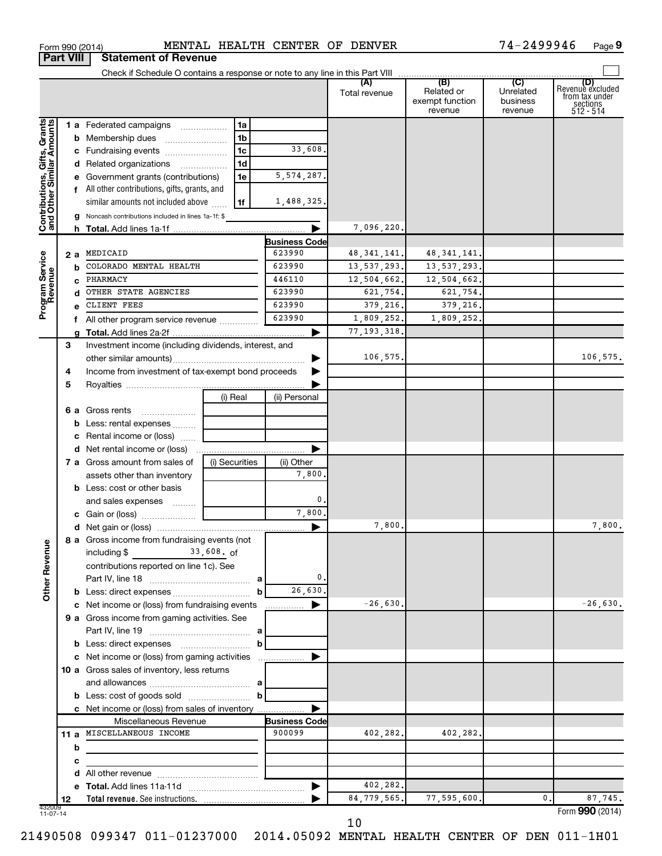| (B)<br>(C)<br>(D)<br>(A)<br>Revenue excluded<br>Related or<br>Unrelated<br>Total revenue<br>from tax under<br>exempt function<br>business<br>sections<br>512 - 514<br>revenue<br>revenue<br>Contributions, Gifts, Grants<br>and Other Similar Amounts<br>1 a Federated campaigns<br>1a<br><b>b</b> Membership dues<br>1b<br>1 <sub>c</sub><br>33,608.<br>c Fundraising events<br>1d<br>d Related organizations<br>5, 574, 287.<br>e Government grants (contributions)<br>1e<br>f All other contributions, gifts, grants, and<br>similar amounts not included above<br>1,488,325.<br>1f<br>g Noncash contributions included in lines 1a-1f: \$<br>7,096,220.<br><b>Business Code</b><br>623990<br>MEDICAID<br>48, 341, 141.<br>48, 341, 141.<br>Program Service<br>Revenue<br>2 a<br>COLORADO MENTAL HEALTH<br>623990<br>13, 537, 293.<br>13, 537, 293.<br>b<br>446110<br>12,504,662.<br>PHARMACY<br>12,504,662.<br>623990<br>OTHER STATE AGENCIES<br>621,754.<br>621,754.<br>623990<br>CLIENT FEES<br>379,216.<br>379,216.<br>623990<br>1,809,252.<br>1,809,252.<br>f All other program service revenue<br>77, 193, 318.<br>Investment income (including dividends, interest, and<br>3<br>106,575.<br>Income from investment of tax-exempt bond proceeds<br>4<br>5<br>(i) Real<br>(ii) Personal<br>6 a Gross rents<br><b>b</b> Less: rental expenses<br>c Rental income or (loss)<br><b>d</b> Net rental income or (loss)<br>(i) Securities<br>7 a Gross amount from sales of<br>(ii) Other<br>7,800.<br>assets other than inventory<br><b>b</b> Less: cost or other basis<br>$\mathbf 0$ .<br>and sales expenses<br>7,800<br>▶<br>7,800.<br>7,800.<br>8 a Gross income from fundraising events (not<br><b>Other Revenue</b><br>$\frac{33,608}{\pi}$ of<br>including \$<br>contributions reported on line 1c). See<br>$\mathbf 0$ .<br>26,630.<br><b>b</b> Less: direct expenses <i>manually contained</i><br>b<br>$-26,630.$<br>$-26,630.$<br>c Net income or (loss) from fundraising events<br>▶<br>9 a Gross income from gaming activities. See<br>b<br>c Net income or (loss) from gaming activities<br>10 a Gross sales of inventory, less returns<br>b<br>c Net income or (loss) from sales of inventory<br><b>Business Code</b><br>Miscellaneous Revenue<br>11 a MISCELLANEOUS INCOME<br>900099<br>402,282.<br>402,282.<br>b<br>с<br>402,282.<br>84,779,565.<br>77,595,600.<br>0.<br>87,745.<br>12<br>432009<br>11-07-14<br>Form 990 (2014) | <b>Part VIII</b> |  | <b>Statement of Revenue</b> |  |  |  |          |
|----------------------------------------------------------------------------------------------------------------------------------------------------------------------------------------------------------------------------------------------------------------------------------------------------------------------------------------------------------------------------------------------------------------------------------------------------------------------------------------------------------------------------------------------------------------------------------------------------------------------------------------------------------------------------------------------------------------------------------------------------------------------------------------------------------------------------------------------------------------------------------------------------------------------------------------------------------------------------------------------------------------------------------------------------------------------------------------------------------------------------------------------------------------------------------------------------------------------------------------------------------------------------------------------------------------------------------------------------------------------------------------------------------------------------------------------------------------------------------------------------------------------------------------------------------------------------------------------------------------------------------------------------------------------------------------------------------------------------------------------------------------------------------------------------------------------------------------------------------------------------------------------------------------------------------------------------------------------------------------------------------------------------------------------------------------------------------------------------------------------------------------------------------------------------------------------------------------------------------------------------------------------------------------------------------------------------------------------------------------------------------------------------------------------------------------------------|------------------|--|-----------------------------|--|--|--|----------|
|                                                                                                                                                                                                                                                                                                                                                                                                                                                                                                                                                                                                                                                                                                                                                                                                                                                                                                                                                                                                                                                                                                                                                                                                                                                                                                                                                                                                                                                                                                                                                                                                                                                                                                                                                                                                                                                                                                                                                                                                                                                                                                                                                                                                                                                                                                                                                                                                                                                    |                  |  |                             |  |  |  |          |
|                                                                                                                                                                                                                                                                                                                                                                                                                                                                                                                                                                                                                                                                                                                                                                                                                                                                                                                                                                                                                                                                                                                                                                                                                                                                                                                                                                                                                                                                                                                                                                                                                                                                                                                                                                                                                                                                                                                                                                                                                                                                                                                                                                                                                                                                                                                                                                                                                                                    |                  |  |                             |  |  |  |          |
|                                                                                                                                                                                                                                                                                                                                                                                                                                                                                                                                                                                                                                                                                                                                                                                                                                                                                                                                                                                                                                                                                                                                                                                                                                                                                                                                                                                                                                                                                                                                                                                                                                                                                                                                                                                                                                                                                                                                                                                                                                                                                                                                                                                                                                                                                                                                                                                                                                                    |                  |  |                             |  |  |  |          |
|                                                                                                                                                                                                                                                                                                                                                                                                                                                                                                                                                                                                                                                                                                                                                                                                                                                                                                                                                                                                                                                                                                                                                                                                                                                                                                                                                                                                                                                                                                                                                                                                                                                                                                                                                                                                                                                                                                                                                                                                                                                                                                                                                                                                                                                                                                                                                                                                                                                    |                  |  |                             |  |  |  |          |
|                                                                                                                                                                                                                                                                                                                                                                                                                                                                                                                                                                                                                                                                                                                                                                                                                                                                                                                                                                                                                                                                                                                                                                                                                                                                                                                                                                                                                                                                                                                                                                                                                                                                                                                                                                                                                                                                                                                                                                                                                                                                                                                                                                                                                                                                                                                                                                                                                                                    |                  |  |                             |  |  |  |          |
|                                                                                                                                                                                                                                                                                                                                                                                                                                                                                                                                                                                                                                                                                                                                                                                                                                                                                                                                                                                                                                                                                                                                                                                                                                                                                                                                                                                                                                                                                                                                                                                                                                                                                                                                                                                                                                                                                                                                                                                                                                                                                                                                                                                                                                                                                                                                                                                                                                                    |                  |  |                             |  |  |  |          |
|                                                                                                                                                                                                                                                                                                                                                                                                                                                                                                                                                                                                                                                                                                                                                                                                                                                                                                                                                                                                                                                                                                                                                                                                                                                                                                                                                                                                                                                                                                                                                                                                                                                                                                                                                                                                                                                                                                                                                                                                                                                                                                                                                                                                                                                                                                                                                                                                                                                    |                  |  |                             |  |  |  |          |
|                                                                                                                                                                                                                                                                                                                                                                                                                                                                                                                                                                                                                                                                                                                                                                                                                                                                                                                                                                                                                                                                                                                                                                                                                                                                                                                                                                                                                                                                                                                                                                                                                                                                                                                                                                                                                                                                                                                                                                                                                                                                                                                                                                                                                                                                                                                                                                                                                                                    |                  |  |                             |  |  |  |          |
|                                                                                                                                                                                                                                                                                                                                                                                                                                                                                                                                                                                                                                                                                                                                                                                                                                                                                                                                                                                                                                                                                                                                                                                                                                                                                                                                                                                                                                                                                                                                                                                                                                                                                                                                                                                                                                                                                                                                                                                                                                                                                                                                                                                                                                                                                                                                                                                                                                                    |                  |  |                             |  |  |  |          |
|                                                                                                                                                                                                                                                                                                                                                                                                                                                                                                                                                                                                                                                                                                                                                                                                                                                                                                                                                                                                                                                                                                                                                                                                                                                                                                                                                                                                                                                                                                                                                                                                                                                                                                                                                                                                                                                                                                                                                                                                                                                                                                                                                                                                                                                                                                                                                                                                                                                    |                  |  |                             |  |  |  |          |
|                                                                                                                                                                                                                                                                                                                                                                                                                                                                                                                                                                                                                                                                                                                                                                                                                                                                                                                                                                                                                                                                                                                                                                                                                                                                                                                                                                                                                                                                                                                                                                                                                                                                                                                                                                                                                                                                                                                                                                                                                                                                                                                                                                                                                                                                                                                                                                                                                                                    |                  |  |                             |  |  |  |          |
|                                                                                                                                                                                                                                                                                                                                                                                                                                                                                                                                                                                                                                                                                                                                                                                                                                                                                                                                                                                                                                                                                                                                                                                                                                                                                                                                                                                                                                                                                                                                                                                                                                                                                                                                                                                                                                                                                                                                                                                                                                                                                                                                                                                                                                                                                                                                                                                                                                                    |                  |  |                             |  |  |  |          |
|                                                                                                                                                                                                                                                                                                                                                                                                                                                                                                                                                                                                                                                                                                                                                                                                                                                                                                                                                                                                                                                                                                                                                                                                                                                                                                                                                                                                                                                                                                                                                                                                                                                                                                                                                                                                                                                                                                                                                                                                                                                                                                                                                                                                                                                                                                                                                                                                                                                    |                  |  |                             |  |  |  |          |
|                                                                                                                                                                                                                                                                                                                                                                                                                                                                                                                                                                                                                                                                                                                                                                                                                                                                                                                                                                                                                                                                                                                                                                                                                                                                                                                                                                                                                                                                                                                                                                                                                                                                                                                                                                                                                                                                                                                                                                                                                                                                                                                                                                                                                                                                                                                                                                                                                                                    |                  |  |                             |  |  |  |          |
|                                                                                                                                                                                                                                                                                                                                                                                                                                                                                                                                                                                                                                                                                                                                                                                                                                                                                                                                                                                                                                                                                                                                                                                                                                                                                                                                                                                                                                                                                                                                                                                                                                                                                                                                                                                                                                                                                                                                                                                                                                                                                                                                                                                                                                                                                                                                                                                                                                                    |                  |  |                             |  |  |  |          |
|                                                                                                                                                                                                                                                                                                                                                                                                                                                                                                                                                                                                                                                                                                                                                                                                                                                                                                                                                                                                                                                                                                                                                                                                                                                                                                                                                                                                                                                                                                                                                                                                                                                                                                                                                                                                                                                                                                                                                                                                                                                                                                                                                                                                                                                                                                                                                                                                                                                    |                  |  |                             |  |  |  |          |
|                                                                                                                                                                                                                                                                                                                                                                                                                                                                                                                                                                                                                                                                                                                                                                                                                                                                                                                                                                                                                                                                                                                                                                                                                                                                                                                                                                                                                                                                                                                                                                                                                                                                                                                                                                                                                                                                                                                                                                                                                                                                                                                                                                                                                                                                                                                                                                                                                                                    |                  |  |                             |  |  |  |          |
|                                                                                                                                                                                                                                                                                                                                                                                                                                                                                                                                                                                                                                                                                                                                                                                                                                                                                                                                                                                                                                                                                                                                                                                                                                                                                                                                                                                                                                                                                                                                                                                                                                                                                                                                                                                                                                                                                                                                                                                                                                                                                                                                                                                                                                                                                                                                                                                                                                                    |                  |  |                             |  |  |  |          |
|                                                                                                                                                                                                                                                                                                                                                                                                                                                                                                                                                                                                                                                                                                                                                                                                                                                                                                                                                                                                                                                                                                                                                                                                                                                                                                                                                                                                                                                                                                                                                                                                                                                                                                                                                                                                                                                                                                                                                                                                                                                                                                                                                                                                                                                                                                                                                                                                                                                    |                  |  |                             |  |  |  |          |
|                                                                                                                                                                                                                                                                                                                                                                                                                                                                                                                                                                                                                                                                                                                                                                                                                                                                                                                                                                                                                                                                                                                                                                                                                                                                                                                                                                                                                                                                                                                                                                                                                                                                                                                                                                                                                                                                                                                                                                                                                                                                                                                                                                                                                                                                                                                                                                                                                                                    |                  |  |                             |  |  |  | 106,575. |
|                                                                                                                                                                                                                                                                                                                                                                                                                                                                                                                                                                                                                                                                                                                                                                                                                                                                                                                                                                                                                                                                                                                                                                                                                                                                                                                                                                                                                                                                                                                                                                                                                                                                                                                                                                                                                                                                                                                                                                                                                                                                                                                                                                                                                                                                                                                                                                                                                                                    |                  |  |                             |  |  |  |          |
|                                                                                                                                                                                                                                                                                                                                                                                                                                                                                                                                                                                                                                                                                                                                                                                                                                                                                                                                                                                                                                                                                                                                                                                                                                                                                                                                                                                                                                                                                                                                                                                                                                                                                                                                                                                                                                                                                                                                                                                                                                                                                                                                                                                                                                                                                                                                                                                                                                                    |                  |  |                             |  |  |  |          |
|                                                                                                                                                                                                                                                                                                                                                                                                                                                                                                                                                                                                                                                                                                                                                                                                                                                                                                                                                                                                                                                                                                                                                                                                                                                                                                                                                                                                                                                                                                                                                                                                                                                                                                                                                                                                                                                                                                                                                                                                                                                                                                                                                                                                                                                                                                                                                                                                                                                    |                  |  |                             |  |  |  |          |
|                                                                                                                                                                                                                                                                                                                                                                                                                                                                                                                                                                                                                                                                                                                                                                                                                                                                                                                                                                                                                                                                                                                                                                                                                                                                                                                                                                                                                                                                                                                                                                                                                                                                                                                                                                                                                                                                                                                                                                                                                                                                                                                                                                                                                                                                                                                                                                                                                                                    |                  |  |                             |  |  |  |          |
|                                                                                                                                                                                                                                                                                                                                                                                                                                                                                                                                                                                                                                                                                                                                                                                                                                                                                                                                                                                                                                                                                                                                                                                                                                                                                                                                                                                                                                                                                                                                                                                                                                                                                                                                                                                                                                                                                                                                                                                                                                                                                                                                                                                                                                                                                                                                                                                                                                                    |                  |  |                             |  |  |  |          |
|                                                                                                                                                                                                                                                                                                                                                                                                                                                                                                                                                                                                                                                                                                                                                                                                                                                                                                                                                                                                                                                                                                                                                                                                                                                                                                                                                                                                                                                                                                                                                                                                                                                                                                                                                                                                                                                                                                                                                                                                                                                                                                                                                                                                                                                                                                                                                                                                                                                    |                  |  |                             |  |  |  |          |
|                                                                                                                                                                                                                                                                                                                                                                                                                                                                                                                                                                                                                                                                                                                                                                                                                                                                                                                                                                                                                                                                                                                                                                                                                                                                                                                                                                                                                                                                                                                                                                                                                                                                                                                                                                                                                                                                                                                                                                                                                                                                                                                                                                                                                                                                                                                                                                                                                                                    |                  |  |                             |  |  |  |          |
|                                                                                                                                                                                                                                                                                                                                                                                                                                                                                                                                                                                                                                                                                                                                                                                                                                                                                                                                                                                                                                                                                                                                                                                                                                                                                                                                                                                                                                                                                                                                                                                                                                                                                                                                                                                                                                                                                                                                                                                                                                                                                                                                                                                                                                                                                                                                                                                                                                                    |                  |  |                             |  |  |  |          |
|                                                                                                                                                                                                                                                                                                                                                                                                                                                                                                                                                                                                                                                                                                                                                                                                                                                                                                                                                                                                                                                                                                                                                                                                                                                                                                                                                                                                                                                                                                                                                                                                                                                                                                                                                                                                                                                                                                                                                                                                                                                                                                                                                                                                                                                                                                                                                                                                                                                    |                  |  |                             |  |  |  |          |
|                                                                                                                                                                                                                                                                                                                                                                                                                                                                                                                                                                                                                                                                                                                                                                                                                                                                                                                                                                                                                                                                                                                                                                                                                                                                                                                                                                                                                                                                                                                                                                                                                                                                                                                                                                                                                                                                                                                                                                                                                                                                                                                                                                                                                                                                                                                                                                                                                                                    |                  |  |                             |  |  |  |          |
|                                                                                                                                                                                                                                                                                                                                                                                                                                                                                                                                                                                                                                                                                                                                                                                                                                                                                                                                                                                                                                                                                                                                                                                                                                                                                                                                                                                                                                                                                                                                                                                                                                                                                                                                                                                                                                                                                                                                                                                                                                                                                                                                                                                                                                                                                                                                                                                                                                                    |                  |  |                             |  |  |  |          |
|                                                                                                                                                                                                                                                                                                                                                                                                                                                                                                                                                                                                                                                                                                                                                                                                                                                                                                                                                                                                                                                                                                                                                                                                                                                                                                                                                                                                                                                                                                                                                                                                                                                                                                                                                                                                                                                                                                                                                                                                                                                                                                                                                                                                                                                                                                                                                                                                                                                    |                  |  |                             |  |  |  |          |
|                                                                                                                                                                                                                                                                                                                                                                                                                                                                                                                                                                                                                                                                                                                                                                                                                                                                                                                                                                                                                                                                                                                                                                                                                                                                                                                                                                                                                                                                                                                                                                                                                                                                                                                                                                                                                                                                                                                                                                                                                                                                                                                                                                                                                                                                                                                                                                                                                                                    |                  |  |                             |  |  |  |          |
|                                                                                                                                                                                                                                                                                                                                                                                                                                                                                                                                                                                                                                                                                                                                                                                                                                                                                                                                                                                                                                                                                                                                                                                                                                                                                                                                                                                                                                                                                                                                                                                                                                                                                                                                                                                                                                                                                                                                                                                                                                                                                                                                                                                                                                                                                                                                                                                                                                                    |                  |  |                             |  |  |  |          |
|                                                                                                                                                                                                                                                                                                                                                                                                                                                                                                                                                                                                                                                                                                                                                                                                                                                                                                                                                                                                                                                                                                                                                                                                                                                                                                                                                                                                                                                                                                                                                                                                                                                                                                                                                                                                                                                                                                                                                                                                                                                                                                                                                                                                                                                                                                                                                                                                                                                    |                  |  |                             |  |  |  |          |
|                                                                                                                                                                                                                                                                                                                                                                                                                                                                                                                                                                                                                                                                                                                                                                                                                                                                                                                                                                                                                                                                                                                                                                                                                                                                                                                                                                                                                                                                                                                                                                                                                                                                                                                                                                                                                                                                                                                                                                                                                                                                                                                                                                                                                                                                                                                                                                                                                                                    |                  |  |                             |  |  |  |          |
|                                                                                                                                                                                                                                                                                                                                                                                                                                                                                                                                                                                                                                                                                                                                                                                                                                                                                                                                                                                                                                                                                                                                                                                                                                                                                                                                                                                                                                                                                                                                                                                                                                                                                                                                                                                                                                                                                                                                                                                                                                                                                                                                                                                                                                                                                                                                                                                                                                                    |                  |  |                             |  |  |  |          |
|                                                                                                                                                                                                                                                                                                                                                                                                                                                                                                                                                                                                                                                                                                                                                                                                                                                                                                                                                                                                                                                                                                                                                                                                                                                                                                                                                                                                                                                                                                                                                                                                                                                                                                                                                                                                                                                                                                                                                                                                                                                                                                                                                                                                                                                                                                                                                                                                                                                    |                  |  |                             |  |  |  |          |
|                                                                                                                                                                                                                                                                                                                                                                                                                                                                                                                                                                                                                                                                                                                                                                                                                                                                                                                                                                                                                                                                                                                                                                                                                                                                                                                                                                                                                                                                                                                                                                                                                                                                                                                                                                                                                                                                                                                                                                                                                                                                                                                                                                                                                                                                                                                                                                                                                                                    |                  |  |                             |  |  |  |          |
|                                                                                                                                                                                                                                                                                                                                                                                                                                                                                                                                                                                                                                                                                                                                                                                                                                                                                                                                                                                                                                                                                                                                                                                                                                                                                                                                                                                                                                                                                                                                                                                                                                                                                                                                                                                                                                                                                                                                                                                                                                                                                                                                                                                                                                                                                                                                                                                                                                                    |                  |  |                             |  |  |  |          |
|                                                                                                                                                                                                                                                                                                                                                                                                                                                                                                                                                                                                                                                                                                                                                                                                                                                                                                                                                                                                                                                                                                                                                                                                                                                                                                                                                                                                                                                                                                                                                                                                                                                                                                                                                                                                                                                                                                                                                                                                                                                                                                                                                                                                                                                                                                                                                                                                                                                    |                  |  |                             |  |  |  |          |
|                                                                                                                                                                                                                                                                                                                                                                                                                                                                                                                                                                                                                                                                                                                                                                                                                                                                                                                                                                                                                                                                                                                                                                                                                                                                                                                                                                                                                                                                                                                                                                                                                                                                                                                                                                                                                                                                                                                                                                                                                                                                                                                                                                                                                                                                                                                                                                                                                                                    |                  |  |                             |  |  |  |          |
|                                                                                                                                                                                                                                                                                                                                                                                                                                                                                                                                                                                                                                                                                                                                                                                                                                                                                                                                                                                                                                                                                                                                                                                                                                                                                                                                                                                                                                                                                                                                                                                                                                                                                                                                                                                                                                                                                                                                                                                                                                                                                                                                                                                                                                                                                                                                                                                                                                                    |                  |  |                             |  |  |  |          |
|                                                                                                                                                                                                                                                                                                                                                                                                                                                                                                                                                                                                                                                                                                                                                                                                                                                                                                                                                                                                                                                                                                                                                                                                                                                                                                                                                                                                                                                                                                                                                                                                                                                                                                                                                                                                                                                                                                                                                                                                                                                                                                                                                                                                                                                                                                                                                                                                                                                    |                  |  |                             |  |  |  |          |
|                                                                                                                                                                                                                                                                                                                                                                                                                                                                                                                                                                                                                                                                                                                                                                                                                                                                                                                                                                                                                                                                                                                                                                                                                                                                                                                                                                                                                                                                                                                                                                                                                                                                                                                                                                                                                                                                                                                                                                                                                                                                                                                                                                                                                                                                                                                                                                                                                                                    |                  |  |                             |  |  |  |          |
|                                                                                                                                                                                                                                                                                                                                                                                                                                                                                                                                                                                                                                                                                                                                                                                                                                                                                                                                                                                                                                                                                                                                                                                                                                                                                                                                                                                                                                                                                                                                                                                                                                                                                                                                                                                                                                                                                                                                                                                                                                                                                                                                                                                                                                                                                                                                                                                                                                                    |                  |  |                             |  |  |  |          |
|                                                                                                                                                                                                                                                                                                                                                                                                                                                                                                                                                                                                                                                                                                                                                                                                                                                                                                                                                                                                                                                                                                                                                                                                                                                                                                                                                                                                                                                                                                                                                                                                                                                                                                                                                                                                                                                                                                                                                                                                                                                                                                                                                                                                                                                                                                                                                                                                                                                    |                  |  |                             |  |  |  |          |
|                                                                                                                                                                                                                                                                                                                                                                                                                                                                                                                                                                                                                                                                                                                                                                                                                                                                                                                                                                                                                                                                                                                                                                                                                                                                                                                                                                                                                                                                                                                                                                                                                                                                                                                                                                                                                                                                                                                                                                                                                                                                                                                                                                                                                                                                                                                                                                                                                                                    |                  |  |                             |  |  |  |          |
|                                                                                                                                                                                                                                                                                                                                                                                                                                                                                                                                                                                                                                                                                                                                                                                                                                                                                                                                                                                                                                                                                                                                                                                                                                                                                                                                                                                                                                                                                                                                                                                                                                                                                                                                                                                                                                                                                                                                                                                                                                                                                                                                                                                                                                                                                                                                                                                                                                                    |                  |  |                             |  |  |  |          |
|                                                                                                                                                                                                                                                                                                                                                                                                                                                                                                                                                                                                                                                                                                                                                                                                                                                                                                                                                                                                                                                                                                                                                                                                                                                                                                                                                                                                                                                                                                                                                                                                                                                                                                                                                                                                                                                                                                                                                                                                                                                                                                                                                                                                                                                                                                                                                                                                                                                    |                  |  |                             |  |  |  |          |
|                                                                                                                                                                                                                                                                                                                                                                                                                                                                                                                                                                                                                                                                                                                                                                                                                                                                                                                                                                                                                                                                                                                                                                                                                                                                                                                                                                                                                                                                                                                                                                                                                                                                                                                                                                                                                                                                                                                                                                                                                                                                                                                                                                                                                                                                                                                                                                                                                                                    |                  |  |                             |  |  |  |          |
|                                                                                                                                                                                                                                                                                                                                                                                                                                                                                                                                                                                                                                                                                                                                                                                                                                                                                                                                                                                                                                                                                                                                                                                                                                                                                                                                                                                                                                                                                                                                                                                                                                                                                                                                                                                                                                                                                                                                                                                                                                                                                                                                                                                                                                                                                                                                                                                                                                                    |                  |  |                             |  |  |  |          |
|                                                                                                                                                                                                                                                                                                                                                                                                                                                                                                                                                                                                                                                                                                                                                                                                                                                                                                                                                                                                                                                                                                                                                                                                                                                                                                                                                                                                                                                                                                                                                                                                                                                                                                                                                                                                                                                                                                                                                                                                                                                                                                                                                                                                                                                                                                                                                                                                                                                    |                  |  |                             |  |  |  |          |

Form 990 (2014) **MENTAL HEALTH CENTER OF DENVER** 74-2499946 Page

**9**

10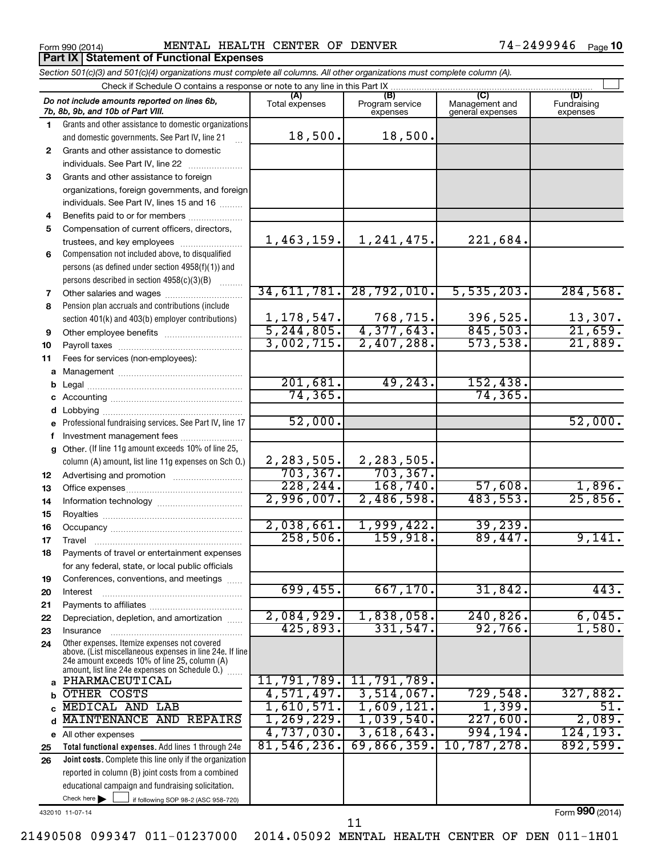**Part IX Statement of Functional Expenses** 

Form 990 (2014) **MENTAL HEALTH CENTER OF DENVER** 74-2499946  $P_{\text{age}}$ 

|              | Section 501(c)(3) and 501(c)(4) organizations must complete all columns. All other organizations must complete column (A).                                                                                  |                               |                                    |                                    |                                |  |  |  |  |
|--------------|-------------------------------------------------------------------------------------------------------------------------------------------------------------------------------------------------------------|-------------------------------|------------------------------------|------------------------------------|--------------------------------|--|--|--|--|
|              | Check if Schedule O contains a response or note to any line in this Part IX                                                                                                                                 |                               |                                    |                                    |                                |  |  |  |  |
|              | Do not include amounts reported on lines 6b,<br>7b, 8b, 9b, and 10b of Part VIII.                                                                                                                           | (A)<br>Total expenses         | (B)<br>Program service<br>expenses | Management and<br>general expenses | (D)<br>Fundraising<br>expenses |  |  |  |  |
| 1.           | Grants and other assistance to domestic organizations                                                                                                                                                       |                               |                                    |                                    |                                |  |  |  |  |
|              | and domestic governments. See Part IV, line 21                                                                                                                                                              | 18,500.                       | 18,500.                            |                                    |                                |  |  |  |  |
| $\mathbf{2}$ | Grants and other assistance to domestic                                                                                                                                                                     |                               |                                    |                                    |                                |  |  |  |  |
|              | individuals. See Part IV, line 22                                                                                                                                                                           |                               |                                    |                                    |                                |  |  |  |  |
| 3            | Grants and other assistance to foreign                                                                                                                                                                      |                               |                                    |                                    |                                |  |  |  |  |
|              | organizations, foreign governments, and foreign                                                                                                                                                             |                               |                                    |                                    |                                |  |  |  |  |
|              | individuals. See Part IV, lines 15 and 16                                                                                                                                                                   |                               |                                    |                                    |                                |  |  |  |  |
| 4            | Benefits paid to or for members                                                                                                                                                                             |                               |                                    |                                    |                                |  |  |  |  |
| 5            | Compensation of current officers, directors,                                                                                                                                                                |                               |                                    |                                    |                                |  |  |  |  |
|              | trustees, and key employees                                                                                                                                                                                 | 1,463,159.                    | 1,241,475.                         | 221,684.                           |                                |  |  |  |  |
| 6            | Compensation not included above, to disqualified                                                                                                                                                            |                               |                                    |                                    |                                |  |  |  |  |
|              | persons (as defined under section 4958(f)(1)) and                                                                                                                                                           |                               |                                    |                                    |                                |  |  |  |  |
|              | persons described in section 4958(c)(3)(B)                                                                                                                                                                  |                               |                                    |                                    |                                |  |  |  |  |
| 7            |                                                                                                                                                                                                             | 34,611,781.                   | 28,792,010.                        | 5, 535, 203.                       | 284,568.                       |  |  |  |  |
| 8            | Pension plan accruals and contributions (include                                                                                                                                                            |                               |                                    |                                    |                                |  |  |  |  |
|              | section 401(k) and 403(b) employer contributions)                                                                                                                                                           | $\frac{1,178,547}{5,244,805}$ | $768, 715.$ 4, 377, 643.           | 396,525.                           | $\frac{13,307}{21,659}$        |  |  |  |  |
| 9            |                                                                                                                                                                                                             |                               |                                    | 845,503.                           |                                |  |  |  |  |
| 10           |                                                                                                                                                                                                             | 3,002,715.                    | 2,407,288.                         | 573,538.                           | 21,889.                        |  |  |  |  |
| 11           | Fees for services (non-employees):                                                                                                                                                                          |                               |                                    |                                    |                                |  |  |  |  |
| a            |                                                                                                                                                                                                             |                               |                                    |                                    |                                |  |  |  |  |
| b            |                                                                                                                                                                                                             | 201,681.                      | 49, 243.                           | 152,438.                           |                                |  |  |  |  |
|              |                                                                                                                                                                                                             | 74, 365.                      |                                    | 74, 365.                           |                                |  |  |  |  |
| d            |                                                                                                                                                                                                             |                               |                                    |                                    |                                |  |  |  |  |
|              | Professional fundraising services. See Part IV, line 17                                                                                                                                                     | 52,000.                       |                                    |                                    | 52,000.                        |  |  |  |  |
|              | Investment management fees                                                                                                                                                                                  |                               |                                    |                                    |                                |  |  |  |  |
| $\mathbf{q}$ | Other. (If line 11g amount exceeds 10% of line 25,                                                                                                                                                          |                               |                                    |                                    |                                |  |  |  |  |
|              | column (A) amount, list line 11g expenses on Sch O.)                                                                                                                                                        | 2,283,505.                    | 2,283,505.                         |                                    |                                |  |  |  |  |
| 12           |                                                                                                                                                                                                             | 703, 367.                     | 703, 367.                          |                                    |                                |  |  |  |  |
| 13           |                                                                                                                                                                                                             | 228, 244.                     | 168,740.                           | 57,608.                            | 1,896.                         |  |  |  |  |
| 14           |                                                                                                                                                                                                             | 2,996,007.                    | 2,486,598.                         | 483,553.                           | $\overline{25,856}$ .          |  |  |  |  |
| 15           |                                                                                                                                                                                                             |                               |                                    |                                    |                                |  |  |  |  |
| 16           |                                                                                                                                                                                                             | 2,038,661.                    | 1,999,422.                         | 39,239.                            |                                |  |  |  |  |
| 17           |                                                                                                                                                                                                             | 258,506.                      | 159,918.                           | 89,447.                            | 9,141.                         |  |  |  |  |
| 18           | Payments of travel or entertainment expenses                                                                                                                                                                |                               |                                    |                                    |                                |  |  |  |  |
|              | for any federal, state, or local public officials                                                                                                                                                           |                               |                                    |                                    |                                |  |  |  |  |
| 19           | Conferences, conventions, and meetings                                                                                                                                                                      |                               |                                    |                                    |                                |  |  |  |  |
| 20           | Interest                                                                                                                                                                                                    | 699,455.                      | 667, 170.                          | 31,842.                            | 443.                           |  |  |  |  |
| 21           |                                                                                                                                                                                                             |                               |                                    |                                    |                                |  |  |  |  |
| 22           | Depreciation, depletion, and amortization                                                                                                                                                                   | 2,084,929.                    | 1,838,058.                         | 240,826.<br>92,766                 | 6,045.                         |  |  |  |  |
| 23           | Insurance                                                                                                                                                                                                   | 425,893.                      | 331,547.                           |                                    | 1,580.                         |  |  |  |  |
| 24           | Other expenses. Itemize expenses not covered<br>above. (List miscellaneous expenses in line 24e. If line<br>24e amount exceeds 10% of line 25, column (A)<br>amount, list line 24e expenses on Schedule O.) |                               |                                    |                                    |                                |  |  |  |  |
| a            | PHARMACEUTICAL                                                                                                                                                                                              | 11,791,789.                   | 11,791,789.                        |                                    |                                |  |  |  |  |
| b            | OTHER COSTS                                                                                                                                                                                                 | 4,571,497.                    | 3,514,067.                         | 729,548.                           | 327,882.                       |  |  |  |  |
| C            | <b>MEDICAL AND LAB</b>                                                                                                                                                                                      | 1,610,571.                    | 1,609,121.                         | 1,399.                             | 51.                            |  |  |  |  |
| d            | <b>MAINTENANCE</b><br>AND REPAIRS                                                                                                                                                                           | 1, 269, 229.                  | 1,039,540.                         | 227,600.                           | 2,089.                         |  |  |  |  |
|              | e All other expenses                                                                                                                                                                                        | 4,737,030.                    | 3,618,643.                         | 994,194.                           | 124, 193.                      |  |  |  |  |
| 25           | Total functional expenses. Add lines 1 through 24e                                                                                                                                                          | 81,546,236.                   | 69,866,359.                        | 10,787,278.                        | 892,599.                       |  |  |  |  |
| 26           | Joint costs. Complete this line only if the organization                                                                                                                                                    |                               |                                    |                                    |                                |  |  |  |  |
|              | reported in column (B) joint costs from a combined                                                                                                                                                          |                               |                                    |                                    |                                |  |  |  |  |
|              | educational campaign and fundraising solicitation.                                                                                                                                                          |                               |                                    |                                    |                                |  |  |  |  |
|              | Check here $\blacktriangleright$<br>if following SOP 98-2 (ASC 958-720)                                                                                                                                     |                               |                                    |                                    |                                |  |  |  |  |

432010 11-07-14

Form (2014) **990**

21490508 099347 011-01237000 2014.05092 MENTAL HEALTH CENTER OF DEN 011-1H01

11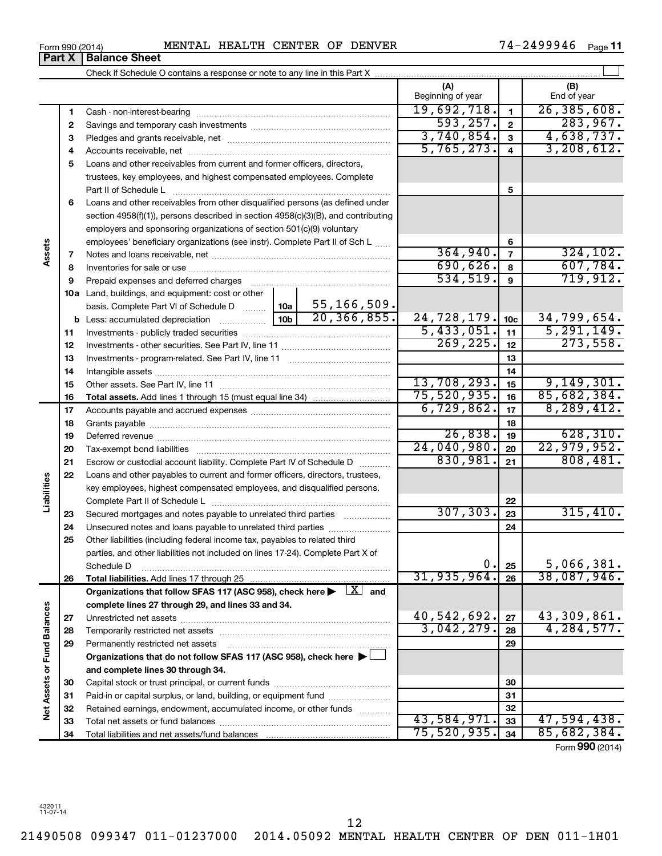| Form 990 (2014) |                               | <b>MENTAL</b> |
|-----------------|-------------------------------|---------------|
|                 | <b>Part X   Balance Sheet</b> |               |

|                             |    |                                                                                                                                                               |                                  | (A)<br>Beginning of year |                         | (B)<br>End of year |
|-----------------------------|----|---------------------------------------------------------------------------------------------------------------------------------------------------------------|----------------------------------|--------------------------|-------------------------|--------------------|
|                             | 1  |                                                                                                                                                               |                                  | 19,692,718.              | $\blacksquare$          | 26, 385, 608.      |
|                             | 2  |                                                                                                                                                               |                                  | 593, 257.                | $\overline{\mathbf{2}}$ | 283,967.           |
|                             | 3  |                                                                                                                                                               |                                  | 3,740,854.               | $\mathbf{3}$            | 4,638,737.         |
|                             | 4  |                                                                                                                                                               |                                  | 5,765,273.               | $\overline{4}$          | 3, 208, 612.       |
|                             | 5  | Loans and other receivables from current and former officers, directors,                                                                                      |                                  |                          |                         |                    |
|                             |    | trustees, key employees, and highest compensated employees. Complete                                                                                          |                                  |                          |                         |                    |
|                             |    | Part II of Schedule L                                                                                                                                         |                                  |                          | 5                       |                    |
|                             | 6  | Loans and other receivables from other disqualified persons (as defined under                                                                                 |                                  |                          |                         |                    |
|                             |    | section 4958(f)(1)), persons described in section 4958(c)(3)(B), and contributing                                                                             |                                  |                          |                         |                    |
|                             |    | employers and sponsoring organizations of section 501(c)(9) voluntary                                                                                         |                                  |                          |                         |                    |
|                             |    | employees' beneficiary organizations (see instr). Complete Part II of Sch L                                                                                   |                                  |                          | 6                       |                    |
| Assets                      | 7  |                                                                                                                                                               |                                  | 364,940.                 | $\overline{7}$          | 324, 102.          |
|                             | 8  |                                                                                                                                                               |                                  | 690,626.                 | 8                       | 607,784.           |
|                             | 9  |                                                                                                                                                               |                                  | 534,519.                 | 9                       | 719,912.           |
|                             |    | 10a Land, buildings, and equipment: cost or other                                                                                                             |                                  |                          |                         |                    |
|                             |    | basis. Complete Part VI of Schedule D                                                                                                                         | 55,166,509.<br>10a               |                          |                         |                    |
|                             |    | <b>b</b> Less: accumulated depreciation <i>mimimimimi</i>                                                                                                     | 20, 366, 855.<br>10 <sub>b</sub> | 24,728,179.              | 10 <sub>c</sub>         | 34,799,654.        |
|                             | 11 |                                                                                                                                                               |                                  | 5,433,051.               | 11                      | 5, 291, 149.       |
|                             | 12 |                                                                                                                                                               |                                  | 269, 225.                | 12                      | 273,558.           |
|                             | 13 |                                                                                                                                                               |                                  |                          | 13                      |                    |
|                             | 14 |                                                                                                                                                               |                                  |                          | 14                      |                    |
|                             | 15 |                                                                                                                                                               |                                  | 13,708,293.              | 15                      | 9,149,301.         |
|                             | 16 |                                                                                                                                                               |                                  | 75,520,935.              | 16                      | 85,682,384.        |
|                             | 17 |                                                                                                                                                               |                                  | 6,729,862.               | 17                      | 8, 289, 412.       |
|                             | 18 |                                                                                                                                                               |                                  | 18                       |                         |                    |
|                             | 19 |                                                                                                                                                               |                                  | 26,838.                  | 19                      | 628, 310.          |
|                             | 20 |                                                                                                                                                               |                                  | 24,040,980.              | 20                      | 22,979,952.        |
|                             | 21 | Escrow or custodial account liability. Complete Part IV of Schedule D                                                                                         |                                  | 830,981.                 | 21                      | 808,481.           |
| Liabilities                 | 22 | Loans and other payables to current and former officers, directors, trustees,                                                                                 |                                  |                          |                         |                    |
|                             |    | key employees, highest compensated employees, and disqualified persons.                                                                                       |                                  |                          |                         |                    |
|                             |    |                                                                                                                                                               |                                  | 307, 303.                | 22                      | 315,410.           |
|                             | 23 | Secured mortgages and notes payable to unrelated third parties                                                                                                |                                  |                          | 23                      |                    |
|                             | 24 | Unsecured notes and loans payable to unrelated third parties                                                                                                  |                                  |                          | 24                      |                    |
|                             | 25 | Other liabilities (including federal income tax, payables to related third<br>parties, and other liabilities not included on lines 17-24). Complete Part X of |                                  |                          |                         |                    |
|                             |    |                                                                                                                                                               |                                  | $\mathbf 0$ .            | 25                      | 5,066,381.         |
|                             | 26 | Schedule D                                                                                                                                                    |                                  | 31, 935, 964.            | 26                      | 38,087,946.        |
|                             |    | Organizations that follow SFAS 117 (ASC 958), check here $\blacktriangleright \begin{array}{c} \boxed{X} \\ \end{array}$ and                                  |                                  |                          |                         |                    |
|                             |    | complete lines 27 through 29, and lines 33 and 34.                                                                                                            |                                  |                          |                         |                    |
|                             | 27 |                                                                                                                                                               |                                  | 40,542,692.              | 27                      | 43,309,861.        |
|                             | 28 |                                                                                                                                                               |                                  | 3,042,279.               | 28                      | 4,284,577.         |
|                             | 29 | Permanently restricted net assets                                                                                                                             |                                  |                          | 29                      |                    |
|                             |    | Organizations that do not follow SFAS 117 (ASC 958), check here ▶                                                                                             |                                  |                          |                         |                    |
| Net Assets or Fund Balances |    | and complete lines 30 through 34.                                                                                                                             |                                  |                          |                         |                    |
|                             | 30 |                                                                                                                                                               |                                  |                          | 30                      |                    |
|                             | 31 | Paid-in or capital surplus, or land, building, or equipment fund                                                                                              |                                  |                          | 31                      |                    |
|                             | 32 | Retained earnings, endowment, accumulated income, or other funds                                                                                              |                                  |                          | 32                      |                    |
|                             | 33 |                                                                                                                                                               |                                  | 43,584,971.              | 33                      | 47,594,438.        |
|                             | 34 |                                                                                                                                                               | 75,520,935.                      | 34                       | 85,682,384.             |                    |

Form (2014) **990**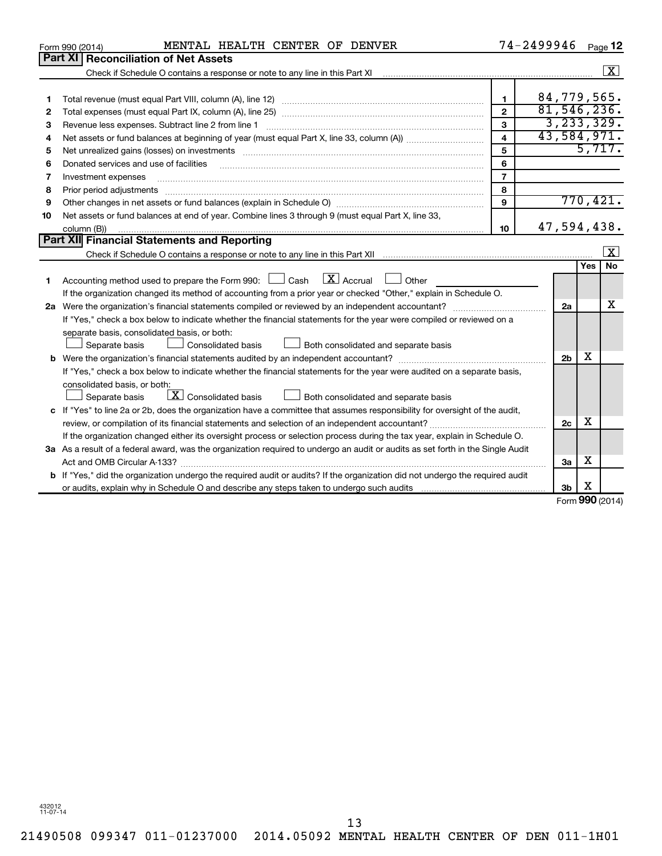|    | MENTAL HEALTH CENTER OF DENVER<br>Form 990 (2014)                                                                                                                                                                                                                                                                                                                                                                                                                                                   |                         | 74-2499946                   | Page 12            |                         |  |  |
|----|-----------------------------------------------------------------------------------------------------------------------------------------------------------------------------------------------------------------------------------------------------------------------------------------------------------------------------------------------------------------------------------------------------------------------------------------------------------------------------------------------------|-------------------------|------------------------------|--------------------|-------------------------|--|--|
|    | Part XI   Reconciliation of Net Assets                                                                                                                                                                                                                                                                                                                                                                                                                                                              |                         |                              |                    |                         |  |  |
|    |                                                                                                                                                                                                                                                                                                                                                                                                                                                                                                     |                         |                              |                    | $\boxed{\textbf{X}}$    |  |  |
|    |                                                                                                                                                                                                                                                                                                                                                                                                                                                                                                     |                         |                              |                    |                         |  |  |
| 1  |                                                                                                                                                                                                                                                                                                                                                                                                                                                                                                     | $\mathbf{1}$            | 84,779,565.<br>81, 546, 236. |                    |                         |  |  |
| 2  | $\overline{2}$                                                                                                                                                                                                                                                                                                                                                                                                                                                                                      |                         |                              |                    |                         |  |  |
| З  | Revenue less expenses. Subtract line 2 from line 1                                                                                                                                                                                                                                                                                                                                                                                                                                                  | 3                       | 3, 233, 329.                 |                    |                         |  |  |
| 4  |                                                                                                                                                                                                                                                                                                                                                                                                                                                                                                     | $\overline{\mathbf{4}}$ | 43,584,971.                  |                    |                         |  |  |
| 5  | Net unrealized gains (losses) on investments [11] matter contracts and the state of the state of the state of the state of the state of the state of the state of the state of the state of the state of the state of the stat                                                                                                                                                                                                                                                                      | 5                       |                              | 5,717.             |                         |  |  |
| 6  | Donated services and use of facilities                                                                                                                                                                                                                                                                                                                                                                                                                                                              | 6                       |                              |                    |                         |  |  |
| 7  | Investment expenses                                                                                                                                                                                                                                                                                                                                                                                                                                                                                 | $\overline{7}$          |                              |                    |                         |  |  |
| 8  | Prior period adjustments                                                                                                                                                                                                                                                                                                                                                                                                                                                                            | 8                       |                              |                    |                         |  |  |
| 9  |                                                                                                                                                                                                                                                                                                                                                                                                                                                                                                     | 9                       |                              | 770,421.           |                         |  |  |
| 10 | Net assets or fund balances at end of year. Combine lines 3 through 9 (must equal Part X, line 33,                                                                                                                                                                                                                                                                                                                                                                                                  |                         |                              |                    |                         |  |  |
|    | column (B))<br>$\begin{minipage}{0.9\linewidth} \begin{tabular}{l} \hline \textbf{0.01} \end{tabular} \end{minipage} \begin{tabular}{l} \hline \textbf{1.01} \end{tabular} \end{minipage} \begin{tabular}{l} \hline \textbf{1.01} \end{tabular} \end{minipage} \begin{minipage}{0.9\linewidth} \textbf{1.01} \end{minipage} \begin{tabular}{l} \hline \textbf{1.01} \end{tabular} \end{minipage} \begin{minipage}{0.9\linewidth} \textbf{1.01} \end{minipage} \begin{tabular}{l} \hline \textbf{1.$ | 10                      | 47,594,438.                  |                    |                         |  |  |
|    | Part XII Financial Statements and Reporting                                                                                                                                                                                                                                                                                                                                                                                                                                                         |                         |                              |                    |                         |  |  |
|    |                                                                                                                                                                                                                                                                                                                                                                                                                                                                                                     |                         |                              |                    | $\overline{\mathbf{X}}$ |  |  |
|    |                                                                                                                                                                                                                                                                                                                                                                                                                                                                                                     |                         |                              | Yes                | No                      |  |  |
| 1  | $\lfloor \mathbf{X} \rfloor$ Accrual<br>Accounting method used to prepare the Form 990: [130] Cash<br>Other                                                                                                                                                                                                                                                                                                                                                                                         |                         |                              |                    |                         |  |  |
|    | If the organization changed its method of accounting from a prior year or checked "Other," explain in Schedule O.                                                                                                                                                                                                                                                                                                                                                                                   |                         |                              |                    |                         |  |  |
|    |                                                                                                                                                                                                                                                                                                                                                                                                                                                                                                     |                         |                              |                    |                         |  |  |
|    | If "Yes," check a box below to indicate whether the financial statements for the year were compiled or reviewed on a                                                                                                                                                                                                                                                                                                                                                                                |                         |                              |                    |                         |  |  |
|    | separate basis, consolidated basis, or both:                                                                                                                                                                                                                                                                                                                                                                                                                                                        |                         |                              |                    |                         |  |  |
|    | <b>Consolidated basis</b><br>Both consolidated and separate basis<br>Separate basis                                                                                                                                                                                                                                                                                                                                                                                                                 |                         |                              |                    |                         |  |  |
|    |                                                                                                                                                                                                                                                                                                                                                                                                                                                                                                     |                         | 2 <sub>b</sub>               | x                  |                         |  |  |
|    | If "Yes," check a box below to indicate whether the financial statements for the year were audited on a separate basis,                                                                                                                                                                                                                                                                                                                                                                             |                         |                              |                    |                         |  |  |
|    | consolidated basis, or both:                                                                                                                                                                                                                                                                                                                                                                                                                                                                        |                         |                              |                    |                         |  |  |
|    | $\boxed{\textbf{X}}$ Consolidated basis<br>Both consolidated and separate basis<br>Separate basis                                                                                                                                                                                                                                                                                                                                                                                                   |                         |                              |                    |                         |  |  |
|    | c If "Yes" to line 2a or 2b, does the organization have a committee that assumes responsibility for oversight of the audit,                                                                                                                                                                                                                                                                                                                                                                         |                         |                              |                    |                         |  |  |
|    | review, or compilation of its financial statements and selection of an independent accountant?                                                                                                                                                                                                                                                                                                                                                                                                      |                         | 2c                           | x                  |                         |  |  |
|    | If the organization changed either its oversight process or selection process during the tax year, explain in Schedule O.                                                                                                                                                                                                                                                                                                                                                                           |                         |                              |                    |                         |  |  |
|    | 3a As a result of a federal award, was the organization required to undergo an audit or audits as set forth in the Single Audit                                                                                                                                                                                                                                                                                                                                                                     |                         |                              |                    |                         |  |  |
|    |                                                                                                                                                                                                                                                                                                                                                                                                                                                                                                     |                         | 3a                           | х                  |                         |  |  |
|    | <b>b</b> If "Yes," did the organization undergo the required audit or audits? If the organization did not undergo the required audit                                                                                                                                                                                                                                                                                                                                                                |                         |                              |                    |                         |  |  |
|    |                                                                                                                                                                                                                                                                                                                                                                                                                                                                                                     |                         | 3b                           | х                  |                         |  |  |
|    |                                                                                                                                                                                                                                                                                                                                                                                                                                                                                                     |                         |                              | $000 \text{ mod }$ |                         |  |  |

Form (2014) **990**

432012 11-07-14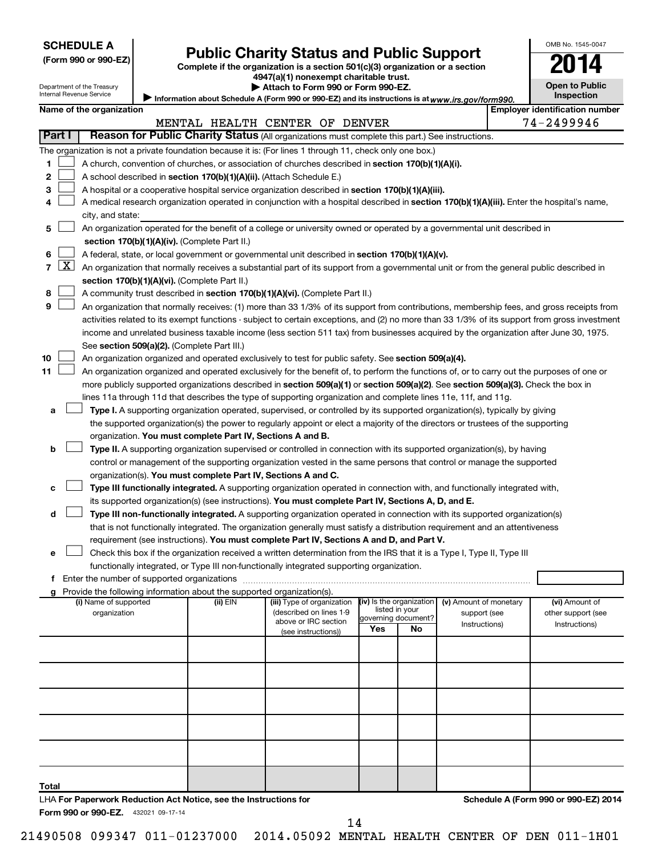| <b>SCHEDULE A</b> |  |
|-------------------|--|
|-------------------|--|

Department of the Treasury Internal Revenue Service

# **Public Charity Status and Public Support**

**(Form 990 or 990-EZ) Complete if the organization is a section 501(c)(3) organization or a section**

**4947(a)(1) nonexempt charitable trust.**

| Attach to Form 990 or Form 990-EZ.                                                                  |
|-----------------------------------------------------------------------------------------------------|
| / Information about Schedule A (Form 990 or 990-EZ) and its instructions is at www.irs.gov/form990. |

| <b>Open to Public</b><br><b>Inspection</b> |
|--------------------------------------------|
|                                            |

OMB No. 1545-0047

|  | Name of the organization |
|--|--------------------------|
|  |                          |

|                     | Name of the organization                                                                                                                          |          |                                                       |                          |                     |                                        | <b>Employer identification number</b> |
|---------------------|---------------------------------------------------------------------------------------------------------------------------------------------------|----------|-------------------------------------------------------|--------------------------|---------------------|----------------------------------------|---------------------------------------|
| Part I              |                                                                                                                                                   |          | MENTAL HEALTH CENTER OF DENVER                        |                          |                     |                                        | 74-2499946                            |
|                     | Reason for Public Charity Status (All organizations must complete this part.) See instructions.                                                   |          |                                                       |                          |                     |                                        |                                       |
|                     | The organization is not a private foundation because it is: (For lines 1 through 11, check only one box.)                                         |          |                                                       |                          |                     |                                        |                                       |
| 1                   | A church, convention of churches, or association of churches described in section 170(b)(1)(A)(i).                                                |          |                                                       |                          |                     |                                        |                                       |
| 2                   | A school described in section 170(b)(1)(A)(ii). (Attach Schedule E.)                                                                              |          |                                                       |                          |                     |                                        |                                       |
| 3                   | A hospital or a cooperative hospital service organization described in section 170(b)(1)(A)(iii).                                                 |          |                                                       |                          |                     |                                        |                                       |
| 4                   | A medical research organization operated in conjunction with a hospital described in section 170(b)(1)(A)(iii). Enter the hospital's name,        |          |                                                       |                          |                     |                                        |                                       |
|                     | city, and state:<br>An organization operated for the benefit of a college or university owned or operated by a governmental unit described in     |          |                                                       |                          |                     |                                        |                                       |
| 5                   |                                                                                                                                                   |          |                                                       |                          |                     |                                        |                                       |
|                     | section 170(b)(1)(A)(iv). (Complete Part II.)<br>A federal, state, or local government or governmental unit described in section 170(b)(1)(A)(v). |          |                                                       |                          |                     |                                        |                                       |
| 6<br>$\overline{7}$ | $X$ An organization that normally receives a substantial part of its support from a governmental unit or from the general public described in     |          |                                                       |                          |                     |                                        |                                       |
|                     | section 170(b)(1)(A)(vi). (Complete Part II.)                                                                                                     |          |                                                       |                          |                     |                                        |                                       |
| 8                   | A community trust described in section 170(b)(1)(A)(vi). (Complete Part II.)                                                                      |          |                                                       |                          |                     |                                        |                                       |
| 9                   | An organization that normally receives: (1) more than 33 1/3% of its support from contributions, membership fees, and gross receipts from         |          |                                                       |                          |                     |                                        |                                       |
|                     | activities related to its exempt functions - subject to certain exceptions, and (2) no more than 33 1/3% of its support from gross investment     |          |                                                       |                          |                     |                                        |                                       |
|                     | income and unrelated business taxable income (less section 511 tax) from businesses acquired by the organization after June 30, 1975.             |          |                                                       |                          |                     |                                        |                                       |
|                     | See section 509(a)(2). (Complete Part III.)                                                                                                       |          |                                                       |                          |                     |                                        |                                       |
| 10                  | An organization organized and operated exclusively to test for public safety. See section 509(a)(4).                                              |          |                                                       |                          |                     |                                        |                                       |
| 11                  | An organization organized and operated exclusively for the benefit of, to perform the functions of, or to carry out the purposes of one or        |          |                                                       |                          |                     |                                        |                                       |
|                     | more publicly supported organizations described in section 509(a)(1) or section 509(a)(2). See section 509(a)(3). Check the box in                |          |                                                       |                          |                     |                                        |                                       |
|                     | lines 11a through 11d that describes the type of supporting organization and complete lines 11e, 11f, and 11g.                                    |          |                                                       |                          |                     |                                        |                                       |
| а                   | Type I. A supporting organization operated, supervised, or controlled by its supported organization(s), typically by giving                       |          |                                                       |                          |                     |                                        |                                       |
|                     | the supported organization(s) the power to regularly appoint or elect a majority of the directors or trustees of the supporting                   |          |                                                       |                          |                     |                                        |                                       |
|                     | organization. You must complete Part IV, Sections A and B.                                                                                        |          |                                                       |                          |                     |                                        |                                       |
| b                   | <b>Type II.</b> A supporting organization supervised or controlled in connection with its supported organization(s), by having                    |          |                                                       |                          |                     |                                        |                                       |
|                     | control or management of the supporting organization vested in the same persons that control or manage the supported                              |          |                                                       |                          |                     |                                        |                                       |
|                     | organization(s). You must complete Part IV, Sections A and C.                                                                                     |          |                                                       |                          |                     |                                        |                                       |
| с                   | Type III functionally integrated. A supporting organization operated in connection with, and functionally integrated with,                        |          |                                                       |                          |                     |                                        |                                       |
|                     | its supported organization(s) (see instructions). You must complete Part IV, Sections A, D, and E.                                                |          |                                                       |                          |                     |                                        |                                       |
| d                   | Type III non-functionally integrated. A supporting organization operated in connection with its supported organization(s)                         |          |                                                       |                          |                     |                                        |                                       |
|                     | that is not functionally integrated. The organization generally must satisfy a distribution requirement and an attentiveness                      |          |                                                       |                          |                     |                                        |                                       |
|                     | requirement (see instructions). You must complete Part IV, Sections A and D, and Part V.                                                          |          |                                                       |                          |                     |                                        |                                       |
| е                   | Check this box if the organization received a written determination from the IRS that it is a Type I, Type II, Type III                           |          |                                                       |                          |                     |                                        |                                       |
|                     | functionally integrated, or Type III non-functionally integrated supporting organization.                                                         |          |                                                       |                          |                     |                                        |                                       |
|                     |                                                                                                                                                   |          |                                                       |                          |                     |                                        |                                       |
|                     | g Provide the following information about the supported organization(s).                                                                          |          |                                                       | (iv) Is the organization |                     |                                        |                                       |
|                     | (i) Name of supported<br>organization                                                                                                             | (ii) EIN | (iii) Type of organization<br>(described on lines 1-9 | listed in your           |                     | (v) Amount of monetary<br>support (see | (vi) Amount of<br>other support (see  |
|                     |                                                                                                                                                   |          | above or IRC section                                  |                          | governing document? | Instructions)                          | Instructions)                         |
|                     |                                                                                                                                                   |          | (see instructions))                                   | Yes                      | No                  |                                        |                                       |
|                     |                                                                                                                                                   |          |                                                       |                          |                     |                                        |                                       |
|                     |                                                                                                                                                   |          |                                                       |                          |                     |                                        |                                       |
|                     |                                                                                                                                                   |          |                                                       |                          |                     |                                        |                                       |
|                     |                                                                                                                                                   |          |                                                       |                          |                     |                                        |                                       |
|                     |                                                                                                                                                   |          |                                                       |                          |                     |                                        |                                       |
|                     |                                                                                                                                                   |          |                                                       |                          |                     |                                        |                                       |
|                     |                                                                                                                                                   |          |                                                       |                          |                     |                                        |                                       |
|                     |                                                                                                                                                   |          |                                                       |                          |                     |                                        |                                       |
|                     |                                                                                                                                                   |          |                                                       |                          |                     |                                        |                                       |
|                     |                                                                                                                                                   |          |                                                       |                          |                     |                                        |                                       |
| Total               |                                                                                                                                                   |          |                                                       |                          |                     |                                        |                                       |
|                     | LHA For Paperwork Reduction Act Notice, see the Instructions for                                                                                  |          |                                                       |                          |                     |                                        | Schedule A (Form 990 or 990-EZ) 2014  |

Form 990 or 990-EZ. 432021 09-17-14

**Chedule A (Form 990** 

14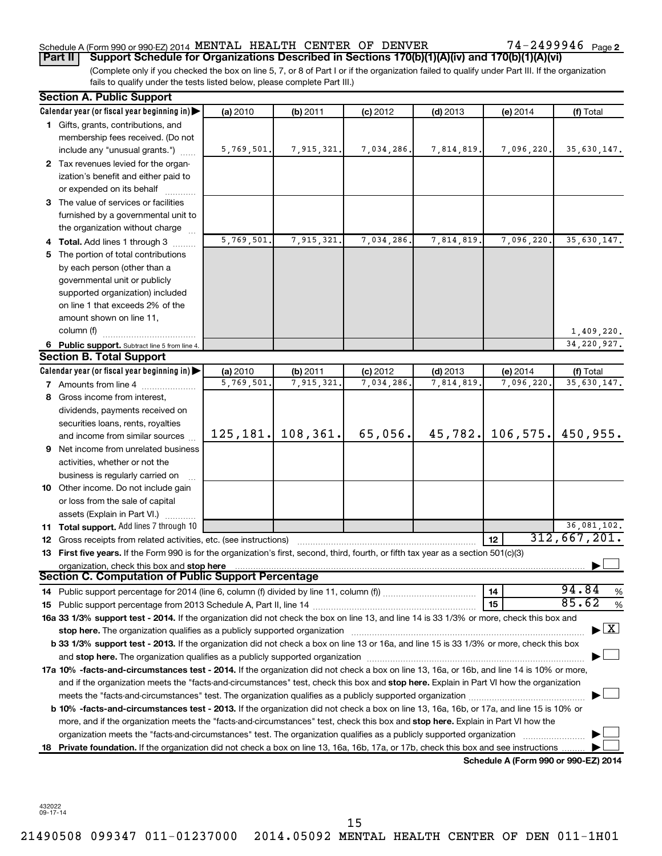# Schedule A (Form 990 or 990-EZ) 2014 MENTAL HEALTH CENTER OF DENVER  $74-2499946$  Page

74-2499946 Page 2

(Complete only if you checked the box on line 5, 7, or 8 of Part I or if the organization failed to qualify under Part III. If the organization fails to qualify under the tests listed below, please complete Part III.) **Part II Support Schedule for Organizations Described in Sections 170(b)(1)(A)(iv) and 170(b)(1)(A)(vi)**

| Calendar year (or fiscal year beginning in)<br>(a) 2010<br>(b) 2011<br>$(c)$ 2012<br>$(d)$ 2013<br>(e) 2014<br>1 Gifts, grants, contributions, and<br>membership fees received. (Do not                                                                                                                                                                                    | (f) Total                                |
|----------------------------------------------------------------------------------------------------------------------------------------------------------------------------------------------------------------------------------------------------------------------------------------------------------------------------------------------------------------------------|------------------------------------------|
|                                                                                                                                                                                                                                                                                                                                                                            |                                          |
|                                                                                                                                                                                                                                                                                                                                                                            |                                          |
|                                                                                                                                                                                                                                                                                                                                                                            |                                          |
| 5,769,501.<br>7,915,321.<br>7,034,286.<br>7,814,819.<br>7,096,220.<br>include any "unusual grants.")                                                                                                                                                                                                                                                                       | 35,630,147.                              |
| 2 Tax revenues levied for the organ-                                                                                                                                                                                                                                                                                                                                       |                                          |
| ization's benefit and either paid to                                                                                                                                                                                                                                                                                                                                       |                                          |
| or expended on its behalf                                                                                                                                                                                                                                                                                                                                                  |                                          |
| 3 The value of services or facilities                                                                                                                                                                                                                                                                                                                                      |                                          |
| furnished by a governmental unit to                                                                                                                                                                                                                                                                                                                                        |                                          |
| the organization without charge                                                                                                                                                                                                                                                                                                                                            |                                          |
| 5,769,501.<br>7,915,321.<br>7,034,286.<br>7,814,819<br>7,096,220.<br>4 Total. Add lines 1 through 3                                                                                                                                                                                                                                                                        | 35,630,147.                              |
| The portion of total contributions<br>5.                                                                                                                                                                                                                                                                                                                                   |                                          |
| by each person (other than a                                                                                                                                                                                                                                                                                                                                               |                                          |
| governmental unit or publicly                                                                                                                                                                                                                                                                                                                                              |                                          |
| supported organization) included                                                                                                                                                                                                                                                                                                                                           |                                          |
| on line 1 that exceeds 2% of the                                                                                                                                                                                                                                                                                                                                           |                                          |
| amount shown on line 11,                                                                                                                                                                                                                                                                                                                                                   |                                          |
| column (f)                                                                                                                                                                                                                                                                                                                                                                 | 1,409,220.                               |
| 6 Public support. Subtract line 5 from line 4.                                                                                                                                                                                                                                                                                                                             | 34, 220, 927.                            |
| <b>Section B. Total Support</b>                                                                                                                                                                                                                                                                                                                                            |                                          |
| Calendar year (or fiscal year beginning in)<br>(a) 2010<br>(b) 2011<br>$(c)$ 2012<br>$(d)$ 2013<br>(e) 2014                                                                                                                                                                                                                                                                | (f) Total                                |
| 5,769,501<br>7,915,321.<br>7,034,286.<br>7,814,819<br>7,096,220.<br>7 Amounts from line 4                                                                                                                                                                                                                                                                                  | 35,630,147.                              |
| 8 Gross income from interest,                                                                                                                                                                                                                                                                                                                                              |                                          |
| dividends, payments received on                                                                                                                                                                                                                                                                                                                                            |                                          |
| securities loans, rents, royalties                                                                                                                                                                                                                                                                                                                                         |                                          |
| 108, 361.<br>45, 782.<br>106, 575.<br>125, 181.<br>65,056.<br>and income from similar sources                                                                                                                                                                                                                                                                              | 450,955.                                 |
| <b>9</b> Net income from unrelated business                                                                                                                                                                                                                                                                                                                                |                                          |
| activities, whether or not the                                                                                                                                                                                                                                                                                                                                             |                                          |
| business is regularly carried on                                                                                                                                                                                                                                                                                                                                           |                                          |
| 10 Other income. Do not include gain                                                                                                                                                                                                                                                                                                                                       |                                          |
| or loss from the sale of capital                                                                                                                                                                                                                                                                                                                                           |                                          |
| assets (Explain in Part VI.)                                                                                                                                                                                                                                                                                                                                               |                                          |
| 11 Total support. Add lines 7 through 10                                                                                                                                                                                                                                                                                                                                   | 36,081,102.                              |
| 12<br>12 Gross receipts from related activities, etc. (see instructions)                                                                                                                                                                                                                                                                                                   | 312,667,201.                             |
| 13 First five years. If the Form 990 is for the organization's first, second, third, fourth, or fifth tax year as a section 501(c)(3)                                                                                                                                                                                                                                      |                                          |
| organization, check this box and stop here<br>Section C. Computation of Public Support Percentage                                                                                                                                                                                                                                                                          |                                          |
|                                                                                                                                                                                                                                                                                                                                                                            | 94.84                                    |
| 14<br>14 Public support percentage for 2014 (line 6, column (f) divided by line 11, column (f) <i>mummumumum</i>                                                                                                                                                                                                                                                           | %<br>85.62                               |
| 15                                                                                                                                                                                                                                                                                                                                                                         | %                                        |
| 16a 33 1/3% support test - 2014. If the organization did not check the box on line 13, and line 14 is 33 1/3% or more, check this box and                                                                                                                                                                                                                                  | $\blacktriangleright$ $\boxed{\text{X}}$ |
| stop here. The organization qualifies as a publicly supported organization manufaction manufacture content and the state of the state of the state of the state of the state of the state of the state of the state of the sta<br>b 33 1/3% support test - 2013. If the organization did not check a box on line 13 or 16a, and line 15 is 33 1/3% or more, check this box |                                          |
|                                                                                                                                                                                                                                                                                                                                                                            |                                          |
| and stop here. The organization qualifies as a publicly supported organization [11] manuscription manuscription manuscription manuscription and stop here. The organization qualifies as a publicly supported organization                                                                                                                                                 |                                          |
| 17a 10% -facts-and-circumstances test - 2014. If the organization did not check a box on line 13, 16a, or 16b, and line 14 is 10% or more,                                                                                                                                                                                                                                 |                                          |
| and if the organization meets the "facts-and-circumstances" test, check this box and stop here. Explain in Part VI how the organization                                                                                                                                                                                                                                    |                                          |
|                                                                                                                                                                                                                                                                                                                                                                            |                                          |
| b 10% -facts-and-circumstances test - 2013. If the organization did not check a box on line 13, 16a, 16b, or 17a, and line 15 is 10% or                                                                                                                                                                                                                                    |                                          |
| more, and if the organization meets the "facts-and-circumstances" test, check this box and stop here. Explain in Part VI how the<br>organization meets the "facts-and-circumstances" test. The organization qualifies as a publicly supported organization                                                                                                                 |                                          |
| Private foundation. If the organization did not check a box on line 13, 16a, 16b, 17a, or 17b, check this box and see instructions.<br>18                                                                                                                                                                                                                                  |                                          |
| Schedule A (Form 990 or 990-EZ) 2014                                                                                                                                                                                                                                                                                                                                       |                                          |

432022 09-17-14

15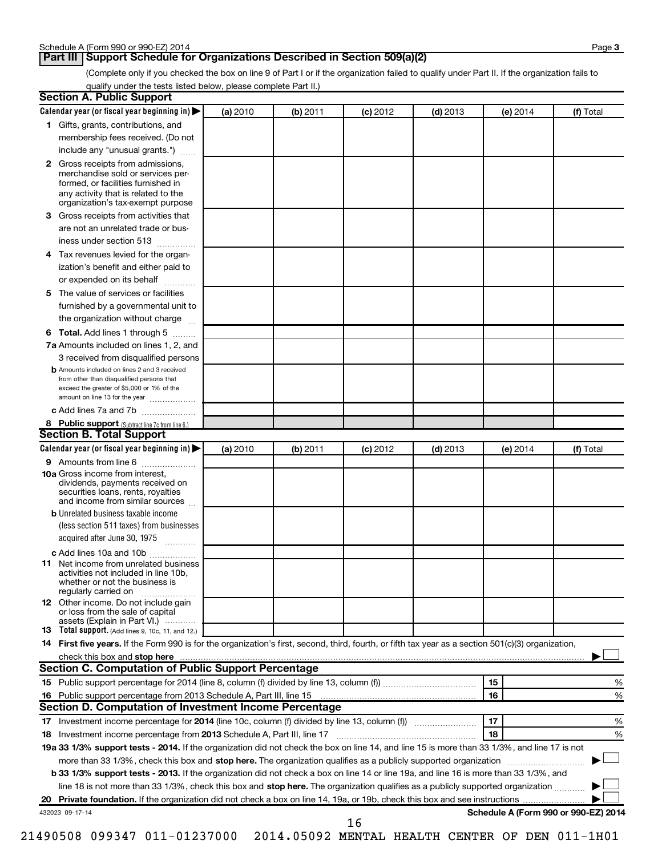# **Part III Support Schedule for Organizations Described in Section 509(a)(2)**

(Complete only if you checked the box on line 9 of Part I or if the organization failed to qualify under Part II. If the organization fails to qualify under the tests listed below, please complete Part II.)

| <b>Section A. Public Support</b>                                                                                                                                                 |          |          |            |            |                                      |           |
|----------------------------------------------------------------------------------------------------------------------------------------------------------------------------------|----------|----------|------------|------------|--------------------------------------|-----------|
| Calendar year (or fiscal year beginning in)                                                                                                                                      | (a) 2010 | (b) 2011 | $(c)$ 2012 | $(d)$ 2013 | (e) 2014                             | (f) Total |
| 1 Gifts, grants, contributions, and                                                                                                                                              |          |          |            |            |                                      |           |
| membership fees received. (Do not                                                                                                                                                |          |          |            |            |                                      |           |
| include any "unusual grants.")                                                                                                                                                   |          |          |            |            |                                      |           |
| 2 Gross receipts from admissions,<br>merchandise sold or services per-<br>formed, or facilities furnished in<br>any activity that is related to the                              |          |          |            |            |                                      |           |
| organization's tax-exempt purpose<br>3 Gross receipts from activities that                                                                                                       |          |          |            |            |                                      |           |
| are not an unrelated trade or bus-                                                                                                                                               |          |          |            |            |                                      |           |
| iness under section 513                                                                                                                                                          |          |          |            |            |                                      |           |
| 4 Tax revenues levied for the organ-                                                                                                                                             |          |          |            |            |                                      |           |
| ization's benefit and either paid to                                                                                                                                             |          |          |            |            |                                      |           |
| or expended on its behalf<br>.                                                                                                                                                   |          |          |            |            |                                      |           |
| 5 The value of services or facilities                                                                                                                                            |          |          |            |            |                                      |           |
| furnished by a governmental unit to                                                                                                                                              |          |          |            |            |                                      |           |
| the organization without charge                                                                                                                                                  |          |          |            |            |                                      |           |
| 6 Total. Add lines 1 through 5                                                                                                                                                   |          |          |            |            |                                      |           |
| 7a Amounts included on lines 1, 2, and                                                                                                                                           |          |          |            |            |                                      |           |
| 3 received from disqualified persons                                                                                                                                             |          |          |            |            |                                      |           |
| <b>b</b> Amounts included on lines 2 and 3 received<br>from other than disqualified persons that<br>exceed the greater of \$5,000 or 1% of the<br>amount on line 13 for the year |          |          |            |            |                                      |           |
| c Add lines 7a and 7b                                                                                                                                                            |          |          |            |            |                                      |           |
| 8 Public support (Subtract line 7c from line 6.)                                                                                                                                 |          |          |            |            |                                      |           |
| <b>Section B. Total Support</b>                                                                                                                                                  |          |          |            |            |                                      |           |
| Calendar year (or fiscal year beginning in)                                                                                                                                      | (a) 2010 | (b) 2011 | $(c)$ 2012 | $(d)$ 2013 | (e) 2014                             | (f) Total |
| 9 Amounts from line 6                                                                                                                                                            |          |          |            |            |                                      |           |
| <b>10a</b> Gross income from interest,<br>dividends, payments received on<br>securities loans, rents, royalties<br>and income from similar sources                               |          |          |            |            |                                      |           |
| <b>b</b> Unrelated business taxable income                                                                                                                                       |          |          |            |            |                                      |           |
| (less section 511 taxes) from businesses                                                                                                                                         |          |          |            |            |                                      |           |
| acquired after June 30, 1975<br>$\overline{\phantom{a}}$                                                                                                                         |          |          |            |            |                                      |           |
| c Add lines 10a and 10b                                                                                                                                                          |          |          |            |            |                                      |           |
| <b>11</b> Net income from unrelated business<br>activities not included in line 10b.<br>whether or not the business is<br>regularly carried on                                   |          |          |            |            |                                      |           |
| 12 Other income. Do not include gain<br>or loss from the sale of capital<br>assets (Explain in Part VI.)                                                                         |          |          |            |            |                                      |           |
| <b>13</b> Total support. (Add lines 9, 10c, 11, and 12.)                                                                                                                         |          |          |            |            |                                      |           |
| 14 First five years. If the Form 990 is for the organization's first, second, third, fourth, or fifth tax year as a section 501(c)(3) organization,                              |          |          |            |            |                                      |           |
| check this box and stop here                                                                                                                                                     |          |          |            |            |                                      |           |
| <b>Section C. Computation of Public Support Percentage</b>                                                                                                                       |          |          |            |            |                                      |           |
|                                                                                                                                                                                  |          |          |            |            | 15                                   | %         |
|                                                                                                                                                                                  |          |          |            |            | 16                                   | %         |
| Section D. Computation of Investment Income Percentage                                                                                                                           |          |          |            |            |                                      |           |
|                                                                                                                                                                                  |          |          |            |            | 17                                   | %         |
| 18 Investment income percentage from 2013 Schedule A, Part III, line 17                                                                                                          |          |          |            |            | 18                                   | %         |
| 19a 33 1/3% support tests - 2014. If the organization did not check the box on line 14, and line 15 is more than 33 1/3%, and line 17 is not                                     |          |          |            |            |                                      |           |
| more than 33 1/3%, check this box and stop here. The organization qualifies as a publicly supported organization                                                                 |          |          |            |            |                                      |           |
| b 33 1/3% support tests - 2013. If the organization did not check a box on line 14 or line 19a, and line 16 is more than 33 1/3%, and                                            |          |          |            |            |                                      |           |
| line 18 is not more than 33 1/3%, check this box and stop here. The organization qualifies as a publicly supported organization                                                  |          |          |            |            |                                      |           |
|                                                                                                                                                                                  |          |          |            |            |                                      |           |
| 432023 09-17-14                                                                                                                                                                  |          |          | 16         |            | Schedule A (Form 990 or 990-EZ) 2014 |           |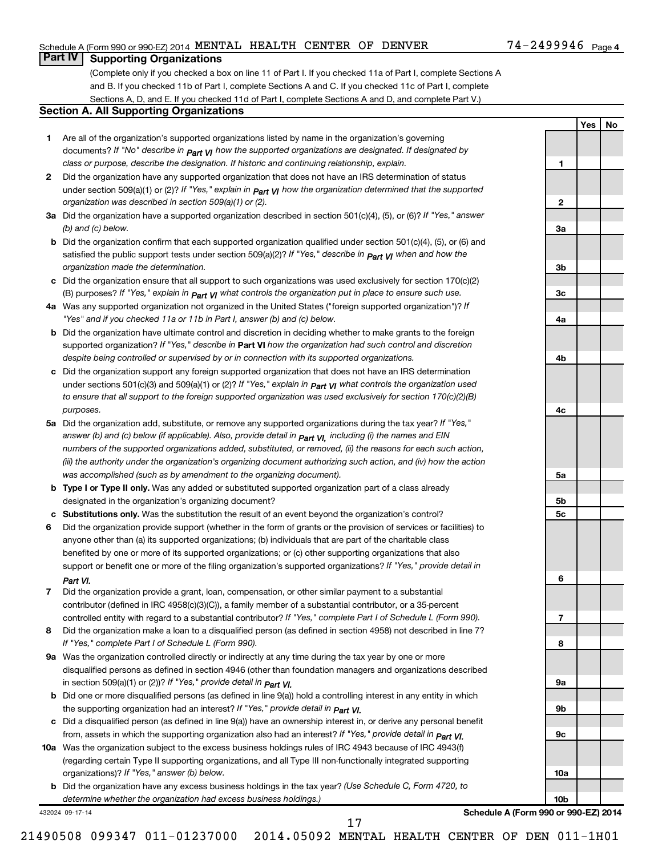# Schedule A (Form 990 or 990-EZ) 2014 MENTAL HEALTH CENTER OF DENVER  $74-2499946$  Page

# **Part IV Supporting Organizations**

(Complete only if you checked a box on line 11 of Part I. If you checked 11a of Part I, complete Sections A and B. If you checked 11b of Part I, complete Sections A and C. If you checked 11c of Part I, complete Sections A, D, and E. If you checked 11d of Part I, complete Sections A and D, and complete Part V.)

### **Section A. All Supporting Organizations**

- **1** Are all of the organization's supported organizations listed by name in the organization's governing documents? If "No" describe in  $_{\mathsf{Part}}$   $_{\mathsf{V}}$  how the supported organizations are designated. If designated by *class or purpose, describe the designation. If historic and continuing relationship, explain.*
- **2** Did the organization have any supported organization that does not have an IRS determination of status under section 509(a)(1) or (2)? If "Yes," explain in  $_{\sf Part}$   $_{\sf VI}$  how the organization determined that the supported *organization was described in section 509(a)(1) or (2).*
- **3a** Did the organization have a supported organization described in section 501(c)(4), (5), or (6)? If "Yes," answer *(b) and (c) below.*
- **b** Did the organization confirm that each supported organization qualified under section 501(c)(4), (5), or (6) and satisfied the public support tests under section 509(a)(2)? If "Yes," describe in  $_{\rm Part}$   $_{\rm VI}$  when and how the *organization made the determination.*
- **c** Did the organization ensure that all support to such organizations was used exclusively for section 170(c)(2) (B) purposes? If "Yes," explain in  $_{\mathsf{Part}}$   $_{\mathsf{V}}$  what controls the organization put in place to ensure such use.
- **4 a** *If* Was any supported organization not organized in the United States ("foreign supported organization")? *"Yes" and if you checked 11a or 11b in Part I, answer (b) and (c) below.*
- **b** Did the organization have ultimate control and discretion in deciding whether to make grants to the foreign supported organization? If "Yes," describe in Part VI how the organization had such control and discretion *despite being controlled or supervised by or in connection with its supported organizations.*
- **c** Did the organization support any foreign supported organization that does not have an IRS determination under sections 501(c)(3) and 509(a)(1) or (2)? If "Yes," ex*plain in*  $_{\sf Part}$  *v*J what controls the organization used *to ensure that all support to the foreign supported organization was used exclusively for section 170(c)(2)(B) purposes.*
- **5a** Did the organization add, substitute, or remove any supported organizations during the tax year? If "Yes," answer (b) and (c) below (if applicable). Also, provide detail in  $_{\mathsf{Part}}$   $_{\mathsf{V{\mathsf{I}}}}$ , including (i) the names and EIN *numbers of the supported organizations added, substituted, or removed, (ii) the reasons for each such action, (iii) the authority under the organization's organizing document authorizing such action, and (iv) how the action was accomplished (such as by amendment to the organizing document).*
- **b** Type I or Type II only. Was any added or substituted supported organization part of a class already designated in the organization's organizing document?
- **c Substitutions only.**  Was the substitution the result of an event beyond the organization's control?
- **6** Did the organization provide support (whether in the form of grants or the provision of services or facilities) to support or benefit one or more of the filing organization's supported organizations? If "Yes," provide detail in anyone other than (a) its supported organizations; (b) individuals that are part of the charitable class benefited by one or more of its supported organizations; or (c) other supporting organizations that also *Part VI.*
- **7** Did the organization provide a grant, loan, compensation, or other similar payment to a substantial controlled entity with regard to a substantial contributor? If "Yes," complete Part I of Schedule L (Form 990). contributor (defined in IRC 4958(c)(3)(C)), a family member of a substantial contributor, or a 35-percent
- **8** Did the organization make a loan to a disqualified person (as defined in section 4958) not described in line 7? *If "Yes," complete Part I of Schedule L (Form 990).*
- **9 a** Was the organization controlled directly or indirectly at any time during the tax year by one or more *If "Yes," provide detail in*  in section 509(a)(1) or (2))? *Part VI.* disqualified persons as defined in section 4946 (other than foundation managers and organizations described
- **b** Did one or more disqualified persons (as defined in line 9(a)) hold a controlling interest in any entity in which  *If "Yes," provide detail in*  the supporting organization had an interest? *Part VI.*
- **c** Did a disqualified person (as defined in line 9(a)) have an ownership interest in, or derive any personal benefit from, assets in which the supporting organization also had an interest? If "Yes," *provide detail in Part VI.*
- **10 a** Was the organization subject to the excess business holdings rules of IRC 4943 because of IRC 4943(f)  *If "Yes," answer (b) below.* organizations)? (regarding certain Type II supporting organizations, and all Type III non-functionally integrated supporting
	- **b** Did the organization have any excess business holdings in the tax year? (Use Schedule C, Form 4720, to *determine whether the organization had excess business holdings.)*

432024 09-17-14

**7**

**Schedule A (Form 990 or 990-EZ) 2014**

**1**

**2**

**3a**

**3b**

**3c**

**4a**

**4b**

**4c**

**5a**

**5b 5c**

**6**

**8**

**9a**

**9b**

**9c**

**10a**

**10b**

**Yes No**

21490508 099347 011-01237000 2014.05092 MENTAL HEALTH CENTER OF DEN 011-1H01

17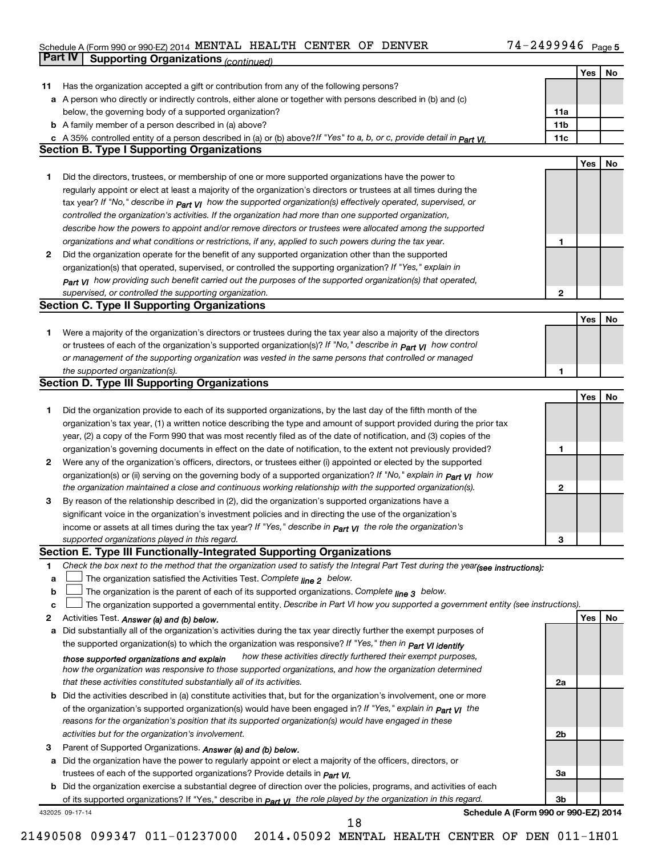#### Schedule A (Form 990 or 990-EZ) 2014 MENTAL HEALTH CENTER OF DENVER  $14-2499994$  Page MENTAL HEALTH CENTER OF DENVER 74-2499946

|    | Part IV         | <b>Supporting Organizations (continued)</b>                                                                                      |                 |            |    |
|----|-----------------|----------------------------------------------------------------------------------------------------------------------------------|-----------------|------------|----|
|    |                 |                                                                                                                                  |                 | Yes        | No |
| 11 |                 | Has the organization accepted a gift or contribution from any of the following persons?                                          |                 |            |    |
|    |                 | a A person who directly or indirectly controls, either alone or together with persons described in (b) and (c)                   |                 |            |    |
|    |                 | below, the governing body of a supported organization?                                                                           | 11a             |            |    |
|    |                 | <b>b</b> A family member of a person described in (a) above?                                                                     | 11 <sub>b</sub> |            |    |
|    |                 | c A 35% controlled entity of a person described in (a) or (b) above?If "Yes" to a, b, or c, provide detail in Part VI.           | 11c             |            |    |
|    |                 | <b>Section B. Type I Supporting Organizations</b>                                                                                |                 |            |    |
|    |                 |                                                                                                                                  |                 | Yes        | No |
| 1  |                 | Did the directors, trustees, or membership of one or more supported organizations have the power to                              |                 |            |    |
|    |                 | regularly appoint or elect at least a majority of the organization's directors or trustees at all times during the               |                 |            |    |
|    |                 | tax year? If "No," describe in $_{Part}$ $_{VI}$ how the supported organization(s) effectively operated, supervised, or          |                 |            |    |
|    |                 |                                                                                                                                  |                 |            |    |
|    |                 | controlled the organization's activities. If the organization had more than one supported organization,                          |                 |            |    |
|    |                 | describe how the powers to appoint and/or remove directors or trustees were allocated among the supported                        |                 |            |    |
|    |                 | organizations and what conditions or restrictions, if any, applied to such powers during the tax year.                           | 1               |            |    |
| 2  |                 | Did the organization operate for the benefit of any supported organization other than the supported                              |                 |            |    |
|    |                 | organization(s) that operated, supervised, or controlled the supporting organization? If "Yes," explain in                       |                 |            |    |
|    |                 | $_{Part}$ v <sub>I</sub> how providing such benefit carried out the purposes of the supported organization(s) that operated,     |                 |            |    |
|    |                 | supervised, or controlled the supporting organization.                                                                           | $\mathbf{2}$    |            |    |
|    |                 | <b>Section C. Type II Supporting Organizations</b>                                                                               |                 |            |    |
|    |                 |                                                                                                                                  |                 | <b>Yes</b> | No |
| 1  |                 | Were a majority of the organization's directors or trustees during the tax year also a majority of the directors                 |                 |            |    |
|    |                 | or trustees of each of the organization's supported organization(s)? If "No," describe in <b>Part VI</b> how control             |                 |            |    |
|    |                 | or management of the supporting organization was vested in the same persons that controlled or managed                           |                 |            |    |
|    |                 | the supported organization(s).                                                                                                   | 1               |            |    |
|    |                 | <b>Section D. Type III Supporting Organizations</b>                                                                              |                 |            |    |
|    |                 |                                                                                                                                  |                 | Yes        | No |
| 1  |                 | Did the organization provide to each of its supported organizations, by the last day of the fifth month of the                   |                 |            |    |
|    |                 | organization's tax year, (1) a written notice describing the type and amount of support provided during the prior tax            |                 |            |    |
|    |                 | year, (2) a copy of the Form 990 that was most recently filed as of the date of notification, and (3) copies of the              |                 |            |    |
|    |                 | organization's governing documents in effect on the date of notification, to the extent not previously provided?                 | 1               |            |    |
| 2  |                 | Were any of the organization's officers, directors, or trustees either (i) appointed or elected by the supported                 |                 |            |    |
|    |                 | organization(s) or (ii) serving on the governing body of a supported organization? If "No," explain in part VI how               |                 |            |    |
|    |                 | the organization maintained a close and continuous working relationship with the supported organization(s).                      | $\mathbf{2}$    |            |    |
| 3  |                 | By reason of the relationship described in (2), did the organization's supported organizations have a                            |                 |            |    |
|    |                 | significant voice in the organization's investment policies and in directing the use of the organization's                       |                 |            |    |
|    |                 | income or assets at all times during the tax year? If "Yes," describe in $P_{\text{art}}$ y the role the organization's          |                 |            |    |
|    |                 | supported organizations played in this regard.                                                                                   | З               |            |    |
|    |                 | Section E. Type III Functionally-Integrated Supporting Organizations                                                             |                 |            |    |
| 1  |                 | Check the box next to the method that the organization used to satisfy the Integral Part Test during the year(see instructions): |                 |            |    |
|    |                 | The organization satisfied the Activities Test. Complete line 2 below.                                                           |                 |            |    |
| a  |                 |                                                                                                                                  |                 |            |    |
| b  |                 | The organization is the parent of each of its supported organizations. Complete $_{\text{line 3}}$ below.                        |                 |            |    |
| c  |                 | The organization supported a governmental entity. Describe in Part VI how you supported a government entity (see instructions).  |                 |            |    |
| 2  |                 | Activities Test. Answer (a) and (b) below.                                                                                       |                 | Yes        | No |
| а  |                 | Did substantially all of the organization's activities during the tax year directly further the exempt purposes of               |                 |            |    |
|    |                 | the supported organization(s) to which the organization was responsive? If "Yes," then in Part VI identify                       |                 |            |    |
|    |                 | how these activities directly furthered their exempt purposes,<br>those supported organizations and explain                      |                 |            |    |
|    |                 | how the organization was responsive to those supported organizations, and how the organization determined                        |                 |            |    |
|    |                 | that these activities constituted substantially all of its activities.                                                           | 2a              |            |    |
| b  |                 | Did the activities described in (a) constitute activities that, but for the organization's involvement, one or more              |                 |            |    |
|    |                 | of the organization's supported organization(s) would have been engaged in? If "Yes," explain in <b>Part VI</b> the              |                 |            |    |
|    |                 | reasons for the organization's position that its supported organization(s) would have engaged in these                           |                 |            |    |
|    |                 | activities but for the organization's involvement.                                                                               | 2 <sub>b</sub>  |            |    |
| З  |                 | Parent of Supported Organizations. Answer (a) and (b) below.                                                                     |                 |            |    |
| а  |                 | Did the organization have the power to regularly appoint or elect a majority of the officers, directors, or                      |                 |            |    |
|    |                 | trustees of each of the supported organizations? Provide details in <i>Part VI.</i>                                              | За              |            |    |
|    |                 | <b>b</b> Did the organization exercise a substantial degree of direction over the policies, programs, and activities of each     |                 |            |    |
|    |                 | of its supported organizations? If "Yes," describe in <i>Part VI</i> the role played by the organization in this regard.         | 3b              |            |    |
|    | 432025 09-17-14 | Schedule A (Form 990 or 990-EZ) 2014                                                                                             |                 |            |    |
|    |                 | 18                                                                                                                               |                 |            |    |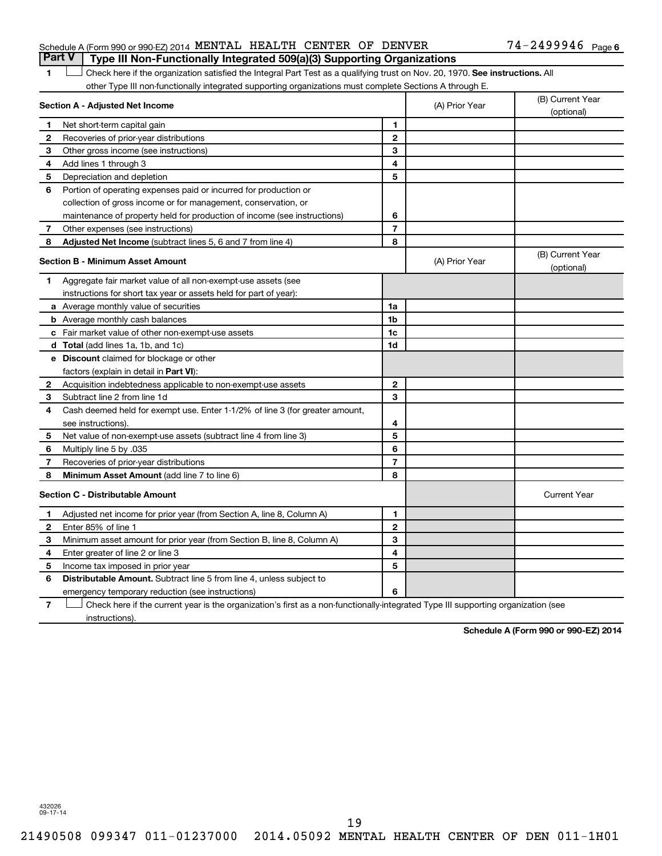# Schedule A (Form 990 or 990-EZ) 2014 MENTAL HEALTH CENTER OF DENVER  $74-2499946$  Page **Part V Type III Non-Functionally Integrated 509(a)(3) Supporting Organizations**

1 **Letter on Reck here if the organization satisfied the Integral Part Test as a qualifying trust on Nov. 20, 1970. See instructions. All** other Type III non-functionally integrated supporting organizations must complete Sections A through E.

|    | Section A - Adjusted Net Income                                              |                | (A) Prior Year | (B) Current Year<br>(optional) |
|----|------------------------------------------------------------------------------|----------------|----------------|--------------------------------|
| 1  | Net short-term capital gain                                                  | 1              |                |                                |
| 2  | Recoveries of prior-year distributions                                       | $\mathbf{2}$   |                |                                |
| 3  | Other gross income (see instructions)                                        | 3              |                |                                |
| 4  | Add lines 1 through 3                                                        | 4              |                |                                |
| 5  | Depreciation and depletion                                                   | 5              |                |                                |
| 6  | Portion of operating expenses paid or incurred for production or             |                |                |                                |
|    | collection of gross income or for management, conservation, or               |                |                |                                |
|    | maintenance of property held for production of income (see instructions)     | 6              |                |                                |
| 7  | Other expenses (see instructions)                                            | $\overline{7}$ |                |                                |
| 8  | Adjusted Net Income (subtract lines 5, 6 and 7 from line 4)                  | 8              |                |                                |
|    | <b>Section B - Minimum Asset Amount</b>                                      |                | (A) Prior Year | (B) Current Year<br>(optional) |
| 1. | Aggregate fair market value of all non-exempt-use assets (see                |                |                |                                |
|    | instructions for short tax year or assets held for part of year):            |                |                |                                |
|    | a Average monthly value of securities                                        | 1a             |                |                                |
|    | <b>b</b> Average monthly cash balances                                       | 1 <sub>b</sub> |                |                                |
|    | c Fair market value of other non-exempt-use assets                           | 1c             |                |                                |
|    | d Total (add lines 1a, 1b, and 1c)                                           | 1d             |                |                                |
|    | e Discount claimed for blockage or other                                     |                |                |                                |
|    | factors (explain in detail in <b>Part VI</b> ):                              |                |                |                                |
| 2  | Acquisition indebtedness applicable to non-exempt-use assets                 | $\mathbf{2}$   |                |                                |
| 3  | Subtract line 2 from line 1d                                                 | 3              |                |                                |
| 4  | Cash deemed held for exempt use. Enter 1-1/2% of line 3 (for greater amount, |                |                |                                |
|    | see instructions).                                                           | 4              |                |                                |
| 5  | Net value of non-exempt-use assets (subtract line 4 from line 3)             | 5              |                |                                |
| 6  | Multiply line 5 by .035                                                      | 6              |                |                                |
| 7  | Recoveries of prior-year distributions                                       | $\overline{7}$ |                |                                |
| 8  | Minimum Asset Amount (add line 7 to line 6)                                  | 8              |                |                                |
|    | <b>Section C - Distributable Amount</b>                                      |                |                | <b>Current Year</b>            |
| 1  | Adjusted net income for prior year (from Section A, line 8, Column A)        | 1              |                |                                |
| 2  | Enter 85% of line 1                                                          | $\mathbf{2}$   |                |                                |
| 3  | Minimum asset amount for prior year (from Section B, line 8, Column A)       | 3              |                |                                |
| 4  | Enter greater of line 2 or line 3                                            | 4              |                |                                |
| 5  | Income tax imposed in prior year                                             | 5              |                |                                |
| 6  | Distributable Amount. Subtract line 5 from line 4, unless subject to         |                |                |                                |
|    | emergency temporary reduction (see instructions)                             | 6              |                |                                |
|    |                                                                              |                |                |                                |

**7** Check here if the current year is the organization's first as a non-functionally-integrated Type III supporting organization (see † instructions).

**Schedule A (Form 990 or 990-EZ) 2014**

432026 09-17-14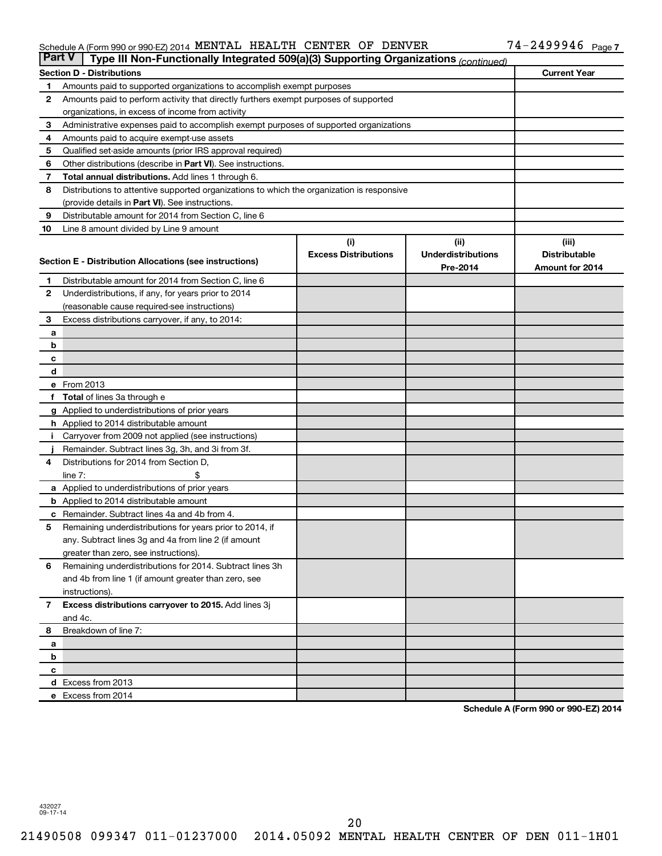#### Schedule A (Form 990 or 990-EZ) 2014 MENTAL HEALTH CENTER OF DENVER  $14-2499994$  Page MENTAL HEALTH CENTER OF DENVER 74-2499946

|              | <b>Part V</b><br>Type III Non-Functionally Integrated 509(a)(3) Supporting Organizations (continued) |                             |                           |                      |  |  |  |
|--------------|------------------------------------------------------------------------------------------------------|-----------------------------|---------------------------|----------------------|--|--|--|
|              | <b>Current Year</b><br><b>Section D - Distributions</b>                                              |                             |                           |                      |  |  |  |
| 1            | Amounts paid to supported organizations to accomplish exempt purposes                                |                             |                           |                      |  |  |  |
| 2            | Amounts paid to perform activity that directly furthers exempt purposes of supported                 |                             |                           |                      |  |  |  |
|              | organizations, in excess of income from activity                                                     |                             |                           |                      |  |  |  |
| 3            | Administrative expenses paid to accomplish exempt purposes of supported organizations                |                             |                           |                      |  |  |  |
| 4            | Amounts paid to acquire exempt-use assets                                                            |                             |                           |                      |  |  |  |
| 5            | Qualified set-aside amounts (prior IRS approval required)                                            |                             |                           |                      |  |  |  |
| 6            | Other distributions (describe in Part VI). See instructions.                                         |                             |                           |                      |  |  |  |
| 7            | Total annual distributions. Add lines 1 through 6.                                                   |                             |                           |                      |  |  |  |
| 8            | Distributions to attentive supported organizations to which the organization is responsive           |                             |                           |                      |  |  |  |
|              | (provide details in Part VI). See instructions.                                                      |                             |                           |                      |  |  |  |
| 9            | Distributable amount for 2014 from Section C, line 6                                                 |                             |                           |                      |  |  |  |
| 10           | Line 8 amount divided by Line 9 amount                                                               |                             |                           |                      |  |  |  |
|              |                                                                                                      | (i)                         | (ii)                      | (iii)                |  |  |  |
|              | Section E - Distribution Allocations (see instructions)                                              | <b>Excess Distributions</b> | <b>Underdistributions</b> | <b>Distributable</b> |  |  |  |
|              |                                                                                                      |                             | Pre-2014                  | Amount for 2014      |  |  |  |
| 1            | Distributable amount for 2014 from Section C, line 6                                                 |                             |                           |                      |  |  |  |
| $\mathbf{2}$ | Underdistributions, if any, for years prior to 2014                                                  |                             |                           |                      |  |  |  |
|              | (reasonable cause required-see instructions)                                                         |                             |                           |                      |  |  |  |
| 3            | Excess distributions carryover, if any, to 2014:                                                     |                             |                           |                      |  |  |  |
| a            |                                                                                                      |                             |                           |                      |  |  |  |
| b            |                                                                                                      |                             |                           |                      |  |  |  |
| с            |                                                                                                      |                             |                           |                      |  |  |  |
| d            |                                                                                                      |                             |                           |                      |  |  |  |
|              | e From 2013                                                                                          |                             |                           |                      |  |  |  |
|              | <b>Total</b> of lines 3a through e                                                                   |                             |                           |                      |  |  |  |
|              | g Applied to underdistributions of prior years                                                       |                             |                           |                      |  |  |  |
|              | <b>h</b> Applied to 2014 distributable amount<br>Carryover from 2009 not applied (see instructions)  |                             |                           |                      |  |  |  |
|              | Remainder. Subtract lines 3g, 3h, and 3i from 3f.                                                    |                             |                           |                      |  |  |  |
| 4            | Distributions for 2014 from Section D,                                                               |                             |                           |                      |  |  |  |
|              | $line 7$ :                                                                                           |                             |                           |                      |  |  |  |
|              | a Applied to underdistributions of prior years                                                       |                             |                           |                      |  |  |  |
|              | <b>b</b> Applied to 2014 distributable amount                                                        |                             |                           |                      |  |  |  |
| с            | Remainder. Subtract lines 4a and 4b from 4.                                                          |                             |                           |                      |  |  |  |
| 5            | Remaining underdistributions for years prior to 2014, if                                             |                             |                           |                      |  |  |  |
|              | any. Subtract lines 3g and 4a from line 2 (if amount                                                 |                             |                           |                      |  |  |  |
|              | greater than zero, see instructions).                                                                |                             |                           |                      |  |  |  |
| 6            | Remaining underdistributions for 2014. Subtract lines 3h                                             |                             |                           |                      |  |  |  |
|              | and 4b from line 1 (if amount greater than zero, see                                                 |                             |                           |                      |  |  |  |
|              | instructions).                                                                                       |                             |                           |                      |  |  |  |
| $\mathbf{7}$ | Excess distributions carryover to 2015. Add lines 3j                                                 |                             |                           |                      |  |  |  |
|              | and 4c.                                                                                              |                             |                           |                      |  |  |  |
| 8            | Breakdown of line 7:                                                                                 |                             |                           |                      |  |  |  |
| a            |                                                                                                      |                             |                           |                      |  |  |  |
| b            |                                                                                                      |                             |                           |                      |  |  |  |
| с            |                                                                                                      |                             |                           |                      |  |  |  |
|              | d Excess from 2013                                                                                   |                             |                           |                      |  |  |  |
|              | e Excess from 2014                                                                                   |                             |                           |                      |  |  |  |

**Schedule A (Form 990 or 990-EZ) 2014**

432027 09-17-14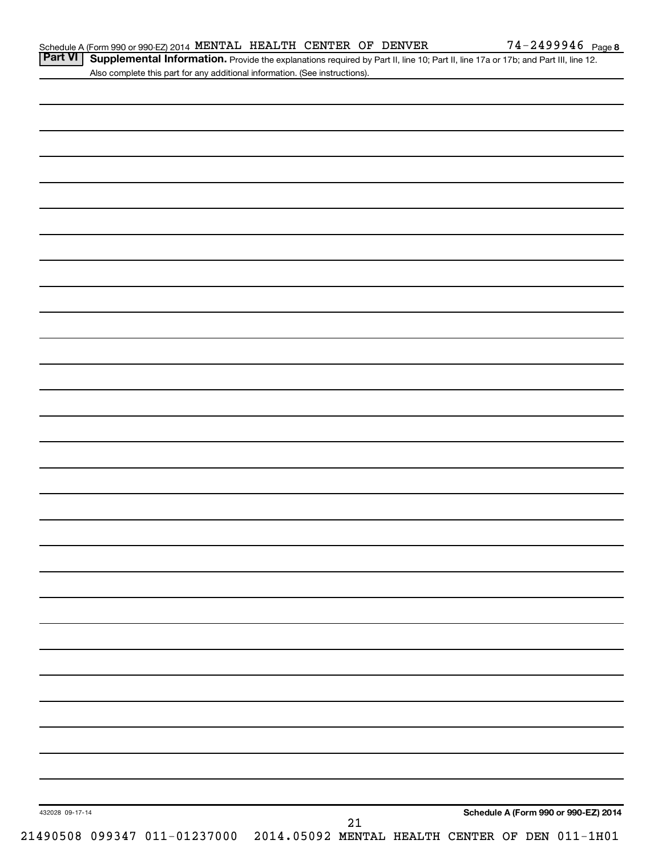Part VI | Supplemental Information. Provide the explanations required by Part II, line 10; Part II, line 17a or 17b; and Part III, line 12. Also complete this part for any additional information. (See instructions).

| 432028 09-17-14 |  |  | $21\,$ |  | Schedule A (Form 990 or 990-EZ) 2014 |  |
|-----------------|--|--|--------|--|--------------------------------------|--|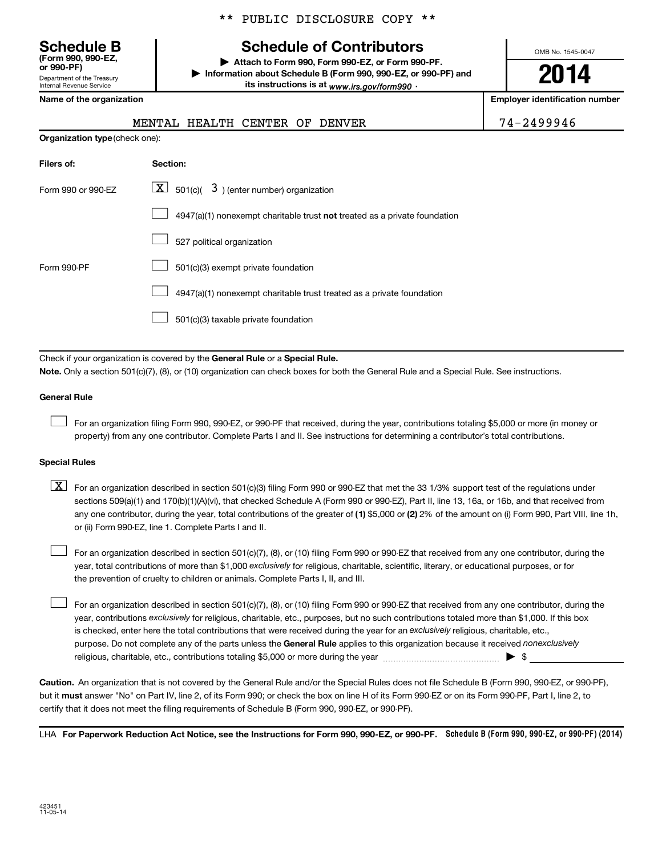Department of the Treasury Internal Revenue Service **(Form 990, 990-EZ,**

|  |  | ** PUBLIC DISCLOSURE COPY ** |  |  |
|--|--|------------------------------|--|--|
|--|--|------------------------------|--|--|

# **Schedule B Schedule of Contributors**

**or 990-PF) | Attach to Form 990, Form 990-EZ, or Form 990-PF. | Information about Schedule B (Form 990, 990-EZ, or 990-PF) and** its instructions is at <sub>www.irs.gov/form990  $\cdot$ </sub>

OMB No. 1545-0047

**2014**

**Name of the organization Employer identification number**

| 1 Q Q Q <i>1</i> |
|------------------|
|------------------|

|                                       | HEALTH CENTER OF<br>MENTAL<br><b>DENVER</b>                                 | 74-2499946 |
|---------------------------------------|-----------------------------------------------------------------------------|------------|
| <b>Organization type (check one):</b> |                                                                             |            |
| Filers of:                            | Section:                                                                    |            |
| Form 990 or 990-EZ                    | $\underline{\mathbf{X}}$ 501(c)( $3$ ) (enter number) organization          |            |
|                                       | $4947(a)(1)$ nonexempt charitable trust not treated as a private foundation |            |
|                                       | 527 political organization                                                  |            |
| Form 990-PF                           | 501(c)(3) exempt private foundation                                         |            |
|                                       | 4947(a)(1) nonexempt charitable trust treated as a private foundation       |            |
|                                       | 501(c)(3) taxable private foundation                                        |            |
|                                       |                                                                             |            |

Check if your organization is covered by the General Rule or a Special Rule. **Note.**  Only a section 501(c)(7), (8), or (10) organization can check boxes for both the General Rule and a Special Rule. See instructions.

#### **General Rule**

 $\Box$ 

For an organization filing Form 990, 990-EZ, or 990-PF that received, during the year, contributions totaling \$5,000 or more (in money or property) from any one contributor. Complete Parts I and II. See instructions for determining a contributor's total contributions.

### **Special Rules**

any one contributor, during the year, total contributions of the greater of **(1)** \$5,000 or **(2)** 2% of the amount on (i) Form 990, Part VIII, line 1h,  $\boxed{\text{X}}$  For an organization described in section 501(c)(3) filing Form 990 or 990-EZ that met the 33 1/3% support test of the regulations under sections 509(a)(1) and 170(b)(1)(A)(vi), that checked Schedule A (Form 990 or 990-EZ), Part II, line 13, 16a, or 16b, and that received from or (ii) Form 990-EZ, line 1. Complete Parts I and II.

year, total contributions of more than \$1,000 *exclusively* for religious, charitable, scientific, literary, or educational purposes, or for For an organization described in section 501(c)(7), (8), or (10) filing Form 990 or 990-EZ that received from any one contributor, during the the prevention of cruelty to children or animals. Complete Parts I, II, and III.  $\Box$ 

purpose. Do not complete any of the parts unless the General Rule applies to this organization because it received nonexclusively year, contributions exclusively for religious, charitable, etc., purposes, but no such contributions totaled more than \$1,000. If this box is checked, enter here the total contributions that were received during the year for an exclusively religious, charitable, etc., For an organization described in section 501(c)(7), (8), or (10) filing Form 990 or 990-EZ that received from any one contributor, during the religious, charitable, etc., contributions totaling \$5,000 or more during the year  $\ldots$  $\ldots$  $\ldots$  $\ldots$  $\ldots$  $\ldots$  $\Box$ 

**Caution.** An organization that is not covered by the General Rule and/or the Special Rules does not file Schedule B (Form 990, 990-EZ, or 990-PF),  **must** but it answer "No" on Part IV, line 2, of its Form 990; or check the box on line H of its Form 990-EZ or on its Form 990-PF, Part I, line 2, to certify that it does not meet the filing requirements of Schedule B (Form 990, 990-EZ, or 990-PF).

LHA For Paperwork Reduction Act Notice, see the Instructions for Form 990, 990-EZ, or 990-PF. Schedule B (Form 990, 990-EZ, or 990-PF) (2014)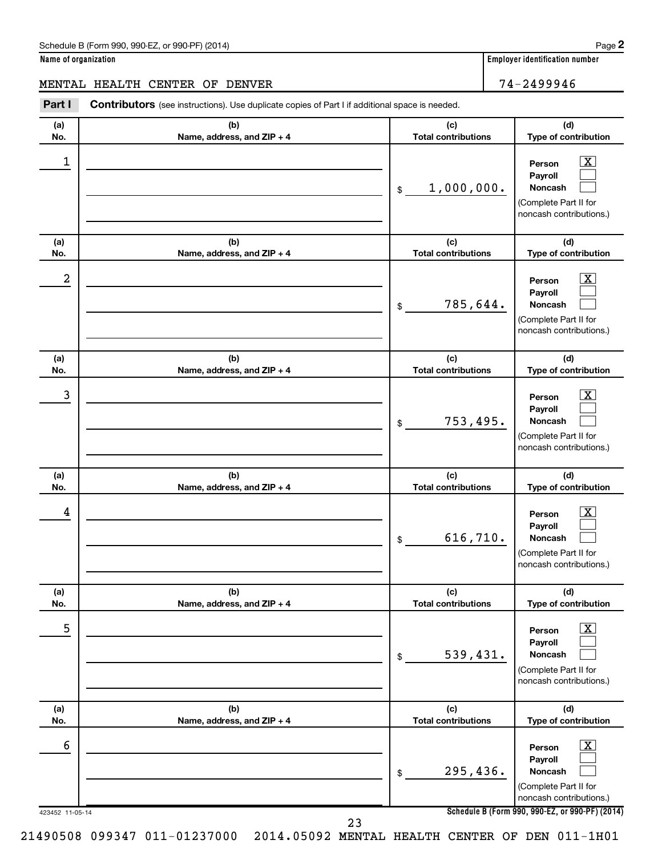**Name of organization Employer identification number**

# MENTAL HEALTH CENTER OF DENVER 74-2499946

423452 11-05-14 **Schedule B (Form 990, 990-EZ, or 990-PF) (2014) (a) No. (b) Name, address, and ZIP + 4 (c) Total contributions (d) Type of contribution Person Payroll Noncash (a) No. (b) Name, address, and ZIP + 4 (c) Total contributions (d) Type of contribution Person Payroll Noncash (a) No. (b) Name, address, and ZIP + 4 (c) Total contributions (d) Type of contribution Person Payroll Noncash (a) No. (b) Name, address, and ZIP + 4 (c) Total contributions (d) Type of contribution Person Payroll Noncash (a) No. (b) Name, address, and ZIP + 4 (c) Total contributions (d) Type of contribution Person Payroll Noncash (a) No. (b) Name, address, and ZIP + 4 (c) Total contributions (d) Type of contribution Person Payroll Noncash Part I** Contributors (see instructions). Use duplicate copies of Part I if additional space is needed. \$ (Complete Part II for noncash contributions.) \$ (Complete Part II for noncash contributions.) \$ (Complete Part II for noncash contributions.) \$ (Complete Part II for noncash contributions.) \$ (Complete Part II for noncash contributions.) \$ (Complete Part II for noncash contributions.)  $\lfloor x \rfloor$  $\Box$  $\Box$  $\overline{\mathbf{X}}$  $\Box$  $\Box$  $\boxed{\textbf{X}}$  $\Box$  $\Box$  $\boxed{\textbf{X}}$  $\Box$  $\Box$  $\boxed{\text{X}}$  $\Box$  $\Box$  $\boxed{\text{X}}$  $\Box$  $\Box$  $\begin{array}{|c|c|c|c|c|}\hline \ \text{1} & \text{Person} & \text{X} \ \hline \end{array}$ 1,000,000.  $2$  Person  $\overline{\text{X}}$ 785,644.  $\begin{array}{|c|c|c|c|c|c|}\hline \text{3} & \text{Person} & \text{X} \ \hline \end{array}$ 753,495.  $\begin{array}{|c|c|c|c|c|}\hline \text{4} & \text{Person} & \text{\textbf{X}}\ \hline \end{array}$ 616,710. 5 X 539,431.  $\overline{6}$  Person  $\overline{X}$ 295,436. 23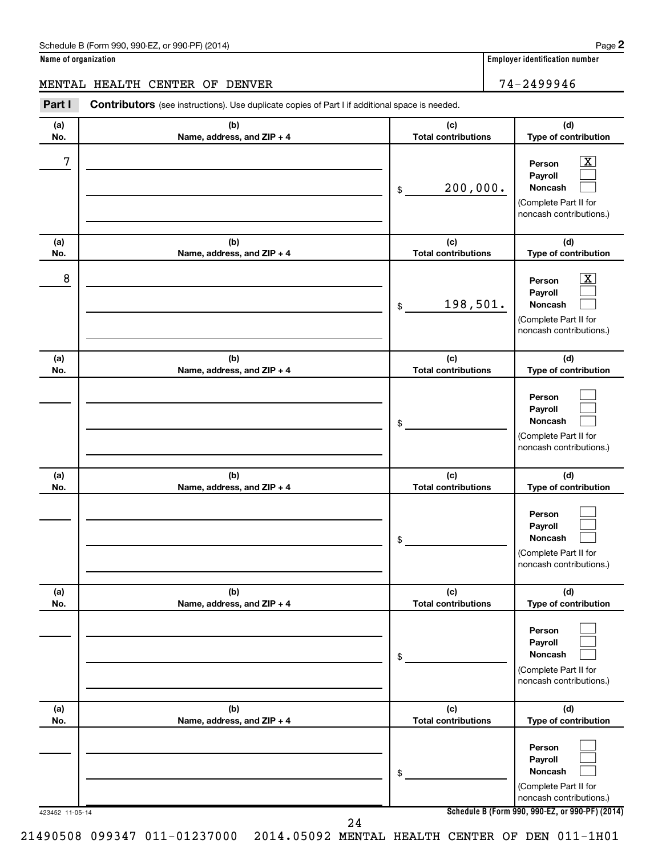| Schedule B (Form 990, 990-EZ, or 990-PF) (2014)<br>$\sqrt{2}$ and $\sqrt{2}$ and $\sqrt{2}$ and $\sqrt{2}$ and $\sqrt{2}$ and $\sqrt{2}$ and $\sqrt{2}$ and $\sqrt{2}$ and $\sqrt{2}$ and $\sqrt{2}$ and $\sqrt{2}$ and $\sqrt{2}$ and $\sqrt{2}$ and $\sqrt{2}$ and $\sqrt{2}$ and $\sqrt{2}$ and $\sqrt{2}$ and $\sqrt{2}$ and $\sqrt{2$ | Page |
|--------------------------------------------------------------------------------------------------------------------------------------------------------------------------------------------------------------------------------------------------------------------------------------------------------------------------------------------|------|
|--------------------------------------------------------------------------------------------------------------------------------------------------------------------------------------------------------------------------------------------------------------------------------------------------------------------------------------------|------|

|  | Name of organization |
|--|----------------------|
|  |                      |

# MENTAL HEALTH CENTER OF DENVER **1999** 14-2499946

| Part I          | <b>Contributors</b> (see instructions). Use duplicate copies of Part I if additional space is needed. |                                   |                                                                                                             |
|-----------------|-------------------------------------------------------------------------------------------------------|-----------------------------------|-------------------------------------------------------------------------------------------------------------|
| (a)<br>No.      | (b)<br>Name, address, and ZIP + 4                                                                     | (c)<br><b>Total contributions</b> | (d)<br>Type of contribution                                                                                 |
| 7               |                                                                                                       | 200,000.<br>\$                    | $\overline{\mathbf{X}}$<br>Person<br>Payroll<br>Noncash<br>(Complete Part II for<br>noncash contributions.) |
| (a)<br>No.      | (b)<br>Name, address, and ZIP + 4                                                                     | (c)<br><b>Total contributions</b> | (d)<br>Type of contribution                                                                                 |
| 8               |                                                                                                       | 198,501.<br>\$                    | $\overline{\text{X}}$<br>Person<br>Payroll<br>Noncash<br>(Complete Part II for<br>noncash contributions.)   |
| (a)<br>No.      | (b)<br>Name, address, and ZIP + 4                                                                     | (c)<br><b>Total contributions</b> | (d)<br>Type of contribution                                                                                 |
|                 |                                                                                                       | \$                                | Person<br>Payroll<br>Noncash<br>(Complete Part II for<br>noncash contributions.)                            |
| (a)<br>No.      | (b)<br>Name, address, and ZIP + 4                                                                     | (c)<br><b>Total contributions</b> | (d)<br>Type of contribution                                                                                 |
|                 |                                                                                                       | \$                                | Person<br>Payroll<br>Noncash<br>(Complete Part II for<br>noncash contributions.)                            |
| (a)<br>No.      | (b)<br>Name, address, and ZIP + 4                                                                     | (c)<br><b>Total contributions</b> | (d)<br>Type of contribution                                                                                 |
|                 |                                                                                                       | \$                                | Person<br>Payroll<br>Noncash<br>(Complete Part II for<br>noncash contributions.)                            |
| (a)<br>No.      | (b)<br>Name, address, and ZIP + 4                                                                     | (c)<br><b>Total contributions</b> | (d)<br>Type of contribution                                                                                 |
|                 |                                                                                                       | \$                                | Person<br>Payroll<br>Noncash<br>(Complete Part II for                                                       |
| 423452 11-05-14 | 24                                                                                                    |                                   | noncash contributions.)<br>Schedule B (Form 990, 990-EZ, or 990-PF) (2014)                                  |

21490508 099347 011-01237000 2014.05092 MENTAL HEALTH CENTER OF DEN 011-1H01

**2**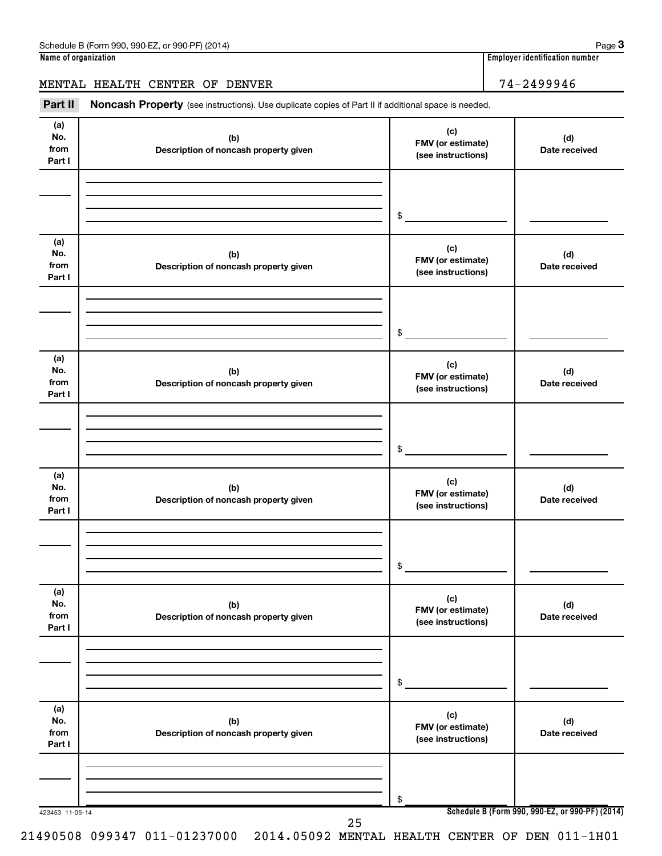# MENTAL HEALTH CENTER OF DENVER 74-2499946

Part II Noncash Property (see instructions). Use duplicate copies of Part II if additional space is needed.

| (a)<br>No.<br>from<br>Part I | (b)<br>Description of noncash property given | (c)<br>FMV (or estimate)<br>(see instructions) | (d)<br>Date received                            |
|------------------------------|----------------------------------------------|------------------------------------------------|-------------------------------------------------|
|                              |                                              |                                                |                                                 |
|                              |                                              | $\,$                                           |                                                 |
| (a)<br>No.<br>from<br>Part I | (b)<br>Description of noncash property given | (c)<br>FMV (or estimate)<br>(see instructions) | (d)<br>Date received                            |
|                              |                                              |                                                |                                                 |
|                              |                                              | \$                                             |                                                 |
| (a)<br>No.<br>from<br>Part I | (b)<br>Description of noncash property given | (c)<br>FMV (or estimate)<br>(see instructions) | (d)<br>Date received                            |
|                              |                                              |                                                |                                                 |
|                              |                                              | \$                                             |                                                 |
| (a)<br>No.<br>from<br>Part I | (b)<br>Description of noncash property given | (c)<br>FMV (or estimate)<br>(see instructions) | (d)<br>Date received                            |
|                              |                                              |                                                |                                                 |
|                              |                                              | $\$$                                           |                                                 |
| (a)<br>No.<br>from<br>Part I | (b)<br>Description of noncash property given | (c)<br>FMV (or estimate)<br>(see instructions) | (d)<br>Date received                            |
|                              |                                              |                                                |                                                 |
|                              |                                              | \$                                             |                                                 |
| (a)<br>No.<br>from<br>Part I | (b)<br>Description of noncash property given | (c)<br>FMV (or estimate)<br>(see instructions) | (d)<br>Date received                            |
|                              |                                              |                                                |                                                 |
| 423453 11-05-14              |                                              | \$                                             | Schedule B (Form 990, 990-EZ, or 990-PF) (2014) |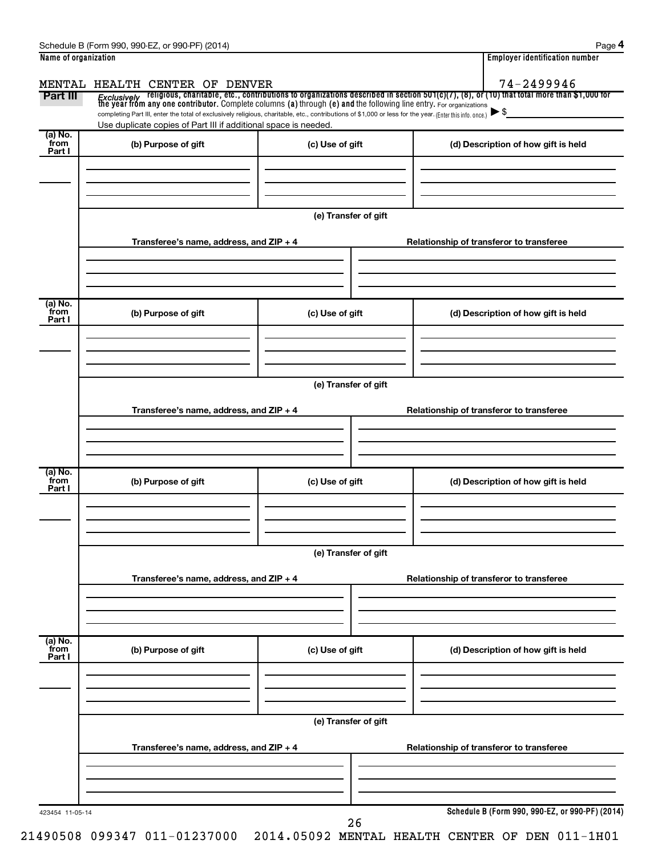| Name of organization        |                                                                                                                                                                                                                                         |                      |  | <b>Employer identification number</b>           |  |  |  |  |  |
|-----------------------------|-----------------------------------------------------------------------------------------------------------------------------------------------------------------------------------------------------------------------------------------|----------------------|--|-------------------------------------------------|--|--|--|--|--|
|                             | MENTAL HEALTH CENTER OF DENVER                                                                                                                                                                                                          |                      |  | 74-2499946                                      |  |  |  |  |  |
| Part III                    | <i>Exclusively</i> religious, charitable, etc., contributions to organizations described in section 501(c)(7), (8), or (10) that total more than \$1,000 for<br>the year from any one contributor. Complete columns (a) through (e) and |                      |  |                                                 |  |  |  |  |  |
|                             | completing Part III, enter the total of exclusively religious, charitable, etc., contributions of \$1,000 or less for the year. (Enter this info. once.)                                                                                |                      |  | ►\$                                             |  |  |  |  |  |
| $(a)$ No.                   | Use duplicate copies of Part III if additional space is needed.                                                                                                                                                                         |                      |  |                                                 |  |  |  |  |  |
| from<br>Part I              | (b) Purpose of gift                                                                                                                                                                                                                     | (c) Use of gift      |  | (d) Description of how gift is held             |  |  |  |  |  |
|                             |                                                                                                                                                                                                                                         |                      |  |                                                 |  |  |  |  |  |
|                             |                                                                                                                                                                                                                                         |                      |  |                                                 |  |  |  |  |  |
|                             |                                                                                                                                                                                                                                         |                      |  |                                                 |  |  |  |  |  |
|                             |                                                                                                                                                                                                                                         | (e) Transfer of gift |  |                                                 |  |  |  |  |  |
|                             | Transferee's name, address, and ZIP + 4                                                                                                                                                                                                 |                      |  | Relationship of transferor to transferee        |  |  |  |  |  |
|                             |                                                                                                                                                                                                                                         |                      |  |                                                 |  |  |  |  |  |
|                             |                                                                                                                                                                                                                                         |                      |  |                                                 |  |  |  |  |  |
| (a) No.<br>from             |                                                                                                                                                                                                                                         |                      |  |                                                 |  |  |  |  |  |
| Part I                      | (b) Purpose of gift                                                                                                                                                                                                                     | (c) Use of gift      |  | (d) Description of how gift is held             |  |  |  |  |  |
|                             |                                                                                                                                                                                                                                         |                      |  |                                                 |  |  |  |  |  |
|                             |                                                                                                                                                                                                                                         |                      |  |                                                 |  |  |  |  |  |
|                             | (e) Transfer of gift                                                                                                                                                                                                                    |                      |  |                                                 |  |  |  |  |  |
|                             |                                                                                                                                                                                                                                         |                      |  |                                                 |  |  |  |  |  |
|                             | Transferee's name, address, and ZIP + 4                                                                                                                                                                                                 |                      |  | Relationship of transferor to transferee        |  |  |  |  |  |
|                             |                                                                                                                                                                                                                                         |                      |  |                                                 |  |  |  |  |  |
|                             |                                                                                                                                                                                                                                         |                      |  |                                                 |  |  |  |  |  |
| $(a)$ No.<br>from<br>Part I | (b) Purpose of gift                                                                                                                                                                                                                     | (c) Use of gift      |  | (d) Description of how gift is held             |  |  |  |  |  |
|                             |                                                                                                                                                                                                                                         |                      |  |                                                 |  |  |  |  |  |
|                             |                                                                                                                                                                                                                                         |                      |  |                                                 |  |  |  |  |  |
|                             |                                                                                                                                                                                                                                         |                      |  |                                                 |  |  |  |  |  |
|                             | (e) Transfer of gift                                                                                                                                                                                                                    |                      |  |                                                 |  |  |  |  |  |
|                             | Transferee's name, address, and ZIP + 4                                                                                                                                                                                                 |                      |  | Relationship of transferor to transferee        |  |  |  |  |  |
|                             |                                                                                                                                                                                                                                         |                      |  |                                                 |  |  |  |  |  |
|                             |                                                                                                                                                                                                                                         |                      |  |                                                 |  |  |  |  |  |
| (a) No.<br>from             |                                                                                                                                                                                                                                         |                      |  |                                                 |  |  |  |  |  |
| Part I                      | (b) Purpose of gift                                                                                                                                                                                                                     | (c) Use of gift      |  | (d) Description of how gift is held             |  |  |  |  |  |
|                             |                                                                                                                                                                                                                                         |                      |  |                                                 |  |  |  |  |  |
|                             |                                                                                                                                                                                                                                         |                      |  |                                                 |  |  |  |  |  |
|                             |                                                                                                                                                                                                                                         |                      |  |                                                 |  |  |  |  |  |
|                             |                                                                                                                                                                                                                                         | (e) Transfer of gift |  |                                                 |  |  |  |  |  |
|                             | Transferee's name, address, and ZIP + 4                                                                                                                                                                                                 |                      |  | Relationship of transferor to transferee        |  |  |  |  |  |
|                             |                                                                                                                                                                                                                                         |                      |  |                                                 |  |  |  |  |  |
|                             |                                                                                                                                                                                                                                         |                      |  |                                                 |  |  |  |  |  |
|                             |                                                                                                                                                                                                                                         |                      |  |                                                 |  |  |  |  |  |
| 423454 11-05-14             |                                                                                                                                                                                                                                         | 26                   |  | Schedule B (Form 990, 990-EZ, or 990-PF) (2014) |  |  |  |  |  |

**4**

Schedule B (Form 990, 990-EZ, or 990-PF) (2014)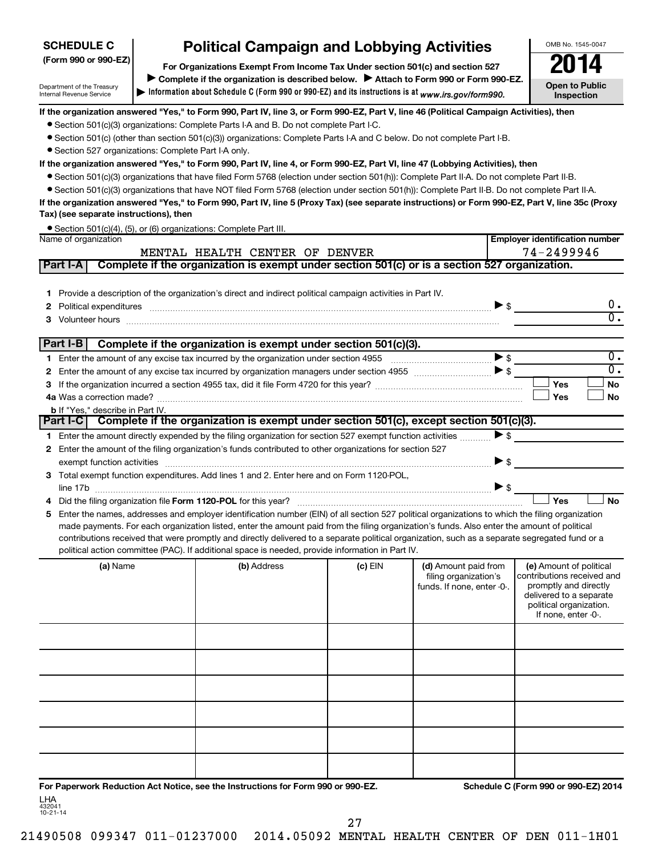# **SCHEDULE C**

Department of the Treasury Internal Revenue Service

# **Political Campaign and Lobbying Activities**<br> **Proanizations Exempt From Income Tax Under section 501(c) and section 527**

**Information about Schedule C (Form 990 or 990-EZ) and its instructions is at |**  *www.irs.gov/form990.* **(Form 990 or 990-EZ) For Organizations Exempt From Income Tax Under section 501(c) and section 527** Complete if the organization is described below. > Attach to Form 990 or Form 990-EZ.

**Open to Public Inspection**

**Employer identification number**

OMB No. 1545-0047

#### **If the organization answered "Yes," to Form 990, Part IV, line 3, or Form 990-EZ, Part V, line 46 (Political Campaign Activities), then**

- Section 501(c)(3) organizations: Complete Parts I-A and B. Do not complete Part I-C.
- Section 501(c) (other than section 501(c)(3)) organizations: Complete Parts I-A and C below. Do not complete Part I-B.
- Section 527 organizations: Complete Part I-A only.

#### **If the organization answered "Yes," to Form 990, Part IV, line 4, or Form 990-EZ, Part VI, line 47 (Lobbying Activities), then**

- Section 501(c)(3) organizations that have filed Form 5768 (election under section 501(h)): Complete Part II-A. Do not complete Part II-B.
- Section 501(c)(3) organizations that have NOT filed Form 5768 (election under section 501(h)): Complete Part II-B. Do not complete Part II-A.

#### **If the organization answered "Yes," to Form 990, Part IV, line 5 (Proxy Tax) (see separate instructions) or Form 990-EZ, Part V, line 35c (Proxy Tax) (see separate instructions), then**

|                      | • Section 501(c)(4), (5), or (6) organizations: Complete Part III. |
|----------------------|--------------------------------------------------------------------|
| Name of organization |                                                                    |

|   |          |                                         | MENTAL HEALTH CENTER OF DENVER                                                                                                                                                                                                                                                                                                                                                                                                                                                                                                                                                       |           |                                                                             | 74-2499946                                                                                                                                                  |                        |
|---|----------|-----------------------------------------|--------------------------------------------------------------------------------------------------------------------------------------------------------------------------------------------------------------------------------------------------------------------------------------------------------------------------------------------------------------------------------------------------------------------------------------------------------------------------------------------------------------------------------------------------------------------------------------|-----------|-----------------------------------------------------------------------------|-------------------------------------------------------------------------------------------------------------------------------------------------------------|------------------------|
|   | Part I-A |                                         | Complete if the organization is exempt under section 501(c) or is a section 527 organization.                                                                                                                                                                                                                                                                                                                                                                                                                                                                                        |           |                                                                             |                                                                                                                                                             |                        |
|   |          |                                         | 1 Provide a description of the organization's direct and indirect political campaign activities in Part IV.<br>Political expenditures <i>machines</i> and contract the state of the state of the state of the state of the state of the state of the state of the state of the state of the state of the state of the state of the state of the st<br>Volunteer hours with an accommodate to the contract of the contract of the contract of the contract of the contract of the contract of the contract of the contract of the contract of the contract of the contract of the con |           |                                                                             |                                                                                                                                                             | 0.<br>$\overline{0}$ . |
|   | Part I-B |                                         | Complete if the organization is exempt under section 501(c)(3).                                                                                                                                                                                                                                                                                                                                                                                                                                                                                                                      |           |                                                                             |                                                                                                                                                             |                        |
|   |          |                                         | Enter the amount of any excise tax incurred by the organization under section 4955                                                                                                                                                                                                                                                                                                                                                                                                                                                                                                   |           |                                                                             |                                                                                                                                                             | $\overline{0}$ .       |
| 2 |          |                                         |                                                                                                                                                                                                                                                                                                                                                                                                                                                                                                                                                                                      |           |                                                                             |                                                                                                                                                             | $\overline{0}$ .       |
|   |          |                                         |                                                                                                                                                                                                                                                                                                                                                                                                                                                                                                                                                                                      |           |                                                                             | Yes                                                                                                                                                         | <b>No</b>              |
|   |          |                                         |                                                                                                                                                                                                                                                                                                                                                                                                                                                                                                                                                                                      |           |                                                                             | Yes                                                                                                                                                         | <b>No</b>              |
|   |          | <b>b</b> If "Yes," describe in Part IV. | Part I-C Complete if the organization is exempt under section 501(c), except section 501(c)(3).                                                                                                                                                                                                                                                                                                                                                                                                                                                                                      |           |                                                                             |                                                                                                                                                             |                        |
|   |          |                                         |                                                                                                                                                                                                                                                                                                                                                                                                                                                                                                                                                                                      |           |                                                                             | >                                                                                                                                                           |                        |
|   |          |                                         | 1 Enter the amount directly expended by the filing organization for section 527 exempt function activities<br>Enter the amount of the filing organization's funds contributed to other organizations for section 527                                                                                                                                                                                                                                                                                                                                                                 |           |                                                                             |                                                                                                                                                             |                        |
|   |          |                                         |                                                                                                                                                                                                                                                                                                                                                                                                                                                                                                                                                                                      |           | $\triangleright$ \$                                                         |                                                                                                                                                             |                        |
|   |          |                                         | 3 Total exempt function expenditures. Add lines 1 and 2. Enter here and on Form 1120-POL,                                                                                                                                                                                                                                                                                                                                                                                                                                                                                            |           |                                                                             |                                                                                                                                                             |                        |
|   |          |                                         | line 17b $\ldots$                                                                                                                                                                                                                                                                                                                                                                                                                                                                                                                                                                    |           |                                                                             |                                                                                                                                                             |                        |
|   |          |                                         |                                                                                                                                                                                                                                                                                                                                                                                                                                                                                                                                                                                      |           |                                                                             | Yes                                                                                                                                                         | <b>No</b>              |
| 5 |          |                                         | Enter the names, addresses and employer identification number (EIN) of all section 527 political organizations to which the filing organization                                                                                                                                                                                                                                                                                                                                                                                                                                      |           |                                                                             |                                                                                                                                                             |                        |
|   |          |                                         | made payments. For each organization listed, enter the amount paid from the filing organization's funds. Also enter the amount of political                                                                                                                                                                                                                                                                                                                                                                                                                                          |           |                                                                             |                                                                                                                                                             |                        |
|   |          |                                         | contributions received that were promptly and directly delivered to a separate political organization, such as a separate segregated fund or a                                                                                                                                                                                                                                                                                                                                                                                                                                       |           |                                                                             |                                                                                                                                                             |                        |
|   |          |                                         | political action committee (PAC). If additional space is needed, provide information in Part IV.                                                                                                                                                                                                                                                                                                                                                                                                                                                                                     |           |                                                                             |                                                                                                                                                             |                        |
|   |          | (a) Name                                | (b) Address                                                                                                                                                                                                                                                                                                                                                                                                                                                                                                                                                                          | $(c)$ EIN | (d) Amount paid from<br>filing organization's<br>funds. If none, enter -0-. | (e) Amount of political<br>contributions received and<br>promptly and directly<br>delivered to a separate<br>political organization.<br>If none, enter -0-. |                        |
|   |          |                                         |                                                                                                                                                                                                                                                                                                                                                                                                                                                                                                                                                                                      |           |                                                                             |                                                                                                                                                             |                        |

LHA<br><sup>432041</sup> **For Paperwork Reduction Act Notice, see the Instructions for Form 990 or 990-EZ. Schedule C (Form 990 or 990-EZ) 2014**

10-21-14

21490508 099347 011-01237000 2014.05092 MENTAL HEALTH CENTER OF DEN 011-1H01

27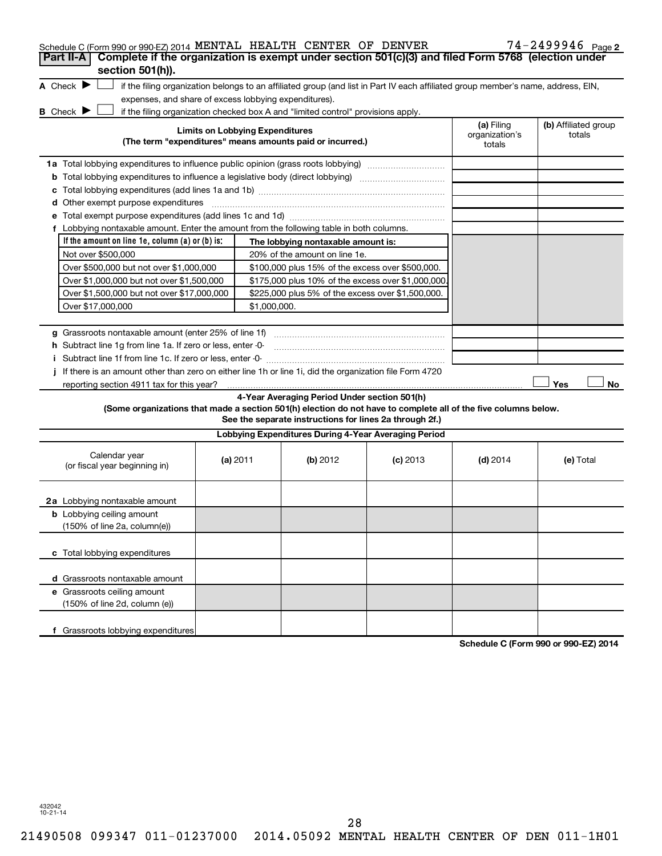| Schedule C (Form 990 or 990-EZ) 2014 MENTAL HEALTH CENTER OF DENVER<br>Complete if the organization is exempt under section 501(c)(3) and filed Form 5768 (election under<br>Part II-A |          |                                        |                                                                                  |                                                                                                                                   |                                        | $74 - 2499946$ Page 2          |
|----------------------------------------------------------------------------------------------------------------------------------------------------------------------------------------|----------|----------------------------------------|----------------------------------------------------------------------------------|-----------------------------------------------------------------------------------------------------------------------------------|----------------------------------------|--------------------------------|
| section 501(h)).                                                                                                                                                                       |          |                                        |                                                                                  |                                                                                                                                   |                                        |                                |
| A Check $\blacktriangleright$<br>expenses, and share of excess lobbying expenditures).                                                                                                 |          |                                        |                                                                                  | if the filing organization belongs to an affiliated group (and list in Part IV each affiliated group member's name, address, EIN, |                                        |                                |
| B Check $\blacktriangleright$                                                                                                                                                          |          |                                        | if the filing organization checked box A and "limited control" provisions apply. |                                                                                                                                   |                                        |                                |
|                                                                                                                                                                                        |          | <b>Limits on Lobbying Expenditures</b> | (The term "expenditures" means amounts paid or incurred.)                        |                                                                                                                                   | (a) Filing<br>organization's<br>totals | (b) Affiliated group<br>totals |
| 1a Total lobbying expenditures to influence public opinion (grass roots lobbying)                                                                                                      |          |                                        |                                                                                  |                                                                                                                                   |                                        |                                |
|                                                                                                                                                                                        |          |                                        |                                                                                  |                                                                                                                                   |                                        |                                |
| c                                                                                                                                                                                      |          |                                        |                                                                                  |                                                                                                                                   |                                        |                                |
| <b>d</b> Other exempt purpose expenditures                                                                                                                                             |          |                                        |                                                                                  |                                                                                                                                   |                                        |                                |
|                                                                                                                                                                                        |          |                                        |                                                                                  |                                                                                                                                   |                                        |                                |
| f Lobbying nontaxable amount. Enter the amount from the following table in both columns.                                                                                               |          |                                        |                                                                                  |                                                                                                                                   |                                        |                                |
| If the amount on line 1e, column (a) or (b) is:                                                                                                                                        |          |                                        | The lobbying nontaxable amount is:                                               |                                                                                                                                   |                                        |                                |
| Not over \$500,000                                                                                                                                                                     |          |                                        | 20% of the amount on line 1e.                                                    |                                                                                                                                   |                                        |                                |
| Over \$500,000 but not over \$1,000,000                                                                                                                                                |          |                                        | \$100,000 plus 15% of the excess over \$500,000.                                 |                                                                                                                                   |                                        |                                |
| Over \$1,000,000 but not over \$1,500,000                                                                                                                                              |          |                                        | \$175,000 plus 10% of the excess over \$1,000,000                                |                                                                                                                                   |                                        |                                |
| Over \$1,500,000 but not over \$17,000,000                                                                                                                                             |          |                                        | \$225,000 plus 5% of the excess over \$1,500,000.                                |                                                                                                                                   |                                        |                                |
| Over \$17,000,000                                                                                                                                                                      |          | \$1,000,000.                           |                                                                                  |                                                                                                                                   |                                        |                                |
|                                                                                                                                                                                        |          |                                        |                                                                                  |                                                                                                                                   |                                        |                                |
| h Subtract line 1q from line 1a. If zero or less, enter -0-                                                                                                                            |          |                                        |                                                                                  |                                                                                                                                   |                                        |                                |
|                                                                                                                                                                                        |          |                                        |                                                                                  |                                                                                                                                   |                                        |                                |
| If there is an amount other than zero on either line 1h or line 1i, did the organization file Form 4720                                                                                |          |                                        |                                                                                  |                                                                                                                                   |                                        |                                |
|                                                                                                                                                                                        |          |                                        |                                                                                  |                                                                                                                                   |                                        | Yes<br>No                      |
|                                                                                                                                                                                        |          |                                        | 4-Year Averaging Period Under section 501(h)                                     |                                                                                                                                   |                                        |                                |
| (Some organizations that made a section 501(h) election do not have to complete all of the five columns below.                                                                         |          |                                        | See the separate instructions for lines 2a through 2f.)                          |                                                                                                                                   |                                        |                                |
|                                                                                                                                                                                        |          |                                        | Lobbying Expenditures During 4-Year Averaging Period                             |                                                                                                                                   |                                        |                                |
| Calendar year<br>(or fiscal year beginning in)                                                                                                                                         | (a) 2011 |                                        | (b) 2012                                                                         | $(c)$ 2013                                                                                                                        | $(d)$ 2014                             | (e) Total                      |
| 2a Lobbying nontaxable amount                                                                                                                                                          |          |                                        |                                                                                  |                                                                                                                                   |                                        |                                |
| <b>b</b> Lobbying ceiling amount<br>(150% of line 2a, column(e))                                                                                                                       |          |                                        |                                                                                  |                                                                                                                                   |                                        |                                |
| c Total lobbying expenditures                                                                                                                                                          |          |                                        |                                                                                  |                                                                                                                                   |                                        |                                |
| d Grassroots nontaxable amount                                                                                                                                                         |          |                                        |                                                                                  |                                                                                                                                   |                                        |                                |
| e Grassroots ceiling amount<br>(150% of line 2d, column (e))                                                                                                                           |          |                                        |                                                                                  |                                                                                                                                   |                                        |                                |
| f Grassroots lobbying expenditures                                                                                                                                                     |          |                                        |                                                                                  |                                                                                                                                   |                                        |                                |

**Schedule C (Form 990 or 990-EZ) 2014**

432042 10-21-14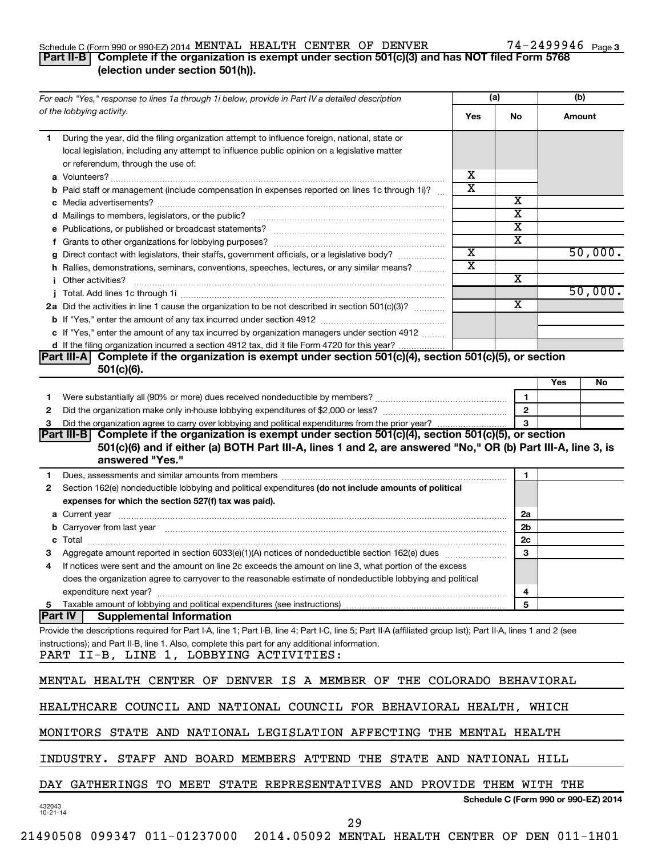# Schedule C (Form 990 or 990-EZ) 2014  $\,$  MENTAL HEALTH CENTER OF DENVER  $\,$  74 - 2499946  $\,$  Page

# 74-2499946 <sub>Page 3</sub>

# **Part II-B Complete if the organization is exempt under section 501(c)(3) and has NOT filed Form 5768 (election under section 501(h)).**

| For each "Yes," response to lines 1a through 1i below, provide in Part IV a detailed description                                                                                                                                          |                         | (a)                                  | (b)    |         |
|-------------------------------------------------------------------------------------------------------------------------------------------------------------------------------------------------------------------------------------------|-------------------------|--------------------------------------|--------|---------|
| of the lobbying activity.                                                                                                                                                                                                                 | Yes                     | No                                   | Amount |         |
| During the year, did the filing organization attempt to influence foreign, national, state or<br>1.<br>local legislation, including any attempt to influence public opinion on a legislative matter<br>or referendum, through the use of: |                         |                                      |        |         |
|                                                                                                                                                                                                                                           | х                       |                                      |        |         |
| <b>b</b> Paid staff or management (include compensation in expenses reported on lines 1c through 1i)?                                                                                                                                     | $\overline{\textbf{x}}$ |                                      |        |         |
|                                                                                                                                                                                                                                           |                         | х                                    |        |         |
|                                                                                                                                                                                                                                           |                         | $\overline{\textbf{x}}$              |        |         |
|                                                                                                                                                                                                                                           |                         | $\overline{\text{x}}$                |        |         |
|                                                                                                                                                                                                                                           |                         | X                                    |        |         |
| g Direct contact with legislators, their staffs, government officials, or a legislative body?                                                                                                                                             | $\overline{\textbf{x}}$ |                                      |        | 50,000. |
| h Rallies, demonstrations, seminars, conventions, speeches, lectures, or any similar means?                                                                                                                                               | $\overline{\text{x}}$   |                                      |        |         |
| <i>i</i> Other activities?                                                                                                                                                                                                                |                         | X                                    |        |         |
|                                                                                                                                                                                                                                           |                         |                                      |        | 50,000. |
| 2a Did the activities in line 1 cause the organization to be not described in section 501(c)(3)?                                                                                                                                          |                         | х                                    |        |         |
|                                                                                                                                                                                                                                           |                         |                                      |        |         |
| c If "Yes," enter the amount of any tax incurred by organization managers under section 4912                                                                                                                                              |                         |                                      |        |         |
| d If the filing organization incurred a section 4912 tax, did it file Form 4720 for this year?                                                                                                                                            |                         |                                      |        |         |
| Complete if the organization is exempt under section 501(c)(4), section 501(c)(5), or section<br>IPart III-AT<br>$501(c)(6)$ .                                                                                                            |                         |                                      |        |         |
|                                                                                                                                                                                                                                           |                         |                                      | Yes    | No      |
| 1                                                                                                                                                                                                                                         |                         | $\mathbf{1}$                         |        |         |
| 2                                                                                                                                                                                                                                         |                         | $\mathbf{2}$                         |        |         |
| З                                                                                                                                                                                                                                         |                         | 3                                    |        |         |
| Complete if the organization is exempt under section 501(c)(4), section 501(c)(5), or section<br> Part III-B                                                                                                                              |                         |                                      |        |         |
| 501(c)(6) and if either (a) BOTH Part III-A, lines 1 and 2, are answered "No," OR (b) Part III-A, line 3, is                                                                                                                              |                         |                                      |        |         |
| answered "Yes."                                                                                                                                                                                                                           |                         |                                      |        |         |
| Dues, assessments and similar amounts from members [111] Dues, assessments and similar amounts and similar amounts from members [111] Dues, assessments and similar amounts from members [11] Dues and Supply and Supply and S<br>1.      |                         | 1                                    |        |         |
| Section 162(e) nondeductible lobbying and political expenditures (do not include amounts of political<br>2                                                                                                                                |                         |                                      |        |         |
| expenses for which the section 527(f) tax was paid).                                                                                                                                                                                      |                         |                                      |        |         |
|                                                                                                                                                                                                                                           |                         | 2a                                   |        |         |
| b Carryover from last year manufactured and content to content the content of the content of the content of the content of the content of the content of the content of the content of the content of the content of the conte            |                         | 2b                                   |        |         |
|                                                                                                                                                                                                                                           |                         | 2c                                   |        |         |
| з                                                                                                                                                                                                                                         |                         | 3                                    |        |         |
| If notices were sent and the amount on line 2c exceeds the amount on line 3, what portion of the excess<br>4                                                                                                                              |                         |                                      |        |         |
| does the organization agree to carryover to the reasonable estimate of nondeductible lobbying and political                                                                                                                               |                         |                                      |        |         |
|                                                                                                                                                                                                                                           |                         | $\overline{\mathbf{r}}$              |        |         |
| Taxable amount of lobbying and political expenditures (see instructions)<br>5                                                                                                                                                             |                         | 5                                    |        |         |
| <b>Part IV</b><br><b>Supplemental Information</b>                                                                                                                                                                                         |                         |                                      |        |         |
| Provide the descriptions required for Part I-A, line 1; Part I-B, line 4; Part I-C, line 5; Part II-A (affiliated group list); Part II-A, lines 1 and 2 (see                                                                              |                         |                                      |        |         |
| instructions); and Part II-B, line 1. Also, complete this part for any additional information.<br>PART II-B, LINE 1, LOBBYING ACTIVITIES:                                                                                                 |                         |                                      |        |         |
| MENTAL HEALTH CENTER OF DENVER IS A MEMBER OF THE COLORADO BEHAVIORAL                                                                                                                                                                     |                         |                                      |        |         |
|                                                                                                                                                                                                                                           |                         |                                      |        |         |
| HEALTHCARE COUNCIL AND NATIONAL COUNCIL FOR BEHAVIORAL HEALTH, WHICH                                                                                                                                                                      |                         |                                      |        |         |
| MONITORS STATE AND NATIONAL LEGISLATION AFFECTING THE MENTAL HEALTH                                                                                                                                                                       |                         |                                      |        |         |
| INDUSTRY. STAFF AND BOARD MEMBERS ATTEND THE STATE AND NATIONAL HILL                                                                                                                                                                      |                         |                                      |        |         |
| DAY GATHERINGS TO MEET STATE REPRESENTATIVES AND PROVIDE THEM WITH THE                                                                                                                                                                    |                         |                                      |        |         |
|                                                                                                                                                                                                                                           |                         | Schedule C (Form 990 or 990-EZ) 2014 |        |         |
| 432043<br>$10 - 21 - 14$<br>29                                                                                                                                                                                                            |                         |                                      |        |         |
|                                                                                                                                                                                                                                           |                         |                                      |        |         |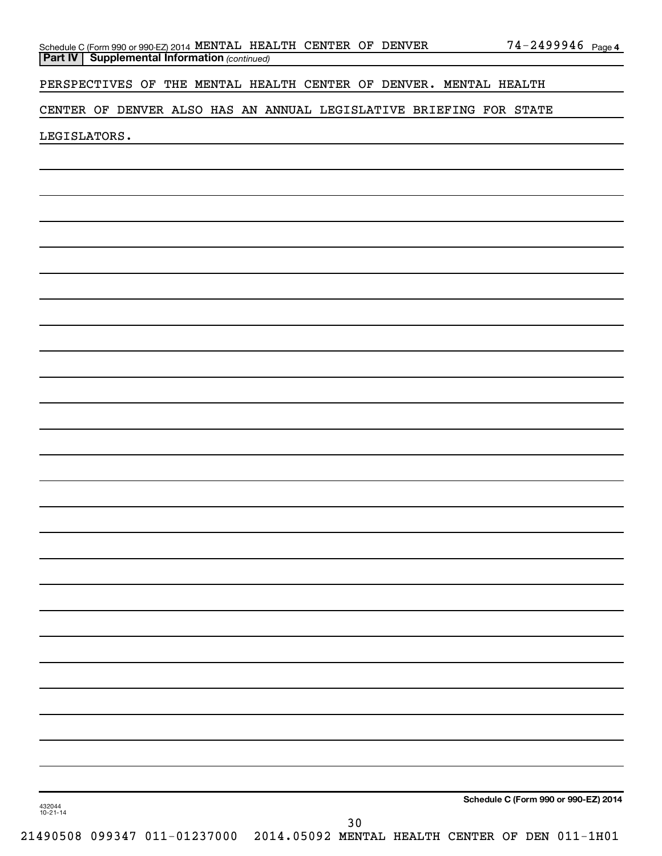| Schedule C (Form 990 or 990-EZ) 2014 MENTAL HEALTH CENTER OF DENVER |  |  | $74 - 2499946$ Page 4 |  |
|---------------------------------------------------------------------|--|--|-----------------------|--|
| <b>Part IV   Supplemental Information (continued)</b>               |  |  |                       |  |

PERSPECTIVES OF THE MENTAL HEALTH CENTER OF DENVER. MENTAL HEALTH

CENTER OF DENVER ALSO HAS AN ANNUAL LEGISLATIVE BRIEFING FOR STATE

LEGISLATORS.

**Schedule C (Form 990 or 990-EZ) 2014**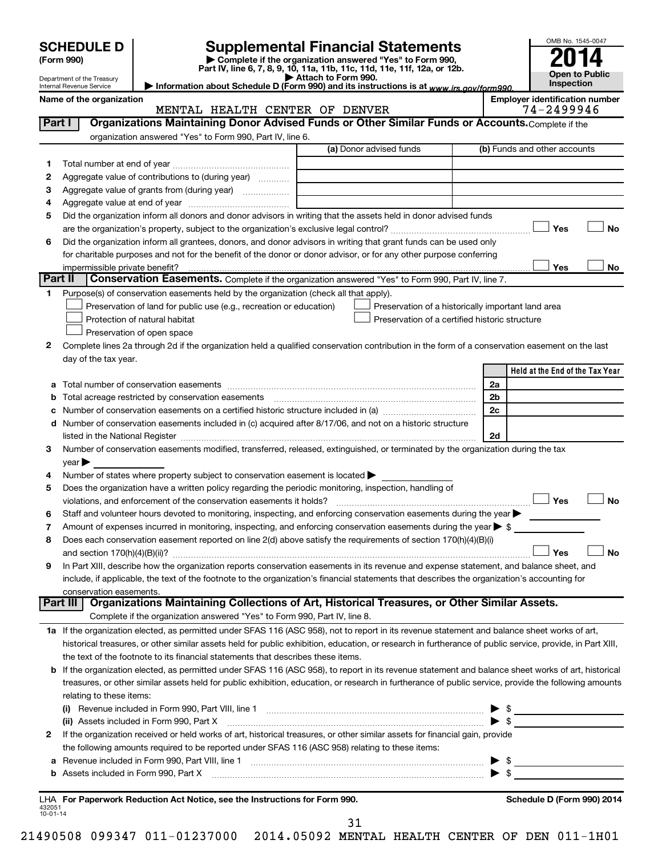| OMB No. 1545-0047<br><b>Supplemental Financial Statements</b><br><b>SCHEDULE D</b><br>Complete if the organization answered "Yes" to Form 990,<br>(Form 990)<br>Part IV, line 6, 7, 8, 9, 10, 11a, 11b, 11c, 11d, 11e, 11f, 12a, or 12b.<br>Open to Public<br>Attach to Form 990.<br>Department of the Treasury<br>Inspection<br>Information about Schedule D (Form 990) and its instructions is at www.irs.gov/form990.<br>Internal Revenue Service<br><b>Employer identification number</b><br>Name of the organization<br>74-2499946<br>MENTAL HEALTH CENTER OF DENVER<br>Organizations Maintaining Donor Advised Funds or Other Similar Funds or Accounts. Complete if the<br>Part I<br>organization answered "Yes" to Form 990, Part IV, line 6.<br>(a) Donor advised funds<br>(b) Funds and other accounts<br>1.<br>Aggregate value of contributions to (during year)<br>2<br>Aggregate value of grants from (during year)<br>З<br>4<br>Did the organization inform all donors and donor advisors in writing that the assets held in donor advised funds<br>5<br>Yes<br>No<br>Did the organization inform all grantees, donors, and donor advisors in writing that grant funds can be used only<br>6<br>for charitable purposes and not for the benefit of the donor or donor advisor, or for any other purpose conferring<br>Yes<br>No<br>impermissible private benefit?<br><b>Part II</b><br><b>Conservation Easements.</b> Complete if the organization answered "Yes" to Form 990, Part IV, line 7.<br>Purpose(s) of conservation easements held by the organization (check all that apply).<br>1.<br>Preservation of land for public use (e.g., recreation or education)<br>Preservation of a historically important land area<br>Preservation of a certified historic structure<br>Protection of natural habitat<br>Preservation of open space<br>Complete lines 2a through 2d if the organization held a qualified conservation contribution in the form of a conservation easement on the last<br>2<br>day of the tax year.<br>Held at the End of the Tax Year<br>2a<br>Total acreage restricted by conservation easements<br>2b<br>b<br>2c<br>с<br>Number of conservation easements included in (c) acquired after 8/17/06, and not on a historic structure<br>d<br>2d<br>Number of conservation easements modified, transferred, released, extinguished, or terminated by the organization during the tax<br>3<br>vear<br>Number of states where property subject to conservation easement is located ><br>4<br>Does the organization have a written policy regarding the periodic monitoring, inspection, handling of<br>5<br>」No<br><b>__I Yes</b><br>violations, and enforcement of the conservation easements it holds?<br>Staff and volunteer hours devoted to monitoring, inspecting, and enforcing conservation easements during the year<br>6<br>Amount of expenses incurred in monitoring, inspecting, and enforcing conservation easements during the year $\triangleright$ \$<br>7<br>Does each conservation easement reported on line 2(d) above satisfy the requirements of section 170(h)(4)(B)(i)<br>8<br>Yes<br><b>No</b><br>In Part XIII, describe how the organization reports conservation easements in its revenue and expense statement, and balance sheet, and<br>9<br>include, if applicable, the text of the footnote to the organization's financial statements that describes the organization's accounting for<br>conservation easements.<br>Organizations Maintaining Collections of Art, Historical Treasures, or Other Similar Assets.<br>Part III<br>Complete if the organization answered "Yes" to Form 990, Part IV, line 8.<br>1a If the organization elected, as permitted under SFAS 116 (ASC 958), not to report in its revenue statement and balance sheet works of art,<br>historical treasures, or other similar assets held for public exhibition, education, or research in furtherance of public service, provide, in Part XIII,<br>the text of the footnote to its financial statements that describes these items.<br>b If the organization elected, as permitted under SFAS 116 (ASC 958), to report in its revenue statement and balance sheet works of art, historical<br>treasures, or other similar assets held for public exhibition, education, or research in furtherance of public service, provide the following amounts<br>relating to these items:<br>(i)<br>$\blacktriangleright$ \$<br>(ii) Assets included in Form 990, Part X [[2000] [2000] [2000] [2000] [3000] [3000] [3000] [3000] [3000] [3000<br>If the organization received or held works of art, historical treasures, or other similar assets for financial gain, provide<br>2<br>the following amounts required to be reported under SFAS 116 (ASC 958) relating to these items:<br>а<br>$\blacktriangleright$ \$<br>Assets included in Form 990, Part X [11] Marshall Marson and Marshall Marshall Marson and Marson and Marson and Marson and Marson and Marson and Marson and Marson and Marson and Marson and Marson and Marson and Marson and<br>b |  |  |  |
|-------------------------------------------------------------------------------------------------------------------------------------------------------------------------------------------------------------------------------------------------------------------------------------------------------------------------------------------------------------------------------------------------------------------------------------------------------------------------------------------------------------------------------------------------------------------------------------------------------------------------------------------------------------------------------------------------------------------------------------------------------------------------------------------------------------------------------------------------------------------------------------------------------------------------------------------------------------------------------------------------------------------------------------------------------------------------------------------------------------------------------------------------------------------------------------------------------------------------------------------------------------------------------------------------------------------------------------------------------------------------------------------------------------------------------------------------------------------------------------------------------------------------------------------------------------------------------------------------------------------------------------------------------------------------------------------------------------------------------------------------------------------------------------------------------------------------------------------------------------------------------------------------------------------------------------------------------------------------------------------------------------------------------------------------------------------------------------------------------------------------------------------------------------------------------------------------------------------------------------------------------------------------------------------------------------------------------------------------------------------------------------------------------------------------------------------------------------------------------------------------------------------------------------------------------------------------------------------------------------------------------------------------------------------------------------------------------------------------------------------------------------------------------------------------------------------------------------------------------------------------------------------------------------------------------------------------------------------------------------------------------------------------------------------------------------------------------------------------------------------------------------------------------------------------------------------------------------------------------------------------------------------------------------------------------------------------------------------------------------------------------------------------------------------------------------------------------------------------------------------------------------------------------------------------------------------------------------------------------------------------------------------------------------------------------------------------------------------------------------------------------------------------------------------------------------------------------------------------------------------------------------------------------------------------------------------------------------------------------------------------------------------------------------------------------------------------------------------------------------------------------------------------------------------------------------------------------------------------------------------------------------------------------------------------------------------------------------------------------------------------------------------------------------------------------------------------------------------------------------------------------------------------------------------------------------------------------------------------------------------------------------------------------------------------------------------------------------------------------------------------------------------------------------------------------------------------------------------------------------------------------------------------------------------------------------------------------------------------------------------------------------------------------------------------------------------------------------------------|--|--|--|
|                                                                                                                                                                                                                                                                                                                                                                                                                                                                                                                                                                                                                                                                                                                                                                                                                                                                                                                                                                                                                                                                                                                                                                                                                                                                                                                                                                                                                                                                                                                                                                                                                                                                                                                                                                                                                                                                                                                                                                                                                                                                                                                                                                                                                                                                                                                                                                                                                                                                                                                                                                                                                                                                                                                                                                                                                                                                                                                                                                                                                                                                                                                                                                                                                                                                                                                                                                                                                                                                                                                                                                                                                                                                                                                                                                                                                                                                                                                                                                                                                                                                                                                                                                                                                                                                                                                                                                                                                                                                                                                                                                                                                                                                                                                                                                                                                                                                                                                                                                                                                                                                                                 |  |  |  |
|                                                                                                                                                                                                                                                                                                                                                                                                                                                                                                                                                                                                                                                                                                                                                                                                                                                                                                                                                                                                                                                                                                                                                                                                                                                                                                                                                                                                                                                                                                                                                                                                                                                                                                                                                                                                                                                                                                                                                                                                                                                                                                                                                                                                                                                                                                                                                                                                                                                                                                                                                                                                                                                                                                                                                                                                                                                                                                                                                                                                                                                                                                                                                                                                                                                                                                                                                                                                                                                                                                                                                                                                                                                                                                                                                                                                                                                                                                                                                                                                                                                                                                                                                                                                                                                                                                                                                                                                                                                                                                                                                                                                                                                                                                                                                                                                                                                                                                                                                                                                                                                                                                 |  |  |  |
|                                                                                                                                                                                                                                                                                                                                                                                                                                                                                                                                                                                                                                                                                                                                                                                                                                                                                                                                                                                                                                                                                                                                                                                                                                                                                                                                                                                                                                                                                                                                                                                                                                                                                                                                                                                                                                                                                                                                                                                                                                                                                                                                                                                                                                                                                                                                                                                                                                                                                                                                                                                                                                                                                                                                                                                                                                                                                                                                                                                                                                                                                                                                                                                                                                                                                                                                                                                                                                                                                                                                                                                                                                                                                                                                                                                                                                                                                                                                                                                                                                                                                                                                                                                                                                                                                                                                                                                                                                                                                                                                                                                                                                                                                                                                                                                                                                                                                                                                                                                                                                                                                                 |  |  |  |
|                                                                                                                                                                                                                                                                                                                                                                                                                                                                                                                                                                                                                                                                                                                                                                                                                                                                                                                                                                                                                                                                                                                                                                                                                                                                                                                                                                                                                                                                                                                                                                                                                                                                                                                                                                                                                                                                                                                                                                                                                                                                                                                                                                                                                                                                                                                                                                                                                                                                                                                                                                                                                                                                                                                                                                                                                                                                                                                                                                                                                                                                                                                                                                                                                                                                                                                                                                                                                                                                                                                                                                                                                                                                                                                                                                                                                                                                                                                                                                                                                                                                                                                                                                                                                                                                                                                                                                                                                                                                                                                                                                                                                                                                                                                                                                                                                                                                                                                                                                                                                                                                                                 |  |  |  |
|                                                                                                                                                                                                                                                                                                                                                                                                                                                                                                                                                                                                                                                                                                                                                                                                                                                                                                                                                                                                                                                                                                                                                                                                                                                                                                                                                                                                                                                                                                                                                                                                                                                                                                                                                                                                                                                                                                                                                                                                                                                                                                                                                                                                                                                                                                                                                                                                                                                                                                                                                                                                                                                                                                                                                                                                                                                                                                                                                                                                                                                                                                                                                                                                                                                                                                                                                                                                                                                                                                                                                                                                                                                                                                                                                                                                                                                                                                                                                                                                                                                                                                                                                                                                                                                                                                                                                                                                                                                                                                                                                                                                                                                                                                                                                                                                                                                                                                                                                                                                                                                                                                 |  |  |  |
|                                                                                                                                                                                                                                                                                                                                                                                                                                                                                                                                                                                                                                                                                                                                                                                                                                                                                                                                                                                                                                                                                                                                                                                                                                                                                                                                                                                                                                                                                                                                                                                                                                                                                                                                                                                                                                                                                                                                                                                                                                                                                                                                                                                                                                                                                                                                                                                                                                                                                                                                                                                                                                                                                                                                                                                                                                                                                                                                                                                                                                                                                                                                                                                                                                                                                                                                                                                                                                                                                                                                                                                                                                                                                                                                                                                                                                                                                                                                                                                                                                                                                                                                                                                                                                                                                                                                                                                                                                                                                                                                                                                                                                                                                                                                                                                                                                                                                                                                                                                                                                                                                                 |  |  |  |
|                                                                                                                                                                                                                                                                                                                                                                                                                                                                                                                                                                                                                                                                                                                                                                                                                                                                                                                                                                                                                                                                                                                                                                                                                                                                                                                                                                                                                                                                                                                                                                                                                                                                                                                                                                                                                                                                                                                                                                                                                                                                                                                                                                                                                                                                                                                                                                                                                                                                                                                                                                                                                                                                                                                                                                                                                                                                                                                                                                                                                                                                                                                                                                                                                                                                                                                                                                                                                                                                                                                                                                                                                                                                                                                                                                                                                                                                                                                                                                                                                                                                                                                                                                                                                                                                                                                                                                                                                                                                                                                                                                                                                                                                                                                                                                                                                                                                                                                                                                                                                                                                                                 |  |  |  |
|                                                                                                                                                                                                                                                                                                                                                                                                                                                                                                                                                                                                                                                                                                                                                                                                                                                                                                                                                                                                                                                                                                                                                                                                                                                                                                                                                                                                                                                                                                                                                                                                                                                                                                                                                                                                                                                                                                                                                                                                                                                                                                                                                                                                                                                                                                                                                                                                                                                                                                                                                                                                                                                                                                                                                                                                                                                                                                                                                                                                                                                                                                                                                                                                                                                                                                                                                                                                                                                                                                                                                                                                                                                                                                                                                                                                                                                                                                                                                                                                                                                                                                                                                                                                                                                                                                                                                                                                                                                                                                                                                                                                                                                                                                                                                                                                                                                                                                                                                                                                                                                                                                 |  |  |  |
|                                                                                                                                                                                                                                                                                                                                                                                                                                                                                                                                                                                                                                                                                                                                                                                                                                                                                                                                                                                                                                                                                                                                                                                                                                                                                                                                                                                                                                                                                                                                                                                                                                                                                                                                                                                                                                                                                                                                                                                                                                                                                                                                                                                                                                                                                                                                                                                                                                                                                                                                                                                                                                                                                                                                                                                                                                                                                                                                                                                                                                                                                                                                                                                                                                                                                                                                                                                                                                                                                                                                                                                                                                                                                                                                                                                                                                                                                                                                                                                                                                                                                                                                                                                                                                                                                                                                                                                                                                                                                                                                                                                                                                                                                                                                                                                                                                                                                                                                                                                                                                                                                                 |  |  |  |
|                                                                                                                                                                                                                                                                                                                                                                                                                                                                                                                                                                                                                                                                                                                                                                                                                                                                                                                                                                                                                                                                                                                                                                                                                                                                                                                                                                                                                                                                                                                                                                                                                                                                                                                                                                                                                                                                                                                                                                                                                                                                                                                                                                                                                                                                                                                                                                                                                                                                                                                                                                                                                                                                                                                                                                                                                                                                                                                                                                                                                                                                                                                                                                                                                                                                                                                                                                                                                                                                                                                                                                                                                                                                                                                                                                                                                                                                                                                                                                                                                                                                                                                                                                                                                                                                                                                                                                                                                                                                                                                                                                                                                                                                                                                                                                                                                                                                                                                                                                                                                                                                                                 |  |  |  |
|                                                                                                                                                                                                                                                                                                                                                                                                                                                                                                                                                                                                                                                                                                                                                                                                                                                                                                                                                                                                                                                                                                                                                                                                                                                                                                                                                                                                                                                                                                                                                                                                                                                                                                                                                                                                                                                                                                                                                                                                                                                                                                                                                                                                                                                                                                                                                                                                                                                                                                                                                                                                                                                                                                                                                                                                                                                                                                                                                                                                                                                                                                                                                                                                                                                                                                                                                                                                                                                                                                                                                                                                                                                                                                                                                                                                                                                                                                                                                                                                                                                                                                                                                                                                                                                                                                                                                                                                                                                                                                                                                                                                                                                                                                                                                                                                                                                                                                                                                                                                                                                                                                 |  |  |  |
|                                                                                                                                                                                                                                                                                                                                                                                                                                                                                                                                                                                                                                                                                                                                                                                                                                                                                                                                                                                                                                                                                                                                                                                                                                                                                                                                                                                                                                                                                                                                                                                                                                                                                                                                                                                                                                                                                                                                                                                                                                                                                                                                                                                                                                                                                                                                                                                                                                                                                                                                                                                                                                                                                                                                                                                                                                                                                                                                                                                                                                                                                                                                                                                                                                                                                                                                                                                                                                                                                                                                                                                                                                                                                                                                                                                                                                                                                                                                                                                                                                                                                                                                                                                                                                                                                                                                                                                                                                                                                                                                                                                                                                                                                                                                                                                                                                                                                                                                                                                                                                                                                                 |  |  |  |
|                                                                                                                                                                                                                                                                                                                                                                                                                                                                                                                                                                                                                                                                                                                                                                                                                                                                                                                                                                                                                                                                                                                                                                                                                                                                                                                                                                                                                                                                                                                                                                                                                                                                                                                                                                                                                                                                                                                                                                                                                                                                                                                                                                                                                                                                                                                                                                                                                                                                                                                                                                                                                                                                                                                                                                                                                                                                                                                                                                                                                                                                                                                                                                                                                                                                                                                                                                                                                                                                                                                                                                                                                                                                                                                                                                                                                                                                                                                                                                                                                                                                                                                                                                                                                                                                                                                                                                                                                                                                                                                                                                                                                                                                                                                                                                                                                                                                                                                                                                                                                                                                                                 |  |  |  |
|                                                                                                                                                                                                                                                                                                                                                                                                                                                                                                                                                                                                                                                                                                                                                                                                                                                                                                                                                                                                                                                                                                                                                                                                                                                                                                                                                                                                                                                                                                                                                                                                                                                                                                                                                                                                                                                                                                                                                                                                                                                                                                                                                                                                                                                                                                                                                                                                                                                                                                                                                                                                                                                                                                                                                                                                                                                                                                                                                                                                                                                                                                                                                                                                                                                                                                                                                                                                                                                                                                                                                                                                                                                                                                                                                                                                                                                                                                                                                                                                                                                                                                                                                                                                                                                                                                                                                                                                                                                                                                                                                                                                                                                                                                                                                                                                                                                                                                                                                                                                                                                                                                 |  |  |  |
|                                                                                                                                                                                                                                                                                                                                                                                                                                                                                                                                                                                                                                                                                                                                                                                                                                                                                                                                                                                                                                                                                                                                                                                                                                                                                                                                                                                                                                                                                                                                                                                                                                                                                                                                                                                                                                                                                                                                                                                                                                                                                                                                                                                                                                                                                                                                                                                                                                                                                                                                                                                                                                                                                                                                                                                                                                                                                                                                                                                                                                                                                                                                                                                                                                                                                                                                                                                                                                                                                                                                                                                                                                                                                                                                                                                                                                                                                                                                                                                                                                                                                                                                                                                                                                                                                                                                                                                                                                                                                                                                                                                                                                                                                                                                                                                                                                                                                                                                                                                                                                                                                                 |  |  |  |
|                                                                                                                                                                                                                                                                                                                                                                                                                                                                                                                                                                                                                                                                                                                                                                                                                                                                                                                                                                                                                                                                                                                                                                                                                                                                                                                                                                                                                                                                                                                                                                                                                                                                                                                                                                                                                                                                                                                                                                                                                                                                                                                                                                                                                                                                                                                                                                                                                                                                                                                                                                                                                                                                                                                                                                                                                                                                                                                                                                                                                                                                                                                                                                                                                                                                                                                                                                                                                                                                                                                                                                                                                                                                                                                                                                                                                                                                                                                                                                                                                                                                                                                                                                                                                                                                                                                                                                                                                                                                                                                                                                                                                                                                                                                                                                                                                                                                                                                                                                                                                                                                                                 |  |  |  |
|                                                                                                                                                                                                                                                                                                                                                                                                                                                                                                                                                                                                                                                                                                                                                                                                                                                                                                                                                                                                                                                                                                                                                                                                                                                                                                                                                                                                                                                                                                                                                                                                                                                                                                                                                                                                                                                                                                                                                                                                                                                                                                                                                                                                                                                                                                                                                                                                                                                                                                                                                                                                                                                                                                                                                                                                                                                                                                                                                                                                                                                                                                                                                                                                                                                                                                                                                                                                                                                                                                                                                                                                                                                                                                                                                                                                                                                                                                                                                                                                                                                                                                                                                                                                                                                                                                                                                                                                                                                                                                                                                                                                                                                                                                                                                                                                                                                                                                                                                                                                                                                                                                 |  |  |  |
|                                                                                                                                                                                                                                                                                                                                                                                                                                                                                                                                                                                                                                                                                                                                                                                                                                                                                                                                                                                                                                                                                                                                                                                                                                                                                                                                                                                                                                                                                                                                                                                                                                                                                                                                                                                                                                                                                                                                                                                                                                                                                                                                                                                                                                                                                                                                                                                                                                                                                                                                                                                                                                                                                                                                                                                                                                                                                                                                                                                                                                                                                                                                                                                                                                                                                                                                                                                                                                                                                                                                                                                                                                                                                                                                                                                                                                                                                                                                                                                                                                                                                                                                                                                                                                                                                                                                                                                                                                                                                                                                                                                                                                                                                                                                                                                                                                                                                                                                                                                                                                                                                                 |  |  |  |
|                                                                                                                                                                                                                                                                                                                                                                                                                                                                                                                                                                                                                                                                                                                                                                                                                                                                                                                                                                                                                                                                                                                                                                                                                                                                                                                                                                                                                                                                                                                                                                                                                                                                                                                                                                                                                                                                                                                                                                                                                                                                                                                                                                                                                                                                                                                                                                                                                                                                                                                                                                                                                                                                                                                                                                                                                                                                                                                                                                                                                                                                                                                                                                                                                                                                                                                                                                                                                                                                                                                                                                                                                                                                                                                                                                                                                                                                                                                                                                                                                                                                                                                                                                                                                                                                                                                                                                                                                                                                                                                                                                                                                                                                                                                                                                                                                                                                                                                                                                                                                                                                                                 |  |  |  |
|                                                                                                                                                                                                                                                                                                                                                                                                                                                                                                                                                                                                                                                                                                                                                                                                                                                                                                                                                                                                                                                                                                                                                                                                                                                                                                                                                                                                                                                                                                                                                                                                                                                                                                                                                                                                                                                                                                                                                                                                                                                                                                                                                                                                                                                                                                                                                                                                                                                                                                                                                                                                                                                                                                                                                                                                                                                                                                                                                                                                                                                                                                                                                                                                                                                                                                                                                                                                                                                                                                                                                                                                                                                                                                                                                                                                                                                                                                                                                                                                                                                                                                                                                                                                                                                                                                                                                                                                                                                                                                                                                                                                                                                                                                                                                                                                                                                                                                                                                                                                                                                                                                 |  |  |  |
|                                                                                                                                                                                                                                                                                                                                                                                                                                                                                                                                                                                                                                                                                                                                                                                                                                                                                                                                                                                                                                                                                                                                                                                                                                                                                                                                                                                                                                                                                                                                                                                                                                                                                                                                                                                                                                                                                                                                                                                                                                                                                                                                                                                                                                                                                                                                                                                                                                                                                                                                                                                                                                                                                                                                                                                                                                                                                                                                                                                                                                                                                                                                                                                                                                                                                                                                                                                                                                                                                                                                                                                                                                                                                                                                                                                                                                                                                                                                                                                                                                                                                                                                                                                                                                                                                                                                                                                                                                                                                                                                                                                                                                                                                                                                                                                                                                                                                                                                                                                                                                                                                                 |  |  |  |
|                                                                                                                                                                                                                                                                                                                                                                                                                                                                                                                                                                                                                                                                                                                                                                                                                                                                                                                                                                                                                                                                                                                                                                                                                                                                                                                                                                                                                                                                                                                                                                                                                                                                                                                                                                                                                                                                                                                                                                                                                                                                                                                                                                                                                                                                                                                                                                                                                                                                                                                                                                                                                                                                                                                                                                                                                                                                                                                                                                                                                                                                                                                                                                                                                                                                                                                                                                                                                                                                                                                                                                                                                                                                                                                                                                                                                                                                                                                                                                                                                                                                                                                                                                                                                                                                                                                                                                                                                                                                                                                                                                                                                                                                                                                                                                                                                                                                                                                                                                                                                                                                                                 |  |  |  |
|                                                                                                                                                                                                                                                                                                                                                                                                                                                                                                                                                                                                                                                                                                                                                                                                                                                                                                                                                                                                                                                                                                                                                                                                                                                                                                                                                                                                                                                                                                                                                                                                                                                                                                                                                                                                                                                                                                                                                                                                                                                                                                                                                                                                                                                                                                                                                                                                                                                                                                                                                                                                                                                                                                                                                                                                                                                                                                                                                                                                                                                                                                                                                                                                                                                                                                                                                                                                                                                                                                                                                                                                                                                                                                                                                                                                                                                                                                                                                                                                                                                                                                                                                                                                                                                                                                                                                                                                                                                                                                                                                                                                                                                                                                                                                                                                                                                                                                                                                                                                                                                                                                 |  |  |  |
|                                                                                                                                                                                                                                                                                                                                                                                                                                                                                                                                                                                                                                                                                                                                                                                                                                                                                                                                                                                                                                                                                                                                                                                                                                                                                                                                                                                                                                                                                                                                                                                                                                                                                                                                                                                                                                                                                                                                                                                                                                                                                                                                                                                                                                                                                                                                                                                                                                                                                                                                                                                                                                                                                                                                                                                                                                                                                                                                                                                                                                                                                                                                                                                                                                                                                                                                                                                                                                                                                                                                                                                                                                                                                                                                                                                                                                                                                                                                                                                                                                                                                                                                                                                                                                                                                                                                                                                                                                                                                                                                                                                                                                                                                                                                                                                                                                                                                                                                                                                                                                                                                                 |  |  |  |
|                                                                                                                                                                                                                                                                                                                                                                                                                                                                                                                                                                                                                                                                                                                                                                                                                                                                                                                                                                                                                                                                                                                                                                                                                                                                                                                                                                                                                                                                                                                                                                                                                                                                                                                                                                                                                                                                                                                                                                                                                                                                                                                                                                                                                                                                                                                                                                                                                                                                                                                                                                                                                                                                                                                                                                                                                                                                                                                                                                                                                                                                                                                                                                                                                                                                                                                                                                                                                                                                                                                                                                                                                                                                                                                                                                                                                                                                                                                                                                                                                                                                                                                                                                                                                                                                                                                                                                                                                                                                                                                                                                                                                                                                                                                                                                                                                                                                                                                                                                                                                                                                                                 |  |  |  |
|                                                                                                                                                                                                                                                                                                                                                                                                                                                                                                                                                                                                                                                                                                                                                                                                                                                                                                                                                                                                                                                                                                                                                                                                                                                                                                                                                                                                                                                                                                                                                                                                                                                                                                                                                                                                                                                                                                                                                                                                                                                                                                                                                                                                                                                                                                                                                                                                                                                                                                                                                                                                                                                                                                                                                                                                                                                                                                                                                                                                                                                                                                                                                                                                                                                                                                                                                                                                                                                                                                                                                                                                                                                                                                                                                                                                                                                                                                                                                                                                                                                                                                                                                                                                                                                                                                                                                                                                                                                                                                                                                                                                                                                                                                                                                                                                                                                                                                                                                                                                                                                                                                 |  |  |  |
|                                                                                                                                                                                                                                                                                                                                                                                                                                                                                                                                                                                                                                                                                                                                                                                                                                                                                                                                                                                                                                                                                                                                                                                                                                                                                                                                                                                                                                                                                                                                                                                                                                                                                                                                                                                                                                                                                                                                                                                                                                                                                                                                                                                                                                                                                                                                                                                                                                                                                                                                                                                                                                                                                                                                                                                                                                                                                                                                                                                                                                                                                                                                                                                                                                                                                                                                                                                                                                                                                                                                                                                                                                                                                                                                                                                                                                                                                                                                                                                                                                                                                                                                                                                                                                                                                                                                                                                                                                                                                                                                                                                                                                                                                                                                                                                                                                                                                                                                                                                                                                                                                                 |  |  |  |
|                                                                                                                                                                                                                                                                                                                                                                                                                                                                                                                                                                                                                                                                                                                                                                                                                                                                                                                                                                                                                                                                                                                                                                                                                                                                                                                                                                                                                                                                                                                                                                                                                                                                                                                                                                                                                                                                                                                                                                                                                                                                                                                                                                                                                                                                                                                                                                                                                                                                                                                                                                                                                                                                                                                                                                                                                                                                                                                                                                                                                                                                                                                                                                                                                                                                                                                                                                                                                                                                                                                                                                                                                                                                                                                                                                                                                                                                                                                                                                                                                                                                                                                                                                                                                                                                                                                                                                                                                                                                                                                                                                                                                                                                                                                                                                                                                                                                                                                                                                                                                                                                                                 |  |  |  |
|                                                                                                                                                                                                                                                                                                                                                                                                                                                                                                                                                                                                                                                                                                                                                                                                                                                                                                                                                                                                                                                                                                                                                                                                                                                                                                                                                                                                                                                                                                                                                                                                                                                                                                                                                                                                                                                                                                                                                                                                                                                                                                                                                                                                                                                                                                                                                                                                                                                                                                                                                                                                                                                                                                                                                                                                                                                                                                                                                                                                                                                                                                                                                                                                                                                                                                                                                                                                                                                                                                                                                                                                                                                                                                                                                                                                                                                                                                                                                                                                                                                                                                                                                                                                                                                                                                                                                                                                                                                                                                                                                                                                                                                                                                                                                                                                                                                                                                                                                                                                                                                                                                 |  |  |  |
|                                                                                                                                                                                                                                                                                                                                                                                                                                                                                                                                                                                                                                                                                                                                                                                                                                                                                                                                                                                                                                                                                                                                                                                                                                                                                                                                                                                                                                                                                                                                                                                                                                                                                                                                                                                                                                                                                                                                                                                                                                                                                                                                                                                                                                                                                                                                                                                                                                                                                                                                                                                                                                                                                                                                                                                                                                                                                                                                                                                                                                                                                                                                                                                                                                                                                                                                                                                                                                                                                                                                                                                                                                                                                                                                                                                                                                                                                                                                                                                                                                                                                                                                                                                                                                                                                                                                                                                                                                                                                                                                                                                                                                                                                                                                                                                                                                                                                                                                                                                                                                                                                                 |  |  |  |
|                                                                                                                                                                                                                                                                                                                                                                                                                                                                                                                                                                                                                                                                                                                                                                                                                                                                                                                                                                                                                                                                                                                                                                                                                                                                                                                                                                                                                                                                                                                                                                                                                                                                                                                                                                                                                                                                                                                                                                                                                                                                                                                                                                                                                                                                                                                                                                                                                                                                                                                                                                                                                                                                                                                                                                                                                                                                                                                                                                                                                                                                                                                                                                                                                                                                                                                                                                                                                                                                                                                                                                                                                                                                                                                                                                                                                                                                                                                                                                                                                                                                                                                                                                                                                                                                                                                                                                                                                                                                                                                                                                                                                                                                                                                                                                                                                                                                                                                                                                                                                                                                                                 |  |  |  |
|                                                                                                                                                                                                                                                                                                                                                                                                                                                                                                                                                                                                                                                                                                                                                                                                                                                                                                                                                                                                                                                                                                                                                                                                                                                                                                                                                                                                                                                                                                                                                                                                                                                                                                                                                                                                                                                                                                                                                                                                                                                                                                                                                                                                                                                                                                                                                                                                                                                                                                                                                                                                                                                                                                                                                                                                                                                                                                                                                                                                                                                                                                                                                                                                                                                                                                                                                                                                                                                                                                                                                                                                                                                                                                                                                                                                                                                                                                                                                                                                                                                                                                                                                                                                                                                                                                                                                                                                                                                                                                                                                                                                                                                                                                                                                                                                                                                                                                                                                                                                                                                                                                 |  |  |  |
|                                                                                                                                                                                                                                                                                                                                                                                                                                                                                                                                                                                                                                                                                                                                                                                                                                                                                                                                                                                                                                                                                                                                                                                                                                                                                                                                                                                                                                                                                                                                                                                                                                                                                                                                                                                                                                                                                                                                                                                                                                                                                                                                                                                                                                                                                                                                                                                                                                                                                                                                                                                                                                                                                                                                                                                                                                                                                                                                                                                                                                                                                                                                                                                                                                                                                                                                                                                                                                                                                                                                                                                                                                                                                                                                                                                                                                                                                                                                                                                                                                                                                                                                                                                                                                                                                                                                                                                                                                                                                                                                                                                                                                                                                                                                                                                                                                                                                                                                                                                                                                                                                                 |  |  |  |
|                                                                                                                                                                                                                                                                                                                                                                                                                                                                                                                                                                                                                                                                                                                                                                                                                                                                                                                                                                                                                                                                                                                                                                                                                                                                                                                                                                                                                                                                                                                                                                                                                                                                                                                                                                                                                                                                                                                                                                                                                                                                                                                                                                                                                                                                                                                                                                                                                                                                                                                                                                                                                                                                                                                                                                                                                                                                                                                                                                                                                                                                                                                                                                                                                                                                                                                                                                                                                                                                                                                                                                                                                                                                                                                                                                                                                                                                                                                                                                                                                                                                                                                                                                                                                                                                                                                                                                                                                                                                                                                                                                                                                                                                                                                                                                                                                                                                                                                                                                                                                                                                                                 |  |  |  |
|                                                                                                                                                                                                                                                                                                                                                                                                                                                                                                                                                                                                                                                                                                                                                                                                                                                                                                                                                                                                                                                                                                                                                                                                                                                                                                                                                                                                                                                                                                                                                                                                                                                                                                                                                                                                                                                                                                                                                                                                                                                                                                                                                                                                                                                                                                                                                                                                                                                                                                                                                                                                                                                                                                                                                                                                                                                                                                                                                                                                                                                                                                                                                                                                                                                                                                                                                                                                                                                                                                                                                                                                                                                                                                                                                                                                                                                                                                                                                                                                                                                                                                                                                                                                                                                                                                                                                                                                                                                                                                                                                                                                                                                                                                                                                                                                                                                                                                                                                                                                                                                                                                 |  |  |  |
|                                                                                                                                                                                                                                                                                                                                                                                                                                                                                                                                                                                                                                                                                                                                                                                                                                                                                                                                                                                                                                                                                                                                                                                                                                                                                                                                                                                                                                                                                                                                                                                                                                                                                                                                                                                                                                                                                                                                                                                                                                                                                                                                                                                                                                                                                                                                                                                                                                                                                                                                                                                                                                                                                                                                                                                                                                                                                                                                                                                                                                                                                                                                                                                                                                                                                                                                                                                                                                                                                                                                                                                                                                                                                                                                                                                                                                                                                                                                                                                                                                                                                                                                                                                                                                                                                                                                                                                                                                                                                                                                                                                                                                                                                                                                                                                                                                                                                                                                                                                                                                                                                                 |  |  |  |
|                                                                                                                                                                                                                                                                                                                                                                                                                                                                                                                                                                                                                                                                                                                                                                                                                                                                                                                                                                                                                                                                                                                                                                                                                                                                                                                                                                                                                                                                                                                                                                                                                                                                                                                                                                                                                                                                                                                                                                                                                                                                                                                                                                                                                                                                                                                                                                                                                                                                                                                                                                                                                                                                                                                                                                                                                                                                                                                                                                                                                                                                                                                                                                                                                                                                                                                                                                                                                                                                                                                                                                                                                                                                                                                                                                                                                                                                                                                                                                                                                                                                                                                                                                                                                                                                                                                                                                                                                                                                                                                                                                                                                                                                                                                                                                                                                                                                                                                                                                                                                                                                                                 |  |  |  |
|                                                                                                                                                                                                                                                                                                                                                                                                                                                                                                                                                                                                                                                                                                                                                                                                                                                                                                                                                                                                                                                                                                                                                                                                                                                                                                                                                                                                                                                                                                                                                                                                                                                                                                                                                                                                                                                                                                                                                                                                                                                                                                                                                                                                                                                                                                                                                                                                                                                                                                                                                                                                                                                                                                                                                                                                                                                                                                                                                                                                                                                                                                                                                                                                                                                                                                                                                                                                                                                                                                                                                                                                                                                                                                                                                                                                                                                                                                                                                                                                                                                                                                                                                                                                                                                                                                                                                                                                                                                                                                                                                                                                                                                                                                                                                                                                                                                                                                                                                                                                                                                                                                 |  |  |  |
|                                                                                                                                                                                                                                                                                                                                                                                                                                                                                                                                                                                                                                                                                                                                                                                                                                                                                                                                                                                                                                                                                                                                                                                                                                                                                                                                                                                                                                                                                                                                                                                                                                                                                                                                                                                                                                                                                                                                                                                                                                                                                                                                                                                                                                                                                                                                                                                                                                                                                                                                                                                                                                                                                                                                                                                                                                                                                                                                                                                                                                                                                                                                                                                                                                                                                                                                                                                                                                                                                                                                                                                                                                                                                                                                                                                                                                                                                                                                                                                                                                                                                                                                                                                                                                                                                                                                                                                                                                                                                                                                                                                                                                                                                                                                                                                                                                                                                                                                                                                                                                                                                                 |  |  |  |
|                                                                                                                                                                                                                                                                                                                                                                                                                                                                                                                                                                                                                                                                                                                                                                                                                                                                                                                                                                                                                                                                                                                                                                                                                                                                                                                                                                                                                                                                                                                                                                                                                                                                                                                                                                                                                                                                                                                                                                                                                                                                                                                                                                                                                                                                                                                                                                                                                                                                                                                                                                                                                                                                                                                                                                                                                                                                                                                                                                                                                                                                                                                                                                                                                                                                                                                                                                                                                                                                                                                                                                                                                                                                                                                                                                                                                                                                                                                                                                                                                                                                                                                                                                                                                                                                                                                                                                                                                                                                                                                                                                                                                                                                                                                                                                                                                                                                                                                                                                                                                                                                                                 |  |  |  |
|                                                                                                                                                                                                                                                                                                                                                                                                                                                                                                                                                                                                                                                                                                                                                                                                                                                                                                                                                                                                                                                                                                                                                                                                                                                                                                                                                                                                                                                                                                                                                                                                                                                                                                                                                                                                                                                                                                                                                                                                                                                                                                                                                                                                                                                                                                                                                                                                                                                                                                                                                                                                                                                                                                                                                                                                                                                                                                                                                                                                                                                                                                                                                                                                                                                                                                                                                                                                                                                                                                                                                                                                                                                                                                                                                                                                                                                                                                                                                                                                                                                                                                                                                                                                                                                                                                                                                                                                                                                                                                                                                                                                                                                                                                                                                                                                                                                                                                                                                                                                                                                                                                 |  |  |  |
|                                                                                                                                                                                                                                                                                                                                                                                                                                                                                                                                                                                                                                                                                                                                                                                                                                                                                                                                                                                                                                                                                                                                                                                                                                                                                                                                                                                                                                                                                                                                                                                                                                                                                                                                                                                                                                                                                                                                                                                                                                                                                                                                                                                                                                                                                                                                                                                                                                                                                                                                                                                                                                                                                                                                                                                                                                                                                                                                                                                                                                                                                                                                                                                                                                                                                                                                                                                                                                                                                                                                                                                                                                                                                                                                                                                                                                                                                                                                                                                                                                                                                                                                                                                                                                                                                                                                                                                                                                                                                                                                                                                                                                                                                                                                                                                                                                                                                                                                                                                                                                                                                                 |  |  |  |
|                                                                                                                                                                                                                                                                                                                                                                                                                                                                                                                                                                                                                                                                                                                                                                                                                                                                                                                                                                                                                                                                                                                                                                                                                                                                                                                                                                                                                                                                                                                                                                                                                                                                                                                                                                                                                                                                                                                                                                                                                                                                                                                                                                                                                                                                                                                                                                                                                                                                                                                                                                                                                                                                                                                                                                                                                                                                                                                                                                                                                                                                                                                                                                                                                                                                                                                                                                                                                                                                                                                                                                                                                                                                                                                                                                                                                                                                                                                                                                                                                                                                                                                                                                                                                                                                                                                                                                                                                                                                                                                                                                                                                                                                                                                                                                                                                                                                                                                                                                                                                                                                                                 |  |  |  |
|                                                                                                                                                                                                                                                                                                                                                                                                                                                                                                                                                                                                                                                                                                                                                                                                                                                                                                                                                                                                                                                                                                                                                                                                                                                                                                                                                                                                                                                                                                                                                                                                                                                                                                                                                                                                                                                                                                                                                                                                                                                                                                                                                                                                                                                                                                                                                                                                                                                                                                                                                                                                                                                                                                                                                                                                                                                                                                                                                                                                                                                                                                                                                                                                                                                                                                                                                                                                                                                                                                                                                                                                                                                                                                                                                                                                                                                                                                                                                                                                                                                                                                                                                                                                                                                                                                                                                                                                                                                                                                                                                                                                                                                                                                                                                                                                                                                                                                                                                                                                                                                                                                 |  |  |  |
|                                                                                                                                                                                                                                                                                                                                                                                                                                                                                                                                                                                                                                                                                                                                                                                                                                                                                                                                                                                                                                                                                                                                                                                                                                                                                                                                                                                                                                                                                                                                                                                                                                                                                                                                                                                                                                                                                                                                                                                                                                                                                                                                                                                                                                                                                                                                                                                                                                                                                                                                                                                                                                                                                                                                                                                                                                                                                                                                                                                                                                                                                                                                                                                                                                                                                                                                                                                                                                                                                                                                                                                                                                                                                                                                                                                                                                                                                                                                                                                                                                                                                                                                                                                                                                                                                                                                                                                                                                                                                                                                                                                                                                                                                                                                                                                                                                                                                                                                                                                                                                                                                                 |  |  |  |
|                                                                                                                                                                                                                                                                                                                                                                                                                                                                                                                                                                                                                                                                                                                                                                                                                                                                                                                                                                                                                                                                                                                                                                                                                                                                                                                                                                                                                                                                                                                                                                                                                                                                                                                                                                                                                                                                                                                                                                                                                                                                                                                                                                                                                                                                                                                                                                                                                                                                                                                                                                                                                                                                                                                                                                                                                                                                                                                                                                                                                                                                                                                                                                                                                                                                                                                                                                                                                                                                                                                                                                                                                                                                                                                                                                                                                                                                                                                                                                                                                                                                                                                                                                                                                                                                                                                                                                                                                                                                                                                                                                                                                                                                                                                                                                                                                                                                                                                                                                                                                                                                                                 |  |  |  |
|                                                                                                                                                                                                                                                                                                                                                                                                                                                                                                                                                                                                                                                                                                                                                                                                                                                                                                                                                                                                                                                                                                                                                                                                                                                                                                                                                                                                                                                                                                                                                                                                                                                                                                                                                                                                                                                                                                                                                                                                                                                                                                                                                                                                                                                                                                                                                                                                                                                                                                                                                                                                                                                                                                                                                                                                                                                                                                                                                                                                                                                                                                                                                                                                                                                                                                                                                                                                                                                                                                                                                                                                                                                                                                                                                                                                                                                                                                                                                                                                                                                                                                                                                                                                                                                                                                                                                                                                                                                                                                                                                                                                                                                                                                                                                                                                                                                                                                                                                                                                                                                                                                 |  |  |  |
|                                                                                                                                                                                                                                                                                                                                                                                                                                                                                                                                                                                                                                                                                                                                                                                                                                                                                                                                                                                                                                                                                                                                                                                                                                                                                                                                                                                                                                                                                                                                                                                                                                                                                                                                                                                                                                                                                                                                                                                                                                                                                                                                                                                                                                                                                                                                                                                                                                                                                                                                                                                                                                                                                                                                                                                                                                                                                                                                                                                                                                                                                                                                                                                                                                                                                                                                                                                                                                                                                                                                                                                                                                                                                                                                                                                                                                                                                                                                                                                                                                                                                                                                                                                                                                                                                                                                                                                                                                                                                                                                                                                                                                                                                                                                                                                                                                                                                                                                                                                                                                                                                                 |  |  |  |
|                                                                                                                                                                                                                                                                                                                                                                                                                                                                                                                                                                                                                                                                                                                                                                                                                                                                                                                                                                                                                                                                                                                                                                                                                                                                                                                                                                                                                                                                                                                                                                                                                                                                                                                                                                                                                                                                                                                                                                                                                                                                                                                                                                                                                                                                                                                                                                                                                                                                                                                                                                                                                                                                                                                                                                                                                                                                                                                                                                                                                                                                                                                                                                                                                                                                                                                                                                                                                                                                                                                                                                                                                                                                                                                                                                                                                                                                                                                                                                                                                                                                                                                                                                                                                                                                                                                                                                                                                                                                                                                                                                                                                                                                                                                                                                                                                                                                                                                                                                                                                                                                                                 |  |  |  |

432051 10-01-14 **For Paperwork Reduction Act Notice, see the Instructions for Form 990. Schedule D (Form 990) 2014** LHA

31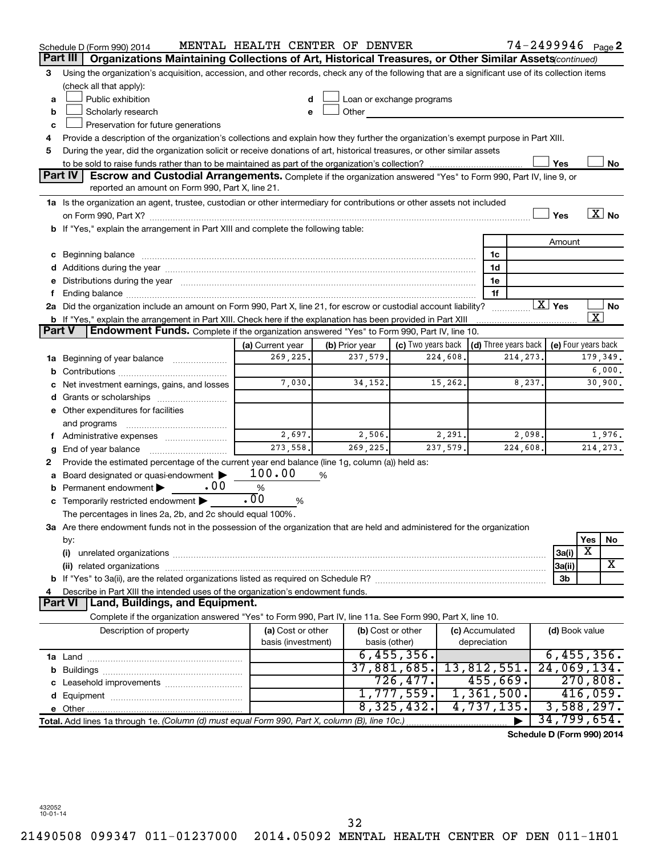|               | Schedule D (Form 990) 2014                                                                                                                                                                                                     | MENTAL HEALTH CENTER OF DENVER |                            |                                |              |                                      | 74-2499946 Page 2          |                         |                   |
|---------------|--------------------------------------------------------------------------------------------------------------------------------------------------------------------------------------------------------------------------------|--------------------------------|----------------------------|--------------------------------|--------------|--------------------------------------|----------------------------|-------------------------|-------------------|
|               | Part III<br>Organizations Maintaining Collections of Art, Historical Treasures, or Other Similar Assets (continued)                                                                                                            |                                |                            |                                |              |                                      |                            |                         |                   |
| 3             | Using the organization's acquisition, accession, and other records, check any of the following that are a significant use of its collection items                                                                              |                                |                            |                                |              |                                      |                            |                         |                   |
|               | (check all that apply):                                                                                                                                                                                                        |                                |                            |                                |              |                                      |                            |                         |                   |
| a             | Public exhibition                                                                                                                                                                                                              |                                |                            | Loan or exchange programs      |              |                                      |                            |                         |                   |
| b             | Scholarly research                                                                                                                                                                                                             |                                | Other                      |                                |              |                                      |                            |                         |                   |
| с             | Preservation for future generations                                                                                                                                                                                            |                                |                            |                                |              |                                      |                            |                         |                   |
| 4             | Provide a description of the organization's collections and explain how they further the organization's exempt purpose in Part XIII.                                                                                           |                                |                            |                                |              |                                      |                            |                         |                   |
| 5             | During the year, did the organization solicit or receive donations of art, historical treasures, or other similar assets                                                                                                       |                                |                            |                                |              |                                      |                            |                         |                   |
|               |                                                                                                                                                                                                                                |                                |                            |                                |              |                                      | Yes                        |                         | No                |
|               | Part IV<br><b>Escrow and Custodial Arrangements.</b> Complete if the organization answered "Yes" to Form 990, Part IV, line 9, or<br>reported an amount on Form 990, Part X, line 21.                                          |                                |                            |                                |              |                                      |                            |                         |                   |
|               | 1a Is the organization an agent, trustee, custodian or other intermediary for contributions or other assets not included                                                                                                       |                                |                            |                                |              |                                      |                            |                         |                   |
|               |                                                                                                                                                                                                                                |                                |                            |                                |              |                                      | Yes                        |                         | $\overline{X}$ No |
|               | b If "Yes," explain the arrangement in Part XIII and complete the following table:                                                                                                                                             |                                |                            |                                |              |                                      |                            |                         |                   |
|               |                                                                                                                                                                                                                                |                                |                            |                                |              |                                      | Amount                     |                         |                   |
|               | c Beginning balance Manual Communication and the contract of the contract of the contract of the contract of the contract of the contract of the contract of the contract of the contract of the contract of the contract of t |                                |                            |                                |              | 1c                                   |                            |                         |                   |
|               |                                                                                                                                                                                                                                |                                |                            |                                |              | 1d                                   |                            |                         |                   |
|               | e Distributions during the year measurement contained and all the year measurement of the year measurement of                                                                                                                  |                                |                            |                                |              | 1e                                   |                            |                         |                   |
|               |                                                                                                                                                                                                                                |                                |                            |                                |              | 1f                                   |                            |                         |                   |
|               | 2a Did the organization include an amount on Form 990, Part X, line 21, for escrow or custodial account liability?                                                                                                             |                                |                            |                                |              | .                                    | $\boxed{\text{X}}$ Yes     | $\overline{\textbf{x}}$ | No                |
| <b>Part V</b> | <b>b</b> If "Yes," explain the arrangement in Part XIII. Check here if the explanation has been provided in Part XIII<br>Endowment Funds. Complete if the organization answered "Yes" to Form 990, Part IV, line 10.           |                                |                            |                                |              |                                      |                            |                         |                   |
|               |                                                                                                                                                                                                                                |                                |                            |                                |              | $\vert$ (d) Three years back $\vert$ |                            |                         |                   |
|               |                                                                                                                                                                                                                                | (a) Current year<br>269,225.   | (b) Prior year<br>237,579. | (c) Two years back<br>224,608. |              | 214, 273,                            | (e) Four years back        |                         | 179,349.          |
|               | 1a Beginning of year balance                                                                                                                                                                                                   |                                |                            |                                |              |                                      |                            |                         | 6,000.            |
| b             | c Net investment earnings, gains, and losses                                                                                                                                                                                   | 7,030.                         | 34, 152.                   | 15,262.                        |              | 8,237.                               |                            |                         | 30,900.           |
|               |                                                                                                                                                                                                                                |                                |                            |                                |              |                                      |                            |                         |                   |
|               | e Other expenditures for facilities                                                                                                                                                                                            |                                |                            |                                |              |                                      |                            |                         |                   |
|               | and programs                                                                                                                                                                                                                   |                                |                            |                                |              |                                      |                            |                         |                   |
|               | f Administrative expenses                                                                                                                                                                                                      | 2,697.                         | 2,506.                     | 2,291.                         |              | 2,098.                               |                            |                         | 1,976.            |
| g             | End of year balance <i></i>                                                                                                                                                                                                    | 273,558.                       | 269,225.                   | 237,579.                       |              | 224,608.                             |                            |                         | 214, 273.         |
| 2             | Provide the estimated percentage of the current year end balance (line 1g, column (a)) held as:                                                                                                                                |                                |                            |                                |              |                                      |                            |                         |                   |
|               | Board designated or quasi-endowment                                                                                                                                                                                            | 100.00                         | %                          |                                |              |                                      |                            |                         |                   |
|               | .00<br><b>b</b> Permanent endowment $\blacktriangleright$                                                                                                                                                                      | $\%$                           |                            |                                |              |                                      |                            |                         |                   |
|               | c Temporarily restricted endowment $\blacktriangleright$                                                                                                                                                                       | $\overline{00}$<br>%           |                            |                                |              |                                      |                            |                         |                   |
|               | The percentages in lines 2a, 2b, and 2c should equal 100%.                                                                                                                                                                     |                                |                            |                                |              |                                      |                            |                         |                   |
|               | 3a Are there endowment funds not in the possession of the organization that are held and administered for the organization                                                                                                     |                                |                            |                                |              |                                      |                            |                         |                   |
|               | by:                                                                                                                                                                                                                            |                                |                            |                                |              |                                      |                            | Yes                     | No                |
|               | (i)                                                                                                                                                                                                                            |                                |                            |                                |              |                                      | 3a(i)                      | х                       |                   |
|               |                                                                                                                                                                                                                                |                                |                            |                                |              |                                      | 3a(ii)                     |                         | x                 |
|               |                                                                                                                                                                                                                                |                                |                            |                                |              |                                      | 3b                         |                         |                   |
| 4             | Describe in Part XIII the intended uses of the organization's endowment funds.                                                                                                                                                 |                                |                            |                                |              |                                      |                            |                         |                   |
|               | Land, Buildings, and Equipment.<br><b>Part VI</b>                                                                                                                                                                              |                                |                            |                                |              |                                      |                            |                         |                   |
|               | Complete if the organization answered "Yes" to Form 990, Part IV, line 11a. See Form 990, Part X, line 10.                                                                                                                     |                                |                            |                                |              |                                      |                            |                         |                   |
|               | Description of property                                                                                                                                                                                                        | (a) Cost or other              |                            | (b) Cost or other              |              | (c) Accumulated                      | (d) Book value             |                         |                   |
|               |                                                                                                                                                                                                                                | basis (investment)             |                            | basis (other)                  | depreciation |                                      |                            |                         |                   |
|               |                                                                                                                                                                                                                                |                                |                            | 6,455,356.                     |              |                                      | 6,455,356.                 |                         |                   |
|               |                                                                                                                                                                                                                                |                                |                            | 37,881,685.                    |              | 13,812,551.                          | 24,069,134.                |                         |                   |
|               |                                                                                                                                                                                                                                |                                |                            | 726,477.                       |              | 455,669.                             |                            | 270,808.                |                   |
|               |                                                                                                                                                                                                                                |                                |                            | 1,777,559.                     |              | 1,361,500.                           |                            | 416,059.                |                   |
|               |                                                                                                                                                                                                                                |                                |                            | 8,325,432.                     |              | 4,737,135.                           | 3,588,297.                 |                         |                   |
|               | Total. Add lines 1a through 1e. (Column (d) must equal Form 990, Part X, column (B), line 10c.)                                                                                                                                |                                |                            |                                |              |                                      | 34,799,654.                |                         |                   |
|               |                                                                                                                                                                                                                                |                                |                            |                                |              |                                      | Schedule D (Form 990) 2014 |                         |                   |

432052 10-01-14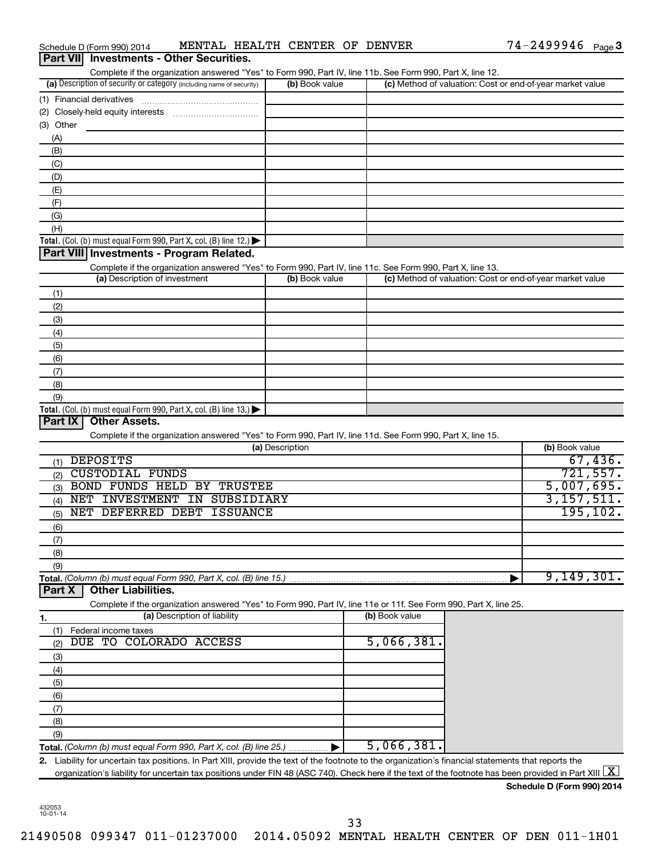| Schedule D (Form 990) 2014                                                                                                                                              | MENTAL HEALTH CENTER OF DENVER |                | $74 - 2499946$ Page 3                                     |         |
|-------------------------------------------------------------------------------------------------------------------------------------------------------------------------|--------------------------------|----------------|-----------------------------------------------------------|---------|
| <b>Investments - Other Securities.</b><br><b>Part VIII</b>                                                                                                              |                                |                |                                                           |         |
| Complete if the organization answered "Yes" to Form 990, Part IV, line 11b. See Form 990, Part X, line 12.                                                              |                                |                |                                                           |         |
| (a) Description of security or category (including name of security)                                                                                                    | (b) Book value                 |                | (c) Method of valuation: Cost or end-of-year market value |         |
| (1) Financial derivatives                                                                                                                                               |                                |                |                                                           |         |
| (2) Closely-held equity interests                                                                                                                                       |                                |                |                                                           |         |
| (3) Other                                                                                                                                                               |                                |                |                                                           |         |
| (A)                                                                                                                                                                     |                                |                |                                                           |         |
| (B)<br>(C)                                                                                                                                                              |                                |                |                                                           |         |
| (D)                                                                                                                                                                     |                                |                |                                                           |         |
| (E)                                                                                                                                                                     |                                |                |                                                           |         |
| (F)                                                                                                                                                                     |                                |                |                                                           |         |
| (G)                                                                                                                                                                     |                                |                |                                                           |         |
| (H)                                                                                                                                                                     |                                |                |                                                           |         |
| Total. (Col. (b) must equal Form 990, Part X, col. (B) line 12.)                                                                                                        |                                |                |                                                           |         |
| Part VIII Investments - Program Related.                                                                                                                                |                                |                |                                                           |         |
| Complete if the organization answered "Yes" to Form 990, Part IV, line 11c. See Form 990, Part X, line 13.                                                              |                                |                |                                                           |         |
| (a) Description of investment                                                                                                                                           | (b) Book value                 |                | (c) Method of valuation: Cost or end-of-year market value |         |
| (1)                                                                                                                                                                     |                                |                |                                                           |         |
| (2)                                                                                                                                                                     |                                |                |                                                           |         |
| (3)                                                                                                                                                                     |                                |                |                                                           |         |
| (4)                                                                                                                                                                     |                                |                |                                                           |         |
| (5)                                                                                                                                                                     |                                |                |                                                           |         |
| (6)                                                                                                                                                                     |                                |                |                                                           |         |
| (7)<br>(8)                                                                                                                                                              |                                |                |                                                           |         |
| (9)                                                                                                                                                                     |                                |                |                                                           |         |
| Total. (Col. (b) must equal Form 990, Part X, col. (B) line 13.) $\blacktriangleright$                                                                                  |                                |                |                                                           |         |
| <b>Other Assets.</b><br>Part IX                                                                                                                                         |                                |                |                                                           |         |
| Complete if the organization answered "Yes" to Form 990, Part IV, line 11d. See Form 990, Part X, line 15.                                                              |                                |                |                                                           |         |
|                                                                                                                                                                         | (a) Description                |                | (b) Book value                                            |         |
| <b>DEPOSITS</b><br>(1)                                                                                                                                                  |                                |                |                                                           | 67,436. |
| <b>CUSTODIAL FUNDS</b><br>(2)                                                                                                                                           |                                |                | 721,557.                                                  |         |
| BOND FUNDS HELD BY TRUSTEE<br>(3)                                                                                                                                       |                                |                | 5,007,695.                                                |         |
| NET INVESTMENT IN SUBSIDIARY<br>(4)                                                                                                                                     |                                |                | 3,157,511.                                                |         |
| NET DEFERRED DEBT<br>ISSUANCE<br>(5)                                                                                                                                    |                                |                | 195, 102.                                                 |         |
| (6)                                                                                                                                                                     |                                |                |                                                           |         |
| (7)                                                                                                                                                                     |                                |                |                                                           |         |
| (8)                                                                                                                                                                     |                                |                |                                                           |         |
| (9)<br>Total. (Column (b) must equal Form 990, Part X, col. (B) line 15.)                                                                                               |                                |                | 9,149,301.                                                |         |
| <b>Other Liabilities.</b><br>Part X                                                                                                                                     |                                |                |                                                           |         |
| Complete if the organization answered "Yes" to Form 990, Part IV, line 11e or 11f. See Form 990, Part X, line 25.                                                       |                                |                |                                                           |         |
| (a) Description of liability<br>1.                                                                                                                                      |                                | (b) Book value |                                                           |         |
| (1)<br>Federal income taxes                                                                                                                                             |                                |                |                                                           |         |
| COLORADO ACCESS<br>TO<br>DUE.<br>(2)                                                                                                                                    |                                | 5,066,381.     |                                                           |         |
| (3)                                                                                                                                                                     |                                |                |                                                           |         |
| (4)                                                                                                                                                                     |                                |                |                                                           |         |
| (5)                                                                                                                                                                     |                                |                |                                                           |         |
| (6)                                                                                                                                                                     |                                |                |                                                           |         |
| (7)                                                                                                                                                                     |                                |                |                                                           |         |
| (8)                                                                                                                                                                     |                                |                |                                                           |         |
| (9)                                                                                                                                                                     |                                |                |                                                           |         |
| Total. (Column (b) must equal Form 990, Part X, col. (B) line 25.)                                                                                                      |                                | 5,066,381      |                                                           |         |
| 2. Liability for uncertain tax positions. In Part XIII, provide the text of the footnote to the organization's financial statements that reports the                    |                                |                |                                                           |         |
| organization's liability for uncertain tax positions under FIN 48 (ASC 740). Check here if the text of the footnote has been provided in Part XIII $\boxed{\mathrm{X}}$ |                                |                |                                                           |         |

| Schedule D (Form 990) 2014 |  |  |
|----------------------------|--|--|
|                            |  |  |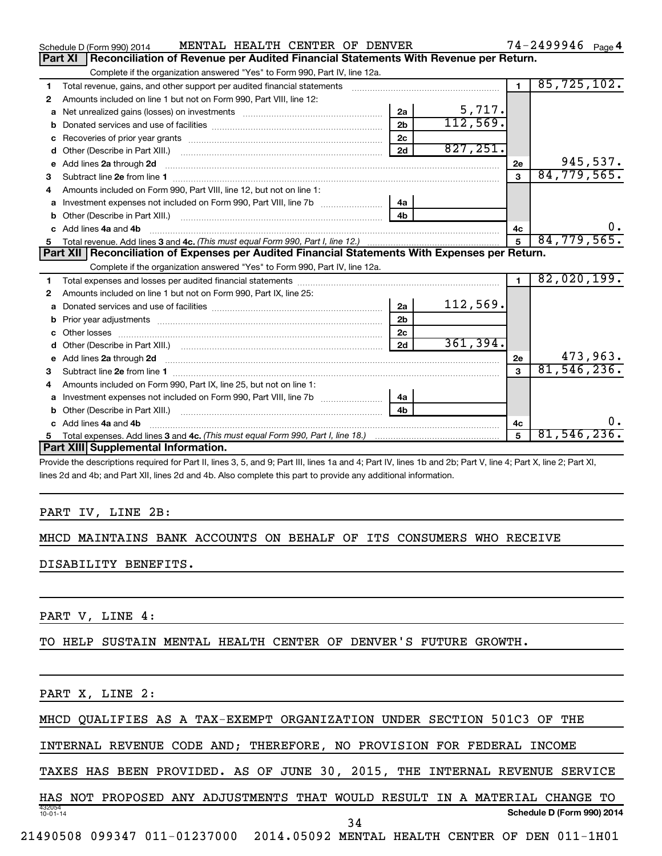|              | MENTAL HEALTH CENTER OF DENVER<br>Schedule D (Form 990) 2014                                                                                                                                                                        |                |           |                | $74 - 2499946$ Page 4 |
|--------------|-------------------------------------------------------------------------------------------------------------------------------------------------------------------------------------------------------------------------------------|----------------|-----------|----------------|-----------------------|
|              | Reconciliation of Revenue per Audited Financial Statements With Revenue per Return.<br>Part XI                                                                                                                                      |                |           |                |                       |
|              | Complete if the organization answered "Yes" to Form 990, Part IV, line 12a.                                                                                                                                                         |                |           |                |                       |
| 1            | Total revenue, gains, and other support per audited financial statements                                                                                                                                                            |                |           | $\blacksquare$ | 85, 725, 102.         |
| 2            | Amounts included on line 1 but not on Form 990, Part VIII, line 12:                                                                                                                                                                 |                |           |                |                       |
| a            |                                                                                                                                                                                                                                     | 2a             | 5,717.    |                |                       |
|              |                                                                                                                                                                                                                                     | 2 <sub>b</sub> | 112,569.  |                |                       |
|              |                                                                                                                                                                                                                                     | 2c             |           |                |                       |
| d            |                                                                                                                                                                                                                                     | 2d             | 827, 251. |                |                       |
| $\mathbf{e}$ | Add lines 2a through 2d                                                                                                                                                                                                             |                |           | 2е             | 945,537.              |
| 3            |                                                                                                                                                                                                                                     |                |           | $\mathbf{a}$   | 84, 779, 565.         |
| 4            | Amounts included on Form 990, Part VIII, line 12, but not on line 1:                                                                                                                                                                |                |           |                |                       |
|              |                                                                                                                                                                                                                                     | 4a             |           |                |                       |
|              |                                                                                                                                                                                                                                     | 4 <sub>b</sub> |           |                |                       |
|              | c Add lines 4a and 4b                                                                                                                                                                                                               |                |           | 4c             | 0.                    |
|              |                                                                                                                                                                                                                                     |                |           | 5              | 84, 779, 565.         |
|              | Part XII   Reconciliation of Expenses per Audited Financial Statements With Expenses per Return.                                                                                                                                    |                |           |                |                       |
|              | Complete if the organization answered "Yes" to Form 990, Part IV, line 12a.                                                                                                                                                         |                |           |                |                       |
| 1.           |                                                                                                                                                                                                                                     |                |           |                |                       |
|              |                                                                                                                                                                                                                                     |                |           | $\blacksquare$ | 82,020,199.           |
| 2            | Amounts included on line 1 but not on Form 990, Part IX, line 25:                                                                                                                                                                   |                |           |                |                       |
| a            |                                                                                                                                                                                                                                     | 2a             | 112,569.  |                |                       |
| b            |                                                                                                                                                                                                                                     | 2 <sub>b</sub> |           |                |                       |
|              |                                                                                                                                                                                                                                     | 2 <sub>c</sub> |           |                |                       |
| d            |                                                                                                                                                                                                                                     | 2d             | 361,394.  |                |                       |
|              |                                                                                                                                                                                                                                     |                |           | 2e             | 473,963.              |
|              | e Add lines 2a through 2d <b>contract and a contract and a contract a</b> contract a contract and a contract a contract a contract a contract a contract a contract a contract a contract a contract a contract a contract a contra |                |           | $\mathbf{a}$   | 81, 546, 236.         |
| 4            | Amounts included on Form 990, Part IX, line 25, but not on line 1:                                                                                                                                                                  |                |           |                |                       |
| a            |                                                                                                                                                                                                                                     | 4a             |           |                |                       |
| b            |                                                                                                                                                                                                                                     | 4 <sub>h</sub> |           |                |                       |
|              | c Add lines 4a and 4b                                                                                                                                                                                                               |                |           | 4c             | 0.                    |
| 5            |                                                                                                                                                                                                                                     |                |           | 5              | 81,546,236.           |
|              | Part XIII Supplemental Information.                                                                                                                                                                                                 |                |           |                |                       |

Provide the descriptions required for Part II, lines 3, 5, and 9; Part III, lines 1a and 4; Part IV, lines 1b and 2b; Part V, line 4; Part X, line 2; Part XI, lines 2d and 4b; and Part XII, lines 2d and 4b. Also complete this part to provide any additional information.

### PART IV, LINE 2B:

# MHCD MAINTAINS BANK ACCOUNTS ON BEHALF OF ITS CONSUMERS WHO RECEIVE

DISABILITY BENEFITS.

PART V, LINE 4:

TO HELP SUSTAIN MENTAL HEALTH CENTER OF DENVER'S FUTURE GROWTH.

PART X, LINE 2:

MHCD QUALIFIES AS A TAX-EXEMPT ORGANIZATION UNDER SECTION 501C3 OF THE

INTERNAL REVENUE CODE AND; THEREFORE, NO PROVISION FOR FEDERAL INCOME

TAXES HAS BEEN PROVIDED. AS OF JUNE 30, 2015, THE INTERNAL REVENUE SERVICE

432054 10-01-14 **Schedule D (Form 990) 2014** HAS NOT PROPOSED ANY ADJUSTMENTS THAT WOULD RESULT IN A MATERIAL CHANGE TO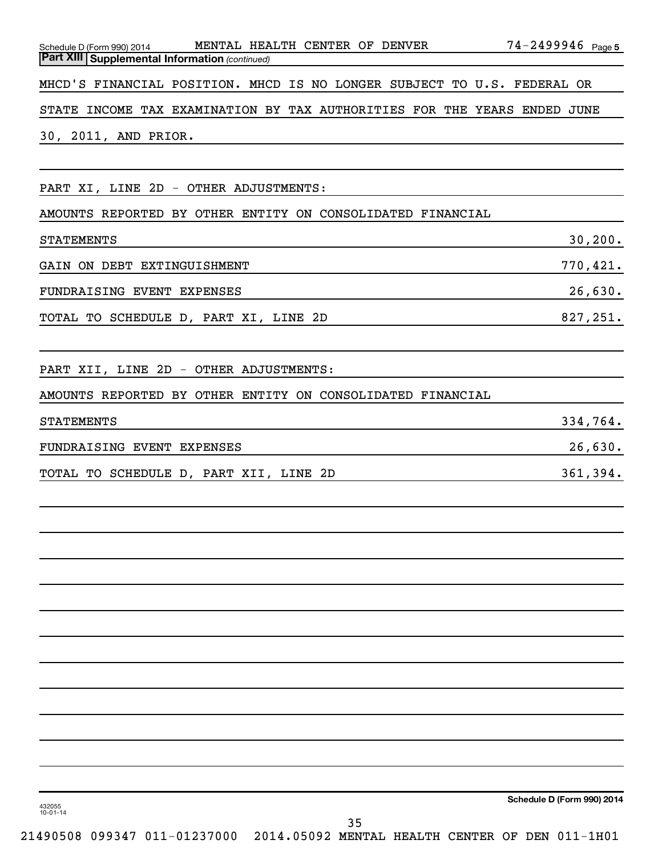| MENTAL HEALTH CENTER OF DENVER<br>Schedule D (Form 990) 2014<br><b>Part XIII Supplemental Information (continued)</b> | 74-2499946 Page 5 |
|-----------------------------------------------------------------------------------------------------------------------|-------------------|
|                                                                                                                       |                   |
| MHCD'S FINANCIAL POSITION. MHCD IS NO LONGER SUBJECT TO U.S. FEDERAL OR                                               |                   |
| STATE INCOME TAX EXAMINATION BY TAX AUTHORITIES FOR THE YEARS ENDED JUNE                                              |                   |
| 30, 2011, AND PRIOR.                                                                                                  |                   |
|                                                                                                                       |                   |
| PART XI, LINE 2D - OTHER ADJUSTMENTS:                                                                                 |                   |
| AMOUNTS REPORTED BY OTHER ENTITY ON CONSOLIDATED FINANCIAL                                                            |                   |
| <b>STATEMENTS</b>                                                                                                     | 30, 200.          |
| GAIN ON DEBT EXTINGUISHMENT                                                                                           | 770,421.          |
| FUNDRAISING EVENT EXPENSES                                                                                            | 26,630.           |
| TOTAL TO SCHEDULE D, PART XI, LINE 2D                                                                                 | 827,251.          |
|                                                                                                                       |                   |
| PART XII, LINE 2D - OTHER ADJUSTMENTS:                                                                                |                   |
| AMOUNTS REPORTED BY OTHER ENTITY ON CONSOLIDATED FINANCIAL                                                            |                   |
| <b>STATEMENTS</b>                                                                                                     | 334,764.          |
| FUNDRAISING EVENT EXPENSES                                                                                            | 26,630.           |
| TOTAL TO SCHEDULE D, PART XII, LINE 2D                                                                                | 361,394.          |
|                                                                                                                       |                   |
|                                                                                                                       |                   |
|                                                                                                                       |                   |
|                                                                                                                       |                   |
|                                                                                                                       |                   |
|                                                                                                                       |                   |
|                                                                                                                       |                   |
|                                                                                                                       |                   |
|                                                                                                                       |                   |
|                                                                                                                       |                   |
|                                                                                                                       |                   |
|                                                                                                                       |                   |
|                                                                                                                       |                   |

432055 10-01-14

**Schedule D (Form 990) 2014**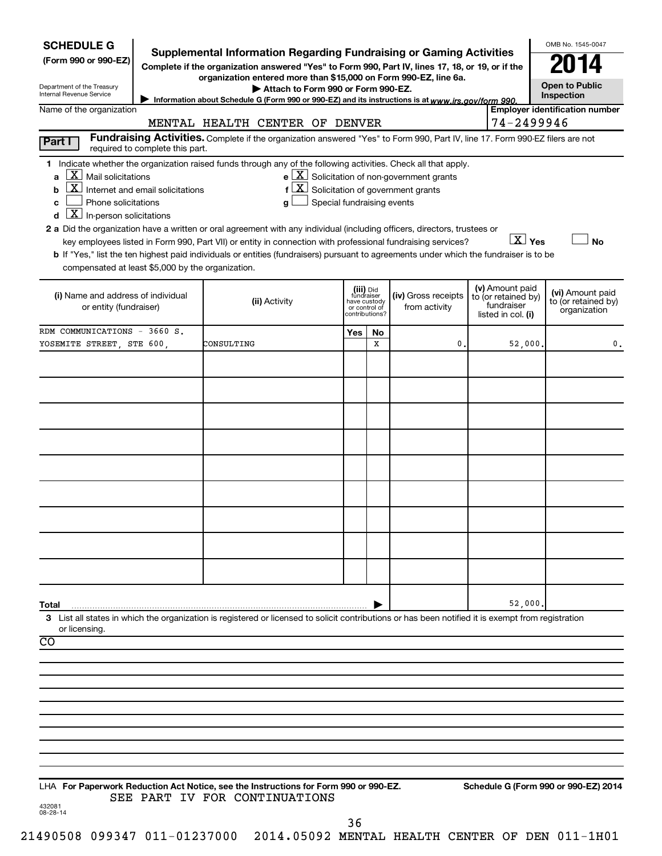| <b>Supplemental Information Regarding Fundraising or Gaming Activities</b><br>(Form 990 or 990-EZ)<br>Complete if the organization answered "Yes" to Form 990, Part IV, lines 17, 18, or 19, or if the<br>organization entered more than \$15,000 on Form 990-EZ, line 6a.<br><b>Open to Public</b><br>Department of the Treasury<br>Attach to Form 990 or Form 990-EZ.<br>Internal Revenue Service<br>Inspection<br>Information about Schedule G (Form 990 or 990-EZ) and its instructions is at www.irs.gov/form 990.<br><b>Employer identification number</b><br>Name of the organization<br>74-2499946<br>MENTAL HEALTH CENTER OF DENVER<br>Fundraising Activities. Complete if the organization answered "Yes" to Form 990, Part IV, line 17. Form 990-EZ filers are not<br>Part I<br>required to complete this part.<br>1 Indicate whether the organization raised funds through any of the following activities. Check all that apply.<br>$\lfloor \underline{X} \rfloor$ Mail solicitations<br>$e$ $\boxed{\text{X}}$ Solicitation of non-government grants<br>a<br>$\boxed{\text{X}}$ Internet and email solicitations<br>$f\left[\frac{X}{X}\right]$ Solicitation of government grants<br>b<br>Phone solicitations<br>Special fundraising events<br>c<br>g<br>$\boxed{\mathbf{X}}$ In-person solicitations<br>d<br>2 a Did the organization have a written or oral agreement with any individual (including officers, directors, trustees or<br>$X$ Yes<br><b>No</b><br>key employees listed in Form 990, Part VII) or entity in connection with professional fundraising services?<br>b If "Yes," list the ten highest paid individuals or entities (fundraisers) pursuant to agreements under which the fundraiser is to be<br>compensated at least \$5,000 by the organization.<br>(v) Amount paid<br>(iii) Did<br>fundraiser<br>have custody<br>(vi) Amount paid<br>(iv) Gross receipts<br>(i) Name and address of individual<br>to (or retained by)<br>(ii) Activity<br>to (or retained by)<br>fundraiser<br>from activity<br>or entity (fundraiser)<br>or control of<br>organization<br>contributions?<br>listed in col. (i)<br>RDM COMMUNICATIONS - 3660 S.<br>Yes<br>No<br>YOSEMITE STREET, STE 600,<br>x<br>0.<br>52,000<br>CONSULTING<br>0.<br>52,000<br>Total<br>3 List all states in which the organization is registered or licensed to solicit contributions or has been notified it is exempt from registration<br>or licensing.<br>$\overline{CO}$<br>LHA For Paperwork Reduction Act Notice, see the Instructions for Form 990 or 990-EZ.<br>Schedule G (Form 990 or 990-EZ) 2014<br>SEE PART IV FOR CONTINUATIONS<br>432081<br>08-28-14<br>36<br>190508 099317 011-01237000 2014.05092 MENTAI HEALTH CENTER OF DEN 011-1H01 | <b>SCHEDULE G</b> |  |  |  | OMB No. 1545-0047 |
|---------------------------------------------------------------------------------------------------------------------------------------------------------------------------------------------------------------------------------------------------------------------------------------------------------------------------------------------------------------------------------------------------------------------------------------------------------------------------------------------------------------------------------------------------------------------------------------------------------------------------------------------------------------------------------------------------------------------------------------------------------------------------------------------------------------------------------------------------------------------------------------------------------------------------------------------------------------------------------------------------------------------------------------------------------------------------------------------------------------------------------------------------------------------------------------------------------------------------------------------------------------------------------------------------------------------------------------------------------------------------------------------------------------------------------------------------------------------------------------------------------------------------------------------------------------------------------------------------------------------------------------------------------------------------------------------------------------------------------------------------------------------------------------------------------------------------------------------------------------------------------------------------------------------------------------------------------------------------------------------------------------------------------------------------------------------------------------------------------------------------------------------------------------------------------------------------------------------------------------------------------------------------------------------------------------------------------------------------------------------------------------------------------------------------------------------------------------------------------------------------------------------------------------------------------------------------------------------------------------------------------------------------------------------------------------------------------------------------------------------------------|-------------------|--|--|--|-------------------|
|                                                                                                                                                                                                                                                                                                                                                                                                                                                                                                                                                                                                                                                                                                                                                                                                                                                                                                                                                                                                                                                                                                                                                                                                                                                                                                                                                                                                                                                                                                                                                                                                                                                                                                                                                                                                                                                                                                                                                                                                                                                                                                                                                                                                                                                                                                                                                                                                                                                                                                                                                                                                                                                                                                                                                         |                   |  |  |  |                   |
|                                                                                                                                                                                                                                                                                                                                                                                                                                                                                                                                                                                                                                                                                                                                                                                                                                                                                                                                                                                                                                                                                                                                                                                                                                                                                                                                                                                                                                                                                                                                                                                                                                                                                                                                                                                                                                                                                                                                                                                                                                                                                                                                                                                                                                                                                                                                                                                                                                                                                                                                                                                                                                                                                                                                                         |                   |  |  |  |                   |
|                                                                                                                                                                                                                                                                                                                                                                                                                                                                                                                                                                                                                                                                                                                                                                                                                                                                                                                                                                                                                                                                                                                                                                                                                                                                                                                                                                                                                                                                                                                                                                                                                                                                                                                                                                                                                                                                                                                                                                                                                                                                                                                                                                                                                                                                                                                                                                                                                                                                                                                                                                                                                                                                                                                                                         |                   |  |  |  |                   |
|                                                                                                                                                                                                                                                                                                                                                                                                                                                                                                                                                                                                                                                                                                                                                                                                                                                                                                                                                                                                                                                                                                                                                                                                                                                                                                                                                                                                                                                                                                                                                                                                                                                                                                                                                                                                                                                                                                                                                                                                                                                                                                                                                                                                                                                                                                                                                                                                                                                                                                                                                                                                                                                                                                                                                         |                   |  |  |  |                   |
|                                                                                                                                                                                                                                                                                                                                                                                                                                                                                                                                                                                                                                                                                                                                                                                                                                                                                                                                                                                                                                                                                                                                                                                                                                                                                                                                                                                                                                                                                                                                                                                                                                                                                                                                                                                                                                                                                                                                                                                                                                                                                                                                                                                                                                                                                                                                                                                                                                                                                                                                                                                                                                                                                                                                                         |                   |  |  |  |                   |
|                                                                                                                                                                                                                                                                                                                                                                                                                                                                                                                                                                                                                                                                                                                                                                                                                                                                                                                                                                                                                                                                                                                                                                                                                                                                                                                                                                                                                                                                                                                                                                                                                                                                                                                                                                                                                                                                                                                                                                                                                                                                                                                                                                                                                                                                                                                                                                                                                                                                                                                                                                                                                                                                                                                                                         |                   |  |  |  |                   |
|                                                                                                                                                                                                                                                                                                                                                                                                                                                                                                                                                                                                                                                                                                                                                                                                                                                                                                                                                                                                                                                                                                                                                                                                                                                                                                                                                                                                                                                                                                                                                                                                                                                                                                                                                                                                                                                                                                                                                                                                                                                                                                                                                                                                                                                                                                                                                                                                                                                                                                                                                                                                                                                                                                                                                         |                   |  |  |  |                   |
|                                                                                                                                                                                                                                                                                                                                                                                                                                                                                                                                                                                                                                                                                                                                                                                                                                                                                                                                                                                                                                                                                                                                                                                                                                                                                                                                                                                                                                                                                                                                                                                                                                                                                                                                                                                                                                                                                                                                                                                                                                                                                                                                                                                                                                                                                                                                                                                                                                                                                                                                                                                                                                                                                                                                                         |                   |  |  |  |                   |
|                                                                                                                                                                                                                                                                                                                                                                                                                                                                                                                                                                                                                                                                                                                                                                                                                                                                                                                                                                                                                                                                                                                                                                                                                                                                                                                                                                                                                                                                                                                                                                                                                                                                                                                                                                                                                                                                                                                                                                                                                                                                                                                                                                                                                                                                                                                                                                                                                                                                                                                                                                                                                                                                                                                                                         |                   |  |  |  |                   |
|                                                                                                                                                                                                                                                                                                                                                                                                                                                                                                                                                                                                                                                                                                                                                                                                                                                                                                                                                                                                                                                                                                                                                                                                                                                                                                                                                                                                                                                                                                                                                                                                                                                                                                                                                                                                                                                                                                                                                                                                                                                                                                                                                                                                                                                                                                                                                                                                                                                                                                                                                                                                                                                                                                                                                         |                   |  |  |  |                   |
|                                                                                                                                                                                                                                                                                                                                                                                                                                                                                                                                                                                                                                                                                                                                                                                                                                                                                                                                                                                                                                                                                                                                                                                                                                                                                                                                                                                                                                                                                                                                                                                                                                                                                                                                                                                                                                                                                                                                                                                                                                                                                                                                                                                                                                                                                                                                                                                                                                                                                                                                                                                                                                                                                                                                                         |                   |  |  |  |                   |
|                                                                                                                                                                                                                                                                                                                                                                                                                                                                                                                                                                                                                                                                                                                                                                                                                                                                                                                                                                                                                                                                                                                                                                                                                                                                                                                                                                                                                                                                                                                                                                                                                                                                                                                                                                                                                                                                                                                                                                                                                                                                                                                                                                                                                                                                                                                                                                                                                                                                                                                                                                                                                                                                                                                                                         |                   |  |  |  |                   |
|                                                                                                                                                                                                                                                                                                                                                                                                                                                                                                                                                                                                                                                                                                                                                                                                                                                                                                                                                                                                                                                                                                                                                                                                                                                                                                                                                                                                                                                                                                                                                                                                                                                                                                                                                                                                                                                                                                                                                                                                                                                                                                                                                                                                                                                                                                                                                                                                                                                                                                                                                                                                                                                                                                                                                         |                   |  |  |  |                   |
|                                                                                                                                                                                                                                                                                                                                                                                                                                                                                                                                                                                                                                                                                                                                                                                                                                                                                                                                                                                                                                                                                                                                                                                                                                                                                                                                                                                                                                                                                                                                                                                                                                                                                                                                                                                                                                                                                                                                                                                                                                                                                                                                                                                                                                                                                                                                                                                                                                                                                                                                                                                                                                                                                                                                                         |                   |  |  |  |                   |
|                                                                                                                                                                                                                                                                                                                                                                                                                                                                                                                                                                                                                                                                                                                                                                                                                                                                                                                                                                                                                                                                                                                                                                                                                                                                                                                                                                                                                                                                                                                                                                                                                                                                                                                                                                                                                                                                                                                                                                                                                                                                                                                                                                                                                                                                                                                                                                                                                                                                                                                                                                                                                                                                                                                                                         |                   |  |  |  |                   |
|                                                                                                                                                                                                                                                                                                                                                                                                                                                                                                                                                                                                                                                                                                                                                                                                                                                                                                                                                                                                                                                                                                                                                                                                                                                                                                                                                                                                                                                                                                                                                                                                                                                                                                                                                                                                                                                                                                                                                                                                                                                                                                                                                                                                                                                                                                                                                                                                                                                                                                                                                                                                                                                                                                                                                         |                   |  |  |  |                   |
|                                                                                                                                                                                                                                                                                                                                                                                                                                                                                                                                                                                                                                                                                                                                                                                                                                                                                                                                                                                                                                                                                                                                                                                                                                                                                                                                                                                                                                                                                                                                                                                                                                                                                                                                                                                                                                                                                                                                                                                                                                                                                                                                                                                                                                                                                                                                                                                                                                                                                                                                                                                                                                                                                                                                                         |                   |  |  |  |                   |
|                                                                                                                                                                                                                                                                                                                                                                                                                                                                                                                                                                                                                                                                                                                                                                                                                                                                                                                                                                                                                                                                                                                                                                                                                                                                                                                                                                                                                                                                                                                                                                                                                                                                                                                                                                                                                                                                                                                                                                                                                                                                                                                                                                                                                                                                                                                                                                                                                                                                                                                                                                                                                                                                                                                                                         |                   |  |  |  |                   |
|                                                                                                                                                                                                                                                                                                                                                                                                                                                                                                                                                                                                                                                                                                                                                                                                                                                                                                                                                                                                                                                                                                                                                                                                                                                                                                                                                                                                                                                                                                                                                                                                                                                                                                                                                                                                                                                                                                                                                                                                                                                                                                                                                                                                                                                                                                                                                                                                                                                                                                                                                                                                                                                                                                                                                         |                   |  |  |  |                   |
|                                                                                                                                                                                                                                                                                                                                                                                                                                                                                                                                                                                                                                                                                                                                                                                                                                                                                                                                                                                                                                                                                                                                                                                                                                                                                                                                                                                                                                                                                                                                                                                                                                                                                                                                                                                                                                                                                                                                                                                                                                                                                                                                                                                                                                                                                                                                                                                                                                                                                                                                                                                                                                                                                                                                                         |                   |  |  |  |                   |
|                                                                                                                                                                                                                                                                                                                                                                                                                                                                                                                                                                                                                                                                                                                                                                                                                                                                                                                                                                                                                                                                                                                                                                                                                                                                                                                                                                                                                                                                                                                                                                                                                                                                                                                                                                                                                                                                                                                                                                                                                                                                                                                                                                                                                                                                                                                                                                                                                                                                                                                                                                                                                                                                                                                                                         |                   |  |  |  |                   |
|                                                                                                                                                                                                                                                                                                                                                                                                                                                                                                                                                                                                                                                                                                                                                                                                                                                                                                                                                                                                                                                                                                                                                                                                                                                                                                                                                                                                                                                                                                                                                                                                                                                                                                                                                                                                                                                                                                                                                                                                                                                                                                                                                                                                                                                                                                                                                                                                                                                                                                                                                                                                                                                                                                                                                         |                   |  |  |  |                   |
|                                                                                                                                                                                                                                                                                                                                                                                                                                                                                                                                                                                                                                                                                                                                                                                                                                                                                                                                                                                                                                                                                                                                                                                                                                                                                                                                                                                                                                                                                                                                                                                                                                                                                                                                                                                                                                                                                                                                                                                                                                                                                                                                                                                                                                                                                                                                                                                                                                                                                                                                                                                                                                                                                                                                                         |                   |  |  |  |                   |
|                                                                                                                                                                                                                                                                                                                                                                                                                                                                                                                                                                                                                                                                                                                                                                                                                                                                                                                                                                                                                                                                                                                                                                                                                                                                                                                                                                                                                                                                                                                                                                                                                                                                                                                                                                                                                                                                                                                                                                                                                                                                                                                                                                                                                                                                                                                                                                                                                                                                                                                                                                                                                                                                                                                                                         |                   |  |  |  |                   |
|                                                                                                                                                                                                                                                                                                                                                                                                                                                                                                                                                                                                                                                                                                                                                                                                                                                                                                                                                                                                                                                                                                                                                                                                                                                                                                                                                                                                                                                                                                                                                                                                                                                                                                                                                                                                                                                                                                                                                                                                                                                                                                                                                                                                                                                                                                                                                                                                                                                                                                                                                                                                                                                                                                                                                         |                   |  |  |  |                   |
|                                                                                                                                                                                                                                                                                                                                                                                                                                                                                                                                                                                                                                                                                                                                                                                                                                                                                                                                                                                                                                                                                                                                                                                                                                                                                                                                                                                                                                                                                                                                                                                                                                                                                                                                                                                                                                                                                                                                                                                                                                                                                                                                                                                                                                                                                                                                                                                                                                                                                                                                                                                                                                                                                                                                                         |                   |  |  |  |                   |
|                                                                                                                                                                                                                                                                                                                                                                                                                                                                                                                                                                                                                                                                                                                                                                                                                                                                                                                                                                                                                                                                                                                                                                                                                                                                                                                                                                                                                                                                                                                                                                                                                                                                                                                                                                                                                                                                                                                                                                                                                                                                                                                                                                                                                                                                                                                                                                                                                                                                                                                                                                                                                                                                                                                                                         |                   |  |  |  |                   |
|                                                                                                                                                                                                                                                                                                                                                                                                                                                                                                                                                                                                                                                                                                                                                                                                                                                                                                                                                                                                                                                                                                                                                                                                                                                                                                                                                                                                                                                                                                                                                                                                                                                                                                                                                                                                                                                                                                                                                                                                                                                                                                                                                                                                                                                                                                                                                                                                                                                                                                                                                                                                                                                                                                                                                         |                   |  |  |  |                   |
|                                                                                                                                                                                                                                                                                                                                                                                                                                                                                                                                                                                                                                                                                                                                                                                                                                                                                                                                                                                                                                                                                                                                                                                                                                                                                                                                                                                                                                                                                                                                                                                                                                                                                                                                                                                                                                                                                                                                                                                                                                                                                                                                                                                                                                                                                                                                                                                                                                                                                                                                                                                                                                                                                                                                                         |                   |  |  |  |                   |
|                                                                                                                                                                                                                                                                                                                                                                                                                                                                                                                                                                                                                                                                                                                                                                                                                                                                                                                                                                                                                                                                                                                                                                                                                                                                                                                                                                                                                                                                                                                                                                                                                                                                                                                                                                                                                                                                                                                                                                                                                                                                                                                                                                                                                                                                                                                                                                                                                                                                                                                                                                                                                                                                                                                                                         |                   |  |  |  |                   |
|                                                                                                                                                                                                                                                                                                                                                                                                                                                                                                                                                                                                                                                                                                                                                                                                                                                                                                                                                                                                                                                                                                                                                                                                                                                                                                                                                                                                                                                                                                                                                                                                                                                                                                                                                                                                                                                                                                                                                                                                                                                                                                                                                                                                                                                                                                                                                                                                                                                                                                                                                                                                                                                                                                                                                         |                   |  |  |  |                   |
|                                                                                                                                                                                                                                                                                                                                                                                                                                                                                                                                                                                                                                                                                                                                                                                                                                                                                                                                                                                                                                                                                                                                                                                                                                                                                                                                                                                                                                                                                                                                                                                                                                                                                                                                                                                                                                                                                                                                                                                                                                                                                                                                                                                                                                                                                                                                                                                                                                                                                                                                                                                                                                                                                                                                                         |                   |  |  |  |                   |
|                                                                                                                                                                                                                                                                                                                                                                                                                                                                                                                                                                                                                                                                                                                                                                                                                                                                                                                                                                                                                                                                                                                                                                                                                                                                                                                                                                                                                                                                                                                                                                                                                                                                                                                                                                                                                                                                                                                                                                                                                                                                                                                                                                                                                                                                                                                                                                                                                                                                                                                                                                                                                                                                                                                                                         |                   |  |  |  |                   |
|                                                                                                                                                                                                                                                                                                                                                                                                                                                                                                                                                                                                                                                                                                                                                                                                                                                                                                                                                                                                                                                                                                                                                                                                                                                                                                                                                                                                                                                                                                                                                                                                                                                                                                                                                                                                                                                                                                                                                                                                                                                                                                                                                                                                                                                                                                                                                                                                                                                                                                                                                                                                                                                                                                                                                         |                   |  |  |  |                   |
|                                                                                                                                                                                                                                                                                                                                                                                                                                                                                                                                                                                                                                                                                                                                                                                                                                                                                                                                                                                                                                                                                                                                                                                                                                                                                                                                                                                                                                                                                                                                                                                                                                                                                                                                                                                                                                                                                                                                                                                                                                                                                                                                                                                                                                                                                                                                                                                                                                                                                                                                                                                                                                                                                                                                                         |                   |  |  |  |                   |
|                                                                                                                                                                                                                                                                                                                                                                                                                                                                                                                                                                                                                                                                                                                                                                                                                                                                                                                                                                                                                                                                                                                                                                                                                                                                                                                                                                                                                                                                                                                                                                                                                                                                                                                                                                                                                                                                                                                                                                                                                                                                                                                                                                                                                                                                                                                                                                                                                                                                                                                                                                                                                                                                                                                                                         |                   |  |  |  |                   |
|                                                                                                                                                                                                                                                                                                                                                                                                                                                                                                                                                                                                                                                                                                                                                                                                                                                                                                                                                                                                                                                                                                                                                                                                                                                                                                                                                                                                                                                                                                                                                                                                                                                                                                                                                                                                                                                                                                                                                                                                                                                                                                                                                                                                                                                                                                                                                                                                                                                                                                                                                                                                                                                                                                                                                         |                   |  |  |  |                   |
|                                                                                                                                                                                                                                                                                                                                                                                                                                                                                                                                                                                                                                                                                                                                                                                                                                                                                                                                                                                                                                                                                                                                                                                                                                                                                                                                                                                                                                                                                                                                                                                                                                                                                                                                                                                                                                                                                                                                                                                                                                                                                                                                                                                                                                                                                                                                                                                                                                                                                                                                                                                                                                                                                                                                                         |                   |  |  |  |                   |
|                                                                                                                                                                                                                                                                                                                                                                                                                                                                                                                                                                                                                                                                                                                                                                                                                                                                                                                                                                                                                                                                                                                                                                                                                                                                                                                                                                                                                                                                                                                                                                                                                                                                                                                                                                                                                                                                                                                                                                                                                                                                                                                                                                                                                                                                                                                                                                                                                                                                                                                                                                                                                                                                                                                                                         |                   |  |  |  |                   |
|                                                                                                                                                                                                                                                                                                                                                                                                                                                                                                                                                                                                                                                                                                                                                                                                                                                                                                                                                                                                                                                                                                                                                                                                                                                                                                                                                                                                                                                                                                                                                                                                                                                                                                                                                                                                                                                                                                                                                                                                                                                                                                                                                                                                                                                                                                                                                                                                                                                                                                                                                                                                                                                                                                                                                         |                   |  |  |  |                   |
|                                                                                                                                                                                                                                                                                                                                                                                                                                                                                                                                                                                                                                                                                                                                                                                                                                                                                                                                                                                                                                                                                                                                                                                                                                                                                                                                                                                                                                                                                                                                                                                                                                                                                                                                                                                                                                                                                                                                                                                                                                                                                                                                                                                                                                                                                                                                                                                                                                                                                                                                                                                                                                                                                                                                                         |                   |  |  |  |                   |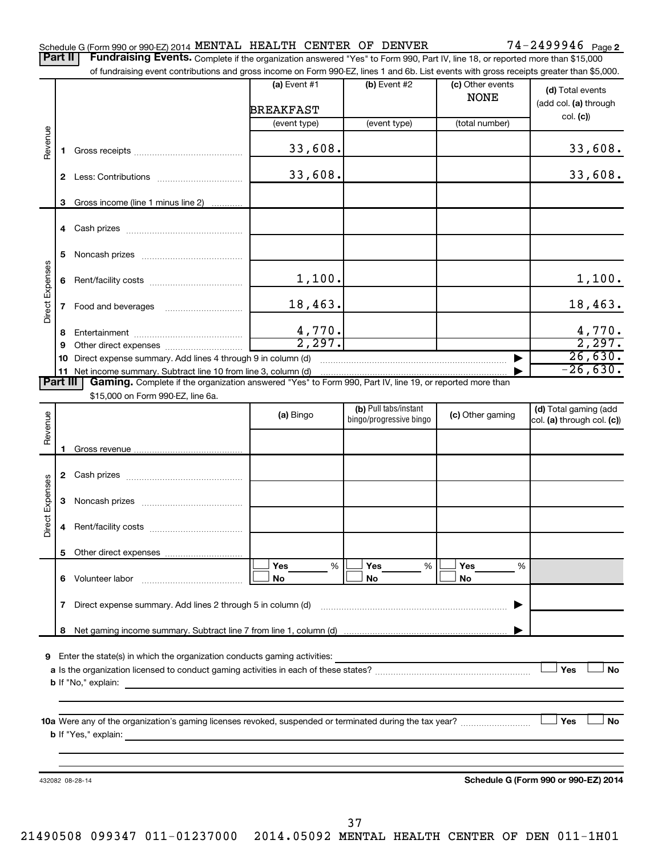Part II | Fundraising Events. Complete if the organization answered "Yes" to Form 990, Part IV, line 18, or reported more than \$15,000

|                 |    | of fundraising event contributions and gross income on Form 990-EZ, lines 1 and 6b. List events with gross receipts greater than \$5,000.                                                                                                                                                                                                                                                            |                       |                         |                       |                                      |
|-----------------|----|------------------------------------------------------------------------------------------------------------------------------------------------------------------------------------------------------------------------------------------------------------------------------------------------------------------------------------------------------------------------------------------------------|-----------------------|-------------------------|-----------------------|--------------------------------------|
|                 |    |                                                                                                                                                                                                                                                                                                                                                                                                      | (a) Event #1          | (b) Event #2            | (c) Other events      | (d) Total events                     |
|                 |    |                                                                                                                                                                                                                                                                                                                                                                                                      |                       |                         | <b>NONE</b>           | (add col. (a) through                |
|                 |    |                                                                                                                                                                                                                                                                                                                                                                                                      | <b>BREAKFAST</b>      |                         |                       | col. (c)                             |
|                 |    |                                                                                                                                                                                                                                                                                                                                                                                                      | (event type)          | (event type)            | (total number)        |                                      |
| Revenue         | 1. |                                                                                                                                                                                                                                                                                                                                                                                                      | 33,608.               |                         |                       | 33,608.                              |
|                 |    |                                                                                                                                                                                                                                                                                                                                                                                                      |                       |                         |                       |                                      |
|                 |    |                                                                                                                                                                                                                                                                                                                                                                                                      | 33,608.               |                         |                       | 33,608.                              |
|                 |    |                                                                                                                                                                                                                                                                                                                                                                                                      |                       |                         |                       |                                      |
|                 | 3  | Gross income (line 1 minus line 2)                                                                                                                                                                                                                                                                                                                                                                   |                       |                         |                       |                                      |
|                 |    |                                                                                                                                                                                                                                                                                                                                                                                                      |                       |                         |                       |                                      |
|                 |    |                                                                                                                                                                                                                                                                                                                                                                                                      |                       |                         |                       |                                      |
|                 | 5  |                                                                                                                                                                                                                                                                                                                                                                                                      |                       |                         |                       |                                      |
|                 |    |                                                                                                                                                                                                                                                                                                                                                                                                      | 1,100.                |                         |                       |                                      |
| Direct Expenses | 6  |                                                                                                                                                                                                                                                                                                                                                                                                      |                       |                         |                       | 1,100.                               |
|                 |    |                                                                                                                                                                                                                                                                                                                                                                                                      | 18,463.               |                         |                       | 18,463.                              |
|                 |    |                                                                                                                                                                                                                                                                                                                                                                                                      |                       |                         |                       |                                      |
|                 | 8  |                                                                                                                                                                                                                                                                                                                                                                                                      | $\frac{4,770}{2,297}$ |                         |                       | $\frac{4,770}{2,297}$                |
|                 | 9  |                                                                                                                                                                                                                                                                                                                                                                                                      |                       |                         |                       |                                      |
|                 | 10 | Direct expense summary. Add lines 4 through 9 in column (d)                                                                                                                                                                                                                                                                                                                                          |                       |                         |                       | 26,630.<br>$-26,630.$                |
| <b>Part III</b> |    | 11 Net income summary. Subtract line 10 from line 3, column (d)<br>Gaming. Complete if the organization answered "Yes" to Form 990, Part IV, line 19, or reported more than                                                                                                                                                                                                                          |                       |                         |                       |                                      |
|                 |    | \$15,000 on Form 990-EZ, line 6a.                                                                                                                                                                                                                                                                                                                                                                    |                       |                         |                       |                                      |
|                 |    |                                                                                                                                                                                                                                                                                                                                                                                                      |                       | (b) Pull tabs/instant   |                       | (d) Total gaming (add                |
|                 |    |                                                                                                                                                                                                                                                                                                                                                                                                      | (a) Bingo             | bingo/progressive bingo | (c) Other gaming      | col. (a) through col. (c))           |
| Revenue         |    |                                                                                                                                                                                                                                                                                                                                                                                                      |                       |                         |                       |                                      |
|                 |    |                                                                                                                                                                                                                                                                                                                                                                                                      |                       |                         |                       |                                      |
|                 |    |                                                                                                                                                                                                                                                                                                                                                                                                      |                       |                         |                       |                                      |
|                 |    |                                                                                                                                                                                                                                                                                                                                                                                                      |                       |                         |                       |                                      |
|                 | 3  |                                                                                                                                                                                                                                                                                                                                                                                                      |                       |                         |                       |                                      |
|                 |    |                                                                                                                                                                                                                                                                                                                                                                                                      |                       |                         |                       |                                      |
| Direct Expenses | 4  |                                                                                                                                                                                                                                                                                                                                                                                                      |                       |                         |                       |                                      |
|                 |    |                                                                                                                                                                                                                                                                                                                                                                                                      |                       |                         |                       |                                      |
|                 |    | 5 Other direct expenses                                                                                                                                                                                                                                                                                                                                                                              |                       |                         |                       |                                      |
|                 |    |                                                                                                                                                                                                                                                                                                                                                                                                      | <b>Yes</b><br>%<br>No | Yes<br>%<br>No          | <b>Yes</b><br>%<br>No |                                      |
|                 |    |                                                                                                                                                                                                                                                                                                                                                                                                      |                       |                         |                       |                                      |
|                 | 7  | Direct expense summary. Add lines 2 through 5 in column (d)                                                                                                                                                                                                                                                                                                                                          |                       |                         | ▶                     |                                      |
|                 |    |                                                                                                                                                                                                                                                                                                                                                                                                      |                       |                         |                       |                                      |
|                 |    |                                                                                                                                                                                                                                                                                                                                                                                                      |                       |                         |                       |                                      |
|                 |    |                                                                                                                                                                                                                                                                                                                                                                                                      |                       |                         |                       |                                      |
|                 |    | 9 Enter the state(s) in which the organization conducts gaming activities:                                                                                                                                                                                                                                                                                                                           |                       |                         |                       | Yes<br><b>No</b>                     |
|                 |    |                                                                                                                                                                                                                                                                                                                                                                                                      |                       |                         |                       |                                      |
|                 |    |                                                                                                                                                                                                                                                                                                                                                                                                      |                       |                         |                       |                                      |
|                 |    |                                                                                                                                                                                                                                                                                                                                                                                                      |                       |                         |                       |                                      |
|                 |    |                                                                                                                                                                                                                                                                                                                                                                                                      |                       |                         |                       | Yes<br>No                            |
|                 |    | <b>b</b> If "Yes," explain: $\frac{1}{\sqrt{1-\frac{1}{2}}\sqrt{1-\frac{1}{2}}\sqrt{1-\frac{1}{2}}\sqrt{1-\frac{1}{2}}\sqrt{1-\frac{1}{2}}\sqrt{1-\frac{1}{2}}\sqrt{1-\frac{1}{2}}\sqrt{1-\frac{1}{2}}\sqrt{1-\frac{1}{2}}\sqrt{1-\frac{1}{2}}\sqrt{1-\frac{1}{2}}\sqrt{1-\frac{1}{2}}\sqrt{1-\frac{1}{2}}\sqrt{1-\frac{1}{2}}\sqrt{1-\frac{1}{2}}\sqrt{1-\frac{1}{2}}\sqrt{1-\frac{1}{2}}\sqrt{1-\$ |                       |                         |                       |                                      |
|                 |    |                                                                                                                                                                                                                                                                                                                                                                                                      |                       |                         |                       |                                      |
|                 |    |                                                                                                                                                                                                                                                                                                                                                                                                      |                       |                         |                       |                                      |
|                 |    | 432082 08-28-14                                                                                                                                                                                                                                                                                                                                                                                      |                       |                         |                       | Schedule G (Form 990 or 990-EZ) 2014 |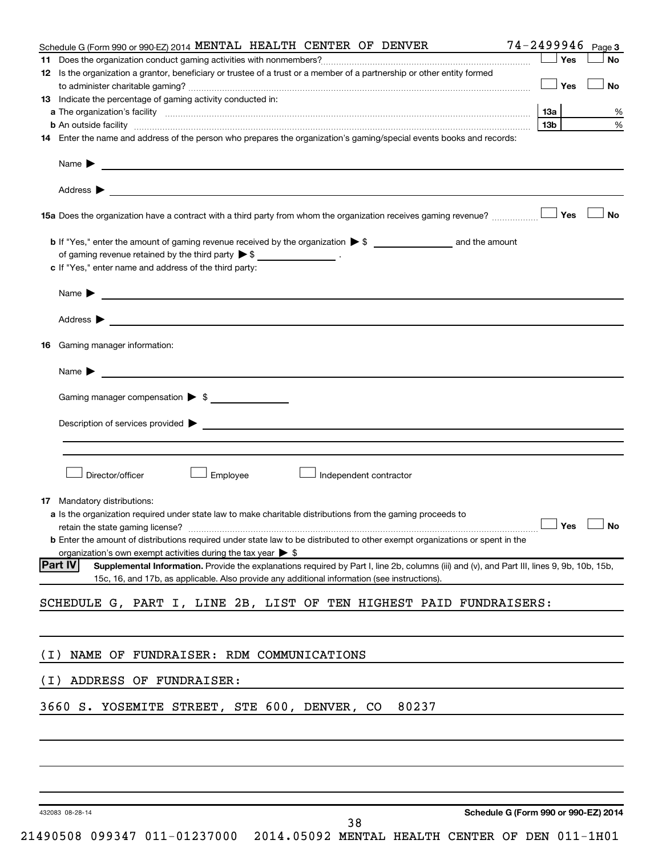|       | Schedule G (Form 990 or 990-EZ) 2014 MENTAL HEALTH CENTER OF DENVER                                                                                                                                                                           | 74-2499946 Page 3 |      |
|-------|-----------------------------------------------------------------------------------------------------------------------------------------------------------------------------------------------------------------------------------------------|-------------------|------|
| 11.   |                                                                                                                                                                                                                                               | Yes               | No   |
|       | 12 Is the organization a grantor, beneficiary or trustee of a trust or a member of a partnership or other entity formed                                                                                                                       |                   |      |
|       |                                                                                                                                                                                                                                               | $\Box$ Yes        | No   |
|       | <b>13</b> Indicate the percentage of gaming activity conducted in:                                                                                                                                                                            |                   |      |
|       |                                                                                                                                                                                                                                               | 13а               | %    |
|       | <b>b</b> An outside facility <i>www.communicality.communicality.communicality www.communicality.communicality.communicality</i>                                                                                                               | 13b               | $\%$ |
|       | 14 Enter the name and address of the person who prepares the organization's gaming/special events books and records:                                                                                                                          |                   |      |
|       |                                                                                                                                                                                                                                               |                   |      |
|       | Address ><br>and the control of the control of the control of the control of the control of the control of the control of the                                                                                                                 |                   |      |
|       |                                                                                                                                                                                                                                               |                   | ∣ No |
|       |                                                                                                                                                                                                                                               |                   |      |
|       | of gaming revenue retained by the third party $\triangleright$ \$ __________________.                                                                                                                                                         |                   |      |
|       | c If "Yes," enter name and address of the third party:                                                                                                                                                                                        |                   |      |
|       |                                                                                                                                                                                                                                               |                   |      |
|       | Address >                                                                                                                                                                                                                                     |                   |      |
|       |                                                                                                                                                                                                                                               |                   |      |
| 16.   | Gaming manager information:                                                                                                                                                                                                                   |                   |      |
|       | <u> 1989 - Johann Barbara, martin a</u><br>Name $\blacktriangleright$                                                                                                                                                                         |                   |      |
|       | Gaming manager compensation > \$                                                                                                                                                                                                              |                   |      |
|       | Description of services provided <b>by the contract of the contract of services</b> provided <b>by the contract of the contract of the contract of the contract of the contract of the contract of the contract of the contract of th</b>     |                   |      |
|       |                                                                                                                                                                                                                                               |                   |      |
|       |                                                                                                                                                                                                                                               |                   |      |
|       | Director/officer<br>Employee<br>Independent contractor                                                                                                                                                                                        |                   |      |
|       |                                                                                                                                                                                                                                               |                   |      |
|       | <b>17</b> Mandatory distributions:                                                                                                                                                                                                            |                   |      |
|       | <b>a</b> Is the organization required under state law to make charitable distributions from the gaming proceeds to                                                                                                                            |                   |      |
|       |                                                                                                                                                                                                                                               |                   |      |
|       | <b>b</b> Enter the amount of distributions required under state law to be distributed to other exempt organizations or spent in the                                                                                                           |                   |      |
|       | organization's own exempt activities during the tax year $\triangleright$ \$<br><b>Part IV</b><br>Supplemental Information. Provide the explanations required by Part I, line 2b, columns (iii) and (v), and Part III, lines 9, 9b, 10b, 15b, |                   |      |
|       | 15c, 16, and 17b, as applicable. Also provide any additional information (see instructions).                                                                                                                                                  |                   |      |
|       |                                                                                                                                                                                                                                               |                   |      |
|       | SCHEDULE G, PART I, LINE 2B, LIST OF TEN HIGHEST PAID FUNDRAISERS:                                                                                                                                                                            |                   |      |
|       |                                                                                                                                                                                                                                               |                   |      |
| ( I ) | NAME OF FUNDRAISER: RDM COMMUNICATIONS                                                                                                                                                                                                        |                   |      |
| ( I ) | ADDRESS OF FUNDRAISER:                                                                                                                                                                                                                        |                   |      |
|       | 80237                                                                                                                                                                                                                                         |                   |      |
|       | 3660 S. YOSEMITE STREET, STE 600, DENVER, CO                                                                                                                                                                                                  |                   |      |
|       |                                                                                                                                                                                                                                               |                   |      |
|       |                                                                                                                                                                                                                                               |                   |      |
|       |                                                                                                                                                                                                                                               |                   |      |
|       |                                                                                                                                                                                                                                               |                   |      |
|       | Schedule G (Form 990 or 990-EZ) 2014<br>432083 08-28-14<br>38                                                                                                                                                                                 |                   |      |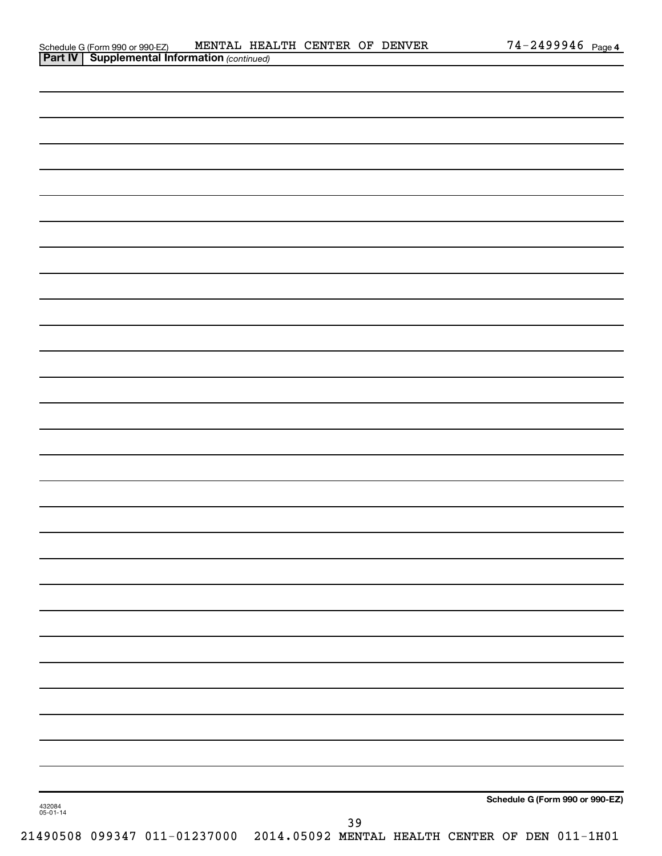| Schedule G (Form 990 or 990-EZ)                       | MENTAL HEALTH CENTER OF DENVER |  |  | $74 - 2499946$ Page 4 |  |
|-------------------------------------------------------|--------------------------------|--|--|-----------------------|--|
| <b>Part IV   Supplemental Information (continued)</b> |                                |  |  |                       |  |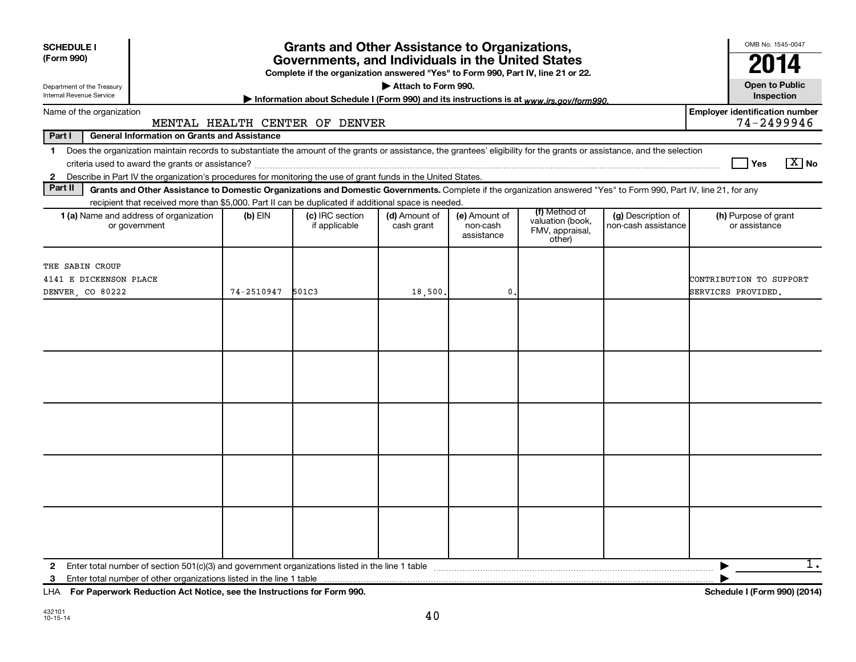| <b>SCHEDULE I</b><br>(Form 990)<br>Department of the Treasury<br>Internal Revenue Service |                                                     |            | <b>Grants and Other Assistance to Organizations,</b><br>Governments, and Individuals in the United States<br>Complete if the organization answered "Yes" to Form 990, Part IV, line 21 or 22.<br>Information about Schedule I (Form 990) and its instructions is at www.irs.gov/form990.  | Attach to Form 990.         |                                         |                                                                |                                           | OMB No. 1545-0047<br>2014<br><b>Open to Public</b><br>Inspection |
|-------------------------------------------------------------------------------------------|-----------------------------------------------------|------------|-------------------------------------------------------------------------------------------------------------------------------------------------------------------------------------------------------------------------------------------------------------------------------------------|-----------------------------|-----------------------------------------|----------------------------------------------------------------|-------------------------------------------|------------------------------------------------------------------|
| Name of the organization                                                                  |                                                     |            |                                                                                                                                                                                                                                                                                           |                             |                                         |                                                                |                                           | <b>Employer identification number</b>                            |
| Part I                                                                                    | <b>General Information on Grants and Assistance</b> |            | MENTAL HEALTH CENTER OF DENVER                                                                                                                                                                                                                                                            |                             |                                         |                                                                |                                           | 74-2499946                                                       |
| 1<br>$\mathbf{2}$                                                                         |                                                     |            | Does the organization maintain records to substantiate the amount of the grants or assistance, the grantees' eligibility for the grants or assistance, and the selection<br>Describe in Part IV the organization's procedures for monitoring the use of grant funds in the United States. |                             |                                         |                                                                |                                           | $\boxed{\text{X}}$ No<br><b>Yes</b>                              |
| Part II                                                                                   |                                                     |            | Grants and Other Assistance to Domestic Organizations and Domestic Governments. Complete if the organization answered "Yes" to Form 990, Part IV, line 21, for any                                                                                                                        |                             |                                         |                                                                |                                           |                                                                  |
| 1 (a) Name and address of organization<br>or government                                   |                                                     | $(b)$ EIN  | recipient that received more than \$5,000. Part II can be duplicated if additional space is needed.<br>(c) IRC section<br>if applicable                                                                                                                                                   | (d) Amount of<br>cash grant | (e) Amount of<br>non-cash<br>assistance | (f) Method of<br>valuation (book,<br>FMV, appraisal,<br>other) | (g) Description of<br>non-cash assistance | (h) Purpose of grant<br>or assistance                            |
| THE SABIN CROUP<br>4141 E DICKENSON PLACE<br>DENVER, CO 80222                             |                                                     | 74-2510947 | 501C3                                                                                                                                                                                                                                                                                     | 18,500                      | 0                                       |                                                                |                                           | CONTRIBUTION TO SUPPORT<br>SERVICES PROVIDED.                    |
|                                                                                           |                                                     |            |                                                                                                                                                                                                                                                                                           |                             |                                         |                                                                |                                           |                                                                  |
|                                                                                           |                                                     |            |                                                                                                                                                                                                                                                                                           |                             |                                         |                                                                |                                           |                                                                  |
|                                                                                           |                                                     |            |                                                                                                                                                                                                                                                                                           |                             |                                         |                                                                |                                           |                                                                  |
|                                                                                           |                                                     |            |                                                                                                                                                                                                                                                                                           |                             |                                         |                                                                |                                           |                                                                  |
|                                                                                           |                                                     |            |                                                                                                                                                                                                                                                                                           |                             |                                         |                                                                |                                           |                                                                  |
| $\mathbf{2}$<br>3                                                                         |                                                     |            |                                                                                                                                                                                                                                                                                           |                             |                                         |                                                                |                                           | 1.                                                               |

**For Paperwork Reduction Act Notice, see the Instructions for Form 990. Schedule I (Form 990) (2014)** LHA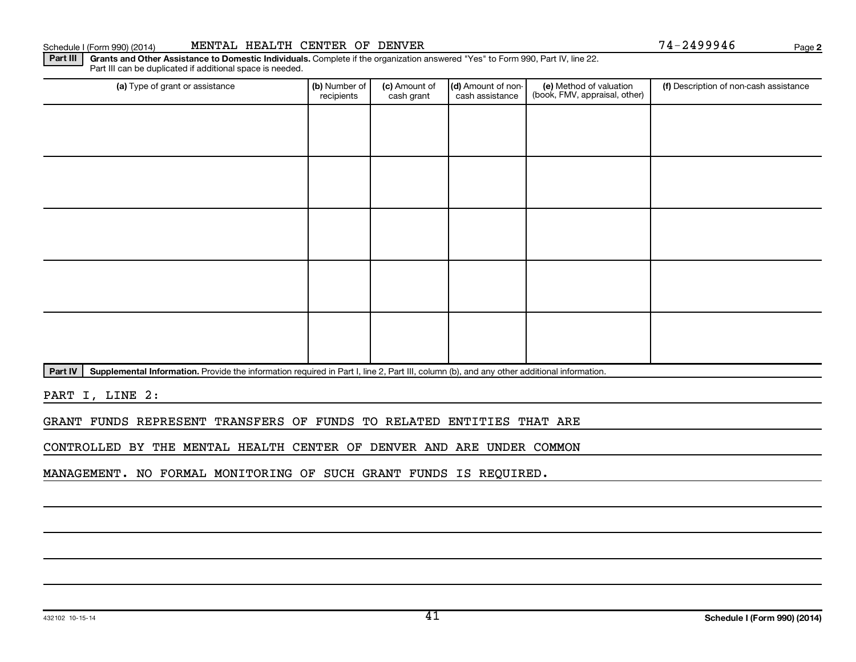(a) Type of grant or assistance **Audity Commet Audio Commet Commet Commet Commet Commet Commet Commet Commet Comme** 

(c) Amount of cash grant

(d) Amount of noncash assistance

Part IV | Supplemental Information. Provide the information required in Part I, line 2, Part III, column (b), and any other additional information.

Part III | Grants and Other Assistance to Domestic Individuals. Complete if the organization answered "Yes" to Form 990, Part IV, line 22.

recipients

PART I, LINE 2:

GRANT FUNDS REPRESENT TRANSFERS OF FUNDS TO RELATED ENTITIES THAT ARE

CONTROLLED BY THE MENTAL HEALTH CENTER OF DENVER AND ARE UNDER COMMON

MANAGEMENT. NO FORMAL MONITORING OF SUCH GRANT FUNDS IS REQUIRED.

(f) Description of non-cash assistance

(e) Method of valuation (book, FMV, appraisal, other) **2**

Schedule I (Form 990) (2014) MENTAL HEALTH CENTER OF DENVER 74-2499946 Page

Part III can be duplicated if additional space is needed.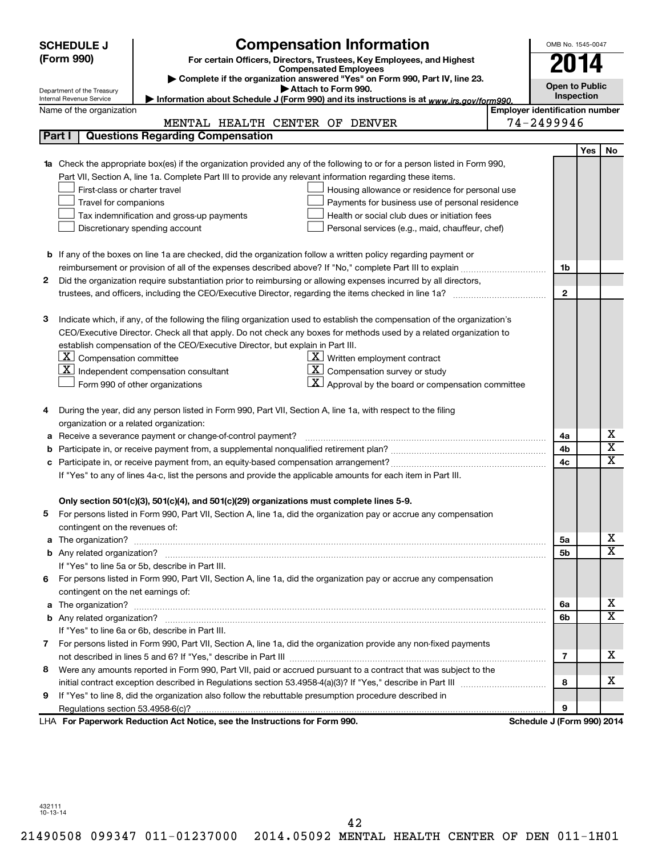| (Form 990)<br>For certain Officers, Directors, Trustees, Key Employees, and Highest<br>2014<br><b>Compensated Employees</b><br>Complete if the organization answered "Yes" on Form 990, Part IV, line 23.<br><b>Open to Public</b><br>Attach to Form 990.<br>Department of the Treasury<br>Inspection<br>Information about Schedule J (Form 990) and its instructions is at www.irs.gov/form990.<br>Internal Revenue Service<br><b>Employer identification number</b><br>Name of the organization<br>74-2499946<br>MENTAL HEALTH CENTER OF DENVER<br>Part I<br><b>Questions Regarding Compensation</b><br><b>Yes</b><br>No<br>Check the appropriate box(es) if the organization provided any of the following to or for a person listed in Form 990,<br>1a<br>Part VII, Section A, line 1a. Complete Part III to provide any relevant information regarding these items.<br>First-class or charter travel<br>Housing allowance or residence for personal use<br>Travel for companions<br>Payments for business use of personal residence<br>Health or social club dues or initiation fees<br>Tax indemnification and gross-up payments<br>Discretionary spending account<br>Personal services (e.g., maid, chauffeur, chef)<br><b>b</b> If any of the boxes on line 1a are checked, did the organization follow a written policy regarding payment or<br>1b<br>Did the organization require substantiation prior to reimbursing or allowing expenses incurred by all directors,<br>2<br>$\mathbf{2}$<br>з<br>Indicate which, if any, of the following the filing organization used to establish the compensation of the organization's<br>CEO/Executive Director. Check all that apply. Do not check any boxes for methods used by a related organization to<br>establish compensation of the CEO/Executive Director, but explain in Part III.<br>$ \mathbf{X} $ Compensation committee<br>$\underline{\mathbf{X}}$ Written employment contract<br>$\mathbf{X}$ Independent compensation consultant<br><u>x  </u><br>Compensation survey or study<br>$ \mathbf{X} $ Approval by the board or compensation committee<br>Form 990 of other organizations<br>During the year, did any person listed in Form 990, Part VII, Section A, line 1a, with respect to the filing<br>4<br>organization or a related organization:<br>х<br>Receive a severance payment or change-of-control payment?<br>4a<br>а<br>$\overline{\textbf{x}}$<br>4b<br>b<br>X<br>4c<br>c<br>If "Yes" to any of lines 4a-c, list the persons and provide the applicable amounts for each item in Part III.<br>Only section 501(c)(3), 501(c)(4), and 501(c)(29) organizations must complete lines 5-9.<br>For persons listed in Form 990, Part VII, Section A, line 1a, did the organization pay or accrue any compensation<br>contingent on the revenues of:<br>x<br>5a<br>X<br>5b<br>If "Yes" to line 5a or 5b, describe in Part III.<br>For persons listed in Form 990, Part VII, Section A, line 1a, did the organization pay or accrue any compensation<br>6.<br>contingent on the net earnings of:<br>х<br>6a<br>X<br>6b<br>If "Yes" to line 6a or 6b, describe in Part III.<br>7 For persons listed in Form 990, Part VII, Section A, line 1a, did the organization provide any non-fixed payments<br>x<br>7<br>Were any amounts reported in Form 990, Part VII, paid or accrued pursuant to a contract that was subject to the<br>8<br>x<br>8<br>If "Yes" to line 8, did the organization also follow the rebuttable presumption procedure described in<br>9<br>9<br>LHA For Paperwork Reduction Act Notice, see the Instructions for Form 990.<br>Schedule J (Form 990) 2014 | <b>SCHEDULE J</b> | <b>Compensation Information</b><br>OMB No. 1545-0047 |  |  |  |  |  |  |  |
|-------------------------------------------------------------------------------------------------------------------------------------------------------------------------------------------------------------------------------------------------------------------------------------------------------------------------------------------------------------------------------------------------------------------------------------------------------------------------------------------------------------------------------------------------------------------------------------------------------------------------------------------------------------------------------------------------------------------------------------------------------------------------------------------------------------------------------------------------------------------------------------------------------------------------------------------------------------------------------------------------------------------------------------------------------------------------------------------------------------------------------------------------------------------------------------------------------------------------------------------------------------------------------------------------------------------------------------------------------------------------------------------------------------------------------------------------------------------------------------------------------------------------------------------------------------------------------------------------------------------------------------------------------------------------------------------------------------------------------------------------------------------------------------------------------------------------------------------------------------------------------------------------------------------------------------------------------------------------------------------------------------------------------------------------------------------------------------------------------------------------------------------------------------------------------------------------------------------------------------------------------------------------------------------------------------------------------------------------------------------------------------------------------------------------------------------------------------------------------------------------------------------------------------------------------------------------------------------------------------------------------------------------------------------------------------------------------------------------------------------------------------------------------------------------------------------------------------------------------------------------------------------------------------------------------------------------------------------------------------------------------------------------------------------------------------------------------------------------------------------------------------------------------------------------------------------------------------------------------------------------------------------------------------------------------------------------------------------------------------------------------------------------------------------------------------------------------------------------------------------------------------------------------------------------------------------------------------------------------------------------------------------------------|-------------------|------------------------------------------------------|--|--|--|--|--|--|--|
|                                                                                                                                                                                                                                                                                                                                                                                                                                                                                                                                                                                                                                                                                                                                                                                                                                                                                                                                                                                                                                                                                                                                                                                                                                                                                                                                                                                                                                                                                                                                                                                                                                                                                                                                                                                                                                                                                                                                                                                                                                                                                                                                                                                                                                                                                                                                                                                                                                                                                                                                                                                                                                                                                                                                                                                                                                                                                                                                                                                                                                                                                                                                                                                                                                                                                                                                                                                                                                                                                                                                                                                                                                                       |                   |                                                      |  |  |  |  |  |  |  |
|                                                                                                                                                                                                                                                                                                                                                                                                                                                                                                                                                                                                                                                                                                                                                                                                                                                                                                                                                                                                                                                                                                                                                                                                                                                                                                                                                                                                                                                                                                                                                                                                                                                                                                                                                                                                                                                                                                                                                                                                                                                                                                                                                                                                                                                                                                                                                                                                                                                                                                                                                                                                                                                                                                                                                                                                                                                                                                                                                                                                                                                                                                                                                                                                                                                                                                                                                                                                                                                                                                                                                                                                                                                       |                   |                                                      |  |  |  |  |  |  |  |
|                                                                                                                                                                                                                                                                                                                                                                                                                                                                                                                                                                                                                                                                                                                                                                                                                                                                                                                                                                                                                                                                                                                                                                                                                                                                                                                                                                                                                                                                                                                                                                                                                                                                                                                                                                                                                                                                                                                                                                                                                                                                                                                                                                                                                                                                                                                                                                                                                                                                                                                                                                                                                                                                                                                                                                                                                                                                                                                                                                                                                                                                                                                                                                                                                                                                                                                                                                                                                                                                                                                                                                                                                                                       |                   |                                                      |  |  |  |  |  |  |  |
|                                                                                                                                                                                                                                                                                                                                                                                                                                                                                                                                                                                                                                                                                                                                                                                                                                                                                                                                                                                                                                                                                                                                                                                                                                                                                                                                                                                                                                                                                                                                                                                                                                                                                                                                                                                                                                                                                                                                                                                                                                                                                                                                                                                                                                                                                                                                                                                                                                                                                                                                                                                                                                                                                                                                                                                                                                                                                                                                                                                                                                                                                                                                                                                                                                                                                                                                                                                                                                                                                                                                                                                                                                                       |                   |                                                      |  |  |  |  |  |  |  |
|                                                                                                                                                                                                                                                                                                                                                                                                                                                                                                                                                                                                                                                                                                                                                                                                                                                                                                                                                                                                                                                                                                                                                                                                                                                                                                                                                                                                                                                                                                                                                                                                                                                                                                                                                                                                                                                                                                                                                                                                                                                                                                                                                                                                                                                                                                                                                                                                                                                                                                                                                                                                                                                                                                                                                                                                                                                                                                                                                                                                                                                                                                                                                                                                                                                                                                                                                                                                                                                                                                                                                                                                                                                       |                   |                                                      |  |  |  |  |  |  |  |
|                                                                                                                                                                                                                                                                                                                                                                                                                                                                                                                                                                                                                                                                                                                                                                                                                                                                                                                                                                                                                                                                                                                                                                                                                                                                                                                                                                                                                                                                                                                                                                                                                                                                                                                                                                                                                                                                                                                                                                                                                                                                                                                                                                                                                                                                                                                                                                                                                                                                                                                                                                                                                                                                                                                                                                                                                                                                                                                                                                                                                                                                                                                                                                                                                                                                                                                                                                                                                                                                                                                                                                                                                                                       |                   |                                                      |  |  |  |  |  |  |  |
|                                                                                                                                                                                                                                                                                                                                                                                                                                                                                                                                                                                                                                                                                                                                                                                                                                                                                                                                                                                                                                                                                                                                                                                                                                                                                                                                                                                                                                                                                                                                                                                                                                                                                                                                                                                                                                                                                                                                                                                                                                                                                                                                                                                                                                                                                                                                                                                                                                                                                                                                                                                                                                                                                                                                                                                                                                                                                                                                                                                                                                                                                                                                                                                                                                                                                                                                                                                                                                                                                                                                                                                                                                                       |                   |                                                      |  |  |  |  |  |  |  |
|                                                                                                                                                                                                                                                                                                                                                                                                                                                                                                                                                                                                                                                                                                                                                                                                                                                                                                                                                                                                                                                                                                                                                                                                                                                                                                                                                                                                                                                                                                                                                                                                                                                                                                                                                                                                                                                                                                                                                                                                                                                                                                                                                                                                                                                                                                                                                                                                                                                                                                                                                                                                                                                                                                                                                                                                                                                                                                                                                                                                                                                                                                                                                                                                                                                                                                                                                                                                                                                                                                                                                                                                                                                       |                   |                                                      |  |  |  |  |  |  |  |
|                                                                                                                                                                                                                                                                                                                                                                                                                                                                                                                                                                                                                                                                                                                                                                                                                                                                                                                                                                                                                                                                                                                                                                                                                                                                                                                                                                                                                                                                                                                                                                                                                                                                                                                                                                                                                                                                                                                                                                                                                                                                                                                                                                                                                                                                                                                                                                                                                                                                                                                                                                                                                                                                                                                                                                                                                                                                                                                                                                                                                                                                                                                                                                                                                                                                                                                                                                                                                                                                                                                                                                                                                                                       |                   |                                                      |  |  |  |  |  |  |  |
|                                                                                                                                                                                                                                                                                                                                                                                                                                                                                                                                                                                                                                                                                                                                                                                                                                                                                                                                                                                                                                                                                                                                                                                                                                                                                                                                                                                                                                                                                                                                                                                                                                                                                                                                                                                                                                                                                                                                                                                                                                                                                                                                                                                                                                                                                                                                                                                                                                                                                                                                                                                                                                                                                                                                                                                                                                                                                                                                                                                                                                                                                                                                                                                                                                                                                                                                                                                                                                                                                                                                                                                                                                                       |                   |                                                      |  |  |  |  |  |  |  |
|                                                                                                                                                                                                                                                                                                                                                                                                                                                                                                                                                                                                                                                                                                                                                                                                                                                                                                                                                                                                                                                                                                                                                                                                                                                                                                                                                                                                                                                                                                                                                                                                                                                                                                                                                                                                                                                                                                                                                                                                                                                                                                                                                                                                                                                                                                                                                                                                                                                                                                                                                                                                                                                                                                                                                                                                                                                                                                                                                                                                                                                                                                                                                                                                                                                                                                                                                                                                                                                                                                                                                                                                                                                       |                   |                                                      |  |  |  |  |  |  |  |
|                                                                                                                                                                                                                                                                                                                                                                                                                                                                                                                                                                                                                                                                                                                                                                                                                                                                                                                                                                                                                                                                                                                                                                                                                                                                                                                                                                                                                                                                                                                                                                                                                                                                                                                                                                                                                                                                                                                                                                                                                                                                                                                                                                                                                                                                                                                                                                                                                                                                                                                                                                                                                                                                                                                                                                                                                                                                                                                                                                                                                                                                                                                                                                                                                                                                                                                                                                                                                                                                                                                                                                                                                                                       |                   |                                                      |  |  |  |  |  |  |  |
|                                                                                                                                                                                                                                                                                                                                                                                                                                                                                                                                                                                                                                                                                                                                                                                                                                                                                                                                                                                                                                                                                                                                                                                                                                                                                                                                                                                                                                                                                                                                                                                                                                                                                                                                                                                                                                                                                                                                                                                                                                                                                                                                                                                                                                                                                                                                                                                                                                                                                                                                                                                                                                                                                                                                                                                                                                                                                                                                                                                                                                                                                                                                                                                                                                                                                                                                                                                                                                                                                                                                                                                                                                                       |                   |                                                      |  |  |  |  |  |  |  |
|                                                                                                                                                                                                                                                                                                                                                                                                                                                                                                                                                                                                                                                                                                                                                                                                                                                                                                                                                                                                                                                                                                                                                                                                                                                                                                                                                                                                                                                                                                                                                                                                                                                                                                                                                                                                                                                                                                                                                                                                                                                                                                                                                                                                                                                                                                                                                                                                                                                                                                                                                                                                                                                                                                                                                                                                                                                                                                                                                                                                                                                                                                                                                                                                                                                                                                                                                                                                                                                                                                                                                                                                                                                       |                   |                                                      |  |  |  |  |  |  |  |
|                                                                                                                                                                                                                                                                                                                                                                                                                                                                                                                                                                                                                                                                                                                                                                                                                                                                                                                                                                                                                                                                                                                                                                                                                                                                                                                                                                                                                                                                                                                                                                                                                                                                                                                                                                                                                                                                                                                                                                                                                                                                                                                                                                                                                                                                                                                                                                                                                                                                                                                                                                                                                                                                                                                                                                                                                                                                                                                                                                                                                                                                                                                                                                                                                                                                                                                                                                                                                                                                                                                                                                                                                                                       |                   |                                                      |  |  |  |  |  |  |  |
|                                                                                                                                                                                                                                                                                                                                                                                                                                                                                                                                                                                                                                                                                                                                                                                                                                                                                                                                                                                                                                                                                                                                                                                                                                                                                                                                                                                                                                                                                                                                                                                                                                                                                                                                                                                                                                                                                                                                                                                                                                                                                                                                                                                                                                                                                                                                                                                                                                                                                                                                                                                                                                                                                                                                                                                                                                                                                                                                                                                                                                                                                                                                                                                                                                                                                                                                                                                                                                                                                                                                                                                                                                                       |                   |                                                      |  |  |  |  |  |  |  |
|                                                                                                                                                                                                                                                                                                                                                                                                                                                                                                                                                                                                                                                                                                                                                                                                                                                                                                                                                                                                                                                                                                                                                                                                                                                                                                                                                                                                                                                                                                                                                                                                                                                                                                                                                                                                                                                                                                                                                                                                                                                                                                                                                                                                                                                                                                                                                                                                                                                                                                                                                                                                                                                                                                                                                                                                                                                                                                                                                                                                                                                                                                                                                                                                                                                                                                                                                                                                                                                                                                                                                                                                                                                       |                   |                                                      |  |  |  |  |  |  |  |
|                                                                                                                                                                                                                                                                                                                                                                                                                                                                                                                                                                                                                                                                                                                                                                                                                                                                                                                                                                                                                                                                                                                                                                                                                                                                                                                                                                                                                                                                                                                                                                                                                                                                                                                                                                                                                                                                                                                                                                                                                                                                                                                                                                                                                                                                                                                                                                                                                                                                                                                                                                                                                                                                                                                                                                                                                                                                                                                                                                                                                                                                                                                                                                                                                                                                                                                                                                                                                                                                                                                                                                                                                                                       |                   |                                                      |  |  |  |  |  |  |  |
|                                                                                                                                                                                                                                                                                                                                                                                                                                                                                                                                                                                                                                                                                                                                                                                                                                                                                                                                                                                                                                                                                                                                                                                                                                                                                                                                                                                                                                                                                                                                                                                                                                                                                                                                                                                                                                                                                                                                                                                                                                                                                                                                                                                                                                                                                                                                                                                                                                                                                                                                                                                                                                                                                                                                                                                                                                                                                                                                                                                                                                                                                                                                                                                                                                                                                                                                                                                                                                                                                                                                                                                                                                                       |                   |                                                      |  |  |  |  |  |  |  |
|                                                                                                                                                                                                                                                                                                                                                                                                                                                                                                                                                                                                                                                                                                                                                                                                                                                                                                                                                                                                                                                                                                                                                                                                                                                                                                                                                                                                                                                                                                                                                                                                                                                                                                                                                                                                                                                                                                                                                                                                                                                                                                                                                                                                                                                                                                                                                                                                                                                                                                                                                                                                                                                                                                                                                                                                                                                                                                                                                                                                                                                                                                                                                                                                                                                                                                                                                                                                                                                                                                                                                                                                                                                       |                   |                                                      |  |  |  |  |  |  |  |
|                                                                                                                                                                                                                                                                                                                                                                                                                                                                                                                                                                                                                                                                                                                                                                                                                                                                                                                                                                                                                                                                                                                                                                                                                                                                                                                                                                                                                                                                                                                                                                                                                                                                                                                                                                                                                                                                                                                                                                                                                                                                                                                                                                                                                                                                                                                                                                                                                                                                                                                                                                                                                                                                                                                                                                                                                                                                                                                                                                                                                                                                                                                                                                                                                                                                                                                                                                                                                                                                                                                                                                                                                                                       |                   |                                                      |  |  |  |  |  |  |  |
|                                                                                                                                                                                                                                                                                                                                                                                                                                                                                                                                                                                                                                                                                                                                                                                                                                                                                                                                                                                                                                                                                                                                                                                                                                                                                                                                                                                                                                                                                                                                                                                                                                                                                                                                                                                                                                                                                                                                                                                                                                                                                                                                                                                                                                                                                                                                                                                                                                                                                                                                                                                                                                                                                                                                                                                                                                                                                                                                                                                                                                                                                                                                                                                                                                                                                                                                                                                                                                                                                                                                                                                                                                                       |                   |                                                      |  |  |  |  |  |  |  |
|                                                                                                                                                                                                                                                                                                                                                                                                                                                                                                                                                                                                                                                                                                                                                                                                                                                                                                                                                                                                                                                                                                                                                                                                                                                                                                                                                                                                                                                                                                                                                                                                                                                                                                                                                                                                                                                                                                                                                                                                                                                                                                                                                                                                                                                                                                                                                                                                                                                                                                                                                                                                                                                                                                                                                                                                                                                                                                                                                                                                                                                                                                                                                                                                                                                                                                                                                                                                                                                                                                                                                                                                                                                       |                   |                                                      |  |  |  |  |  |  |  |
|                                                                                                                                                                                                                                                                                                                                                                                                                                                                                                                                                                                                                                                                                                                                                                                                                                                                                                                                                                                                                                                                                                                                                                                                                                                                                                                                                                                                                                                                                                                                                                                                                                                                                                                                                                                                                                                                                                                                                                                                                                                                                                                                                                                                                                                                                                                                                                                                                                                                                                                                                                                                                                                                                                                                                                                                                                                                                                                                                                                                                                                                                                                                                                                                                                                                                                                                                                                                                                                                                                                                                                                                                                                       |                   |                                                      |  |  |  |  |  |  |  |
|                                                                                                                                                                                                                                                                                                                                                                                                                                                                                                                                                                                                                                                                                                                                                                                                                                                                                                                                                                                                                                                                                                                                                                                                                                                                                                                                                                                                                                                                                                                                                                                                                                                                                                                                                                                                                                                                                                                                                                                                                                                                                                                                                                                                                                                                                                                                                                                                                                                                                                                                                                                                                                                                                                                                                                                                                                                                                                                                                                                                                                                                                                                                                                                                                                                                                                                                                                                                                                                                                                                                                                                                                                                       |                   |                                                      |  |  |  |  |  |  |  |
|                                                                                                                                                                                                                                                                                                                                                                                                                                                                                                                                                                                                                                                                                                                                                                                                                                                                                                                                                                                                                                                                                                                                                                                                                                                                                                                                                                                                                                                                                                                                                                                                                                                                                                                                                                                                                                                                                                                                                                                                                                                                                                                                                                                                                                                                                                                                                                                                                                                                                                                                                                                                                                                                                                                                                                                                                                                                                                                                                                                                                                                                                                                                                                                                                                                                                                                                                                                                                                                                                                                                                                                                                                                       |                   |                                                      |  |  |  |  |  |  |  |
|                                                                                                                                                                                                                                                                                                                                                                                                                                                                                                                                                                                                                                                                                                                                                                                                                                                                                                                                                                                                                                                                                                                                                                                                                                                                                                                                                                                                                                                                                                                                                                                                                                                                                                                                                                                                                                                                                                                                                                                                                                                                                                                                                                                                                                                                                                                                                                                                                                                                                                                                                                                                                                                                                                                                                                                                                                                                                                                                                                                                                                                                                                                                                                                                                                                                                                                                                                                                                                                                                                                                                                                                                                                       |                   |                                                      |  |  |  |  |  |  |  |
|                                                                                                                                                                                                                                                                                                                                                                                                                                                                                                                                                                                                                                                                                                                                                                                                                                                                                                                                                                                                                                                                                                                                                                                                                                                                                                                                                                                                                                                                                                                                                                                                                                                                                                                                                                                                                                                                                                                                                                                                                                                                                                                                                                                                                                                                                                                                                                                                                                                                                                                                                                                                                                                                                                                                                                                                                                                                                                                                                                                                                                                                                                                                                                                                                                                                                                                                                                                                                                                                                                                                                                                                                                                       |                   |                                                      |  |  |  |  |  |  |  |
|                                                                                                                                                                                                                                                                                                                                                                                                                                                                                                                                                                                                                                                                                                                                                                                                                                                                                                                                                                                                                                                                                                                                                                                                                                                                                                                                                                                                                                                                                                                                                                                                                                                                                                                                                                                                                                                                                                                                                                                                                                                                                                                                                                                                                                                                                                                                                                                                                                                                                                                                                                                                                                                                                                                                                                                                                                                                                                                                                                                                                                                                                                                                                                                                                                                                                                                                                                                                                                                                                                                                                                                                                                                       |                   |                                                      |  |  |  |  |  |  |  |
|                                                                                                                                                                                                                                                                                                                                                                                                                                                                                                                                                                                                                                                                                                                                                                                                                                                                                                                                                                                                                                                                                                                                                                                                                                                                                                                                                                                                                                                                                                                                                                                                                                                                                                                                                                                                                                                                                                                                                                                                                                                                                                                                                                                                                                                                                                                                                                                                                                                                                                                                                                                                                                                                                                                                                                                                                                                                                                                                                                                                                                                                                                                                                                                                                                                                                                                                                                                                                                                                                                                                                                                                                                                       |                   |                                                      |  |  |  |  |  |  |  |
|                                                                                                                                                                                                                                                                                                                                                                                                                                                                                                                                                                                                                                                                                                                                                                                                                                                                                                                                                                                                                                                                                                                                                                                                                                                                                                                                                                                                                                                                                                                                                                                                                                                                                                                                                                                                                                                                                                                                                                                                                                                                                                                                                                                                                                                                                                                                                                                                                                                                                                                                                                                                                                                                                                                                                                                                                                                                                                                                                                                                                                                                                                                                                                                                                                                                                                                                                                                                                                                                                                                                                                                                                                                       |                   |                                                      |  |  |  |  |  |  |  |
|                                                                                                                                                                                                                                                                                                                                                                                                                                                                                                                                                                                                                                                                                                                                                                                                                                                                                                                                                                                                                                                                                                                                                                                                                                                                                                                                                                                                                                                                                                                                                                                                                                                                                                                                                                                                                                                                                                                                                                                                                                                                                                                                                                                                                                                                                                                                                                                                                                                                                                                                                                                                                                                                                                                                                                                                                                                                                                                                                                                                                                                                                                                                                                                                                                                                                                                                                                                                                                                                                                                                                                                                                                                       |                   |                                                      |  |  |  |  |  |  |  |
|                                                                                                                                                                                                                                                                                                                                                                                                                                                                                                                                                                                                                                                                                                                                                                                                                                                                                                                                                                                                                                                                                                                                                                                                                                                                                                                                                                                                                                                                                                                                                                                                                                                                                                                                                                                                                                                                                                                                                                                                                                                                                                                                                                                                                                                                                                                                                                                                                                                                                                                                                                                                                                                                                                                                                                                                                                                                                                                                                                                                                                                                                                                                                                                                                                                                                                                                                                                                                                                                                                                                                                                                                                                       |                   |                                                      |  |  |  |  |  |  |  |
|                                                                                                                                                                                                                                                                                                                                                                                                                                                                                                                                                                                                                                                                                                                                                                                                                                                                                                                                                                                                                                                                                                                                                                                                                                                                                                                                                                                                                                                                                                                                                                                                                                                                                                                                                                                                                                                                                                                                                                                                                                                                                                                                                                                                                                                                                                                                                                                                                                                                                                                                                                                                                                                                                                                                                                                                                                                                                                                                                                                                                                                                                                                                                                                                                                                                                                                                                                                                                                                                                                                                                                                                                                                       |                   |                                                      |  |  |  |  |  |  |  |
|                                                                                                                                                                                                                                                                                                                                                                                                                                                                                                                                                                                                                                                                                                                                                                                                                                                                                                                                                                                                                                                                                                                                                                                                                                                                                                                                                                                                                                                                                                                                                                                                                                                                                                                                                                                                                                                                                                                                                                                                                                                                                                                                                                                                                                                                                                                                                                                                                                                                                                                                                                                                                                                                                                                                                                                                                                                                                                                                                                                                                                                                                                                                                                                                                                                                                                                                                                                                                                                                                                                                                                                                                                                       |                   |                                                      |  |  |  |  |  |  |  |
|                                                                                                                                                                                                                                                                                                                                                                                                                                                                                                                                                                                                                                                                                                                                                                                                                                                                                                                                                                                                                                                                                                                                                                                                                                                                                                                                                                                                                                                                                                                                                                                                                                                                                                                                                                                                                                                                                                                                                                                                                                                                                                                                                                                                                                                                                                                                                                                                                                                                                                                                                                                                                                                                                                                                                                                                                                                                                                                                                                                                                                                                                                                                                                                                                                                                                                                                                                                                                                                                                                                                                                                                                                                       |                   |                                                      |  |  |  |  |  |  |  |
|                                                                                                                                                                                                                                                                                                                                                                                                                                                                                                                                                                                                                                                                                                                                                                                                                                                                                                                                                                                                                                                                                                                                                                                                                                                                                                                                                                                                                                                                                                                                                                                                                                                                                                                                                                                                                                                                                                                                                                                                                                                                                                                                                                                                                                                                                                                                                                                                                                                                                                                                                                                                                                                                                                                                                                                                                                                                                                                                                                                                                                                                                                                                                                                                                                                                                                                                                                                                                                                                                                                                                                                                                                                       |                   |                                                      |  |  |  |  |  |  |  |
|                                                                                                                                                                                                                                                                                                                                                                                                                                                                                                                                                                                                                                                                                                                                                                                                                                                                                                                                                                                                                                                                                                                                                                                                                                                                                                                                                                                                                                                                                                                                                                                                                                                                                                                                                                                                                                                                                                                                                                                                                                                                                                                                                                                                                                                                                                                                                                                                                                                                                                                                                                                                                                                                                                                                                                                                                                                                                                                                                                                                                                                                                                                                                                                                                                                                                                                                                                                                                                                                                                                                                                                                                                                       |                   |                                                      |  |  |  |  |  |  |  |
|                                                                                                                                                                                                                                                                                                                                                                                                                                                                                                                                                                                                                                                                                                                                                                                                                                                                                                                                                                                                                                                                                                                                                                                                                                                                                                                                                                                                                                                                                                                                                                                                                                                                                                                                                                                                                                                                                                                                                                                                                                                                                                                                                                                                                                                                                                                                                                                                                                                                                                                                                                                                                                                                                                                                                                                                                                                                                                                                                                                                                                                                                                                                                                                                                                                                                                                                                                                                                                                                                                                                                                                                                                                       |                   |                                                      |  |  |  |  |  |  |  |
|                                                                                                                                                                                                                                                                                                                                                                                                                                                                                                                                                                                                                                                                                                                                                                                                                                                                                                                                                                                                                                                                                                                                                                                                                                                                                                                                                                                                                                                                                                                                                                                                                                                                                                                                                                                                                                                                                                                                                                                                                                                                                                                                                                                                                                                                                                                                                                                                                                                                                                                                                                                                                                                                                                                                                                                                                                                                                                                                                                                                                                                                                                                                                                                                                                                                                                                                                                                                                                                                                                                                                                                                                                                       |                   |                                                      |  |  |  |  |  |  |  |
|                                                                                                                                                                                                                                                                                                                                                                                                                                                                                                                                                                                                                                                                                                                                                                                                                                                                                                                                                                                                                                                                                                                                                                                                                                                                                                                                                                                                                                                                                                                                                                                                                                                                                                                                                                                                                                                                                                                                                                                                                                                                                                                                                                                                                                                                                                                                                                                                                                                                                                                                                                                                                                                                                                                                                                                                                                                                                                                                                                                                                                                                                                                                                                                                                                                                                                                                                                                                                                                                                                                                                                                                                                                       |                   |                                                      |  |  |  |  |  |  |  |
|                                                                                                                                                                                                                                                                                                                                                                                                                                                                                                                                                                                                                                                                                                                                                                                                                                                                                                                                                                                                                                                                                                                                                                                                                                                                                                                                                                                                                                                                                                                                                                                                                                                                                                                                                                                                                                                                                                                                                                                                                                                                                                                                                                                                                                                                                                                                                                                                                                                                                                                                                                                                                                                                                                                                                                                                                                                                                                                                                                                                                                                                                                                                                                                                                                                                                                                                                                                                                                                                                                                                                                                                                                                       |                   |                                                      |  |  |  |  |  |  |  |
|                                                                                                                                                                                                                                                                                                                                                                                                                                                                                                                                                                                                                                                                                                                                                                                                                                                                                                                                                                                                                                                                                                                                                                                                                                                                                                                                                                                                                                                                                                                                                                                                                                                                                                                                                                                                                                                                                                                                                                                                                                                                                                                                                                                                                                                                                                                                                                                                                                                                                                                                                                                                                                                                                                                                                                                                                                                                                                                                                                                                                                                                                                                                                                                                                                                                                                                                                                                                                                                                                                                                                                                                                                                       |                   |                                                      |  |  |  |  |  |  |  |
|                                                                                                                                                                                                                                                                                                                                                                                                                                                                                                                                                                                                                                                                                                                                                                                                                                                                                                                                                                                                                                                                                                                                                                                                                                                                                                                                                                                                                                                                                                                                                                                                                                                                                                                                                                                                                                                                                                                                                                                                                                                                                                                                                                                                                                                                                                                                                                                                                                                                                                                                                                                                                                                                                                                                                                                                                                                                                                                                                                                                                                                                                                                                                                                                                                                                                                                                                                                                                                                                                                                                                                                                                                                       |                   |                                                      |  |  |  |  |  |  |  |
|                                                                                                                                                                                                                                                                                                                                                                                                                                                                                                                                                                                                                                                                                                                                                                                                                                                                                                                                                                                                                                                                                                                                                                                                                                                                                                                                                                                                                                                                                                                                                                                                                                                                                                                                                                                                                                                                                                                                                                                                                                                                                                                                                                                                                                                                                                                                                                                                                                                                                                                                                                                                                                                                                                                                                                                                                                                                                                                                                                                                                                                                                                                                                                                                                                                                                                                                                                                                                                                                                                                                                                                                                                                       |                   |                                                      |  |  |  |  |  |  |  |
|                                                                                                                                                                                                                                                                                                                                                                                                                                                                                                                                                                                                                                                                                                                                                                                                                                                                                                                                                                                                                                                                                                                                                                                                                                                                                                                                                                                                                                                                                                                                                                                                                                                                                                                                                                                                                                                                                                                                                                                                                                                                                                                                                                                                                                                                                                                                                                                                                                                                                                                                                                                                                                                                                                                                                                                                                                                                                                                                                                                                                                                                                                                                                                                                                                                                                                                                                                                                                                                                                                                                                                                                                                                       |                   |                                                      |  |  |  |  |  |  |  |
|                                                                                                                                                                                                                                                                                                                                                                                                                                                                                                                                                                                                                                                                                                                                                                                                                                                                                                                                                                                                                                                                                                                                                                                                                                                                                                                                                                                                                                                                                                                                                                                                                                                                                                                                                                                                                                                                                                                                                                                                                                                                                                                                                                                                                                                                                                                                                                                                                                                                                                                                                                                                                                                                                                                                                                                                                                                                                                                                                                                                                                                                                                                                                                                                                                                                                                                                                                                                                                                                                                                                                                                                                                                       |                   |                                                      |  |  |  |  |  |  |  |
|                                                                                                                                                                                                                                                                                                                                                                                                                                                                                                                                                                                                                                                                                                                                                                                                                                                                                                                                                                                                                                                                                                                                                                                                                                                                                                                                                                                                                                                                                                                                                                                                                                                                                                                                                                                                                                                                                                                                                                                                                                                                                                                                                                                                                                                                                                                                                                                                                                                                                                                                                                                                                                                                                                                                                                                                                                                                                                                                                                                                                                                                                                                                                                                                                                                                                                                                                                                                                                                                                                                                                                                                                                                       |                   |                                                      |  |  |  |  |  |  |  |
|                                                                                                                                                                                                                                                                                                                                                                                                                                                                                                                                                                                                                                                                                                                                                                                                                                                                                                                                                                                                                                                                                                                                                                                                                                                                                                                                                                                                                                                                                                                                                                                                                                                                                                                                                                                                                                                                                                                                                                                                                                                                                                                                                                                                                                                                                                                                                                                                                                                                                                                                                                                                                                                                                                                                                                                                                                                                                                                                                                                                                                                                                                                                                                                                                                                                                                                                                                                                                                                                                                                                                                                                                                                       |                   |                                                      |  |  |  |  |  |  |  |
|                                                                                                                                                                                                                                                                                                                                                                                                                                                                                                                                                                                                                                                                                                                                                                                                                                                                                                                                                                                                                                                                                                                                                                                                                                                                                                                                                                                                                                                                                                                                                                                                                                                                                                                                                                                                                                                                                                                                                                                                                                                                                                                                                                                                                                                                                                                                                                                                                                                                                                                                                                                                                                                                                                                                                                                                                                                                                                                                                                                                                                                                                                                                                                                                                                                                                                                                                                                                                                                                                                                                                                                                                                                       |                   |                                                      |  |  |  |  |  |  |  |
|                                                                                                                                                                                                                                                                                                                                                                                                                                                                                                                                                                                                                                                                                                                                                                                                                                                                                                                                                                                                                                                                                                                                                                                                                                                                                                                                                                                                                                                                                                                                                                                                                                                                                                                                                                                                                                                                                                                                                                                                                                                                                                                                                                                                                                                                                                                                                                                                                                                                                                                                                                                                                                                                                                                                                                                                                                                                                                                                                                                                                                                                                                                                                                                                                                                                                                                                                                                                                                                                                                                                                                                                                                                       |                   |                                                      |  |  |  |  |  |  |  |

432111 10-13-14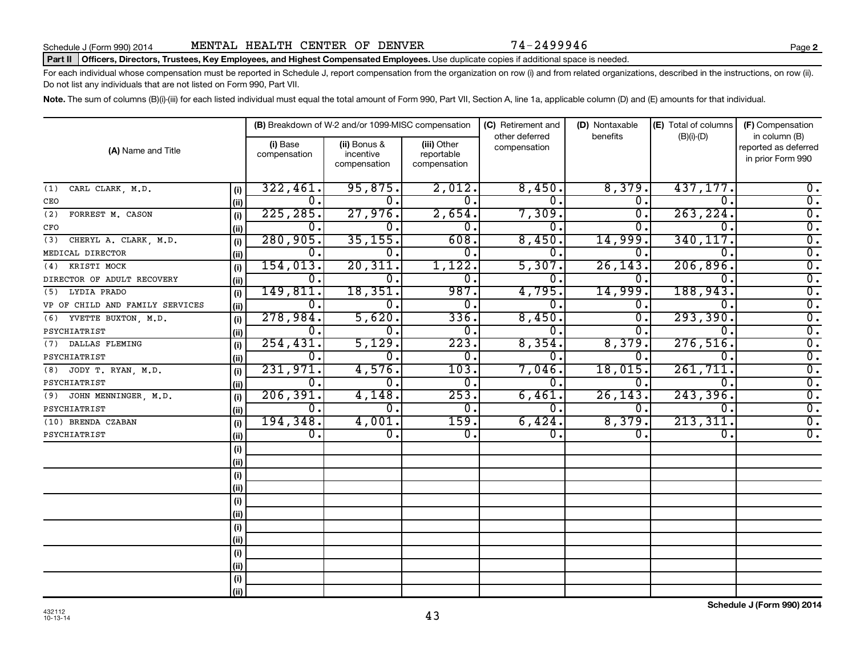#### Part II | Officers, Directors, Trustees, Key Employees, and Highest Compensated Employees. Use duplicate copies if additional space is needed.

For each individual whose compensation must be reported in Schedule J, report compensation from the organization on row (i) and from related organizations, described in the instructions, on row (ii). Do not list any individuals that are not listed on Form 990, Part VII.

Note. The sum of columns (B)(i)-(iii) for each listed individual must equal the total amount of Form 990, Part VII, Section A, line 1a, applicable column (D) and (E) amounts for that individual.

|                                 |      |                          | (B) Breakdown of W-2 and/or 1099-MISC compensation |                                           | (C) Retirement and             | (D) Nontaxable   | (E) Total of columns | (F) Compensation                                           |  |  |
|---------------------------------|------|--------------------------|----------------------------------------------------|-------------------------------------------|--------------------------------|------------------|----------------------|------------------------------------------------------------|--|--|
| (A) Name and Title              |      | (i) Base<br>compensation | (ii) Bonus &<br>incentive<br>compensation          | (iii) Other<br>reportable<br>compensation | other deferred<br>compensation | benefits         | $(B)(i)-(D)$         | in column (B)<br>reported as deferred<br>in prior Form 990 |  |  |
| CARL CLARK, M.D.<br>(1)         | (i)  | 322,461.                 | 95,875.                                            | 2,012.                                    | 8,450.                         | 8,379.           | 437,177.             | $0$ .                                                      |  |  |
| CEO                             | (ii) | 0.                       | Ω.                                                 | $0$ .                                     | $\overline{0}$ .               | $\mathbf 0$ .    | 0.                   | $\overline{0}$ .                                           |  |  |
| (2)<br>FORREST M. CASON         | (i)  | 225, 285.                | 27,976.                                            | 2,654.                                    | 7,309.                         | $0$ .            | 263, 224.            | $\overline{0}$ .                                           |  |  |
| CFO                             | (ii) | 0.                       | 0.                                                 | 0.                                        | 0.                             | 0                | 0                    | $\overline{0}$ .                                           |  |  |
| CHERYL A. CLARK, M.D.<br>(3)    | (i)  | 280,905.                 | 35, 155.                                           | 608.                                      | 8,450.                         | 14,999.          | 340,117.             | $\overline{0}$ .                                           |  |  |
| MEDICAL DIRECTOR                | (ii) | 0.                       | 0.                                                 | 0.                                        | 0.                             | 0                | 0                    | $\overline{0}$ .                                           |  |  |
| KRISTI MOCK<br>(4)              | (i)  | 154,013.                 | 20, 311.                                           | 1,122.                                    | 5,307.                         | 26, 143.         | 206,896.             | $\overline{0}$ .                                           |  |  |
| DIRECTOR OF ADULT RECOVERY      | (ii) | $0$ .                    | 0.                                                 | 0.                                        | 0.                             | $\Omega$ .       | 0.                   | $\overline{0}$ .                                           |  |  |
| LYDIA PRADO<br>(5)              | (i)  | 149,811.                 | 18,351.                                            | 987.                                      | 4,795.                         | 14,999           | 188,943.             | $\overline{0}$ .                                           |  |  |
| VP OF CHILD AND FAMILY SERVICES | (ii) | 0.                       | 0.                                                 | 0.                                        | 0.                             | 0.               | 0.                   | $\overline{0}$ .                                           |  |  |
| YVETTE BUXTON, M.D.<br>(6)      | (i)  | 278,984.                 | 5,620.                                             | 336.                                      | 8,450.                         | $\overline{0}$ . | 293,390.             | $\overline{0}$ .                                           |  |  |
| PSYCHIATRIST                    | (ii) | 0.                       | $\mathbf 0$ .                                      | 0.                                        | О.                             | 0                | 0.                   | $\overline{0}$ .                                           |  |  |
| DALLAS FLEMING<br>(7)           | (i)  | 254, 431.                | 5,129.                                             | 223.                                      | 8,354.                         | 8,379.           | 276,516.             | $\overline{0}$ .                                           |  |  |
| PSYCHIATRIST                    | (ii) | 0.                       | $\mathbf 0$ .                                      | $\overline{0}$ .                          | О.                             | 0.               | 0.                   | $\overline{0}$ .                                           |  |  |
| (8) JODY T. RYAN, M.D.          | (i)  | 231,971.                 | 4,576.                                             | 103.                                      | 7,046.                         | 18,015.          | 261,711.             | $\overline{0}$ .                                           |  |  |
| PSYCHIATRIST                    | (ii) | $\overline{0}$ .         | 0.                                                 | $\overline{0}$ .                          | 0.                             | 0.               | 0.                   | $\overline{0}$ .                                           |  |  |
| JOHN MENNINGER, M.D.<br>(9)     | (i)  | 206, 391.                | 4,148.                                             | 253.                                      | 6,461.                         | 26, 143.         | 243,396.             | $\overline{0}$ .                                           |  |  |
| PSYCHIATRIST                    | (ii) | $\overline{0}$ .         | $\overline{0}$ .                                   | $\overline{0}$ .                          | 0.                             | 0.               | 0.                   | $\overline{0}$ .                                           |  |  |
| (10) BRENDA CZABAN              | (i)  | 194, 348.                | 4,001.                                             | 159.                                      | 6,424.                         | 8,379.           | 213, 311.            | $\overline{0}$ .                                           |  |  |
| PSYCHIATRIST                    | (ii) | 0.                       | $\overline{0}$ .                                   | $\overline{0}$ .                          | 0.                             | 0.               | 0.                   | $\overline{0}$ .                                           |  |  |
|                                 | (i)  |                          |                                                    |                                           |                                |                  |                      |                                                            |  |  |
|                                 | (ii) |                          |                                                    |                                           |                                |                  |                      |                                                            |  |  |
|                                 | (i)  |                          |                                                    |                                           |                                |                  |                      |                                                            |  |  |
|                                 | (i)  |                          |                                                    |                                           |                                |                  |                      |                                                            |  |  |
|                                 | (i)  |                          |                                                    |                                           |                                |                  |                      |                                                            |  |  |
|                                 | (i)  |                          |                                                    |                                           |                                |                  |                      |                                                            |  |  |
|                                 | (i)  |                          |                                                    |                                           |                                |                  |                      |                                                            |  |  |
|                                 | (ii) |                          |                                                    |                                           |                                |                  |                      |                                                            |  |  |
|                                 | (i)  |                          |                                                    |                                           |                                |                  |                      |                                                            |  |  |
|                                 | (ii) |                          |                                                    |                                           |                                |                  |                      |                                                            |  |  |
|                                 | (i)  |                          |                                                    |                                           |                                |                  |                      |                                                            |  |  |
|                                 | (ii) |                          |                                                    |                                           |                                |                  |                      |                                                            |  |  |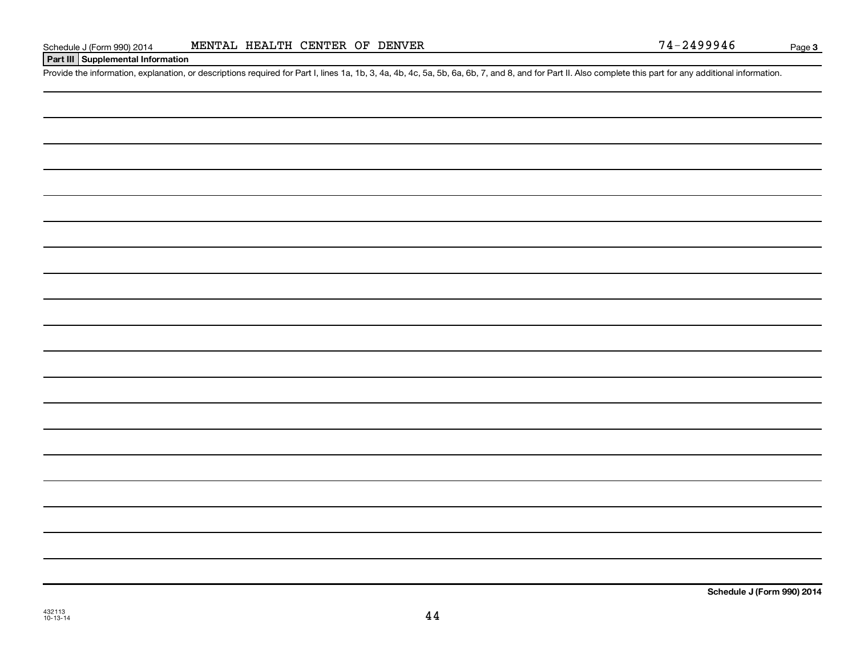# **Part III Supplemental Information**

Provide the information, explanation, or descriptions required for Part I, lines 1a, 1b, 3, 4a, 4b, 4c, 5a, 5b, 6a, 6b, 7, and 8, and for Part II. Also complete this part for any additional information.

432113 10-13-14

**Schedule J (Form 990) 2014**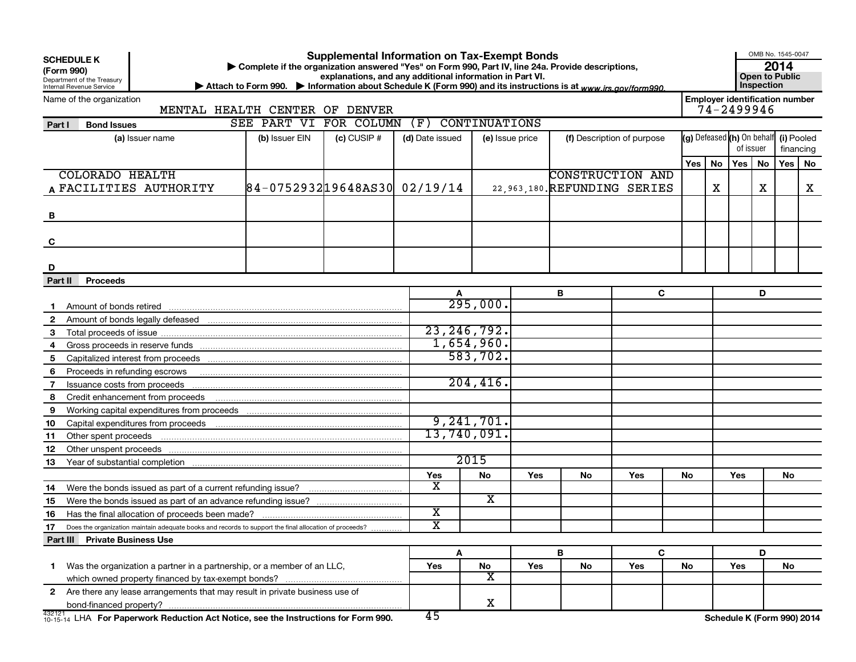| (Form 990)   | <b>Supplemental Information on Tax-Exempt Bonds</b><br><b>SCHEDULE K</b><br>Complete if the organization answered "Yes" on Form 990, Part IV, line 24a. Provide descriptions,<br>explanations, and any additional information in Part VI.<br>Department of the Treasury<br>Inspection<br>▶ Attach to Form 990. ▶ Information about Schedule K (Form 990) and its instructions is at www.irs.gov/form990.<br>Internal Revenue Service |                                                                                                              |                              |               |                         |                      |                 |                              |                            |                                                    |                                                     |     |           | OMB No. 1545-0047<br>2014<br><b>Open to Public</b> |    |
|--------------|--------------------------------------------------------------------------------------------------------------------------------------------------------------------------------------------------------------------------------------------------------------------------------------------------------------------------------------------------------------------------------------------------------------------------------------|--------------------------------------------------------------------------------------------------------------|------------------------------|---------------|-------------------------|----------------------|-----------------|------------------------------|----------------------------|----------------------------------------------------|-----------------------------------------------------|-----|-----------|----------------------------------------------------|----|
|              | Name of the organization                                                                                                                                                                                                                                                                                                                                                                                                             | MENTAL HEALTH CENTER OF DENVER                                                                               |                              |               |                         |                      |                 |                              |                            |                                                    | <b>Employer identification number</b><br>74-2499946 |     |           |                                                    |    |
| Part I       | <b>Bond Issues</b>                                                                                                                                                                                                                                                                                                                                                                                                                   |                                                                                                              | SEE PART VI                  | FOR COLUMN    | (F)                     | <b>CONTINUATIONS</b> |                 |                              |                            |                                                    |                                                     |     |           |                                                    |    |
|              |                                                                                                                                                                                                                                                                                                                                                                                                                                      | (a) Issuer name                                                                                              | (b) Issuer EIN               | $(c)$ CUSIP # | (d) Date issued         |                      | (e) Issue price |                              | (f) Description of purpose |                                                    |                                                     |     |           |                                                    |    |
|              |                                                                                                                                                                                                                                                                                                                                                                                                                                      |                                                                                                              |                              |               |                         |                      |                 |                              |                            | (g) Defeased (h) On behalf (i) Pooled<br>of issuer |                                                     |     |           | financing                                          |    |
|              |                                                                                                                                                                                                                                                                                                                                                                                                                                      |                                                                                                              |                              |               |                         |                      |                 |                              |                            | Yes                                                | No                                                  | Yes | <b>No</b> | Yes                                                | No |
|              | <b>COLORADO HEALTH</b>                                                                                                                                                                                                                                                                                                                                                                                                               |                                                                                                              |                              |               |                         |                      |                 |                              | <b>CONSTRUCTION AND</b>    |                                                    |                                                     |     |           |                                                    |    |
|              |                                                                                                                                                                                                                                                                                                                                                                                                                                      | A FACILITIES AUTHORITY                                                                                       | 84-075293219648AS30 02/19/14 |               |                         |                      |                 | 22,963,180. REFUNDING SERIES |                            |                                                    | х                                                   |     | х         |                                                    | X  |
|              |                                                                                                                                                                                                                                                                                                                                                                                                                                      |                                                                                                              |                              |               |                         |                      |                 |                              |                            |                                                    |                                                     |     |           |                                                    |    |
| B            |                                                                                                                                                                                                                                                                                                                                                                                                                                      |                                                                                                              |                              |               |                         |                      |                 |                              |                            |                                                    |                                                     |     |           |                                                    |    |
|              |                                                                                                                                                                                                                                                                                                                                                                                                                                      |                                                                                                              |                              |               |                         |                      |                 |                              |                            |                                                    |                                                     |     |           |                                                    |    |
| C            |                                                                                                                                                                                                                                                                                                                                                                                                                                      |                                                                                                              |                              |               |                         |                      |                 |                              |                            |                                                    |                                                     |     |           |                                                    |    |
|              |                                                                                                                                                                                                                                                                                                                                                                                                                                      |                                                                                                              |                              |               |                         |                      |                 |                              |                            |                                                    |                                                     |     |           |                                                    |    |
| D            |                                                                                                                                                                                                                                                                                                                                                                                                                                      |                                                                                                              |                              |               |                         |                      |                 |                              |                            |                                                    |                                                     |     |           |                                                    |    |
| Part II      | <b>Proceeds</b>                                                                                                                                                                                                                                                                                                                                                                                                                      |                                                                                                              |                              |               |                         |                      |                 |                              |                            |                                                    |                                                     |     |           |                                                    |    |
|              |                                                                                                                                                                                                                                                                                                                                                                                                                                      |                                                                                                              |                              |               |                         |                      |                 | В                            | C                          |                                                    |                                                     |     | D         |                                                    |    |
|              |                                                                                                                                                                                                                                                                                                                                                                                                                                      |                                                                                                              |                              |               |                         | $295,000$ .          |                 |                              |                            |                                                    |                                                     |     |           |                                                    |    |
| $\mathbf{2}$ |                                                                                                                                                                                                                                                                                                                                                                                                                                      |                                                                                                              |                              |               |                         |                      |                 |                              |                            |                                                    |                                                     |     |           |                                                    |    |
| 3            |                                                                                                                                                                                                                                                                                                                                                                                                                                      |                                                                                                              |                              |               |                         | 23, 246, 792.        |                 |                              |                            |                                                    |                                                     |     |           |                                                    |    |
| 4            |                                                                                                                                                                                                                                                                                                                                                                                                                                      |                                                                                                              |                              |               |                         | 1,654,960.           |                 |                              |                            |                                                    |                                                     |     |           |                                                    |    |
| 5            |                                                                                                                                                                                                                                                                                                                                                                                                                                      |                                                                                                              |                              |               |                         | 583,702.             |                 |                              |                            |                                                    |                                                     |     |           |                                                    |    |
| 6            |                                                                                                                                                                                                                                                                                                                                                                                                                                      |                                                                                                              |                              |               |                         |                      |                 |                              |                            |                                                    |                                                     |     |           |                                                    |    |
| 7            |                                                                                                                                                                                                                                                                                                                                                                                                                                      |                                                                                                              |                              |               |                         | 204, 416.            |                 |                              |                            |                                                    |                                                     |     |           |                                                    |    |
| 8            |                                                                                                                                                                                                                                                                                                                                                                                                                                      | Credit enhancement from proceeds                                                                             |                              |               |                         |                      |                 |                              |                            |                                                    |                                                     |     |           |                                                    |    |
| 9            |                                                                                                                                                                                                                                                                                                                                                                                                                                      |                                                                                                              |                              |               |                         |                      |                 |                              |                            |                                                    |                                                     |     |           |                                                    |    |
| 10           |                                                                                                                                                                                                                                                                                                                                                                                                                                      |                                                                                                              |                              |               |                         | 9,241,701.           |                 |                              |                            |                                                    |                                                     |     |           |                                                    |    |
| 11           |                                                                                                                                                                                                                                                                                                                                                                                                                                      |                                                                                                              |                              |               |                         | 13,740,091.          |                 |                              |                            |                                                    |                                                     |     |           |                                                    |    |
| 12           |                                                                                                                                                                                                                                                                                                                                                                                                                                      |                                                                                                              |                              |               |                         |                      |                 |                              |                            |                                                    |                                                     |     |           |                                                    |    |
| 13           |                                                                                                                                                                                                                                                                                                                                                                                                                                      |                                                                                                              |                              |               |                         | 2015                 |                 |                              |                            |                                                    |                                                     |     |           |                                                    |    |
|              |                                                                                                                                                                                                                                                                                                                                                                                                                                      |                                                                                                              |                              |               | Yes                     | No                   | <b>Yes</b>      | No                           | Yes                        | No.                                                |                                                     | Yes |           | No.                                                |    |
| 14           |                                                                                                                                                                                                                                                                                                                                                                                                                                      |                                                                                                              |                              |               | X                       |                      |                 |                              |                            |                                                    |                                                     |     |           |                                                    |    |
| 15           |                                                                                                                                                                                                                                                                                                                                                                                                                                      |                                                                                                              |                              |               |                         | x                    |                 |                              |                            |                                                    |                                                     |     |           |                                                    |    |
| 16           |                                                                                                                                                                                                                                                                                                                                                                                                                                      | Has the final allocation of proceeds been made?                                                              |                              |               | $\overline{\textbf{x}}$ |                      |                 |                              |                            |                                                    |                                                     |     |           |                                                    |    |
| 17           |                                                                                                                                                                                                                                                                                                                                                                                                                                      | Does the organization maintain adequate books and records to support the final allocation of proceeds?       |                              |               | $\overline{\textbf{x}}$ |                      |                 |                              |                            |                                                    |                                                     |     |           |                                                    |    |
|              | Part III Private Business Use                                                                                                                                                                                                                                                                                                                                                                                                        |                                                                                                              |                              |               |                         |                      |                 |                              |                            |                                                    |                                                     |     |           |                                                    |    |
|              |                                                                                                                                                                                                                                                                                                                                                                                                                                      |                                                                                                              |                              |               | A                       |                      |                 | B                            | C                          |                                                    |                                                     |     | D         |                                                    |    |
|              | Was the organization a partner in a partnership, or a member of an LLC,                                                                                                                                                                                                                                                                                                                                                              |                                                                                                              |                              |               | Yes                     | No                   | Yes             | No                           | Yes                        | No                                                 |                                                     | Yes |           | No                                                 |    |
|              |                                                                                                                                                                                                                                                                                                                                                                                                                                      |                                                                                                              |                              |               | $\overline{\textbf{x}}$ |                      |                 |                              |                            |                                                    |                                                     |     |           |                                                    |    |
|              |                                                                                                                                                                                                                                                                                                                                                                                                                                      | 2 Are there any lease arrangements that may result in private business use of                                |                              |               |                         |                      |                 |                              |                            |                                                    |                                                     |     |           |                                                    |    |
|              |                                                                                                                                                                                                                                                                                                                                                                                                                                      |                                                                                                              |                              |               |                         | X                    |                 |                              |                            |                                                    |                                                     |     |           |                                                    |    |
|              |                                                                                                                                                                                                                                                                                                                                                                                                                                      | $\frac{432121}{10\cdot15\cdot14}$ LHA For Paperwork Reduction Act Notice, see the Instructions for Form 990. |                              |               | 45                      |                      |                 |                              |                            |                                                    | Schedule K (Form 990) 2014                          |     |           |                                                    |    |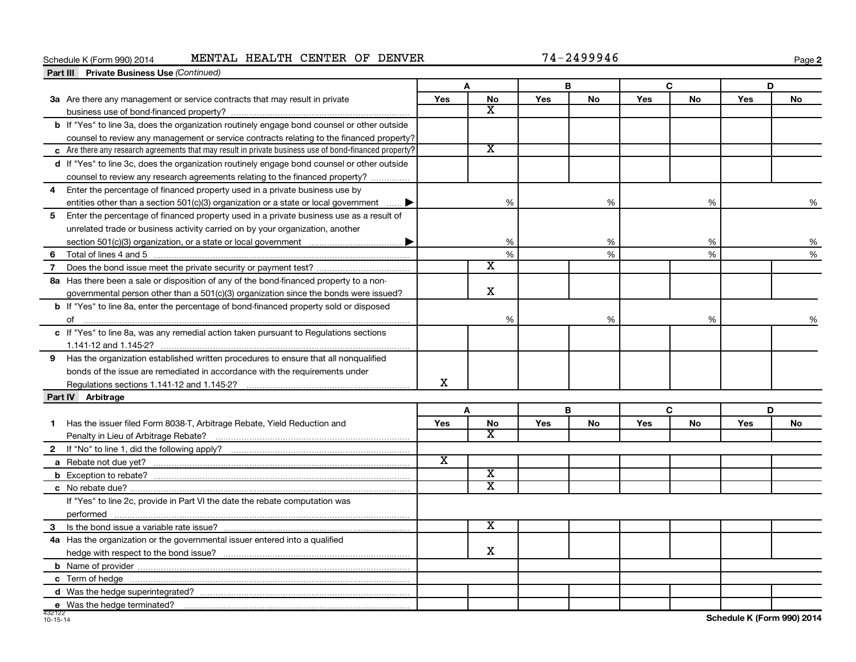# Schedule K (Form 990) 2014 MENTAL HEALTH CENTER OF DENVER 74-2499946

**2**

|                   | <b>Part III</b> Private Business Use (Continued)                                                       |                         |                         |     |    |     |    |     |    |
|-------------------|--------------------------------------------------------------------------------------------------------|-------------------------|-------------------------|-----|----|-----|----|-----|----|
|                   |                                                                                                        |                         | A                       |     | В  |     | C  |     | D  |
|                   | 3a Are there any management or service contracts that may result in private                            | Yes                     | <b>No</b>               | Yes | No | Yes | No | Yes | No |
|                   |                                                                                                        |                         | X                       |     |    |     |    |     |    |
|                   | b If "Yes" to line 3a, does the organization routinely engage bond counsel or other outside            |                         |                         |     |    |     |    |     |    |
|                   | counsel to review any management or service contracts relating to the financed property?               |                         |                         |     |    |     |    |     |    |
|                   | c Are there any research agreements that may result in private business use of bond-financed property? |                         | $\overline{\texttt{x}}$ |     |    |     |    |     |    |
|                   | d If "Yes" to line 3c, does the organization routinely engage bond counsel or other outside            |                         |                         |     |    |     |    |     |    |
|                   | counsel to review any research agreements relating to the financed property?                           |                         |                         |     |    |     |    |     |    |
| 4                 | Enter the percentage of financed property used in a private business use by                            |                         |                         |     |    |     |    |     |    |
|                   | entities other than a section 501(c)(3) organization or a state or local government $\ldots$           |                         | %                       |     | %  |     | %  |     | %  |
| 5                 | Enter the percentage of financed property used in a private business use as a result of                |                         |                         |     |    |     |    |     |    |
|                   | unrelated trade or business activity carried on by your organization, another                          |                         |                         |     |    |     |    |     |    |
|                   |                                                                                                        |                         | %                       |     | %  |     | %  |     | %  |
| 6                 |                                                                                                        |                         | %                       |     | %  |     | %  |     | %  |
| $\overline{7}$    |                                                                                                        |                         | $\overline{\texttt{x}}$ |     |    |     |    |     |    |
|                   | 8a Has there been a sale or disposition of any of the bond-financed property to a non-                 |                         |                         |     |    |     |    |     |    |
|                   | governmental person other than a $501(c)(3)$ organization since the bonds were issued?                 |                         | $\mathbf X$             |     |    |     |    |     |    |
|                   | <b>b</b> If "Yes" to line 8a, enter the percentage of bond-financed property sold or disposed          |                         |                         |     |    |     |    |     |    |
|                   |                                                                                                        |                         | %                       |     | %  |     | %  |     | %  |
|                   | c If "Yes" to line 8a, was any remedial action taken pursuant to Regulations sections                  |                         |                         |     |    |     |    |     |    |
|                   |                                                                                                        |                         |                         |     |    |     |    |     |    |
|                   | 9 Has the organization established written procedures to ensure that all nonqualified                  |                         |                         |     |    |     |    |     |    |
|                   | bonds of the issue are remediated in accordance with the requirements under                            |                         |                         |     |    |     |    |     |    |
|                   |                                                                                                        | x                       |                         |     |    |     |    |     |    |
| Part IV Arbitrage |                                                                                                        |                         |                         |     |    |     |    |     |    |
|                   |                                                                                                        |                         | A                       |     | B  |     | C  |     | D  |
| 1                 | Has the issuer filed Form 8038-T, Arbitrage Rebate, Yield Reduction and                                | <b>Yes</b>              | No                      | Yes | No | Yes | No | Yes | No |
|                   |                                                                                                        |                         | $\overline{\mathbf{X}}$ |     |    |     |    |     |    |
|                   |                                                                                                        |                         |                         |     |    |     |    |     |    |
|                   |                                                                                                        | $\overline{\textbf{x}}$ |                         |     |    |     |    |     |    |
|                   |                                                                                                        |                         | $\overline{\texttt{x}}$ |     |    |     |    |     |    |
|                   |                                                                                                        |                         | $\overline{\texttt{x}}$ |     |    |     |    |     |    |
|                   | If "Yes" to line 2c, provide in Part VI the date the rebate computation was                            |                         |                         |     |    |     |    |     |    |
|                   |                                                                                                        |                         |                         |     |    |     |    |     |    |
|                   |                                                                                                        |                         | х                       |     |    |     |    |     |    |
|                   | 4a Has the organization or the governmental issuer entered into a qualified                            |                         |                         |     |    |     |    |     |    |
|                   |                                                                                                        |                         | X                       |     |    |     |    |     |    |
|                   |                                                                                                        |                         |                         |     |    |     |    |     |    |
|                   |                                                                                                        |                         |                         |     |    |     |    |     |    |
|                   |                                                                                                        |                         |                         |     |    |     |    |     |    |
|                   | e Was the hedge terminated?                                                                            |                         |                         |     |    |     |    |     |    |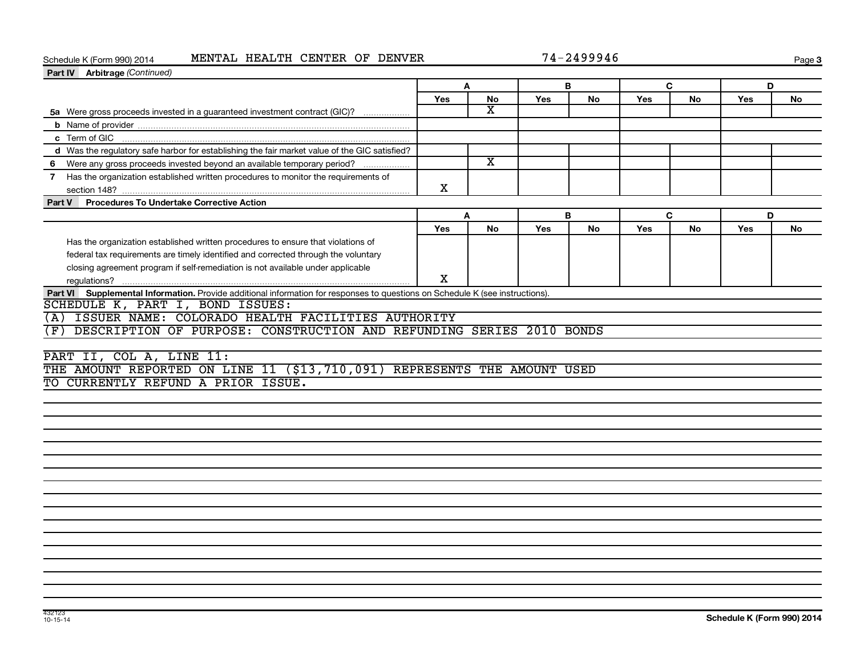# Schedule K (Form 990) 2014 MENTAL HEALTH CENTER OF DENVER 74-2499946

**3**

| Part IV Arbitrage (Continued)                                                                                                 |            |                         |     |           |            |           |     |           |
|-------------------------------------------------------------------------------------------------------------------------------|------------|-------------------------|-----|-----------|------------|-----------|-----|-----------|
|                                                                                                                               |            | A                       |     | В         | C          |           | D   |           |
|                                                                                                                               | <b>Yes</b> | No                      | Yes | No        | <b>Yes</b> | No        | Yes | No        |
| 5a Were gross proceeds invested in a guaranteed investment contract (GIC)?                                                    |            | $\overline{\mathbf{X}}$ |     |           |            |           |     |           |
|                                                                                                                               |            |                         |     |           |            |           |     |           |
|                                                                                                                               |            |                         |     |           |            |           |     |           |
| d Was the regulatory safe harbor for establishing the fair market value of the GIC satisfied?                                 |            |                         |     |           |            |           |     |           |
|                                                                                                                               |            | $\overline{\mathbf{x}}$ |     |           |            |           |     |           |
| 7 Has the organization established written procedures to monitor the requirements of                                          | X          |                         |     |           |            |           |     |           |
| <b>Procedures To Undertake Corrective Action</b><br>Part V                                                                    |            |                         |     |           |            |           |     |           |
|                                                                                                                               |            | A                       |     | B         | C          |           | D   |           |
|                                                                                                                               | Yes        | <b>No</b>               | Yes | <b>No</b> | <b>Yes</b> | <b>No</b> | Yes | <b>No</b> |
| Has the organization established written procedures to ensure that violations of                                              |            |                         |     |           |            |           |     |           |
| federal tax requirements are timely identified and corrected through the voluntary                                            |            |                         |     |           |            |           |     |           |
| closing agreement program if self-remediation is not available under applicable                                               |            |                         |     |           |            |           |     |           |
|                                                                                                                               | X          |                         |     |           |            |           |     |           |
| Part VI Supplemental Information. Provide additional information for responses to questions on Schedule K (see instructions). |            |                         |     |           |            |           |     |           |
| SCHEDULE K, PART I, BOND ISSUES:                                                                                              |            |                         |     |           |            |           |     |           |
| ISSUER NAME: COLORADO HEALTH FACILITIES AUTHORITY<br>(A)                                                                      |            |                         |     |           |            |           |     |           |
| DESCRIPTION OF PURPOSE: CONSTRUCTION AND REFUNDING SERIES 2010 BONDS<br>(F)                                                   |            |                         |     |           |            |           |     |           |
|                                                                                                                               |            |                         |     |           |            |           |     |           |
| PART II, COL A, LINE 11:                                                                                                      |            |                         |     |           |            |           |     |           |
| THE AMOUNT REPORTED ON LINE 11 (\$13,710,091) REPRESENTS THE AMOUNT USED                                                      |            |                         |     |           |            |           |     |           |
| TO CURRENTLY REFUND A PRIOR ISSUE.                                                                                            |            |                         |     |           |            |           |     |           |
|                                                                                                                               |            |                         |     |           |            |           |     |           |
|                                                                                                                               |            |                         |     |           |            |           |     |           |
|                                                                                                                               |            |                         |     |           |            |           |     |           |
|                                                                                                                               |            |                         |     |           |            |           |     |           |
|                                                                                                                               |            |                         |     |           |            |           |     |           |
|                                                                                                                               |            |                         |     |           |            |           |     |           |
|                                                                                                                               |            |                         |     |           |            |           |     |           |
|                                                                                                                               |            |                         |     |           |            |           |     |           |
|                                                                                                                               |            |                         |     |           |            |           |     |           |
|                                                                                                                               |            |                         |     |           |            |           |     |           |
|                                                                                                                               |            |                         |     |           |            |           |     |           |
|                                                                                                                               |            |                         |     |           |            |           |     |           |
|                                                                                                                               |            |                         |     |           |            |           |     |           |
|                                                                                                                               |            |                         |     |           |            |           |     |           |
|                                                                                                                               |            |                         |     |           |            |           |     |           |
|                                                                                                                               |            |                         |     |           |            |           |     |           |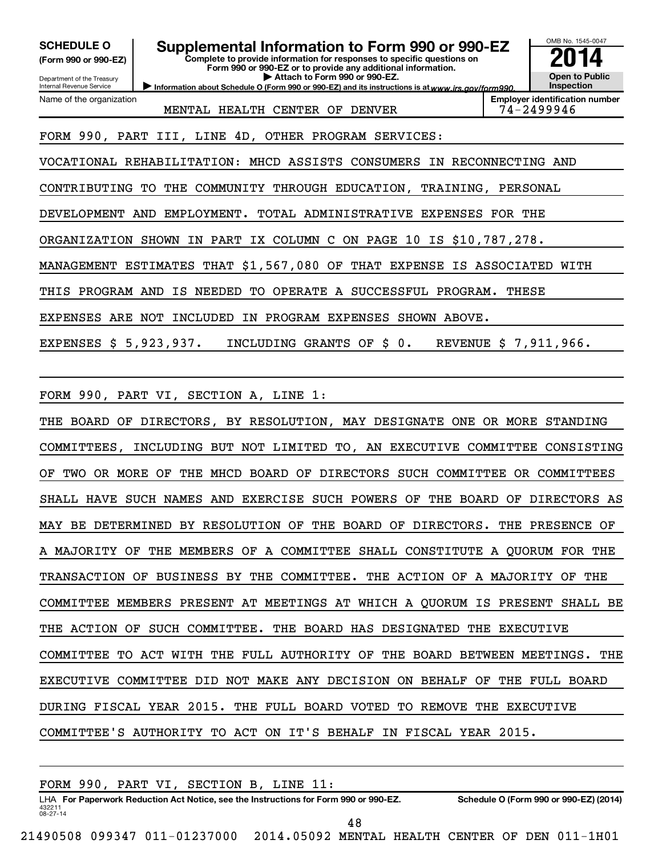**(Form 990 or 990-EZ)**

Department of the Treasury Internal Revenue Service

Name of the organization

**Complete to provide information for responses to specific questions on Form 990 or 990-EZ or to provide any additional information. | Attach to Form 990 or 990-EZ. SCHEDULE O Supplemental Information to Form 990 or 990-EZ 2014**<br>(Form 990 or 990-EZ) Complete to provide information for responses to specific questions on

Information about Schedule O (Form 990 or 990-EZ) and its instructions is at www.irs.gov/form990.

OMB No. 1545-0047 **Open to Public Inspection**

MENTAL HEALTH CENTER OF DENVER THE 74-2499946

**Employer identification number**

# FORM 990, PART III, LINE 4D, OTHER PROGRAM SERVICES:

VOCATIONAL REHABILITATION: MHCD ASSISTS CONSUMERS IN RECONNECTING AND

CONTRIBUTING TO THE COMMUNITY THROUGH EDUCATION, TRAINING, PERSONAL

DEVELOPMENT AND EMPLOYMENT. TOTAL ADMINISTRATIVE EXPENSES FOR THE

ORGANIZATION SHOWN IN PART IX COLUMN C ON PAGE 10 IS \$10,787,278.

MANAGEMENT ESTIMATES THAT \$1,567,080 OF THAT EXPENSE IS ASSOCIATED WITH

THIS PROGRAM AND IS NEEDED TO OPERATE A SUCCESSFUL PROGRAM. THESE

EXPENSES ARE NOT INCLUDED IN PROGRAM EXPENSES SHOWN ABOVE.

EXPENSES \$ 5,923,937. INCLUDING GRANTS OF \$ 0. REVENUE \$ 7,911,966.

FORM 990, PART VI, SECTION A, LINE 1:

THE BOARD OF DIRECTORS, BY RESOLUTION, MAY DESIGNATE ONE OR MORE STANDING COMMITTEES, INCLUDING BUT NOT LIMITED TO, AN EXECUTIVE COMMITTEE CONSISTING OF TWO OR MORE OF THE MHCD BOARD OF DIRECTORS SUCH COMMITTEE OR COMMITTEES SHALL HAVE SUCH NAMES AND EXERCISE SUCH POWERS OF THE BOARD OF DIRECTORS AS MAY BE DETERMINED BY RESOLUTION OF THE BOARD OF DIRECTORS. THE PRESENCE OF A MAJORITY OF THE MEMBERS OF A COMMITTEE SHALL CONSTITUTE A QUORUM FOR THE TRANSACTION OF BUSINESS BY THE COMMITTEE. THE ACTION OF A MAJORITY OF THE COMMITTEE MEMBERS PRESENT AT MEETINGS AT WHICH A QUORUM IS PRESENT SHALL BE THE ACTION OF SUCH COMMITTEE. THE BOARD HAS DESIGNATED THE EXECUTIVE COMMITTEE TO ACT WITH THE FULL AUTHORITY OF THE BOARD BETWEEN MEETINGS. THE EXECUTIVE COMMITTEE DID NOT MAKE ANY DECISION ON BEHALF OF THE FULL BOARD DURING FISCAL YEAR 2015. THE FULL BOARD VOTED TO REMOVE THE EXECUTIVE COMMITTEE'S AUTHORITY TO ACT ON IT'S BEHALF IN FISCAL YEAR 2015.

|                          |  | FORM 990, PART VI, SECTION B, LINE 11:                                               |  |    |                                                 |  |                                        |  |
|--------------------------|--|--------------------------------------------------------------------------------------|--|----|-------------------------------------------------|--|----------------------------------------|--|
| 432211<br>$08 - 27 - 14$ |  | LHA For Paperwork Reduction Act Notice, see the Instructions for Form 990 or 990-EZ. |  |    |                                                 |  | Schedule O (Form 990 or 990-EZ) (2014) |  |
|                          |  |                                                                                      |  | 48 |                                                 |  |                                        |  |
|                          |  | 21490508 099347 011-01237000                                                         |  |    | 2014.05092 MENTAL HEALTH CENTER OF DEN 011-1H01 |  |                                        |  |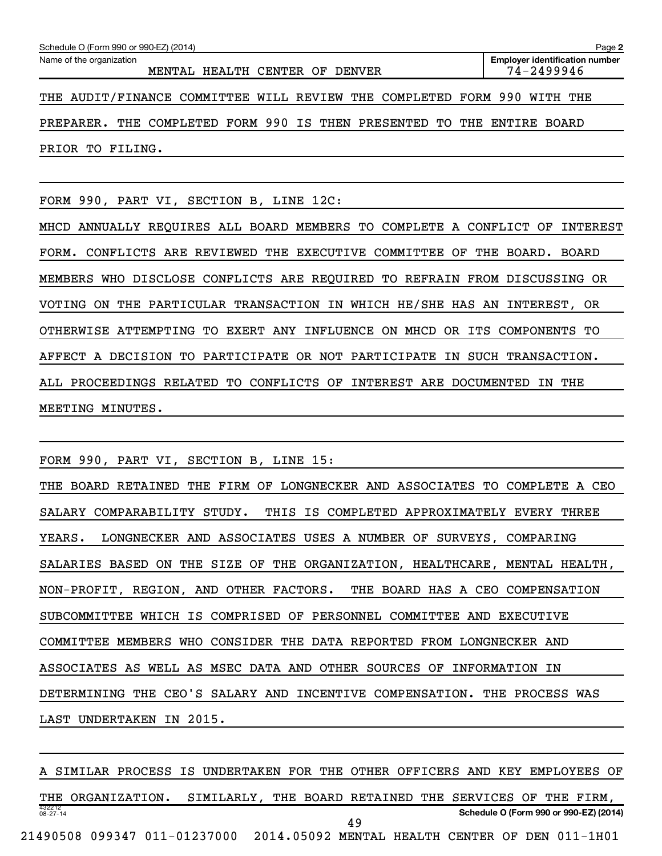| Schedule O (Form 990 or 990-EZ) (2014)<br>Page 2                        |                                                     |  |  |  |  |  |  |  |  |  |  |
|-------------------------------------------------------------------------|-----------------------------------------------------|--|--|--|--|--|--|--|--|--|--|
| Name of the organization<br>MENTAL HEALTH CENTER OF DENVER              | <b>Employer identification number</b><br>74-2499946 |  |  |  |  |  |  |  |  |  |  |
| THE AUDIT/FINANCE COMMITTEE WILL REVIEW THE COMPLETED FORM 990 WITH THE |                                                     |  |  |  |  |  |  |  |  |  |  |
| PREPARER. THE COMPLETED FORM 990 IS THEN PRESENTED TO THE ENTIRE BOARD  |                                                     |  |  |  |  |  |  |  |  |  |  |
| PRIOR TO FILING.                                                        |                                                     |  |  |  |  |  |  |  |  |  |  |

FORM 990, PART VI, SECTION B, LINE 12C:

MHCD ANNUALLY REQUIRES ALL BOARD MEMBERS TO COMPLETE A CONFLICT OF INTEREST FORM. CONFLICTS ARE REVIEWED THE EXECUTIVE COMMITTEE OF THE BOARD. BOARD MEMBERS WHO DISCLOSE CONFLICTS ARE REQUIRED TO REFRAIN FROM DISCUSSING OR VOTING ON THE PARTICULAR TRANSACTION IN WHICH HE/SHE HAS AN INTEREST, OR OTHERWISE ATTEMPTING TO EXERT ANY INFLUENCE ON MHCD OR ITS COMPONENTS TO AFFECT A DECISION TO PARTICIPATE OR NOT PARTICIPATE IN SUCH TRANSACTION. ALL PROCEEDINGS RELATED TO CONFLICTS OF INTEREST ARE DOCUMENTED IN THE MEETING MINUTES.

FORM 990, PART VI, SECTION B, LINE 15:

THE BOARD RETAINED THE FIRM OF LONGNECKER AND ASSOCIATES TO COMPLETE A CEO SALARY COMPARABILITY STUDY. THIS IS COMPLETED APPROXIMATELY EVERY THREE YEARS. LONGNECKER AND ASSOCIATES USES A NUMBER OF SURVEYS, COMPARING SALARIES BASED ON THE SIZE OF THE ORGANIZATION, HEALTHCARE, MENTAL HEALTH, NON-PROFIT, REGION, AND OTHER FACTORS. THE BOARD HAS A CEO COMPENSATION SUBCOMMITTEE WHICH IS COMPRISED OF PERSONNEL COMMITTEE AND EXECUTIVE COMMITTEE MEMBERS WHO CONSIDER THE DATA REPORTED FROM LONGNECKER AND ASSOCIATES AS WELL AS MSEC DATA AND OTHER SOURCES OF INFORMATION IN DETERMINING THE CEO'S SALARY AND INCENTIVE COMPENSATION. THE PROCESS WAS LAST UNDERTAKEN IN 2015.

432212 08-27-14 **Schedule O (Form 990 or 990-EZ) (2014)** A SIMILAR PROCESS IS UNDERTAKEN FOR THE OTHER OFFICERS AND KEY EMPLOYEES OF THE ORGANIZATION. SIMILARLY, THE BOARD RETAINED THE SERVICES OF THE FIRM, 21490508 099347 011-01237000 2014.05092 MENTAL HEALTH CENTER OF DEN 011-1H01 49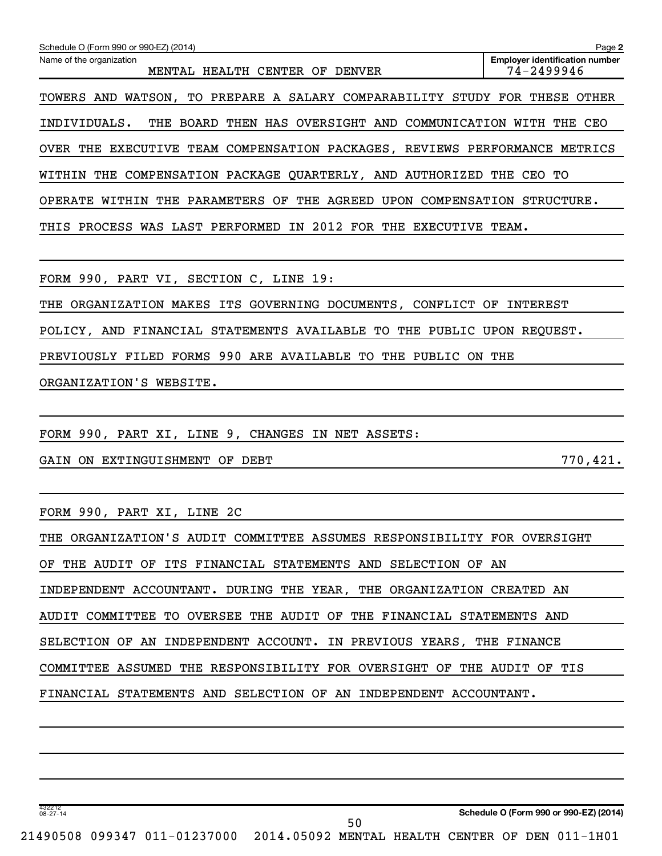| Schedule O (Form 990 or 990-EZ) (2014)<br>Name of the organization<br>MENTAL HEALTH CENTER OF DENVER | Page 2<br><b>Employer identification number</b><br>74-2499946 |
|------------------------------------------------------------------------------------------------------|---------------------------------------------------------------|
| TOWERS AND WATSON, TO PREPARE A SALARY COMPARABILITY STUDY FOR THESE OTHER                           |                                                               |
| THE BOARD THEN HAS OVERSIGHT AND COMMUNICATION WITH THE CEO<br>INDIVIDUALS.                          |                                                               |
| OVER THE EXECUTIVE TEAM COMPENSATION PACKAGES, REVIEWS PERFORMANCE METRICS                           |                                                               |
| WITHIN THE COMPENSATION PACKAGE QUARTERLY, AND AUTHORIZED THE CEO TO                                 |                                                               |
| OPERATE WITHIN THE PARAMETERS OF THE AGREED UPON COMPENSATION STRUCTURE.                             |                                                               |
| THIS PROCESS WAS LAST PERFORMED IN 2012 FOR THE EXECUTIVE TEAM.                                      |                                                               |
|                                                                                                      |                                                               |
| FORM 990, PART VI, SECTION C, LINE 19:                                                               |                                                               |
| THE ORGANIZATION MAKES ITS GOVERNING DOCUMENTS, CONFLICT OF INTEREST                                 |                                                               |
| POLICY, AND FINANCIAL STATEMENTS AVAILABLE TO THE PUBLIC UPON REQUEST.                               |                                                               |
| PREVIOUSLY FILED FORMS 990 ARE AVAILABLE TO THE PUBLIC ON THE                                        |                                                               |
| ORGANIZATION'S WEBSITE.                                                                              |                                                               |
|                                                                                                      |                                                               |
| FORM 990, PART XI, LINE 9, CHANGES IN NET ASSETS:                                                    |                                                               |
| GAIN ON EXTINGUISHMENT OF DEBT                                                                       | 770,421.                                                      |
|                                                                                                      |                                                               |
| FORM 990, PART XI, LINE 2C                                                                           |                                                               |
| THE ORGANIZATION'S AUDIT COMMITTEE ASSUMES RESPONSIBILITY FOR OVERSIGHT                              |                                                               |
| OF THE AUDIT OF ITS FINANCIAL STATEMENTS AND SELECTION OF AN                                         |                                                               |
| INDEPENDENT ACCOUNTANT. DURING THE YEAR, THE ORGANIZATION CREATED AN                                 |                                                               |
| AUDIT COMMITTEE TO OVERSEE THE AUDIT OF THE FINANCIAL STATEMENTS AND                                 |                                                               |
| SELECTION OF AN INDEPENDENT ACCOUNT. IN PREVIOUS YEARS, THE FINANCE                                  |                                                               |

COMMITTEE ASSUMED THE RESPONSIBILITY FOR OVERSIGHT OF THE AUDIT OF TIS

FINANCIAL STATEMENTS AND SELECTION OF AN INDEPENDENT ACCOUNTANT.

432212 08-27-14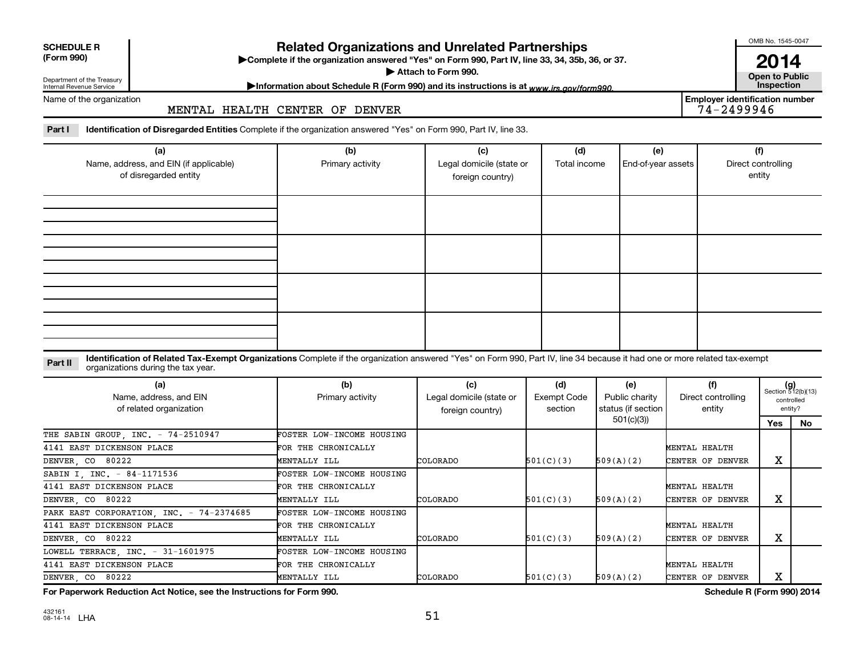| <b>SCHEDULE R</b> |  |
|-------------------|--|
|                   |  |

Department of the Treasury Internal Revenue Service

# **Related Organizations and Unrelated Partnerships**

**(Form 990) Complete if the organization answered "Yes" on Form 990, Part IV, line 33, 34, 35b, 36, or 37.** |

▶ Attach to Form 990. **Open to Public** 

OMB No. 1545-0047

**2014**<br>Open to Public

**Employer identification number**

# Information about Schedule R (Form 990) and its instructions is at www.irs.gov/form990.

Name of the organization

### MENTAL HEALTH CENTER OF DENVER

Part I ldentification of Disregarded Entities Complete if the organization answered "Yes" on Form 990, Part IV, line 33.

| (a)<br>Name, address, and EIN (if applicable)<br>of disregarded entity | (b)<br>Primary activity | (c)<br>Legal domicile (state or<br>foreign country) | (d)<br>Total income | (e)<br>End-of-year assets | (f)<br>Direct controlling<br>entity |
|------------------------------------------------------------------------|-------------------------|-----------------------------------------------------|---------------------|---------------------------|-------------------------------------|
|                                                                        |                         |                                                     |                     |                           |                                     |
|                                                                        |                         |                                                     |                     |                           |                                     |
|                                                                        |                         |                                                     |                     |                           |                                     |
|                                                                        |                         |                                                     |                     |                           |                                     |

#### **Part II** Identification of Related Tax-Exempt Organizations Complete if the organization answered "Yes" on Form 990, Part IV, line 34 because it had one or more related tax-exempt<br>Complete it is a seriest of the two wears organizations during the tax year.

| (a)<br>Name, address, and EIN<br>of related organization | (b)<br>Primary activity          | (c)<br>Legal domicile (state or<br>foreign country) | (d)<br><b>Exempt Code</b><br>section | (e)<br>Public charity<br>status (if section | (f)<br>Direct controlling<br>entity | $(g)$<br>Section 512(b)(13)<br>entity? | controlled |
|----------------------------------------------------------|----------------------------------|-----------------------------------------------------|--------------------------------------|---------------------------------------------|-------------------------------------|----------------------------------------|------------|
|                                                          |                                  |                                                     |                                      | 501(c)(3))                                  |                                     | Yes                                    | No.        |
| THE SABIN GROUP, INC. - 74-2510947                       | FOSTER LOW-INCOME HOUSING        |                                                     |                                      |                                             |                                     |                                        |            |
| 4141 EAST DICKENSON PLACE                                | FOR THE CHRONICALLY              |                                                     |                                      |                                             | MENTAL HEALTH                       |                                        |            |
| DENVER, CO 80222                                         | MENTALLY ILL                     | COLORADO                                            | 501(C)(3)                            | 509(A)(2)                                   | CENTER OF DENVER                    | х                                      |            |
| SABIN I, INC. - 84-1171536                               | FOSTER LOW-INCOME HOUSING        |                                                     |                                      |                                             |                                     |                                        |            |
| 4141 EAST DICKENSON PLACE                                | FOR THE CHRONICALLY              |                                                     |                                      |                                             | MENTAL HEALTH                       |                                        |            |
| DENVER, CO 80222                                         | MENTALLY ILL                     | COLORADO                                            | 501(C)(3)                            | 509(A)(2)                                   | CENTER OF DENVER                    | х                                      |            |
| PARK EAST CORPORATION, INC. - 74-2374685                 | <b>FOSTER LOW-INCOME HOUSING</b> |                                                     |                                      |                                             |                                     |                                        |            |
| 4141 EAST DICKENSON PLACE                                | FOR THE CHRONICALLY              |                                                     |                                      |                                             | MENTAL HEALTH                       |                                        |            |
| DENVER, CO 80222                                         | MENTALLY ILL                     | COLORADO                                            | 501(C)(3)                            | 509(A)(2)                                   | CENTER OF DENVER                    | х                                      |            |
| LOWELL TERRACE, INC. - 31-1601975                        | FOSTER LOW-INCOME HOUSING        |                                                     |                                      |                                             |                                     |                                        |            |
| 4141 EAST DICKENSON PLACE                                | FOR THE CHRONICALLY              |                                                     |                                      |                                             | MENTAL HEALTH                       |                                        |            |
| DENVER, CO 80222                                         | MENTALLY ILL                     | COLORADO                                            | 501(C)(3)                            | 509(A)(2)                                   | CENTER OF DENVER                    | х                                      |            |

**For Paperwork Reduction Act Notice, see the Instructions for Form 990. Schedule R (Form 990) 2014**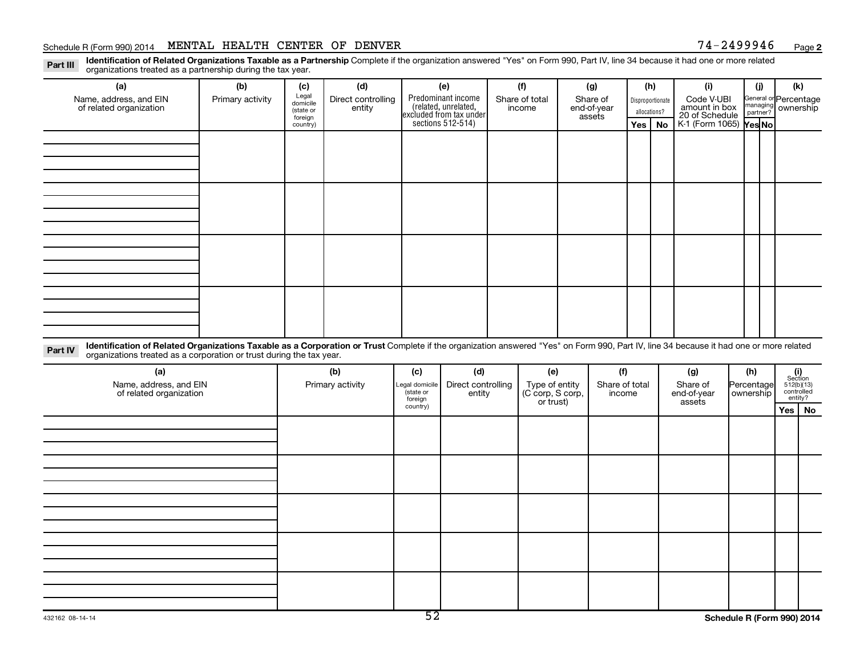# Schedule R (Form 990) 2014 MENTAL HEALTH CENTER OF DENVER  $74-2499946$  Page

**2**

Part III Identification of Related Organizations Taxable as a Partnership Complete if the organization answered "Yes" on Form 990, Part IV, line 34 because it had one or more related<br>Read to the organizations tracted as a organizations treated as a partnership during the tax year.

| (a)                                                                                                                                                                                                                                                                       | (b)              | (c)                                       | (d)                          |     | (e)                                                                                        | (f)                      |     | (g)                               |     | (h)                              | (i)                                           | (i) | (k)                                         |
|---------------------------------------------------------------------------------------------------------------------------------------------------------------------------------------------------------------------------------------------------------------------------|------------------|-------------------------------------------|------------------------------|-----|--------------------------------------------------------------------------------------------|--------------------------|-----|-----------------------------------|-----|----------------------------------|-----------------------------------------------|-----|---------------------------------------------|
| Name, address, and EIN<br>of related organization                                                                                                                                                                                                                         | Primary activity | Legal<br>domicile<br>(state or<br>foreign | Direct controlling<br>entity |     | Predominant income<br>(related, unrelated,<br>excluded from tax under<br>sections 512-514) | Share of total<br>income |     | Share of<br>end-of-year<br>assets |     | Disproportionate<br>allocations? | Code V-UBI<br>amount in box<br>20 of Schedule |     | General or Percentage<br>managing ownership |
|                                                                                                                                                                                                                                                                           |                  | country)                                  |                              |     |                                                                                            |                          |     |                                   | Yes | No                               | K-1 (Form 1065) Yes No                        |     |                                             |
|                                                                                                                                                                                                                                                                           |                  |                                           |                              |     |                                                                                            |                          |     |                                   |     |                                  |                                               |     |                                             |
|                                                                                                                                                                                                                                                                           |                  |                                           |                              |     |                                                                                            |                          |     |                                   |     |                                  |                                               |     |                                             |
|                                                                                                                                                                                                                                                                           |                  |                                           |                              |     |                                                                                            |                          |     |                                   |     |                                  |                                               |     |                                             |
|                                                                                                                                                                                                                                                                           |                  |                                           |                              |     |                                                                                            |                          |     |                                   |     |                                  |                                               |     |                                             |
|                                                                                                                                                                                                                                                                           |                  |                                           |                              |     |                                                                                            |                          |     |                                   |     |                                  |                                               |     |                                             |
|                                                                                                                                                                                                                                                                           |                  |                                           |                              |     |                                                                                            |                          |     |                                   |     |                                  |                                               |     |                                             |
|                                                                                                                                                                                                                                                                           |                  |                                           |                              |     |                                                                                            |                          |     |                                   |     |                                  |                                               |     |                                             |
|                                                                                                                                                                                                                                                                           |                  |                                           |                              |     |                                                                                            |                          |     |                                   |     |                                  |                                               |     |                                             |
|                                                                                                                                                                                                                                                                           |                  |                                           |                              |     |                                                                                            |                          |     |                                   |     |                                  |                                               |     |                                             |
|                                                                                                                                                                                                                                                                           |                  |                                           |                              |     |                                                                                            |                          |     |                                   |     |                                  |                                               |     |                                             |
|                                                                                                                                                                                                                                                                           |                  |                                           |                              |     |                                                                                            |                          |     |                                   |     |                                  |                                               |     |                                             |
|                                                                                                                                                                                                                                                                           |                  |                                           |                              |     |                                                                                            |                          |     |                                   |     |                                  |                                               |     |                                             |
|                                                                                                                                                                                                                                                                           |                  |                                           |                              |     |                                                                                            |                          |     |                                   |     |                                  |                                               |     |                                             |
|                                                                                                                                                                                                                                                                           |                  |                                           |                              |     |                                                                                            |                          |     |                                   |     |                                  |                                               |     |                                             |
|                                                                                                                                                                                                                                                                           |                  |                                           |                              |     |                                                                                            |                          |     |                                   |     |                                  |                                               |     |                                             |
|                                                                                                                                                                                                                                                                           |                  |                                           |                              |     |                                                                                            |                          |     |                                   |     |                                  |                                               |     |                                             |
| Identification of Related Organizations Taxable as a Corporation or Trust Complete if the organization answered "Yes" on Form 990, Part IV, line 34 because it had one or more related<br>Part IV<br>organizations treated as a corporation or trust during the tax year. |                  |                                           |                              |     |                                                                                            |                          |     |                                   |     |                                  |                                               |     |                                             |
| (a)                                                                                                                                                                                                                                                                       |                  |                                           | (b)                          | (c) | (d)                                                                                        |                          | (e) |                                   | (f) |                                  | (g)                                           | (h) | (i)                                         |

| (a)<br>Name, address, and EIN<br>of related organization | (b)<br>Primary activity | (c)<br>Legal domicile<br>(state or<br>foreign<br>country) | (d)<br>Direct controlling<br>entity | (e)<br>Type of entity<br>(C corp, S corp,<br>or trust) | (f)<br>Share of total<br>income | (g)<br>Share of<br>end-of-year<br>assets | (h)<br>Percentage<br>  ownership |                                    | $(i)$<br>Section<br>512(b)(13)<br>controlled<br>entity? |
|----------------------------------------------------------|-------------------------|-----------------------------------------------------------|-------------------------------------|--------------------------------------------------------|---------------------------------|------------------------------------------|----------------------------------|------------------------------------|---------------------------------------------------------|
|                                                          |                         |                                                           |                                     |                                                        |                                 |                                          |                                  | Yes                                | No                                                      |
|                                                          |                         |                                                           |                                     |                                                        |                                 |                                          |                                  |                                    |                                                         |
|                                                          |                         |                                                           |                                     |                                                        |                                 |                                          |                                  |                                    |                                                         |
|                                                          |                         |                                                           |                                     |                                                        |                                 |                                          |                                  |                                    |                                                         |
|                                                          |                         |                                                           |                                     |                                                        |                                 |                                          |                                  |                                    |                                                         |
|                                                          |                         |                                                           |                                     |                                                        |                                 |                                          |                                  |                                    |                                                         |
|                                                          |                         |                                                           |                                     |                                                        |                                 |                                          |                                  |                                    |                                                         |
|                                                          |                         |                                                           |                                     |                                                        |                                 |                                          |                                  |                                    |                                                         |
|                                                          |                         |                                                           |                                     |                                                        |                                 |                                          |                                  |                                    |                                                         |
|                                                          |                         |                                                           |                                     |                                                        |                                 |                                          |                                  |                                    |                                                         |
|                                                          |                         |                                                           |                                     |                                                        |                                 |                                          |                                  |                                    |                                                         |
|                                                          |                         | 下つ                                                        |                                     |                                                        |                                 |                                          | ------                           | $\sim$ $\sim$ $\sim$ $\sim$ $\sim$ |                                                         |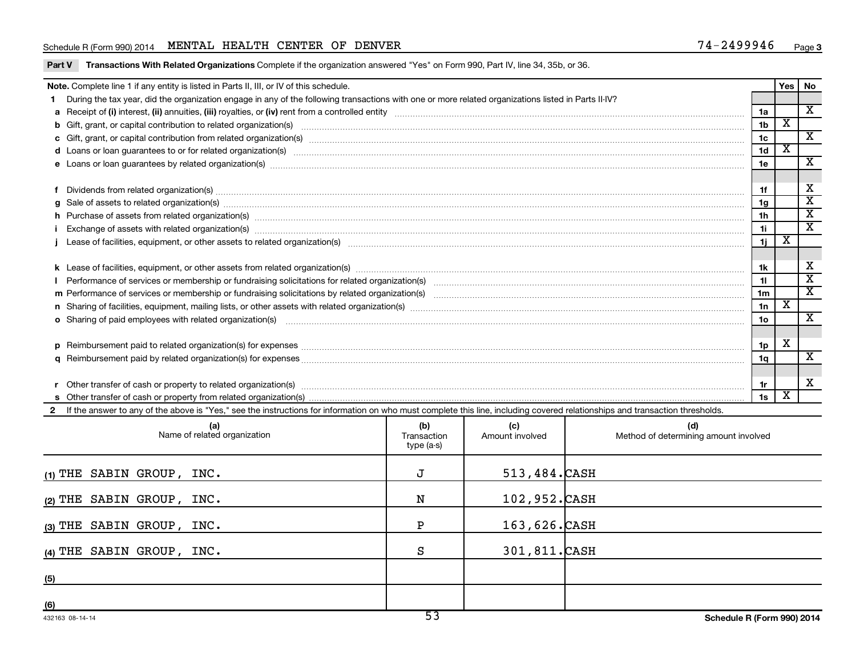# Schedule R (Form 990) 2014 MENTAL HEALTH CENTER OF DENVER  $74-2499946$  Page

|  | Part V Transactions With Related Organizations Complete if the organization answered "Yes" on Form 990, Part IV, line 34, 35b, or 36. |  |  |  |  |
|--|---------------------------------------------------------------------------------------------------------------------------------------|--|--|--|--|
|--|---------------------------------------------------------------------------------------------------------------------------------------|--|--|--|--|

|              | Note. Complete line 1 if any entity is listed in Parts II, III, or IV of this schedule.                                                                                                                                        |                 | Yes                     | No                          |  |  |  |
|--------------|--------------------------------------------------------------------------------------------------------------------------------------------------------------------------------------------------------------------------------|-----------------|-------------------------|-----------------------------|--|--|--|
|              | During the tax year, did the organization engage in any of the following transactions with one or more related organizations listed in Parts II-IV?                                                                            |                 |                         |                             |  |  |  |
|              |                                                                                                                                                                                                                                | 1a              |                         | X                           |  |  |  |
|              |                                                                                                                                                                                                                                | 1 <sub>b</sub>  | $\overline{\textbf{x}}$ |                             |  |  |  |
|              |                                                                                                                                                                                                                                | 1 <sub>c</sub>  |                         | $\overline{\mathbf{x}}$     |  |  |  |
|              | d Loans or loan guarantees to or for related organization(s) www.communities.com/www.communities.com/www.communities.com/www.communities.com/www.communities.com/www.communities.com/www.communities.com/www.communities.com/w | 1 <sub>d</sub>  | х                       |                             |  |  |  |
|              |                                                                                                                                                                                                                                | 1e              |                         | X                           |  |  |  |
|              |                                                                                                                                                                                                                                |                 |                         |                             |  |  |  |
|              | Dividends from related organization(s) manufacture contraction contract to contract the contract of the contract or contract or contract or contract or contract or contract or contract or contract or contract or contract o | 1f              |                         | X                           |  |  |  |
|              | $g$ Sale of assets to related organization(s) with the contraction contraction contract of the contract of the contract organization(s) with the contract of the contract of the contract of the contract of the contract of   | 1g              |                         | $\overline{\textnormal{x}}$ |  |  |  |
|              | h Purchase of assets from related organization(s) manufactured and content to content the content of the content of the content of the content of the content of the content of the content of the content of the content of t | 1 <sub>h</sub>  |                         | $\overline{\mathbf{x}}$     |  |  |  |
|              | Exchange of assets with related organization(s) manufactured and content to the content of the content of the content of the content of the content of the content of the content of the content of the content of the content | 1i              |                         | $\overline{\mathbf{x}}$     |  |  |  |
|              |                                                                                                                                                                                                                                | 1j              | х                       |                             |  |  |  |
|              |                                                                                                                                                                                                                                |                 |                         |                             |  |  |  |
|              |                                                                                                                                                                                                                                | 1k              |                         | х                           |  |  |  |
|              |                                                                                                                                                                                                                                | 11              |                         | $\overline{\text{x}}$       |  |  |  |
|              |                                                                                                                                                                                                                                | 1 <sub>m</sub>  |                         | $\mathbf{x}$                |  |  |  |
|              | n Sharing of facilities, equipment, mailing lists, or other assets with related organization(s) matches material contents and the starting of facilities, equipment, mailing lists, or other assets with related organization( | 1n              | x                       |                             |  |  |  |
|              | o Sharing of paid employees with related organization(s) manufactured content to the content of the content of the content of the content of the content of the content of the content of the content of the content of the co | 10 <sub>o</sub> |                         | $\mathbf{x}$                |  |  |  |
|              |                                                                                                                                                                                                                                |                 |                         |                             |  |  |  |
|              |                                                                                                                                                                                                                                | 1p              | х                       |                             |  |  |  |
|              |                                                                                                                                                                                                                                | 1q              |                         | $\overline{\textnormal{x}}$ |  |  |  |
|              |                                                                                                                                                                                                                                |                 |                         |                             |  |  |  |
|              |                                                                                                                                                                                                                                | 1r              |                         | X                           |  |  |  |
|              |                                                                                                                                                                                                                                | 1s              | x                       |                             |  |  |  |
| $\mathbf{2}$ | If the answer to any of the above is "Yes," see the instructions for information on who must complete this line, including covered relationships and transaction thresholds.                                                   |                 |                         |                             |  |  |  |

| (a)<br>Name of related organization | (b)<br>Transaction<br>type (a-s) | (c)<br>Amount involved | (d)<br>Method of determining amount involved |
|-------------------------------------|----------------------------------|------------------------|----------------------------------------------|
| $(1)$ THE SABIN GROUP, INC.         | J                                | 513,484. CASH          |                                              |
| (2) THE SABIN GROUP, INC.           | N                                | 102,952. CASH          |                                              |
| (3) THE SABIN GROUP, INC.           | P                                | $163,626.$ CASH        |                                              |
| $(4)$ THE SABIN GROUP, INC.         | S                                | 301,811.CASH           |                                              |
| (5)                                 |                                  |                        |                                              |
| (6)                                 | --                               |                        |                                              |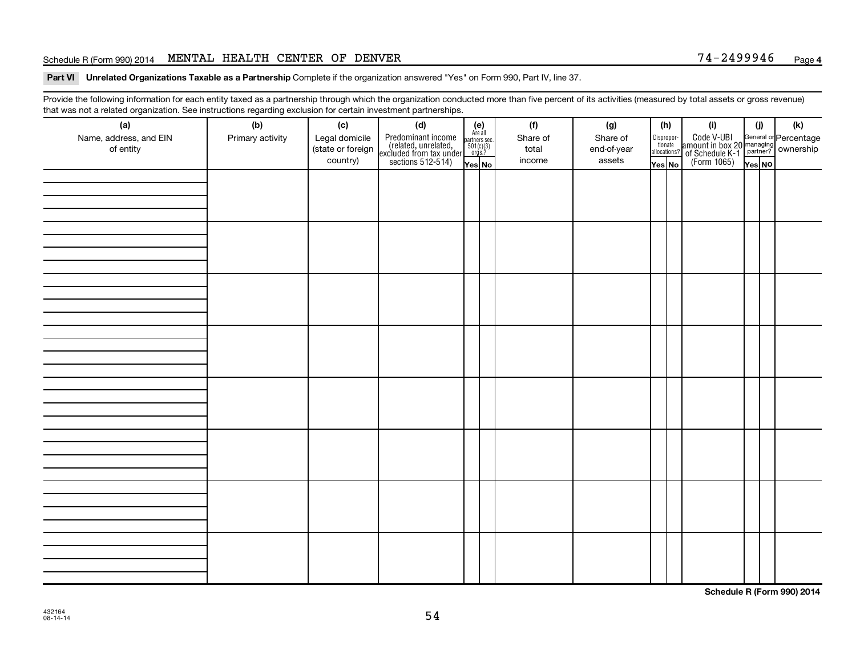# Schedule R (Form 990) 2014 MENTAL HEALTH CENTER OF DENVER  $74-2499946$  Page

Part VI Unrelated Organizations Taxable as a Partnership Complete if the organization answered "Yes" on Form 990, Part IV, line 37.

Provide the following information for each entity taxed as a partnership through which the organization conducted more than five percent of its activities (measured by total assets or gross revenue) that was not a related organization. See instructions regarding exclusion for certain investment partnerships.

|                        |                  |                   | .<br>. <del>.</del>                                                                        |                                                          |          |             |        |                       |                                                                                                      |        |     |
|------------------------|------------------|-------------------|--------------------------------------------------------------------------------------------|----------------------------------------------------------|----------|-------------|--------|-----------------------|------------------------------------------------------------------------------------------------------|--------|-----|
| (a)                    | (b)              | (c)               | (d)                                                                                        | (e)<br>Are all<br>partners sec.<br>$501(c)(3)$<br>orgs.? | (f)      | (g)         | (h)    |                       | (i)                                                                                                  | (j)    | (k) |
| Name, address, and EIN | Primary activity | Legal domicile    |                                                                                            |                                                          | Share of | Share of    |        | Dispropor-<br>tionate |                                                                                                      |        |     |
| of entity              |                  | (state or foreign |                                                                                            |                                                          | total    | end-of-year |        | allocations?          |                                                                                                      |        |     |
|                        |                  | country)          | Predominant income<br>(related, unrelated,<br>excluded from tax under<br>sections 512-514) | Yes No                                                   | income   | assets      | Yes No |                       | Code V-UBI<br>amount in box 20 managing<br>of Schedule K-1<br>(Form 1065)<br>$\overline{Y}_{res}$ No | Yes No |     |
|                        |                  |                   |                                                                                            |                                                          |          |             |        |                       |                                                                                                      |        |     |
|                        |                  |                   |                                                                                            |                                                          |          |             |        |                       |                                                                                                      |        |     |
|                        |                  |                   |                                                                                            |                                                          |          |             |        |                       |                                                                                                      |        |     |
|                        |                  |                   |                                                                                            |                                                          |          |             |        |                       |                                                                                                      |        |     |
|                        |                  |                   |                                                                                            |                                                          |          |             |        |                       |                                                                                                      |        |     |
|                        |                  |                   |                                                                                            |                                                          |          |             |        |                       |                                                                                                      |        |     |
|                        |                  |                   |                                                                                            |                                                          |          |             |        |                       |                                                                                                      |        |     |
|                        |                  |                   |                                                                                            |                                                          |          |             |        |                       |                                                                                                      |        |     |
|                        |                  |                   |                                                                                            |                                                          |          |             |        |                       |                                                                                                      |        |     |
|                        |                  |                   |                                                                                            |                                                          |          |             |        |                       |                                                                                                      |        |     |
|                        |                  |                   |                                                                                            |                                                          |          |             |        |                       |                                                                                                      |        |     |
|                        |                  |                   |                                                                                            |                                                          |          |             |        |                       |                                                                                                      |        |     |
|                        |                  |                   |                                                                                            |                                                          |          |             |        |                       |                                                                                                      |        |     |
|                        |                  |                   |                                                                                            |                                                          |          |             |        |                       |                                                                                                      |        |     |
|                        |                  |                   |                                                                                            |                                                          |          |             |        |                       |                                                                                                      |        |     |
|                        |                  |                   |                                                                                            |                                                          |          |             |        |                       |                                                                                                      |        |     |
|                        |                  |                   |                                                                                            |                                                          |          |             |        |                       |                                                                                                      |        |     |
|                        |                  |                   |                                                                                            |                                                          |          |             |        |                       |                                                                                                      |        |     |
|                        |                  |                   |                                                                                            |                                                          |          |             |        |                       |                                                                                                      |        |     |
|                        |                  |                   |                                                                                            |                                                          |          |             |        |                       |                                                                                                      |        |     |
|                        |                  |                   |                                                                                            |                                                          |          |             |        |                       |                                                                                                      |        |     |
|                        |                  |                   |                                                                                            |                                                          |          |             |        |                       |                                                                                                      |        |     |
|                        |                  |                   |                                                                                            |                                                          |          |             |        |                       |                                                                                                      |        |     |
|                        |                  |                   |                                                                                            |                                                          |          |             |        |                       |                                                                                                      |        |     |
|                        |                  |                   |                                                                                            |                                                          |          |             |        |                       |                                                                                                      |        |     |
|                        |                  |                   |                                                                                            |                                                          |          |             |        |                       |                                                                                                      |        |     |
|                        |                  |                   |                                                                                            |                                                          |          |             |        |                       |                                                                                                      |        |     |
|                        |                  |                   |                                                                                            |                                                          |          |             |        |                       |                                                                                                      |        |     |
|                        |                  |                   |                                                                                            |                                                          |          |             |        |                       |                                                                                                      |        |     |
|                        |                  |                   |                                                                                            |                                                          |          |             |        |                       |                                                                                                      |        |     |
|                        |                  |                   |                                                                                            |                                                          |          |             |        |                       |                                                                                                      |        |     |
|                        |                  |                   |                                                                                            |                                                          |          |             |        |                       |                                                                                                      |        |     |
|                        |                  |                   |                                                                                            |                                                          |          |             |        |                       |                                                                                                      |        |     |
|                        |                  |                   |                                                                                            |                                                          |          |             |        |                       |                                                                                                      |        |     |
|                        |                  |                   |                                                                                            |                                                          |          |             |        |                       |                                                                                                      |        |     |
|                        |                  |                   |                                                                                            |                                                          |          |             |        |                       |                                                                                                      |        |     |
|                        |                  |                   |                                                                                            |                                                          |          |             |        |                       |                                                                                                      |        |     |
|                        |                  |                   |                                                                                            |                                                          |          |             |        |                       |                                                                                                      |        |     |
|                        |                  |                   |                                                                                            |                                                          |          |             |        |                       |                                                                                                      |        |     |
|                        |                  |                   |                                                                                            |                                                          |          |             |        |                       |                                                                                                      |        |     |
|                        |                  |                   |                                                                                            |                                                          |          |             |        |                       |                                                                                                      |        |     |

**Schedule R (Form 990) 2014**